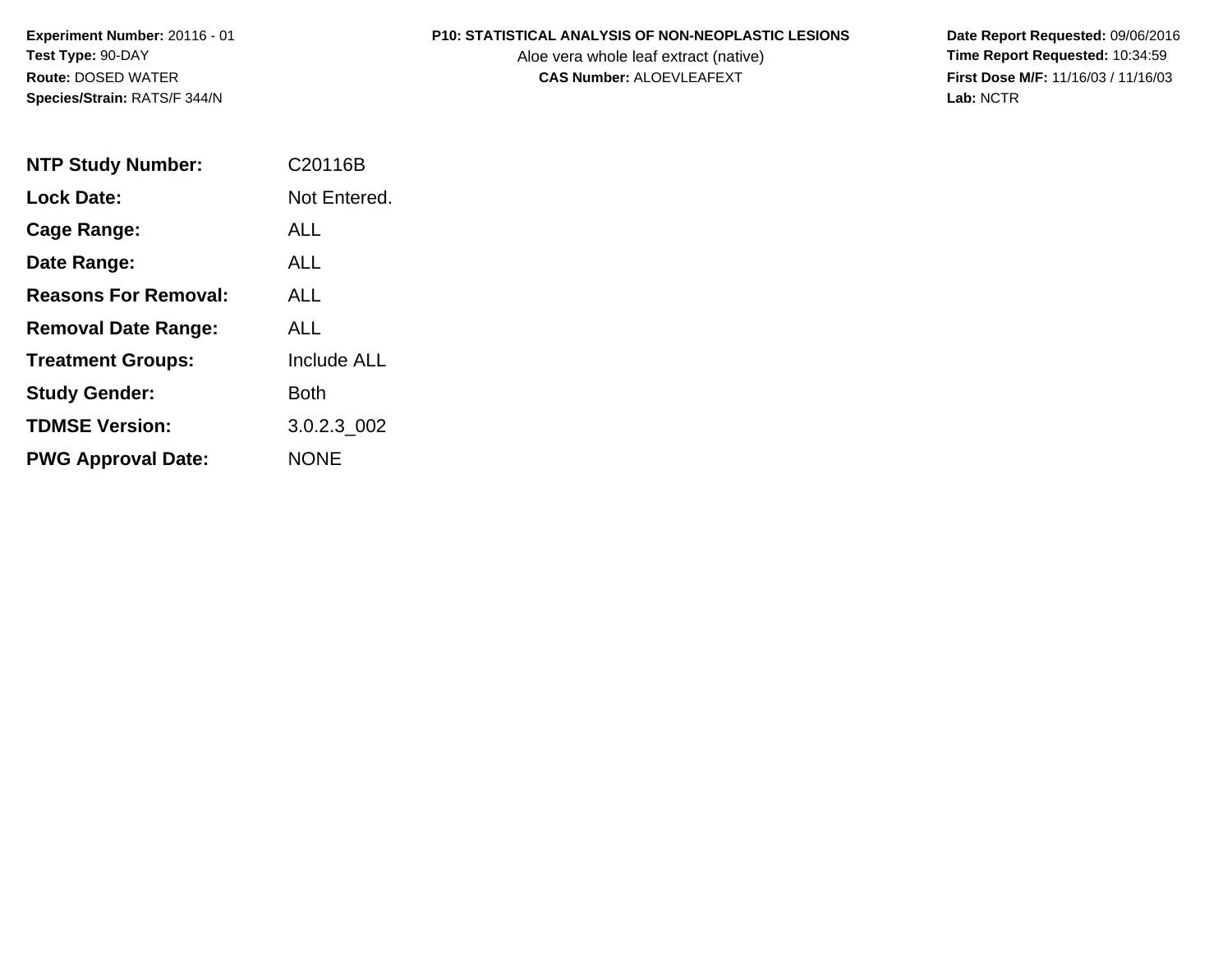**Experiment Number:** 20116 - 01**Test Type:** 90-DAY**Route:** DOSED WATER**Species/Strain:** RATS/F 344/N

#### **P10: STATISTICAL ANALYSIS OF NON-NEOPLASTIC LESIONS**

Aloe vera whole leaf extract (native)<br>**CAS Number:** ALOEVLEAFEXT

 **Date Report Requested:** 09/06/2016 **First Dose M/F:** 11/16/03 / 11/16/03<br>Lab: NCTR **Lab:** NCTR

| <b>NTP Study Number:</b>    | C20116B      |
|-----------------------------|--------------|
| <b>Lock Date:</b>           | Not Entered. |
| Cage Range:                 | ALL          |
| Date Range:                 | AI I         |
| <b>Reasons For Removal:</b> | ALL          |
| <b>Removal Date Range:</b>  | ALL          |
| <b>Treatment Groups:</b>    | Include ALL  |
| <b>Study Gender:</b>        | Both         |
| <b>TDMSE Version:</b>       | 3.0.2.3 002  |
| <b>PWG Approval Date:</b>   | NONE         |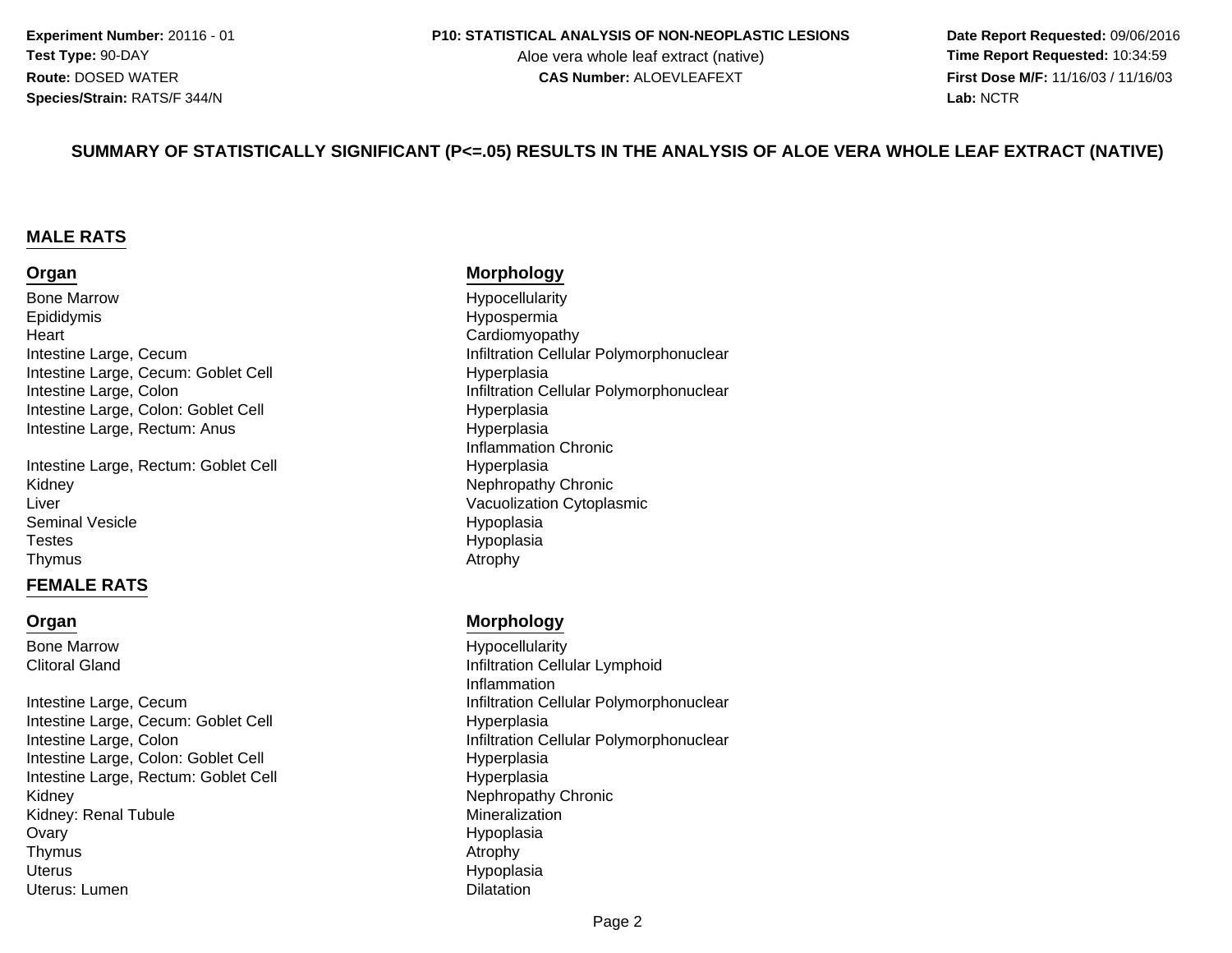#### **P10: STATISTICAL ANALYSIS OF NON-NEOPLASTIC LESIONS**

Aloe vera whole leaf extract (native)<br>**CAS Number:** ALOEVLEAFEXT

 **Date Report Requested:** 09/06/2016 **First Dose M/F:** 11/16/03 / 11/16/03<br>**Lab:** NCTR **Lab:** NCTR

#### **SUMMARY OF STATISTICALLY SIGNIFICANT (P<=.05) RESULTS IN THE ANALYSIS OF ALOE VERA WHOLE LEAF EXTRACT (NATIVE)**

#### **MALE RATS**

#### **Organ**

Bone MarrowEpididymist and the contract of the contract of the contract of the contract of  $\sim$  Cardiomyopathy **Heart** Intestine Large, CecumIntestine Large, Cecum: Goblet CellIntestine Large, ColonIntestine Large, Colon: Goblet CellIntestine Large, Rectum: Anus

Intestine Large, Rectum: Goblet Celly **Nephropathy Chronic** KidneyLiverSeminal Vesicle**Testes** Thymuss and the contract of the contract of the contract of the contract of the contract of the contract of the contract of the contract of the contract of the contract of the contract of the contract of the contract of the cont

#### **FEMALE RATS**

#### **Organ**

Bone MarrowClitoral Gland

Intestine Large, CecumIntestine Large, Cecum: Goblet CellIntestine Large, ColonIntestine Large, Colon: Goblet CellIntestine Large, Rectum: Goblet Celly **Nephropathy Chronic** KidneyKidney: Renal Tubule**Ovary** Thymuss and the contract of the contract of the contract of  $\lambda$  and  $\lambda$  and  $\lambda$  and  $\lambda$  and  $\lambda$  and  $\lambda$  and  $\lambda$  and  $\lambda$  and  $\lambda$  and  $\lambda$  and  $\lambda$  and  $\lambda$  and  $\lambda$  and  $\lambda$  and  $\lambda$  and  $\lambda$  and  $\lambda$  and  $\lambda$  and  $\lambda$  a **Uterus** Uterus: Lumenn Dilatation (1999), and the control of the Dilatation (1999), and the control of the Dilatation (1999), and the control of the control of the control of the control of the control of the control of the control of the cont

#### **Morphology**

 Hypocellularity Hypospermiam and the limit of the limit of the limit of the limit of the limit of the limit of the limit of the limit of t<br>Hunomissie Hyperplasian **Infiltration Cellular Polymorphonuclear**  Hyperplasias Hyperplasia Inflammation Chronic Hyperplasia Vacuolization Cytoplasmic Hypoplasia Hypoplasia<br>Atrophy

#### **Morphology**

 Hypocellularity Infiltration Cellular Lymphoid Inflammationm and the limit of the limit of the limit of the limit of the limit of the limit of the limit of the limit of t<br>Hunomissie Hyperplasian **Infiltration Cellular Polymorphonuclear**  Hyperplasial Hyperplasia Mineralization Hypoplasia<br>Atrophy Hypoplasia<br>Dilatation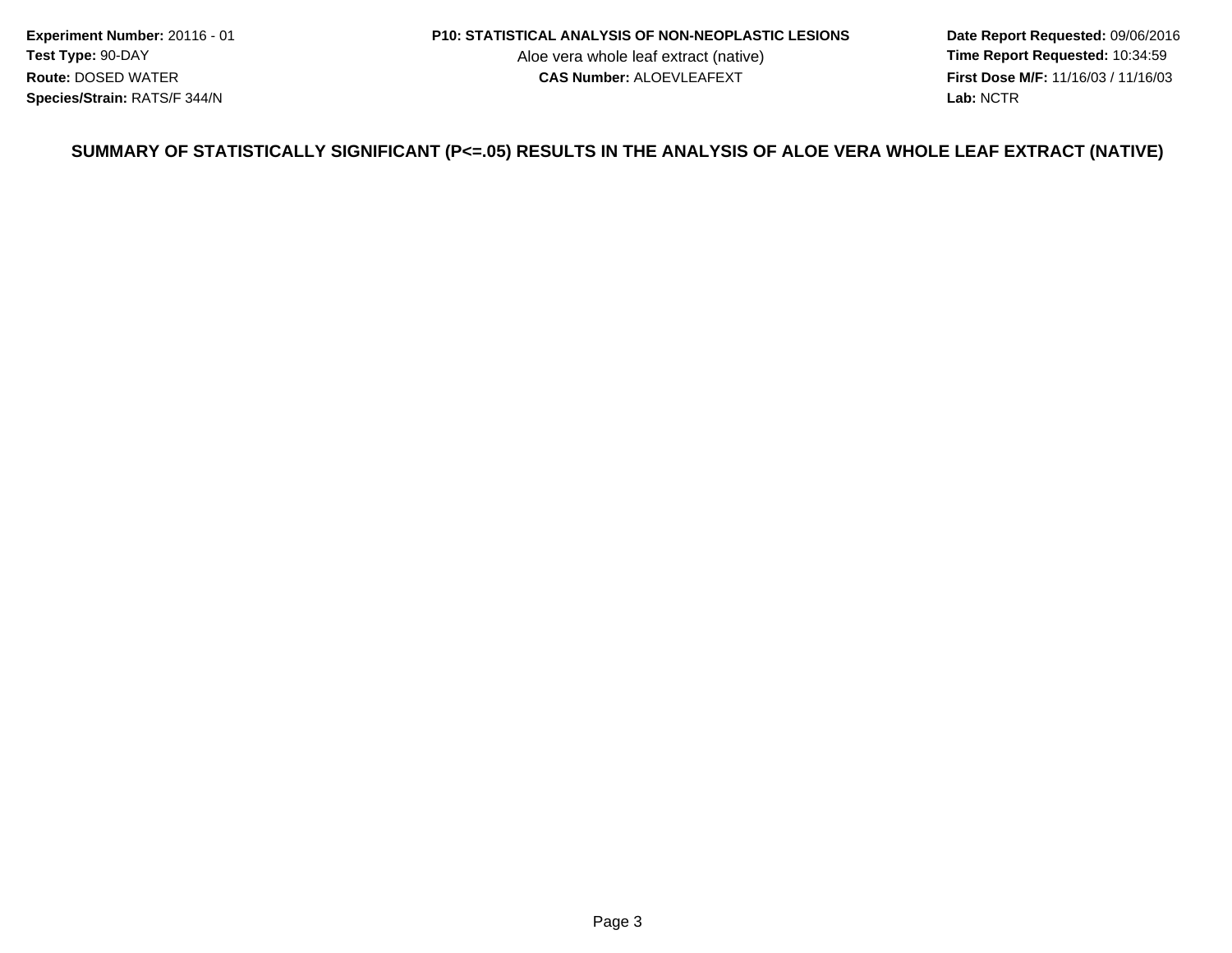**Experiment Number:** 20116 - 01**Test Type:** 90-DAY**Route:** DOSED WATER**Species/Strain:** RATS/F 344/N

#### **P10: STATISTICAL ANALYSIS OF NON-NEOPLASTIC LESIONS**

Aloe vera whole leaf extract (native)<br>**CAS Number:** ALOEVLEAFEXT

 **Date Report Requested:** 09/06/2016 **First Dose M/F:** 11/16/03 / 11/16/03<br>Lab: NCTR **Lab:** NCTR

#### **SUMMARY OF STATISTICALLY SIGNIFICANT (P<=.05) RESULTS IN THE ANALYSIS OF ALOE VERA WHOLE LEAF EXTRACT (NATIVE)**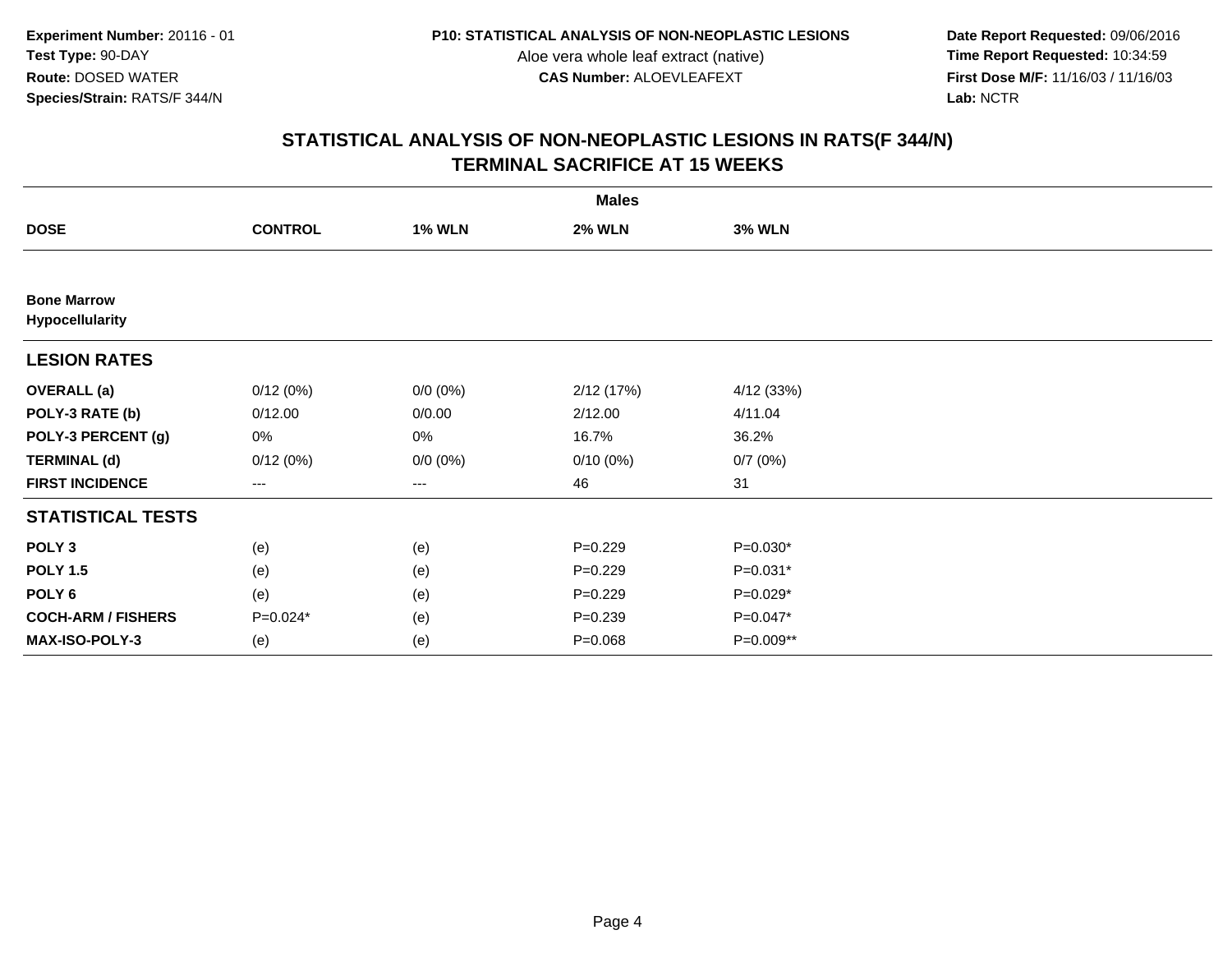**Date Report Requested:** 09/06/2016 **First Dose M/F:** 11/16/03 / 11/16/03<br>Lab: NCTR **Lab:** NCTR

|                                       | <b>Males</b>   |               |               |               |  |  |  |  |
|---------------------------------------|----------------|---------------|---------------|---------------|--|--|--|--|
| <b>DOSE</b>                           | <b>CONTROL</b> | <b>1% WLN</b> | <b>2% WLN</b> | <b>3% WLN</b> |  |  |  |  |
|                                       |                |               |               |               |  |  |  |  |
| <b>Bone Marrow</b><br>Hypocellularity |                |               |               |               |  |  |  |  |
| <b>LESION RATES</b>                   |                |               |               |               |  |  |  |  |
| <b>OVERALL</b> (a)                    | 0/12(0%)       | $0/0 (0\%)$   | 2/12 (17%)    | 4/12 (33%)    |  |  |  |  |
| POLY-3 RATE (b)                       | 0/12.00        | 0/0.00        | 2/12.00       | 4/11.04       |  |  |  |  |
| POLY-3 PERCENT (g)                    | 0%             | 0%            | 16.7%         | 36.2%         |  |  |  |  |
| <b>TERMINAL (d)</b>                   | 0/12(0%)       | $0/0 (0\%)$   | $0/10(0\%)$   | 0/7(0%)       |  |  |  |  |
| <b>FIRST INCIDENCE</b>                | $--$           | $---$         | 46            | 31            |  |  |  |  |
| <b>STATISTICAL TESTS</b>              |                |               |               |               |  |  |  |  |
| POLY <sub>3</sub>                     | (e)            | (e)           | $P=0.229$     | $P=0.030*$    |  |  |  |  |
| <b>POLY 1.5</b>                       | (e)            | (e)           | $P=0.229$     | $P=0.031*$    |  |  |  |  |
| POLY 6                                | (e)            | (e)           | $P=0.229$     | $P=0.029*$    |  |  |  |  |
| <b>COCH-ARM / FISHERS</b>             | P=0.024*       | (e)           | $P=0.239$     | $P=0.047*$    |  |  |  |  |
| MAX-ISO-POLY-3                        | (e)            | (e)           | $P = 0.068$   | P=0.009**     |  |  |  |  |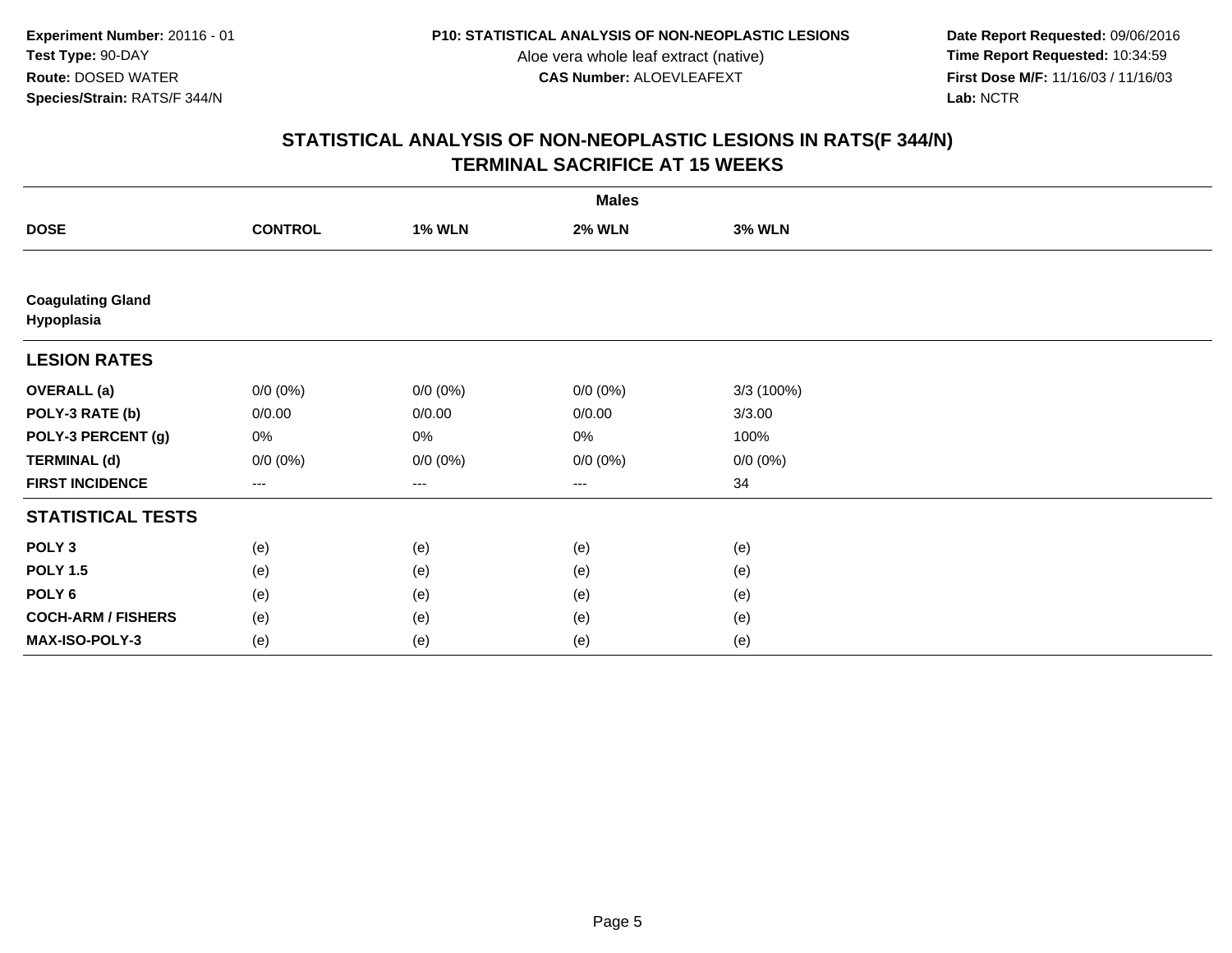**Date Report Requested:** 09/06/2016 **First Dose M/F:** 11/16/03 / 11/16/03<br>Lab: NCTR **Lab:** NCTR

|                                        | <b>Males</b>   |               |                        |               |  |  |  |
|----------------------------------------|----------------|---------------|------------------------|---------------|--|--|--|
| <b>DOSE</b>                            | <b>CONTROL</b> | <b>1% WLN</b> | <b>2% WLN</b>          | <b>3% WLN</b> |  |  |  |
|                                        |                |               |                        |               |  |  |  |
| <b>Coagulating Gland</b><br>Hypoplasia |                |               |                        |               |  |  |  |
| <b>LESION RATES</b>                    |                |               |                        |               |  |  |  |
| <b>OVERALL</b> (a)                     | $0/0 (0\%)$    | $0/0 (0\%)$   | $0/0 (0\%)$            | 3/3(100%)     |  |  |  |
| POLY-3 RATE (b)                        | 0/0.00         | 0/0.00        | 0/0.00                 | 3/3.00        |  |  |  |
| POLY-3 PERCENT (g)                     | 0%             | 0%            | 0%                     | 100%          |  |  |  |
| <b>TERMINAL (d)</b>                    | $0/0 (0\%)$    | $0/0 (0\%)$   | $0/0 (0\%)$            | $0/0 (0\%)$   |  |  |  |
| <b>FIRST INCIDENCE</b>                 | ---            | ---           | $\qquad \qquad \cdots$ | 34            |  |  |  |
| <b>STATISTICAL TESTS</b>               |                |               |                        |               |  |  |  |
| POLY <sub>3</sub>                      | (e)            | (e)           | (e)                    | (e)           |  |  |  |
| <b>POLY 1.5</b>                        | (e)            | (e)           | (e)                    | (e)           |  |  |  |
| POLY <sub>6</sub>                      | (e)            | (e)           | (e)                    | (e)           |  |  |  |
| <b>COCH-ARM / FISHERS</b>              | (e)            | (e)           | (e)                    | (e)           |  |  |  |
| MAX-ISO-POLY-3                         | (e)            | (e)           | (e)                    | (e)           |  |  |  |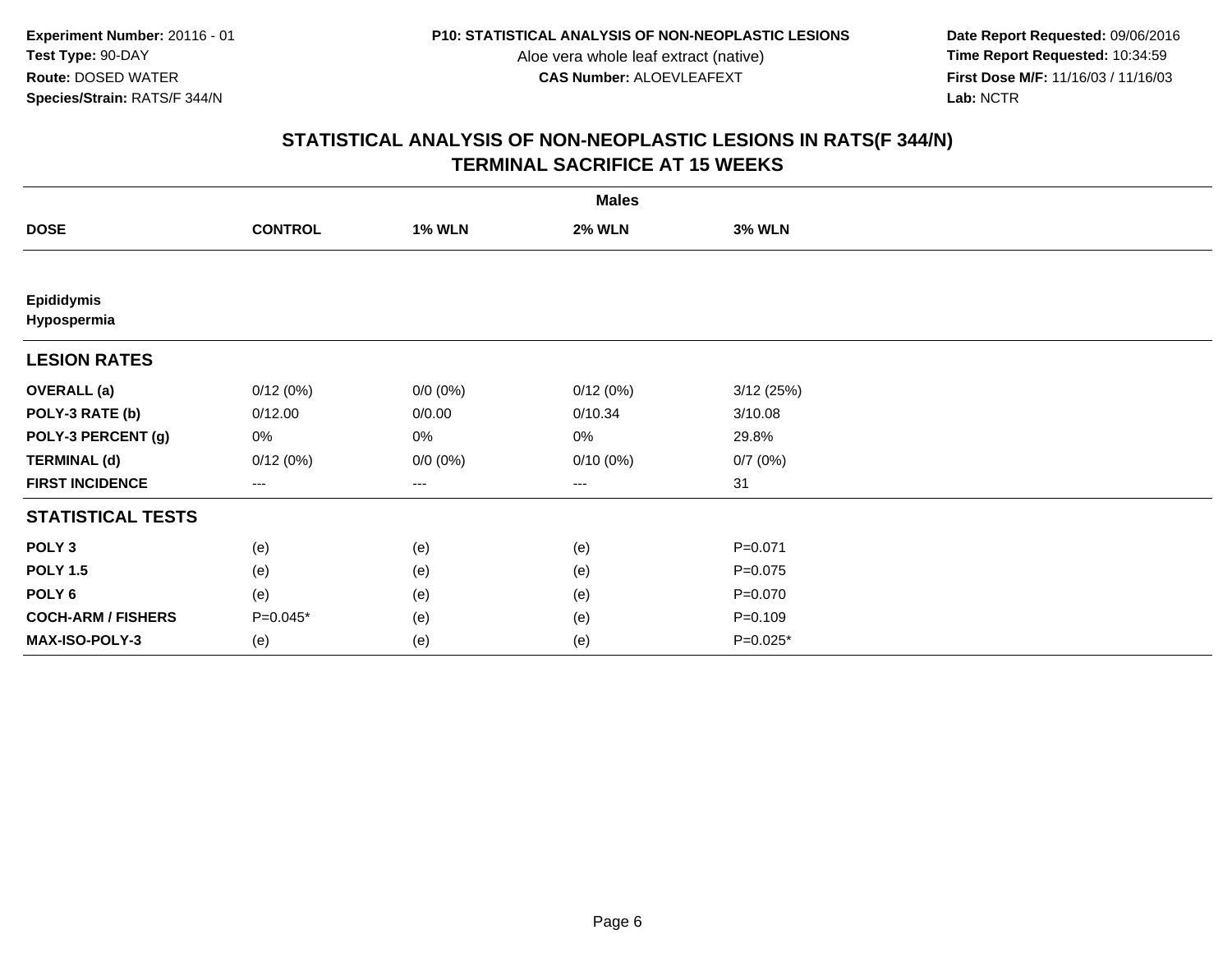**Date Report Requested:** 09/06/2016 **First Dose M/F:** 11/16/03 / 11/16/03<br>Lab: NCTR **Lab:** NCTR

|                                  |                   |               | <b>Males</b>  |               |  |
|----------------------------------|-------------------|---------------|---------------|---------------|--|
| <b>DOSE</b>                      | <b>CONTROL</b>    | <b>1% WLN</b> | <b>2% WLN</b> | <b>3% WLN</b> |  |
|                                  |                   |               |               |               |  |
| <b>Epididymis</b><br>Hypospermia |                   |               |               |               |  |
| <b>LESION RATES</b>              |                   |               |               |               |  |
| <b>OVERALL</b> (a)               | 0/12(0%)          | $0/0 (0\%)$   | 0/12(0%)      | 3/12(25%)     |  |
| POLY-3 RATE (b)                  | 0/12.00           | 0/0.00        | 0/10.34       | 3/10.08       |  |
| POLY-3 PERCENT (g)               | 0%                | $0\%$         | 0%            | 29.8%         |  |
| <b>TERMINAL (d)</b>              | 0/12(0%)          | $0/0 (0\%)$   | $0/10(0\%)$   | 0/7(0%)       |  |
| <b>FIRST INCIDENCE</b>           | $\qquad \qquad -$ | ---           | ---           | 31            |  |
| <b>STATISTICAL TESTS</b>         |                   |               |               |               |  |
| POLY <sub>3</sub>                | (e)               | (e)           | (e)           | $P = 0.071$   |  |
| <b>POLY 1.5</b>                  | (e)               | (e)           | (e)           | $P = 0.075$   |  |
| POLY <sub>6</sub>                | (e)               | (e)           | (e)           | $P = 0.070$   |  |
| <b>COCH-ARM / FISHERS</b>        | $P=0.045*$        | (e)           | (e)           | $P = 0.109$   |  |
| MAX-ISO-POLY-3                   | (e)               | (e)           | (e)           | $P=0.025*$    |  |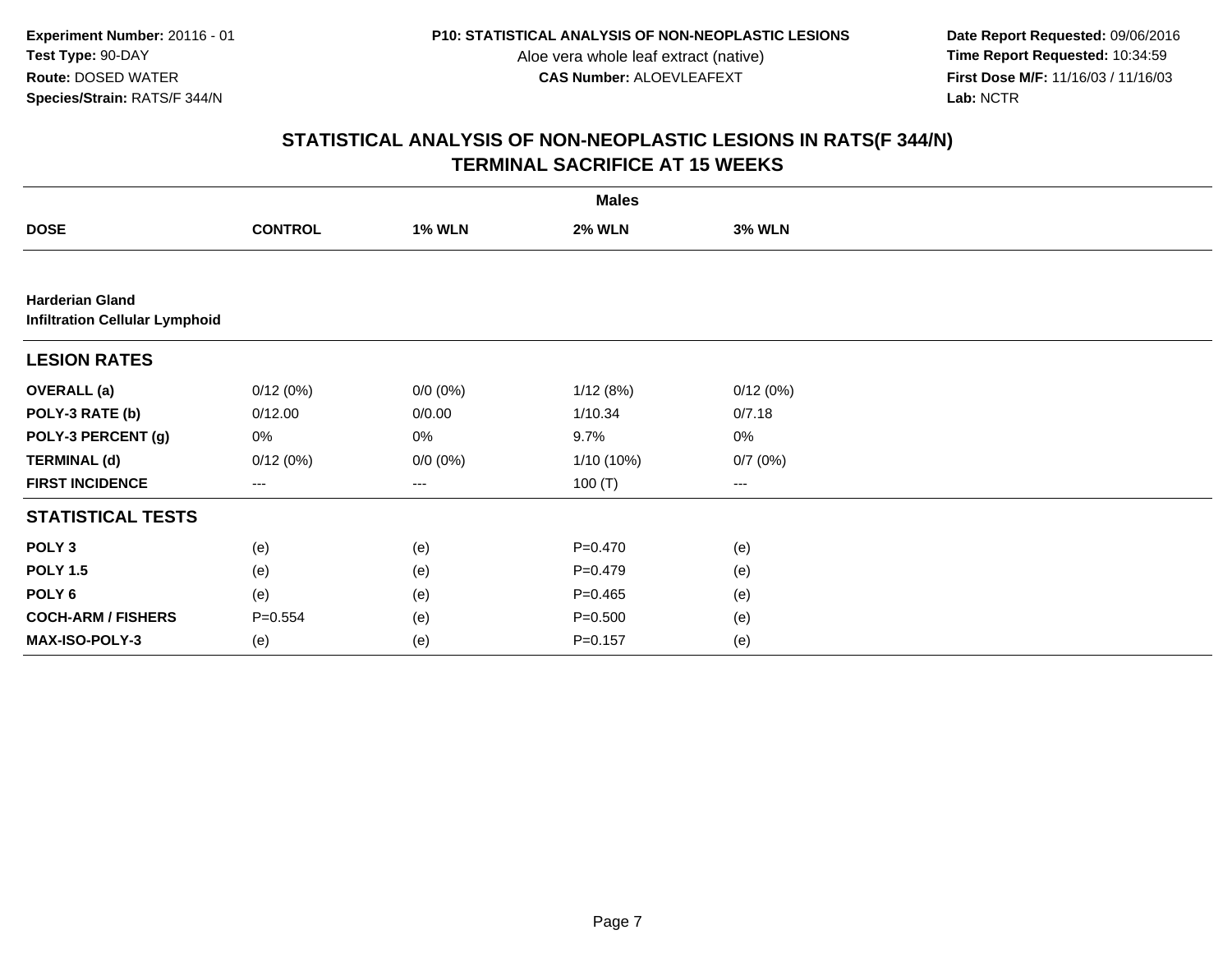**Date Report Requested:** 09/06/2016 **First Dose M/F:** 11/16/03 / 11/16/03<br>Lab: NCTR **Lab:** NCTR

|                                                                 | <b>Males</b>   |               |               |                                          |  |  |  |  |
|-----------------------------------------------------------------|----------------|---------------|---------------|------------------------------------------|--|--|--|--|
| <b>DOSE</b>                                                     | <b>CONTROL</b> | <b>1% WLN</b> | <b>2% WLN</b> | <b>3% WLN</b>                            |  |  |  |  |
|                                                                 |                |               |               |                                          |  |  |  |  |
| <b>Harderian Gland</b><br><b>Infiltration Cellular Lymphoid</b> |                |               |               |                                          |  |  |  |  |
| <b>LESION RATES</b>                                             |                |               |               |                                          |  |  |  |  |
| <b>OVERALL (a)</b>                                              | 0/12(0%)       | $0/0 (0\%)$   | 1/12(8%)      | 0/12(0%)                                 |  |  |  |  |
| POLY-3 RATE (b)                                                 | 0/12.00        | 0/0.00        | 1/10.34       | 0/7.18                                   |  |  |  |  |
| POLY-3 PERCENT (g)                                              | 0%             | 0%            | 9.7%          | $0\%$                                    |  |  |  |  |
| <b>TERMINAL (d)</b>                                             | 0/12(0%)       | $0/0 (0\%)$   | 1/10 (10%)    | 0/7(0%)                                  |  |  |  |  |
| <b>FIRST INCIDENCE</b>                                          | $\cdots$       | $\cdots$      | 100 $(T)$     | $\hspace{0.05cm} \ldots \hspace{0.05cm}$ |  |  |  |  |
| <b>STATISTICAL TESTS</b>                                        |                |               |               |                                          |  |  |  |  |
| POLY <sub>3</sub>                                               | (e)            | (e)           | $P=0.470$     | (e)                                      |  |  |  |  |
| <b>POLY 1.5</b>                                                 | (e)            | (e)           | $P = 0.479$   | (e)                                      |  |  |  |  |
| POLY <sub>6</sub>                                               | (e)            | (e)           | $P = 0.465$   | (e)                                      |  |  |  |  |
| <b>COCH-ARM / FISHERS</b>                                       | $P = 0.554$    | (e)           | $P = 0.500$   | (e)                                      |  |  |  |  |
| <b>MAX-ISO-POLY-3</b>                                           | (e)            | (e)           | $P = 0.157$   | (e)                                      |  |  |  |  |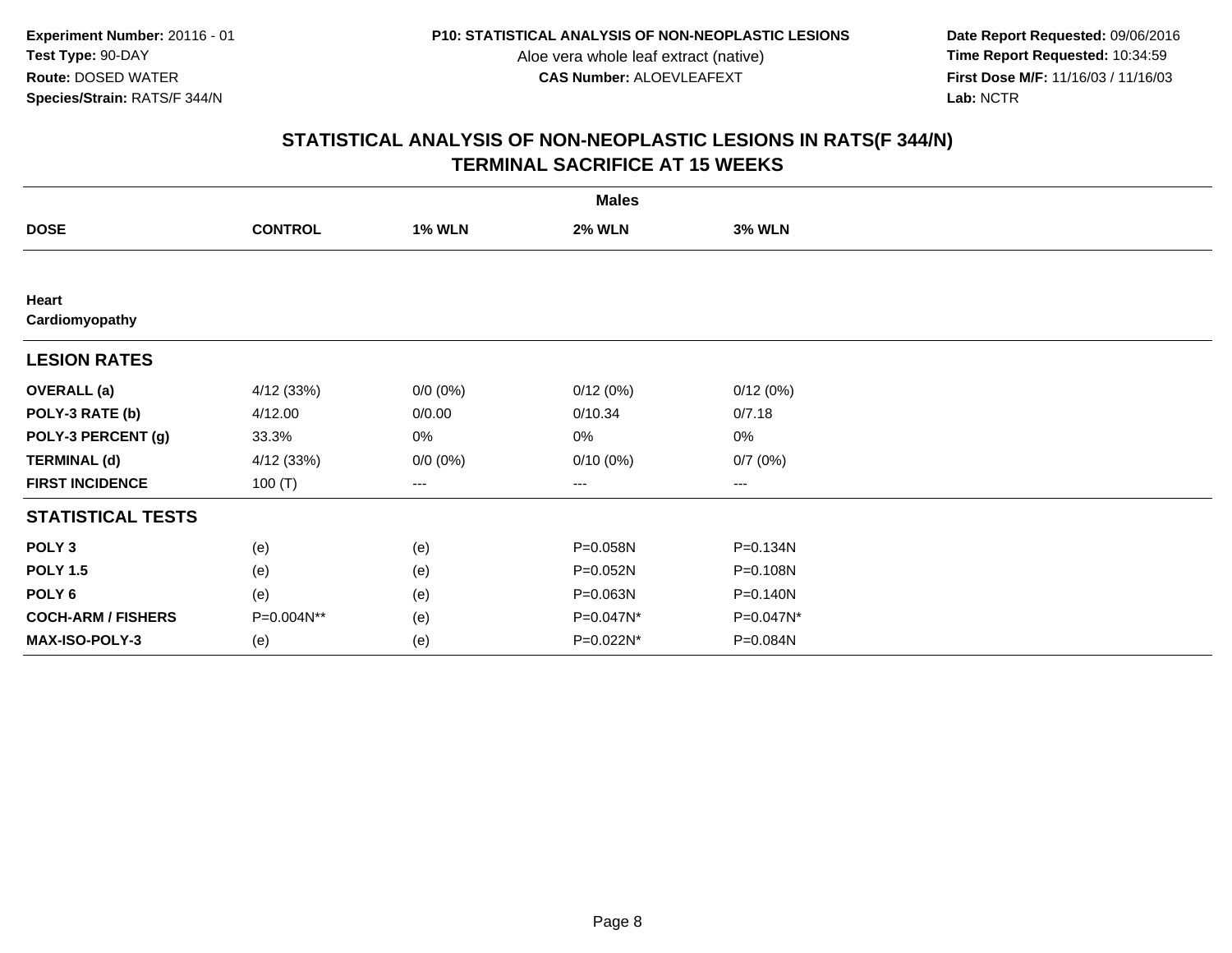**Date Report Requested:** 09/06/2016 **First Dose M/F:** 11/16/03 / 11/16/03<br>Lab: NCTR **Lab:** NCTR

|                           | <b>Males</b>   |               |               |               |  |  |  |
|---------------------------|----------------|---------------|---------------|---------------|--|--|--|
| <b>DOSE</b>               | <b>CONTROL</b> | <b>1% WLN</b> | <b>2% WLN</b> | <b>3% WLN</b> |  |  |  |
|                           |                |               |               |               |  |  |  |
| Heart<br>Cardiomyopathy   |                |               |               |               |  |  |  |
| <b>LESION RATES</b>       |                |               |               |               |  |  |  |
| <b>OVERALL</b> (a)        | 4/12 (33%)     | $0/0 (0\%)$   | 0/12(0%)      | 0/12(0%)      |  |  |  |
| POLY-3 RATE (b)           | 4/12.00        | 0/0.00        | 0/10.34       | 0/7.18        |  |  |  |
| POLY-3 PERCENT (g)        | 33.3%          | 0%            | 0%            | 0%            |  |  |  |
| <b>TERMINAL (d)</b>       | 4/12 (33%)     | $0/0 (0\%)$   | $0/10(0\%)$   | 0/7(0%)       |  |  |  |
| <b>FIRST INCIDENCE</b>    | 100 $(T)$      | ---           | ---           | $--$          |  |  |  |
| <b>STATISTICAL TESTS</b>  |                |               |               |               |  |  |  |
| POLY <sub>3</sub>         | (e)            | (e)           | P=0.058N      | P=0.134N      |  |  |  |
| <b>POLY 1.5</b>           | (e)            | (e)           | P=0.052N      | P=0.108N      |  |  |  |
| POLY 6                    | (e)            | (e)           | P=0.063N      | P=0.140N      |  |  |  |
| <b>COCH-ARM / FISHERS</b> | P=0.004N**     | (e)           | P=0.047N*     | P=0.047N*     |  |  |  |
| MAX-ISO-POLY-3            | (e)            | (e)           | P=0.022N*     | P=0.084N      |  |  |  |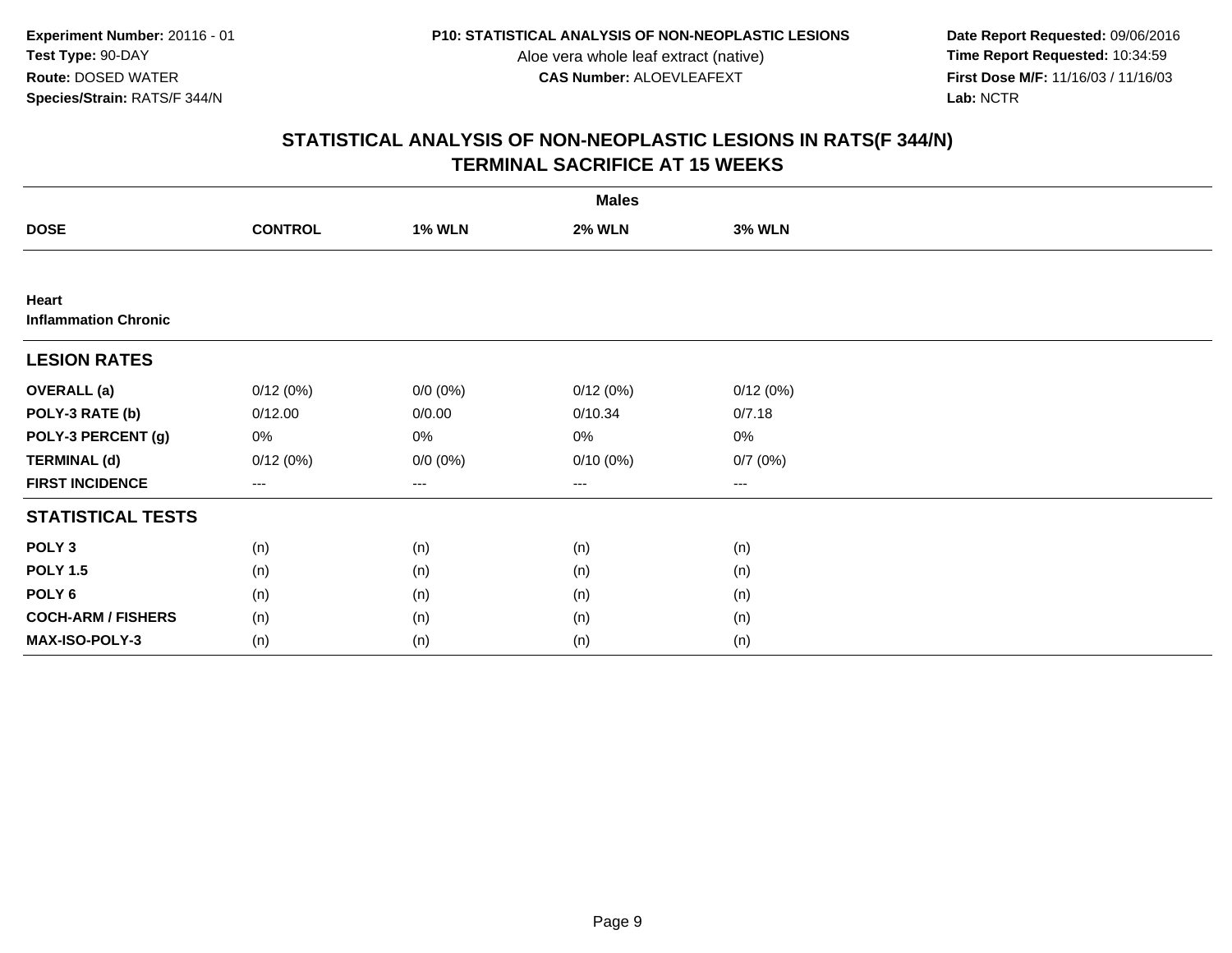**Date Report Requested:** 09/06/2016 **First Dose M/F:** 11/16/03 / 11/16/03<br>Lab: NCTR **Lab:** NCTR

|                                      | <b>Males</b>           |               |               |                   |  |  |  |
|--------------------------------------|------------------------|---------------|---------------|-------------------|--|--|--|
| <b>DOSE</b>                          | <b>CONTROL</b>         | <b>1% WLN</b> | <b>2% WLN</b> | <b>3% WLN</b>     |  |  |  |
|                                      |                        |               |               |                   |  |  |  |
| Heart<br><b>Inflammation Chronic</b> |                        |               |               |                   |  |  |  |
| <b>LESION RATES</b>                  |                        |               |               |                   |  |  |  |
| <b>OVERALL</b> (a)                   | 0/12(0%)               | $0/0 (0\%)$   | 0/12(0%)      | 0/12(0%)          |  |  |  |
| POLY-3 RATE (b)                      | 0/12.00                | 0/0.00        | 0/10.34       | 0/7.18            |  |  |  |
| POLY-3 PERCENT (g)                   | 0%                     | 0%            | 0%            | 0%                |  |  |  |
| <b>TERMINAL (d)</b>                  | 0/12(0%)               | $0/0 (0\%)$   | $0/10(0\%)$   | 0/7(0%)           |  |  |  |
| <b>FIRST INCIDENCE</b>               | $\qquad \qquad \cdots$ | $---$         | ---           | $\qquad \qquad -$ |  |  |  |
| <b>STATISTICAL TESTS</b>             |                        |               |               |                   |  |  |  |
| POLY <sub>3</sub>                    | (n)                    | (n)           | (n)           | (n)               |  |  |  |
| <b>POLY 1.5</b>                      | (n)                    | (n)           | (n)           | (n)               |  |  |  |
| POLY <sub>6</sub>                    | (n)                    | (n)           | (n)           | (n)               |  |  |  |
| <b>COCH-ARM / FISHERS</b>            | (n)                    | (n)           | (n)           | (n)               |  |  |  |
| MAX-ISO-POLY-3                       | (n)                    | (n)           | (n)           | (n)               |  |  |  |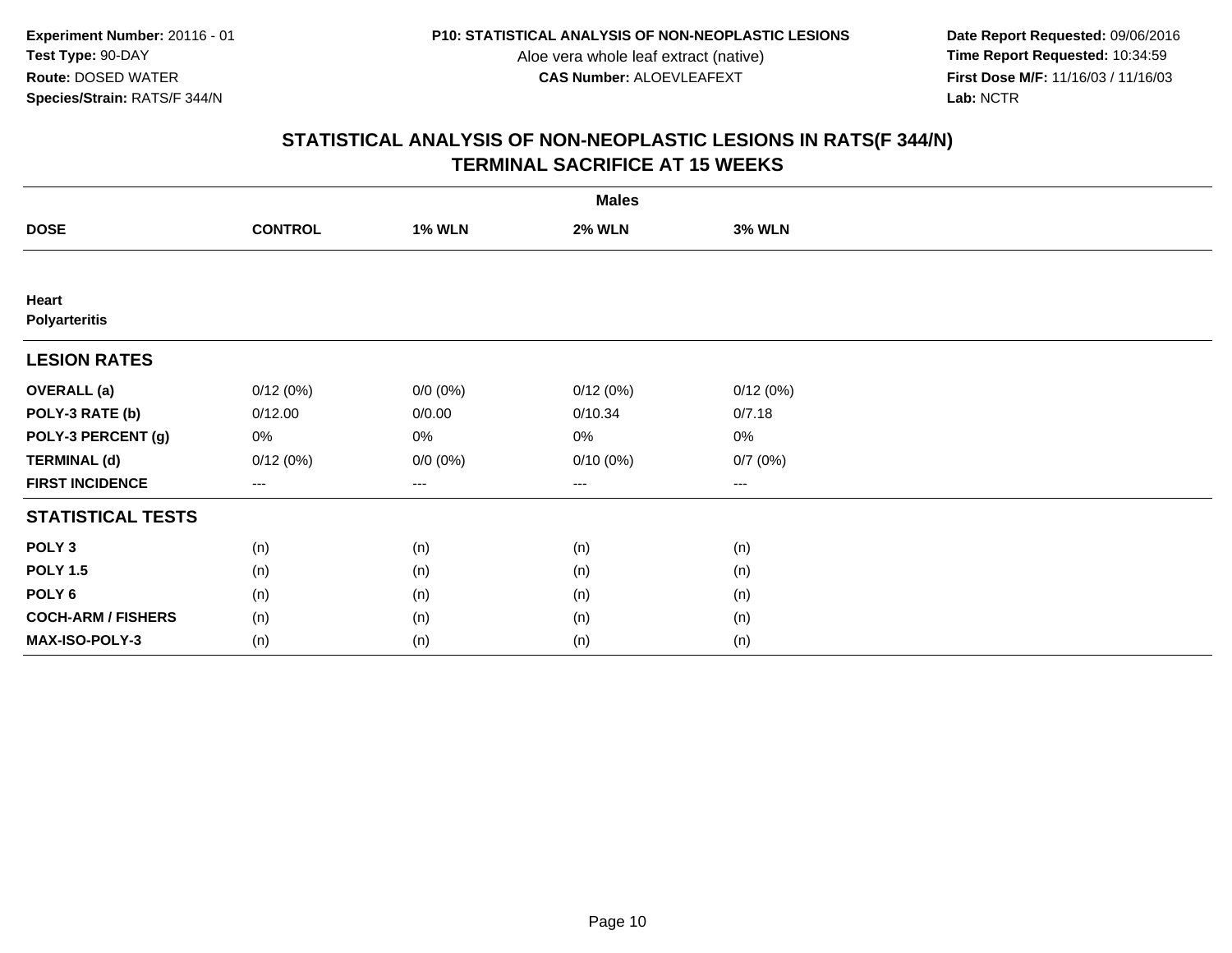**Date Report Requested:** 09/06/2016 **First Dose M/F:** 11/16/03 / 11/16/03<br>Lab: NCTR **Lab:** NCTR

|                               | <b>Males</b>           |               |               |                   |  |  |  |
|-------------------------------|------------------------|---------------|---------------|-------------------|--|--|--|
| <b>DOSE</b>                   | <b>CONTROL</b>         | <b>1% WLN</b> | <b>2% WLN</b> | <b>3% WLN</b>     |  |  |  |
|                               |                        |               |               |                   |  |  |  |
| Heart<br><b>Polyarteritis</b> |                        |               |               |                   |  |  |  |
| <b>LESION RATES</b>           |                        |               |               |                   |  |  |  |
| <b>OVERALL</b> (a)            | 0/12(0%)               | $0/0 (0\%)$   | 0/12(0%)      | 0/12(0%)          |  |  |  |
| POLY-3 RATE (b)               | 0/12.00                | 0/0.00        | 0/10.34       | 0/7.18            |  |  |  |
| POLY-3 PERCENT (g)            | 0%                     | 0%            | 0%            | 0%                |  |  |  |
| <b>TERMINAL (d)</b>           | 0/12(0%)               | $0/0 (0\%)$   | $0/10(0\%)$   | 0/7(0%)           |  |  |  |
| <b>FIRST INCIDENCE</b>        | $\qquad \qquad \cdots$ | $---$         | ---           | $\qquad \qquad -$ |  |  |  |
| <b>STATISTICAL TESTS</b>      |                        |               |               |                   |  |  |  |
| POLY <sub>3</sub>             | (n)                    | (n)           | (n)           | (n)               |  |  |  |
| <b>POLY 1.5</b>               | (n)                    | (n)           | (n)           | (n)               |  |  |  |
| POLY <sub>6</sub>             | (n)                    | (n)           | (n)           | (n)               |  |  |  |
| <b>COCH-ARM / FISHERS</b>     | (n)                    | (n)           | (n)           | (n)               |  |  |  |
| MAX-ISO-POLY-3                | (n)                    | (n)           | (n)           | (n)               |  |  |  |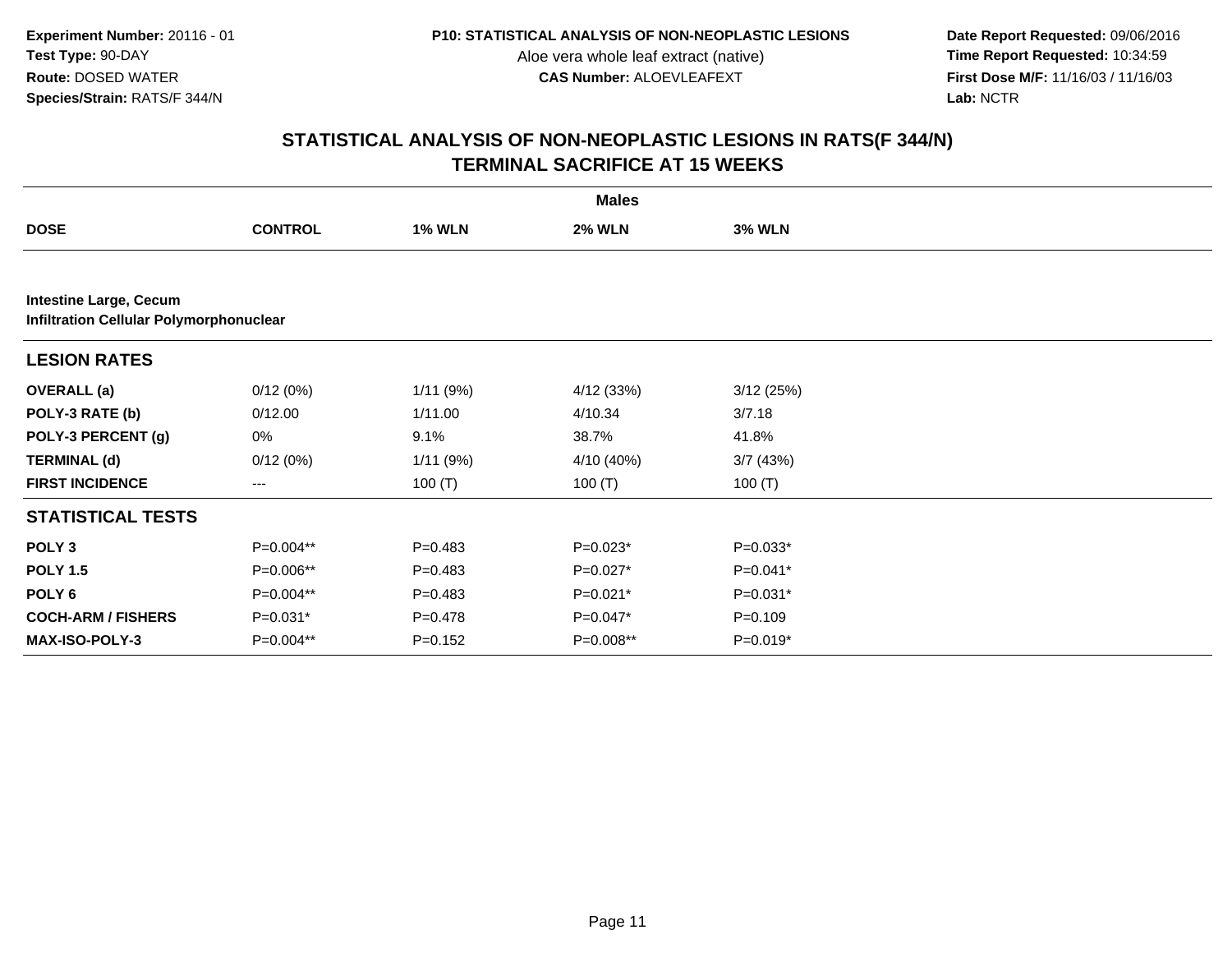**Date Report Requested:** 09/06/2016 **First Dose M/F:** 11/16/03 / 11/16/03<br>Lab: NCTR **Lab:** NCTR

|                               |                                                |               | <b>Males</b>  |               |  |  |  |  |  |
|-------------------------------|------------------------------------------------|---------------|---------------|---------------|--|--|--|--|--|
| <b>DOSE</b>                   | <b>CONTROL</b>                                 | <b>1% WLN</b> | <b>2% WLN</b> | <b>3% WLN</b> |  |  |  |  |  |
|                               |                                                |               |               |               |  |  |  |  |  |
| <b>Intestine Large, Cecum</b> | <b>Infiltration Cellular Polymorphonuclear</b> |               |               |               |  |  |  |  |  |
| <b>LESION RATES</b>           |                                                |               |               |               |  |  |  |  |  |
| <b>OVERALL</b> (a)            | 0/12(0%)                                       | 1/11 (9%)     | 4/12 (33%)    | 3/12(25%)     |  |  |  |  |  |
| POLY-3 RATE (b)               | 0/12.00                                        | 1/11.00       | 4/10.34       | 3/7.18        |  |  |  |  |  |
| POLY-3 PERCENT (g)            | 0%                                             | 9.1%          | 38.7%         | 41.8%         |  |  |  |  |  |
| <b>TERMINAL (d)</b>           | 0/12(0%)                                       | 1/11(9%)      | 4/10 (40%)    | 3/7(43%)      |  |  |  |  |  |
| <b>FIRST INCIDENCE</b>        | ---                                            | 100 $(T)$     | 100 $(T)$     | 100 $(T)$     |  |  |  |  |  |
| <b>STATISTICAL TESTS</b>      |                                                |               |               |               |  |  |  |  |  |
| POLY <sub>3</sub>             | P=0.004**                                      | $P = 0.483$   | $P=0.023*$    | $P=0.033*$    |  |  |  |  |  |
| <b>POLY 1.5</b>               | P=0.006**                                      | $P = 0.483$   | $P=0.027*$    | P=0.041*      |  |  |  |  |  |
| POLY <sub>6</sub>             | P=0.004**                                      | $P = 0.483$   | $P=0.021*$    | $P=0.031*$    |  |  |  |  |  |
| <b>COCH-ARM / FISHERS</b>     | $P=0.031*$                                     | $P = 0.478$   | $P=0.047*$    | $P = 0.109$   |  |  |  |  |  |
| <b>MAX-ISO-POLY-3</b>         | P=0.004**                                      | $P = 0.152$   | P=0.008**     | $P=0.019*$    |  |  |  |  |  |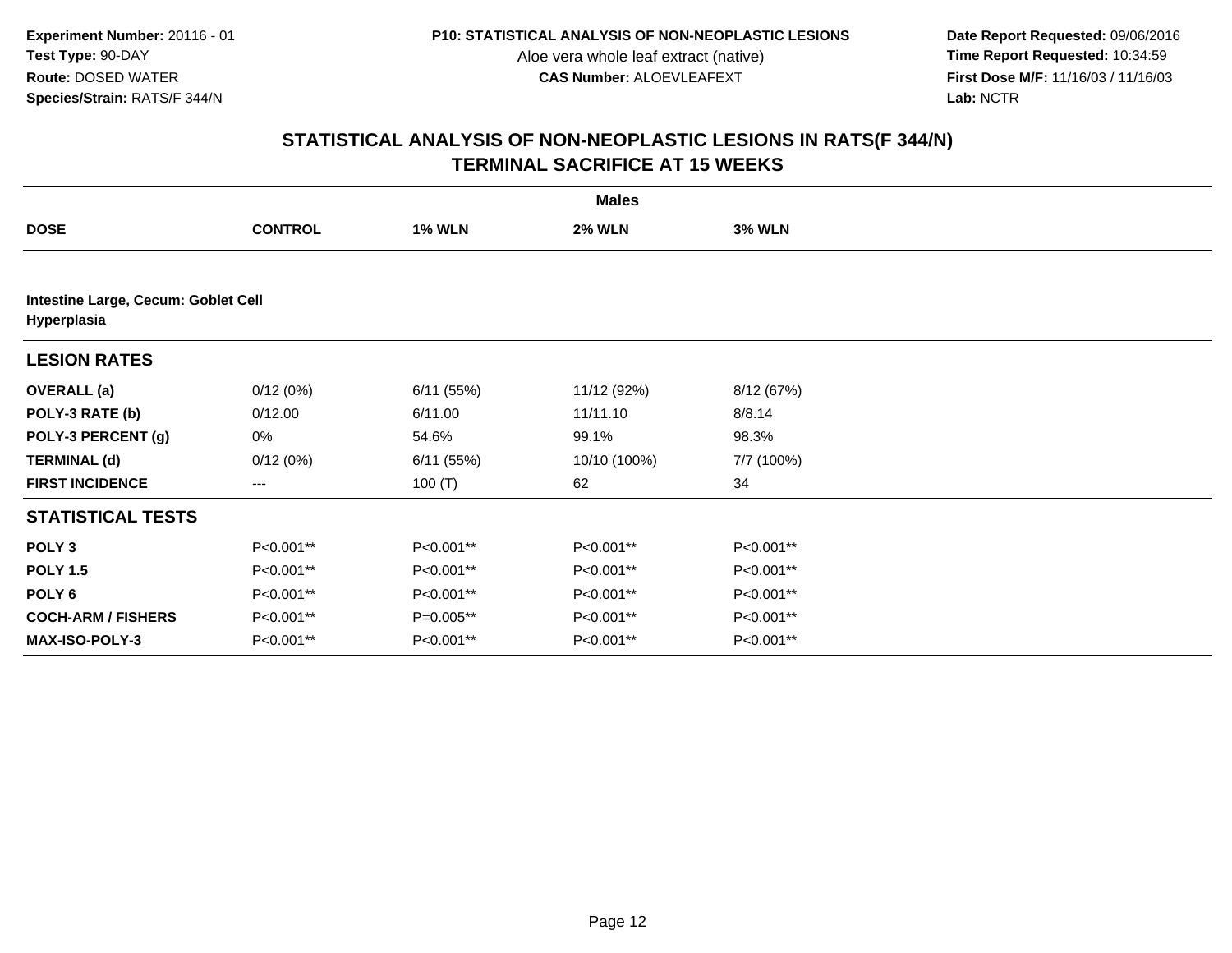**Date Report Requested:** 09/06/2016 **First Dose M/F:** 11/16/03 / 11/16/03<br>Lab: NCTR **Lab:** NCTR

|                                                    |                |               | <b>Males</b>  |               |  |
|----------------------------------------------------|----------------|---------------|---------------|---------------|--|
| <b>DOSE</b>                                        | <b>CONTROL</b> | <b>1% WLN</b> | <b>2% WLN</b> | <b>3% WLN</b> |  |
|                                                    |                |               |               |               |  |
| Intestine Large, Cecum: Goblet Cell<br>Hyperplasia |                |               |               |               |  |
| <b>LESION RATES</b>                                |                |               |               |               |  |
| <b>OVERALL</b> (a)                                 | 0/12(0%)       | 6/11(55%)     | 11/12 (92%)   | 8/12 (67%)    |  |
| POLY-3 RATE (b)                                    | 0/12.00        | 6/11.00       | 11/11.10      | 8/8.14        |  |
| POLY-3 PERCENT (g)                                 | 0%             | 54.6%         | 99.1%         | 98.3%         |  |
| <b>TERMINAL (d)</b>                                | 0/12(0%)       | 6/11(55%)     | 10/10 (100%)  | 7/7 (100%)    |  |
| <b>FIRST INCIDENCE</b>                             | $---$          | 100 $(T)$     | 62            | 34            |  |
| <b>STATISTICAL TESTS</b>                           |                |               |               |               |  |
| POLY <sub>3</sub>                                  | P<0.001**      | P<0.001**     | P<0.001**     | P<0.001**     |  |
| <b>POLY 1.5</b>                                    | P<0.001**      | P<0.001**     | P<0.001**     | P<0.001**     |  |
| POLY <sub>6</sub>                                  | P<0.001**      | P<0.001**     | P<0.001**     | P<0.001**     |  |
| <b>COCH-ARM / FISHERS</b>                          | P<0.001**      | $P=0.005**$   | P<0.001**     | P<0.001**     |  |
| <b>MAX-ISO-POLY-3</b>                              | P<0.001**      | P<0.001**     | P<0.001**     | P<0.001**     |  |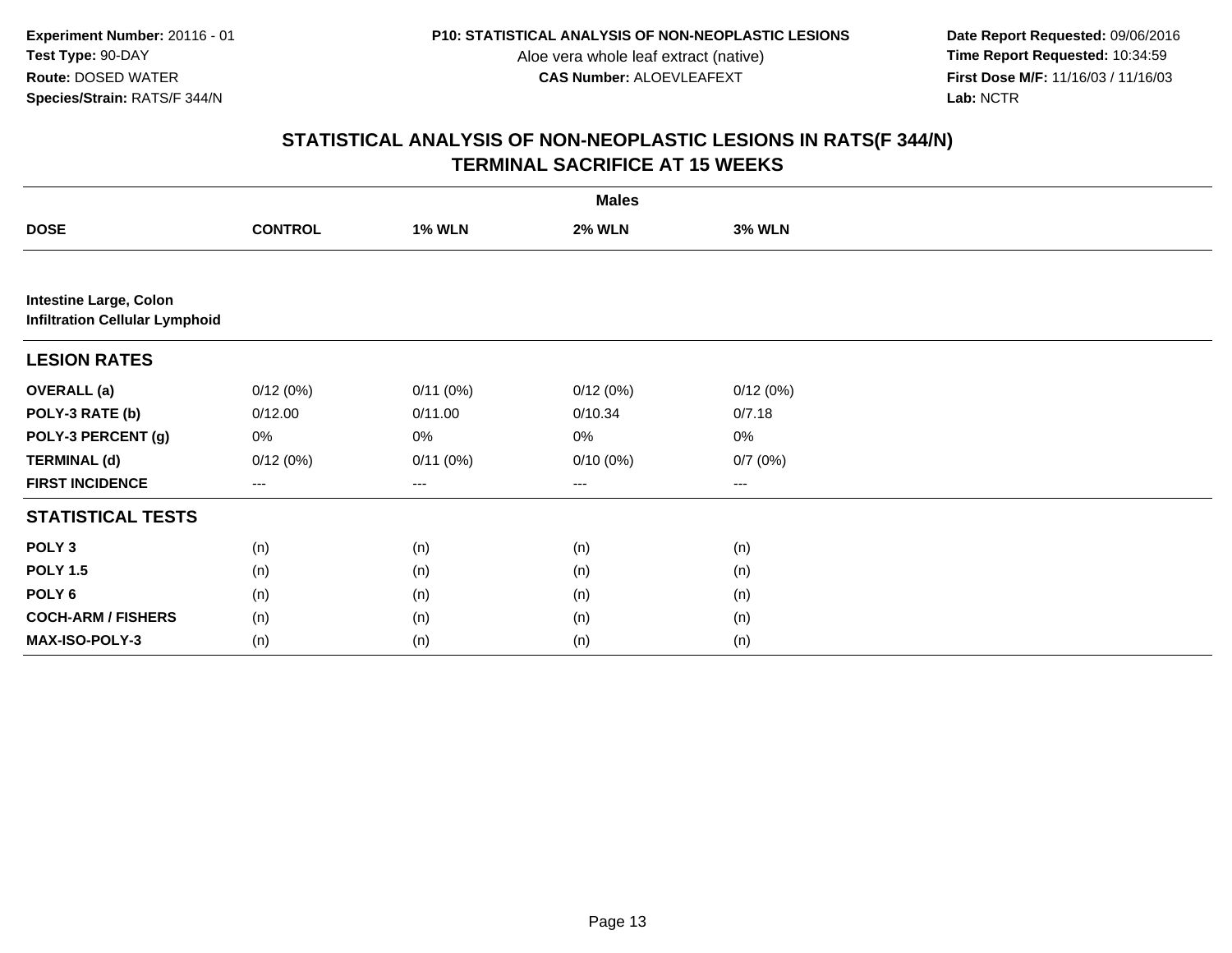**Date Report Requested:** 09/06/2016 **First Dose M/F:** 11/16/03 / 11/16/03<br>Lab: NCTR **Lab:** NCTR

|                                                                        | <b>Males</b>   |                        |               |               |  |  |  |
|------------------------------------------------------------------------|----------------|------------------------|---------------|---------------|--|--|--|
| <b>DOSE</b>                                                            | <b>CONTROL</b> | <b>1% WLN</b>          | <b>2% WLN</b> | <b>3% WLN</b> |  |  |  |
|                                                                        |                |                        |               |               |  |  |  |
| <b>Intestine Large, Colon</b><br><b>Infiltration Cellular Lymphoid</b> |                |                        |               |               |  |  |  |
| <b>LESION RATES</b>                                                    |                |                        |               |               |  |  |  |
| <b>OVERALL</b> (a)                                                     | 0/12(0%)       | 0/11(0%)               | 0/12(0%)      | 0/12(0%)      |  |  |  |
| POLY-3 RATE (b)                                                        | 0/12.00        | 0/11.00                | 0/10.34       | 0/7.18        |  |  |  |
| POLY-3 PERCENT (g)                                                     | 0%             | 0%                     | 0%            | 0%            |  |  |  |
| <b>TERMINAL (d)</b>                                                    | 0/12(0%)       | 0/11(0%)               | $0/10(0\%)$   | 0/7(0%)       |  |  |  |
| <b>FIRST INCIDENCE</b>                                                 | ---            | $\qquad \qquad \cdots$ | $--$          | ---           |  |  |  |
| <b>STATISTICAL TESTS</b>                                               |                |                        |               |               |  |  |  |
| POLY <sub>3</sub>                                                      | (n)            | (n)                    | (n)           | (n)           |  |  |  |
| <b>POLY 1.5</b>                                                        | (n)            | (n)                    | (n)           | (n)           |  |  |  |
| POLY <sub>6</sub>                                                      | (n)            | (n)                    | (n)           | (n)           |  |  |  |
| <b>COCH-ARM / FISHERS</b>                                              | (n)            | (n)                    | (n)           | (n)           |  |  |  |
| MAX-ISO-POLY-3                                                         | (n)            | (n)                    | (n)           | (n)           |  |  |  |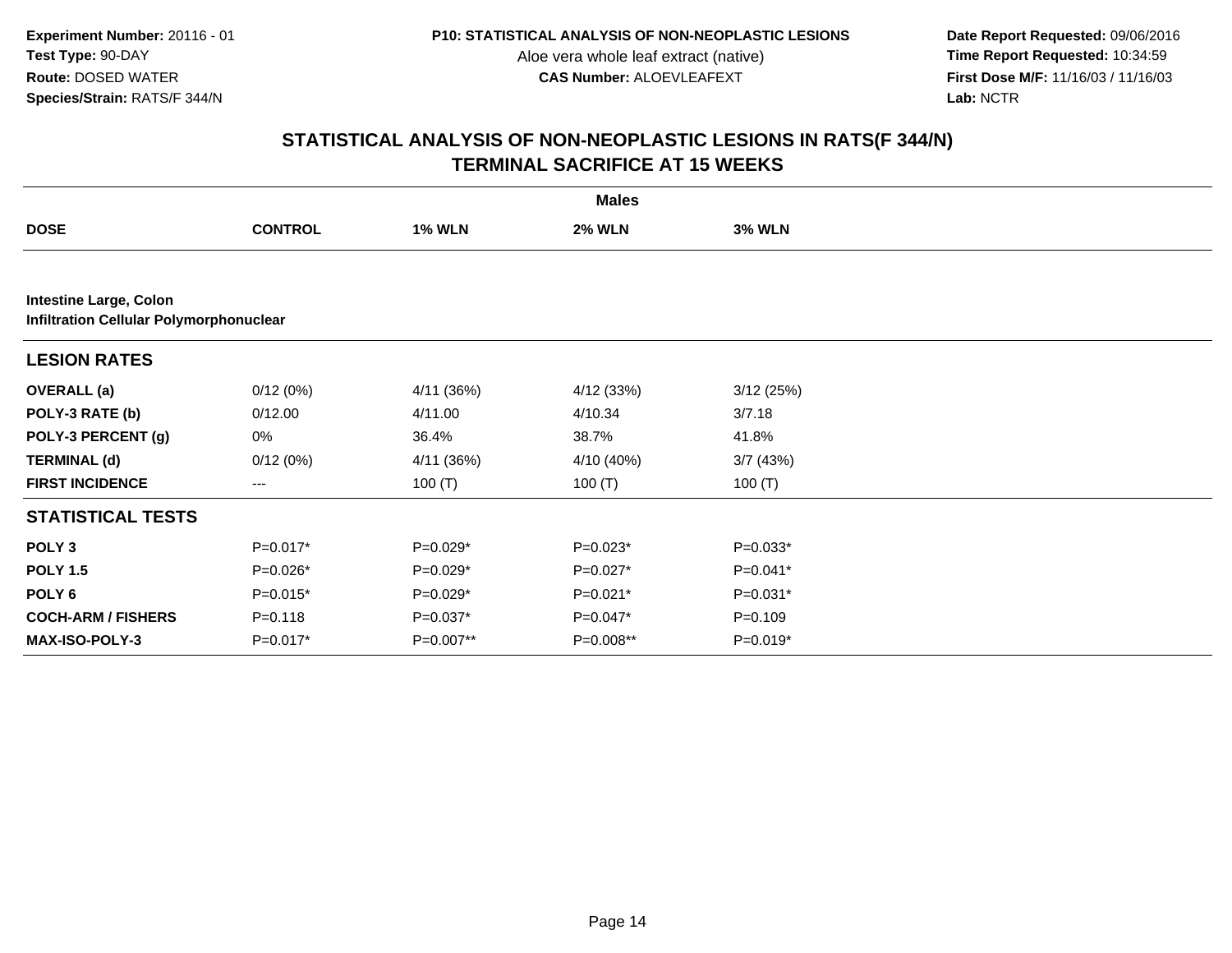**Date Report Requested:** 09/06/2016 **First Dose M/F:** 11/16/03 / 11/16/03<br>Lab: NCTR **Lab:** NCTR

|                                                                                 | <b>Males</b>   |               |               |               |  |  |  |
|---------------------------------------------------------------------------------|----------------|---------------|---------------|---------------|--|--|--|
| <b>DOSE</b>                                                                     | <b>CONTROL</b> | <b>1% WLN</b> | <b>2% WLN</b> | <b>3% WLN</b> |  |  |  |
|                                                                                 |                |               |               |               |  |  |  |
| <b>Intestine Large, Colon</b><br><b>Infiltration Cellular Polymorphonuclear</b> |                |               |               |               |  |  |  |
| <b>LESION RATES</b>                                                             |                |               |               |               |  |  |  |
| <b>OVERALL</b> (a)                                                              | 0/12(0%)       | 4/11 (36%)    | 4/12 (33%)    | 3/12(25%)     |  |  |  |
| POLY-3 RATE (b)                                                                 | 0/12.00        | 4/11.00       | 4/10.34       | 3/7.18        |  |  |  |
| POLY-3 PERCENT (g)                                                              | 0%             | 36.4%         | 38.7%         | 41.8%         |  |  |  |
| <b>TERMINAL (d)</b>                                                             | 0/12(0%)       | 4/11(36%)     | 4/10 (40%)    | 3/7(43%)      |  |  |  |
| <b>FIRST INCIDENCE</b>                                                          | ---            | 100 $(T)$     | 100 $(T)$     | 100 $(T)$     |  |  |  |
| <b>STATISTICAL TESTS</b>                                                        |                |               |               |               |  |  |  |
| POLY <sub>3</sub>                                                               | $P=0.017*$     | $P=0.029*$    | $P=0.023*$    | $P=0.033*$    |  |  |  |
| <b>POLY 1.5</b>                                                                 | P=0.026*       | P=0.029*      | P=0.027*      | P=0.041*      |  |  |  |
| POLY <sub>6</sub>                                                               | $P=0.015*$     | $P=0.029*$    | $P=0.021*$    | $P=0.031*$    |  |  |  |
| <b>COCH-ARM / FISHERS</b>                                                       | $P = 0.118$    | P=0.037*      | P=0.047*      | $P = 0.109$   |  |  |  |
| <b>MAX-ISO-POLY-3</b>                                                           | $P=0.017*$     | P=0.007**     | P=0.008**     | $P=0.019*$    |  |  |  |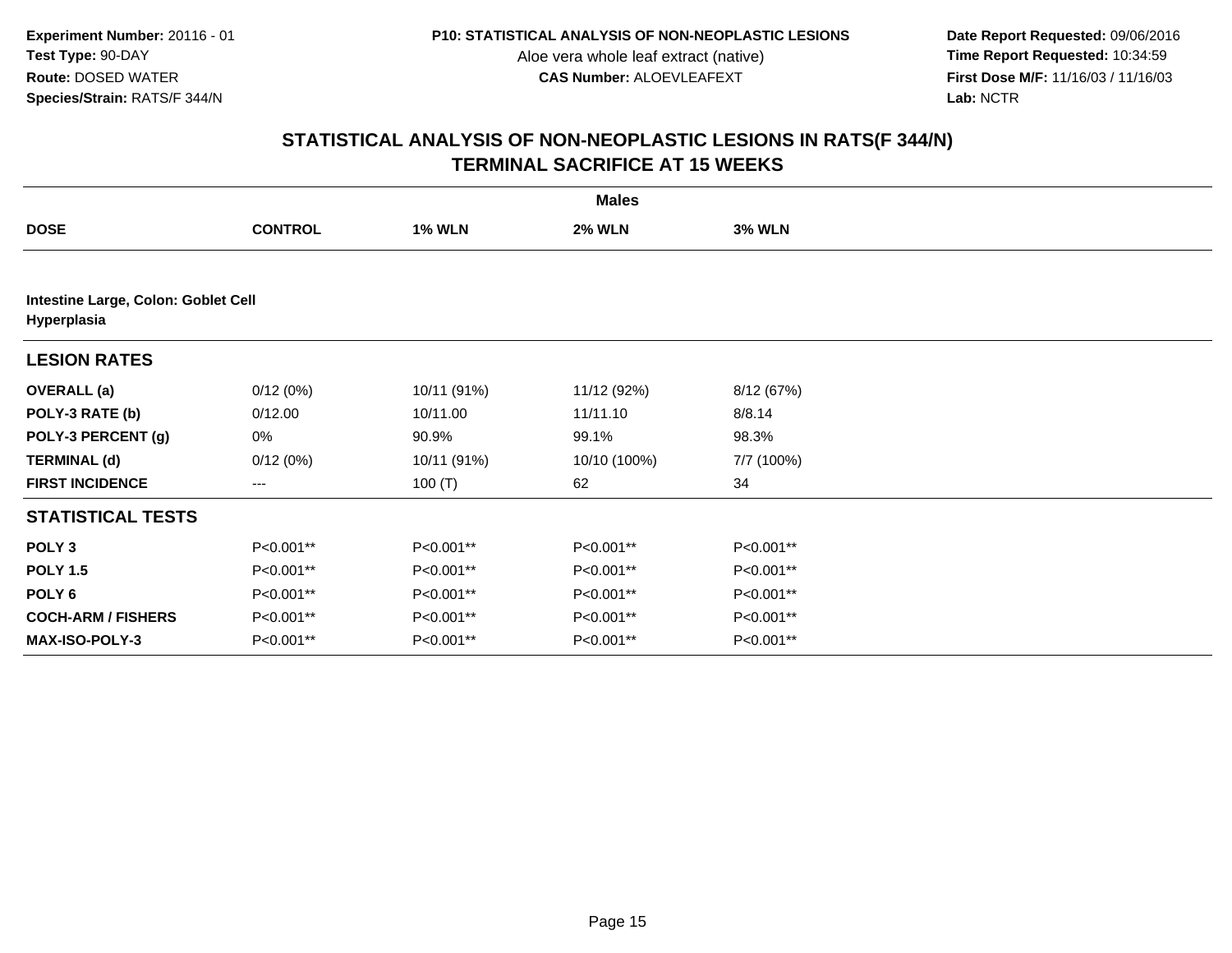**Date Report Requested:** 09/06/2016 **First Dose M/F:** 11/16/03 / 11/16/03<br>Lab: NCTR **Lab:** NCTR

|                                                    | <b>Males</b>   |               |               |               |  |  |  |  |
|----------------------------------------------------|----------------|---------------|---------------|---------------|--|--|--|--|
| <b>DOSE</b>                                        | <b>CONTROL</b> | <b>1% WLN</b> | <b>2% WLN</b> | <b>3% WLN</b> |  |  |  |  |
|                                                    |                |               |               |               |  |  |  |  |
| Intestine Large, Colon: Goblet Cell<br>Hyperplasia |                |               |               |               |  |  |  |  |
| <b>LESION RATES</b>                                |                |               |               |               |  |  |  |  |
| <b>OVERALL</b> (a)                                 | 0/12(0%)       | 10/11 (91%)   | 11/12 (92%)   | 8/12 (67%)    |  |  |  |  |
| POLY-3 RATE (b)                                    | 0/12.00        | 10/11.00      | 11/11.10      | 8/8.14        |  |  |  |  |
| POLY-3 PERCENT (g)                                 | 0%             | 90.9%         | 99.1%         | 98.3%         |  |  |  |  |
| <b>TERMINAL (d)</b>                                | 0/12(0%)       | 10/11 (91%)   | 10/10 (100%)  | 7/7 (100%)    |  |  |  |  |
| <b>FIRST INCIDENCE</b>                             | $---$          | 100 $(T)$     | 62            | 34            |  |  |  |  |
| <b>STATISTICAL TESTS</b>                           |                |               |               |               |  |  |  |  |
| POLY <sub>3</sub>                                  | P<0.001**      | P<0.001**     | P<0.001**     | P<0.001**     |  |  |  |  |
| <b>POLY 1.5</b>                                    | P<0.001**      | P<0.001**     | P<0.001**     | P<0.001**     |  |  |  |  |
| POLY <sub>6</sub>                                  | P<0.001**      | P<0.001**     | P<0.001**     | P<0.001**     |  |  |  |  |
| <b>COCH-ARM / FISHERS</b>                          | P<0.001**      | P<0.001**     | P<0.001**     | P<0.001**     |  |  |  |  |
| <b>MAX-ISO-POLY-3</b>                              | P<0.001**      | P<0.001**     | P<0.001**     | P<0.001**     |  |  |  |  |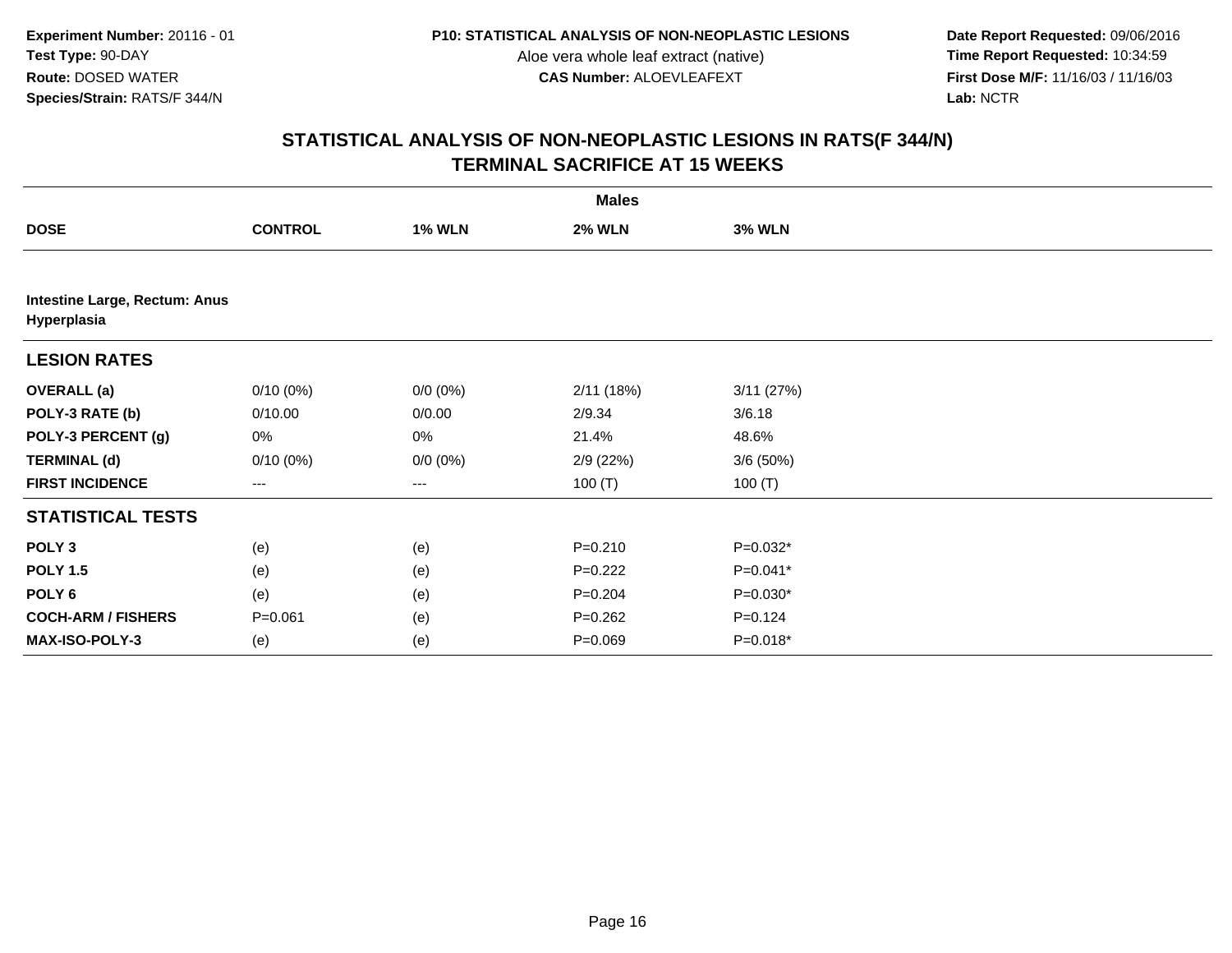**Date Report Requested:** 09/06/2016 **First Dose M/F:** 11/16/03 / 11/16/03<br>Lab: NCTR **Lab:** NCTR

|                                              |                |               | <b>Males</b>  |               |  |
|----------------------------------------------|----------------|---------------|---------------|---------------|--|
| <b>DOSE</b>                                  | <b>CONTROL</b> | <b>1% WLN</b> | <b>2% WLN</b> | <b>3% WLN</b> |  |
|                                              |                |               |               |               |  |
| Intestine Large, Rectum: Anus<br>Hyperplasia |                |               |               |               |  |
| <b>LESION RATES</b>                          |                |               |               |               |  |
| <b>OVERALL</b> (a)                           | $0/10(0\%)$    | $0/0 (0\%)$   | 2/11(18%)     | 3/11(27%)     |  |
| POLY-3 RATE (b)                              | 0/10.00        | 0/0.00        | 2/9.34        | 3/6.18        |  |
| POLY-3 PERCENT (g)                           | 0%             | 0%            | 21.4%         | 48.6%         |  |
| <b>TERMINAL (d)</b>                          | $0/10(0\%)$    | $0/0 (0\%)$   | 2/9(22%)      | 3/6(50%)      |  |
| <b>FIRST INCIDENCE</b>                       | $\cdots$       | $---$         | 100 $(T)$     | 100 $(T)$     |  |
| <b>STATISTICAL TESTS</b>                     |                |               |               |               |  |
| POLY <sub>3</sub>                            | (e)            | (e)           | $P = 0.210$   | $P=0.032*$    |  |
| <b>POLY 1.5</b>                              | (e)            | (e)           | $P=0.222$     | $P=0.041*$    |  |
| POLY <sub>6</sub>                            | (e)            | (e)           | $P = 0.204$   | $P=0.030*$    |  |
| <b>COCH-ARM / FISHERS</b>                    | $P = 0.061$    | (e)           | $P=0.262$     | $P = 0.124$   |  |
| <b>MAX-ISO-POLY-3</b>                        | (e)            | (e)           | $P = 0.069$   | $P=0.018*$    |  |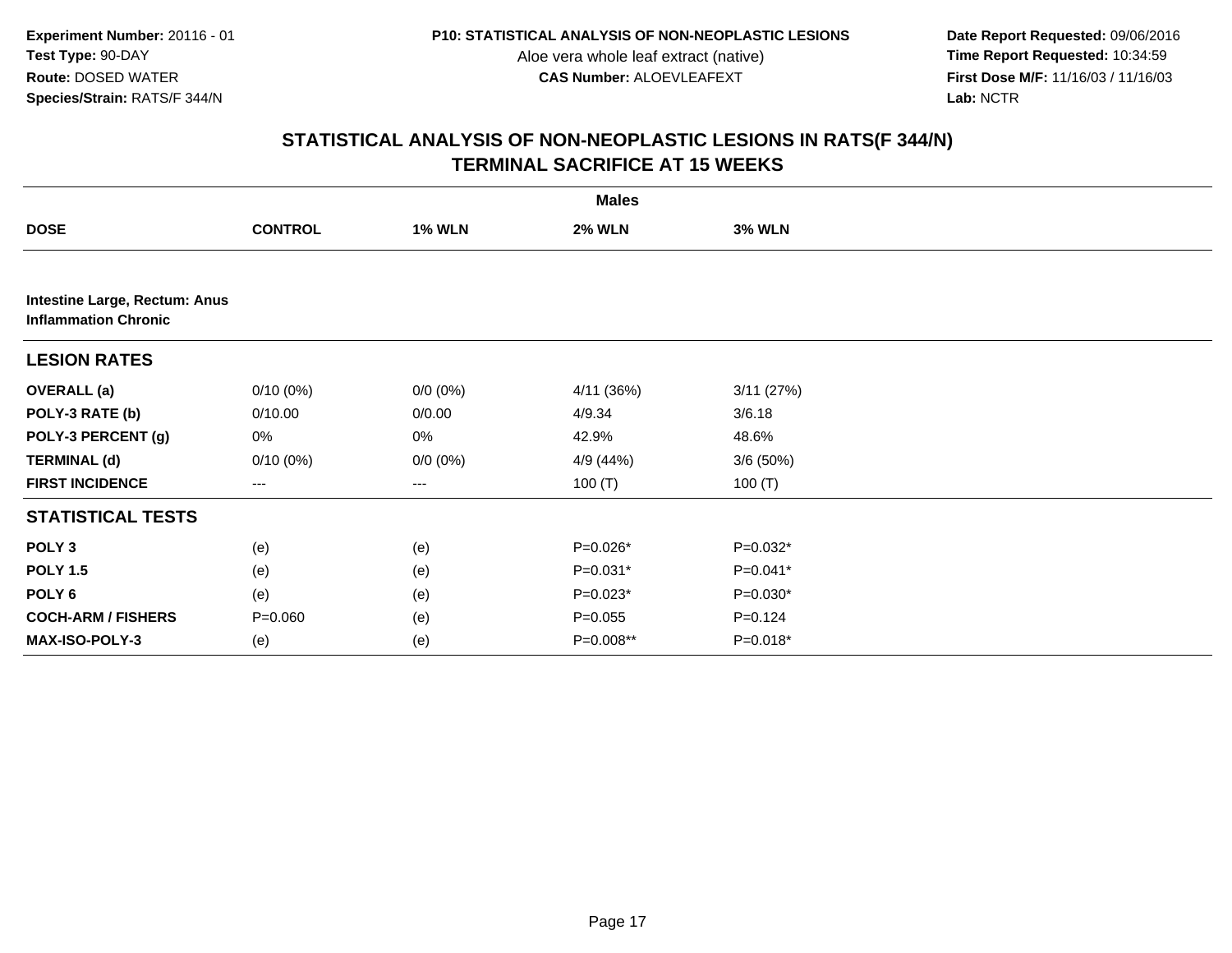**Date Report Requested:** 09/06/2016 **First Dose M/F:** 11/16/03 / 11/16/03<br>Lab: NCTR **Lab:** NCTR

|                                                              |                |               | <b>Males</b>  |               |  |
|--------------------------------------------------------------|----------------|---------------|---------------|---------------|--|
| <b>DOSE</b>                                                  | <b>CONTROL</b> | <b>1% WLN</b> | <b>2% WLN</b> | <b>3% WLN</b> |  |
|                                                              |                |               |               |               |  |
| Intestine Large, Rectum: Anus<br><b>Inflammation Chronic</b> |                |               |               |               |  |
| <b>LESION RATES</b>                                          |                |               |               |               |  |
| <b>OVERALL</b> (a)                                           | $0/10(0\%)$    | $0/0 (0\%)$   | 4/11 (36%)    | 3/11(27%)     |  |
| POLY-3 RATE (b)                                              | 0/10.00        | 0/0.00        | 4/9.34        | 3/6.18        |  |
| POLY-3 PERCENT (g)                                           | 0%             | 0%            | 42.9%         | 48.6%         |  |
| <b>TERMINAL (d)</b>                                          | $0/10(0\%)$    | $0/0 (0\%)$   | 4/9 (44%)     | 3/6(50%)      |  |
| <b>FIRST INCIDENCE</b>                                       | ---            | $---$         | 100 $(T)$     | 100 $(T)$     |  |
| <b>STATISTICAL TESTS</b>                                     |                |               |               |               |  |
| POLY <sub>3</sub>                                            | (e)            | (e)           | P=0.026*      | $P=0.032*$    |  |
| <b>POLY 1.5</b>                                              | (e)            | (e)           | $P=0.031*$    | $P=0.041*$    |  |
| POLY <sub>6</sub>                                            | (e)            | (e)           | $P=0.023*$    | $P=0.030*$    |  |
| <b>COCH-ARM / FISHERS</b>                                    | $P = 0.060$    | (e)           | $P = 0.055$   | $P = 0.124$   |  |
| MAX-ISO-POLY-3                                               | (e)            | (e)           | P=0.008**     | $P=0.018*$    |  |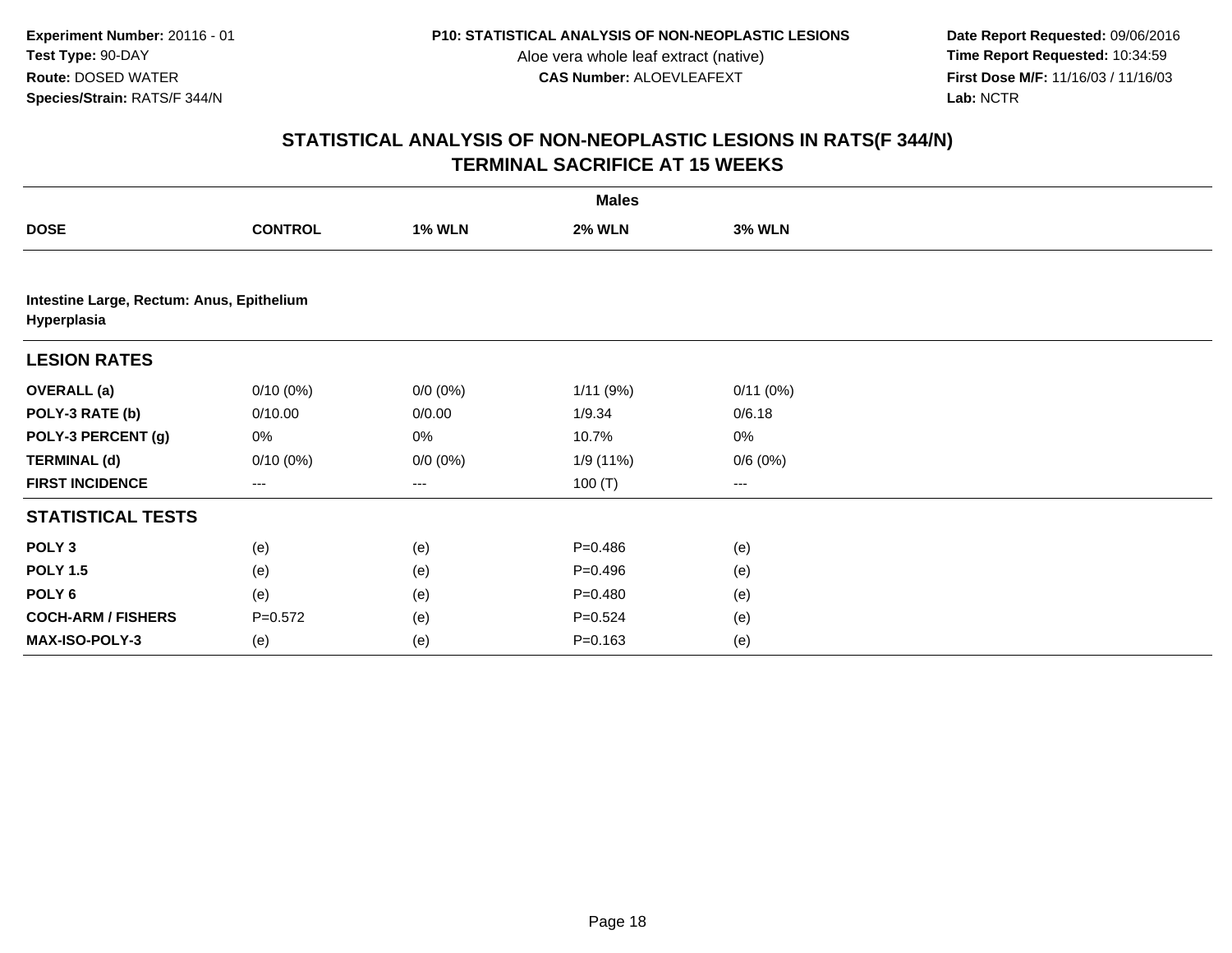**Date Report Requested:** 09/06/2016 **First Dose M/F:** 11/16/03 / 11/16/03<br>Lab: NCTR **Lab:** NCTR

|                                                          |                |               | <b>Males</b>  |               |  |
|----------------------------------------------------------|----------------|---------------|---------------|---------------|--|
| <b>DOSE</b>                                              | <b>CONTROL</b> | <b>1% WLN</b> | <b>2% WLN</b> | <b>3% WLN</b> |  |
|                                                          |                |               |               |               |  |
| Intestine Large, Rectum: Anus, Epithelium<br>Hyperplasia |                |               |               |               |  |
| <b>LESION RATES</b>                                      |                |               |               |               |  |
| <b>OVERALL</b> (a)                                       | $0/10(0\%)$    | $0/0 (0\%)$   | 1/11(9%)      | 0/11(0%)      |  |
| POLY-3 RATE (b)                                          | 0/10.00        | 0/0.00        | 1/9.34        | 0/6.18        |  |
| POLY-3 PERCENT (g)                                       | 0%             | 0%            | 10.7%         | $0\%$         |  |
| <b>TERMINAL (d)</b>                                      | $0/10(0\%)$    | $0/0 (0\%)$   | 1/9 (11%)     | 0/6(0%)       |  |
| <b>FIRST INCIDENCE</b>                                   | $\cdots$       | $\cdots$      | 100 $(T)$     | $\cdots$      |  |
| <b>STATISTICAL TESTS</b>                                 |                |               |               |               |  |
| POLY <sub>3</sub>                                        | (e)            | (e)           | $P = 0.486$   | (e)           |  |
| <b>POLY 1.5</b>                                          | (e)            | (e)           | $P = 0.496$   | (e)           |  |
| POLY <sub>6</sub>                                        | (e)            | (e)           | $P = 0.480$   | (e)           |  |
| <b>COCH-ARM / FISHERS</b>                                | $P = 0.572$    | (e)           | $P = 0.524$   | (e)           |  |
| <b>MAX-ISO-POLY-3</b>                                    | (e)            | (e)           | $P = 0.163$   | (e)           |  |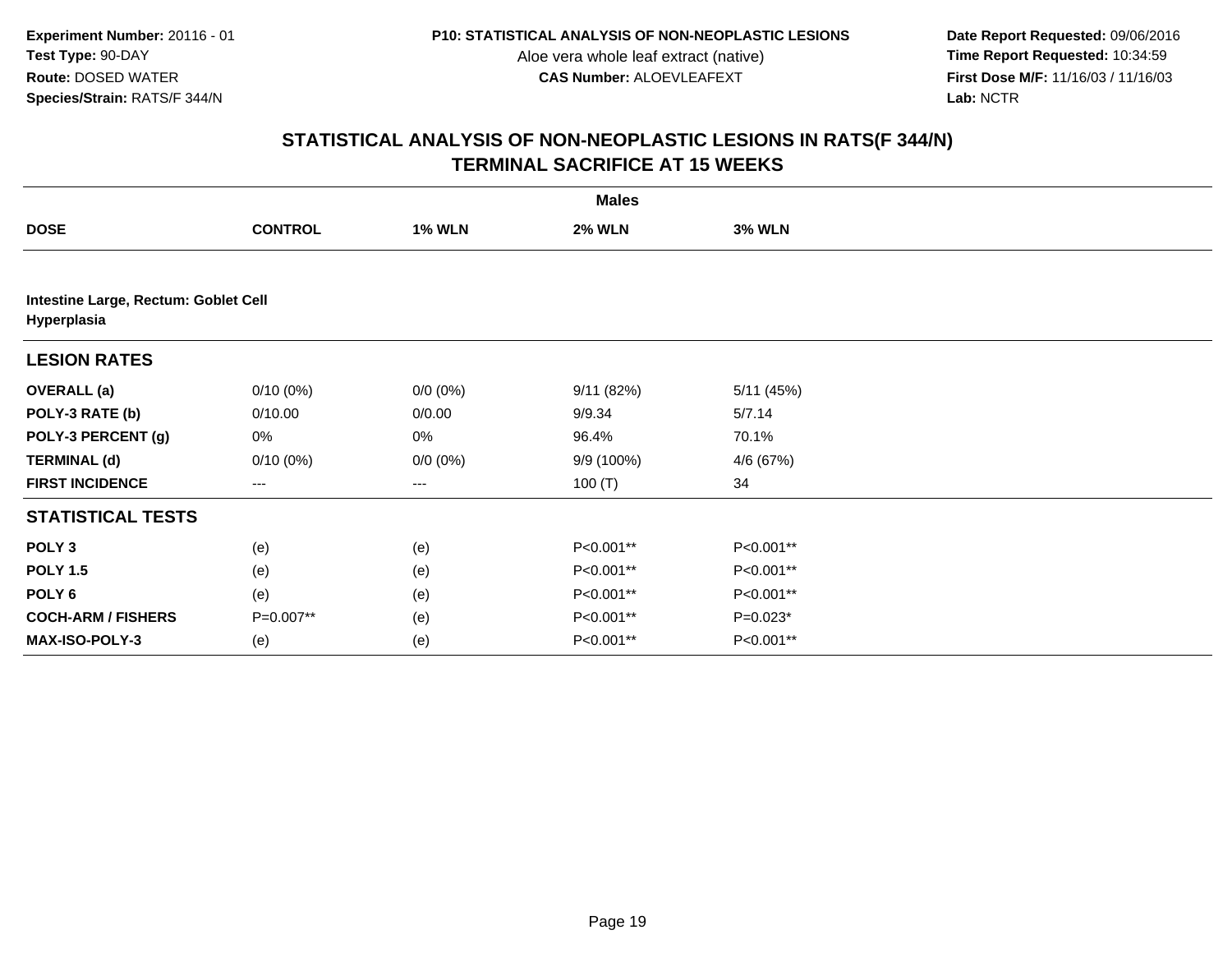**Date Report Requested:** 09/06/2016 **First Dose M/F:** 11/16/03 / 11/16/03<br>Lab: NCTR **Lab:** NCTR

|                                                     |                |               | <b>Males</b>  |               |  |
|-----------------------------------------------------|----------------|---------------|---------------|---------------|--|
| <b>DOSE</b>                                         | <b>CONTROL</b> | <b>1% WLN</b> | <b>2% WLN</b> | <b>3% WLN</b> |  |
|                                                     |                |               |               |               |  |
| Intestine Large, Rectum: Goblet Cell<br>Hyperplasia |                |               |               |               |  |
| <b>LESION RATES</b>                                 |                |               |               |               |  |
| <b>OVERALL</b> (a)                                  | $0/10(0\%)$    | $0/0 (0\%)$   | 9/11(82%)     | 5/11 (45%)    |  |
| POLY-3 RATE (b)                                     | 0/10.00        | 0/0.00        | 9/9.34        | 5/7.14        |  |
| POLY-3 PERCENT (g)                                  | 0%             | 0%            | 96.4%         | 70.1%         |  |
| <b>TERMINAL (d)</b>                                 | $0/10(0\%)$    | $0/0 (0\%)$   | 9/9 (100%)    | 4/6 (67%)     |  |
| <b>FIRST INCIDENCE</b>                              | $---$          | ---           | 100 $(T)$     | 34            |  |
| <b>STATISTICAL TESTS</b>                            |                |               |               |               |  |
| POLY <sub>3</sub>                                   | (e)            | (e)           | P<0.001**     | P<0.001**     |  |
| <b>POLY 1.5</b>                                     | (e)            | (e)           | P<0.001**     | P<0.001**     |  |
| POLY 6                                              | (e)            | (e)           | P<0.001**     | P<0.001**     |  |
| <b>COCH-ARM / FISHERS</b>                           | P=0.007**      | (e)           | P<0.001**     | $P=0.023*$    |  |
| MAX-ISO-POLY-3                                      | (e)            | (e)           | P<0.001**     | P<0.001**     |  |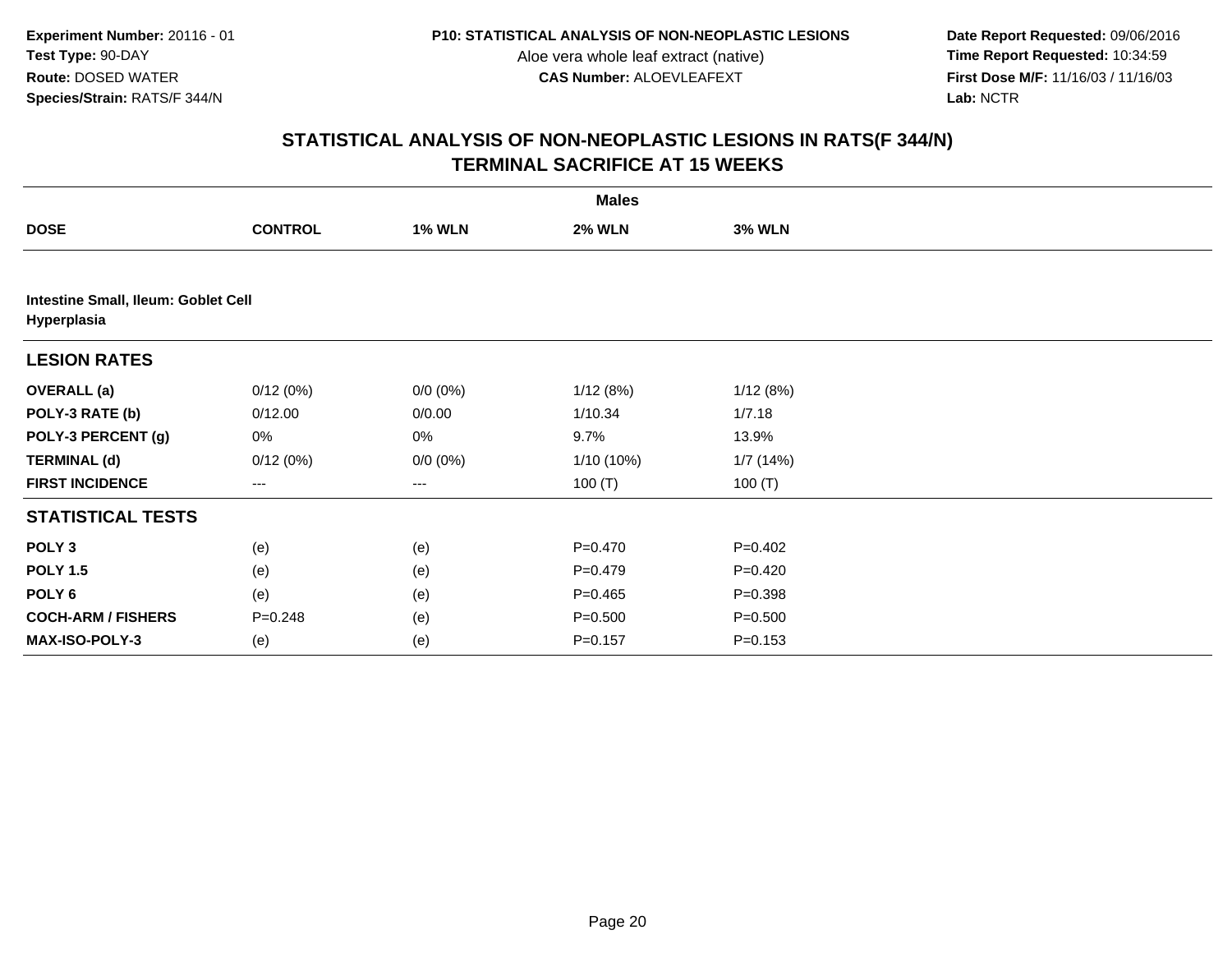**Date Report Requested:** 09/06/2016 **First Dose M/F:** 11/16/03 / 11/16/03<br>Lab: NCTR **Lab:** NCTR

|                                                    |                |               | <b>Males</b>  |               |  |
|----------------------------------------------------|----------------|---------------|---------------|---------------|--|
| <b>DOSE</b>                                        | <b>CONTROL</b> | <b>1% WLN</b> | <b>2% WLN</b> | <b>3% WLN</b> |  |
|                                                    |                |               |               |               |  |
| Intestine Small, Ileum: Goblet Cell<br>Hyperplasia |                |               |               |               |  |
| <b>LESION RATES</b>                                |                |               |               |               |  |
| <b>OVERALL</b> (a)                                 | 0/12(0%)       | $0/0 (0\%)$   | 1/12(8%)      | 1/12(8%)      |  |
| POLY-3 RATE (b)                                    | 0/12.00        | 0/0.00        | 1/10.34       | 1/7.18        |  |
| POLY-3 PERCENT (g)                                 | 0%             | 0%            | 9.7%          | 13.9%         |  |
| <b>TERMINAL (d)</b>                                | 0/12(0%)       | $0/0 (0\%)$   | $1/10(10\%)$  | 1/7 (14%)     |  |
| <b>FIRST INCIDENCE</b>                             | ---            | $--$          | 100 $(T)$     | 100 $(T)$     |  |
| <b>STATISTICAL TESTS</b>                           |                |               |               |               |  |
| POLY <sub>3</sub>                                  | (e)            | (e)           | $P = 0.470$   | $P=0.402$     |  |
| <b>POLY 1.5</b>                                    | (e)            | (e)           | $P=0.479$     | $P=0.420$     |  |
| POLY <sub>6</sub>                                  | (e)            | (e)           | $P=0.465$     | $P = 0.398$   |  |
| <b>COCH-ARM / FISHERS</b>                          | $P = 0.248$    | (e)           | $P = 0.500$   | $P = 0.500$   |  |
| MAX-ISO-POLY-3                                     | (e)            | (e)           | $P = 0.157$   | $P = 0.153$   |  |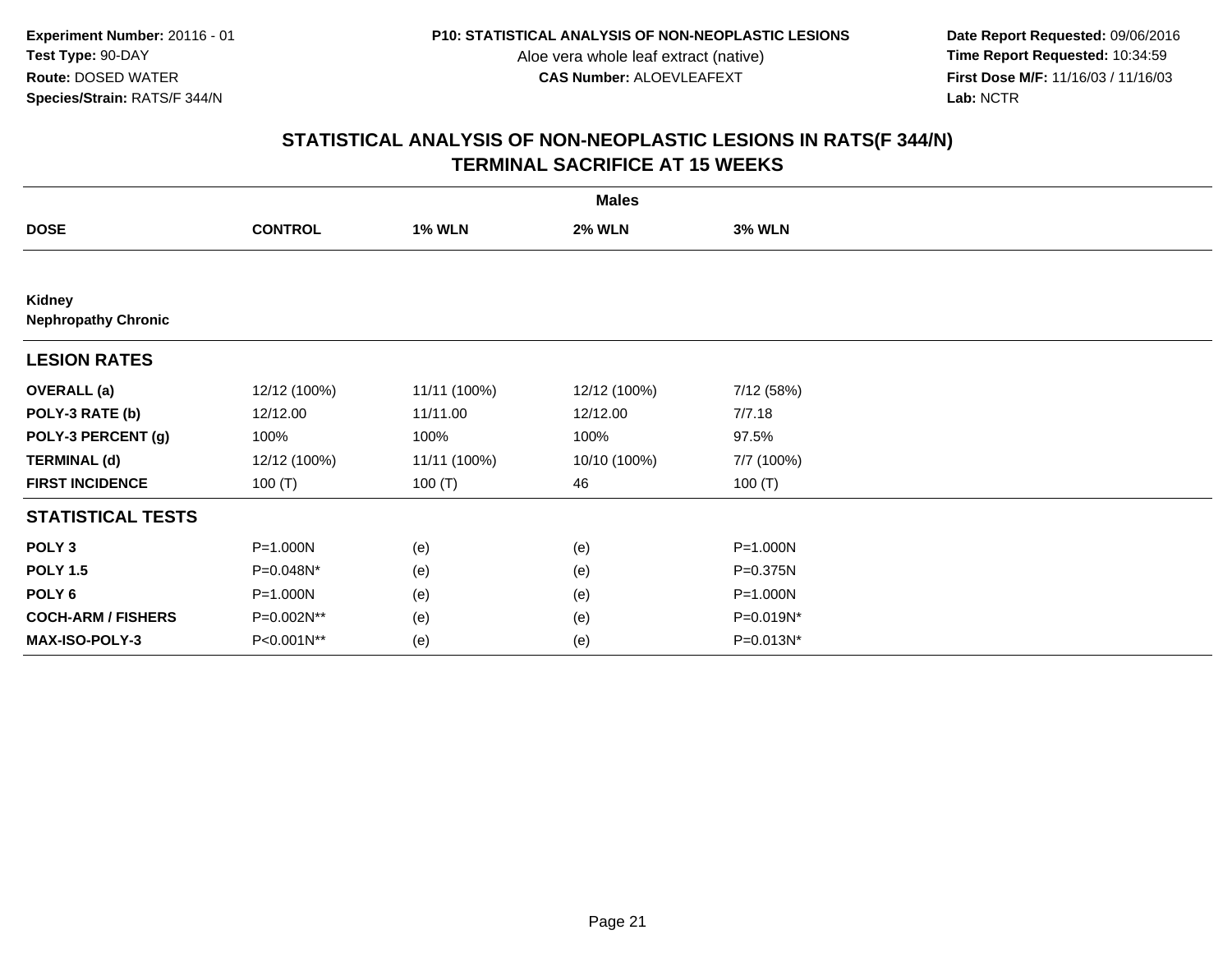**Date Report Requested:** 09/06/2016 **First Dose M/F:** 11/16/03 / 11/16/03<br>Lab: NCTR **Lab:** NCTR

|                                             | <b>Males</b>   |               |               |               |  |  |  |  |
|---------------------------------------------|----------------|---------------|---------------|---------------|--|--|--|--|
| <b>DOSE</b>                                 | <b>CONTROL</b> | <b>1% WLN</b> | <b>2% WLN</b> | <b>3% WLN</b> |  |  |  |  |
|                                             |                |               |               |               |  |  |  |  |
| <b>Kidney</b><br><b>Nephropathy Chronic</b> |                |               |               |               |  |  |  |  |
| <b>LESION RATES</b>                         |                |               |               |               |  |  |  |  |
| <b>OVERALL</b> (a)                          | 12/12 (100%)   | 11/11 (100%)  | 12/12 (100%)  | 7/12 (58%)    |  |  |  |  |
| POLY-3 RATE (b)                             | 12/12.00       | 11/11.00      | 12/12.00      | 7/7.18        |  |  |  |  |
| POLY-3 PERCENT (g)                          | 100%           | 100%          | 100%          | 97.5%         |  |  |  |  |
| <b>TERMINAL (d)</b>                         | 12/12 (100%)   | 11/11 (100%)  | 10/10 (100%)  | 7/7 (100%)    |  |  |  |  |
| <b>FIRST INCIDENCE</b>                      | 100 $(T)$      | 100(T)        | 46            | 100 $(T)$     |  |  |  |  |
| <b>STATISTICAL TESTS</b>                    |                |               |               |               |  |  |  |  |
| POLY <sub>3</sub>                           | P=1.000N       | (e)           | (e)           | P=1.000N      |  |  |  |  |
| <b>POLY 1.5</b>                             | P=0.048N*      | (e)           | (e)           | P=0.375N      |  |  |  |  |
| POLY 6                                      | P=1.000N       | (e)           | (e)           | P=1.000N      |  |  |  |  |
| <b>COCH-ARM / FISHERS</b>                   | P=0.002N**     | (e)           | (e)           | P=0.019N*     |  |  |  |  |
| MAX-ISO-POLY-3                              | P<0.001N**     | (e)           | (e)           | $P=0.013N^*$  |  |  |  |  |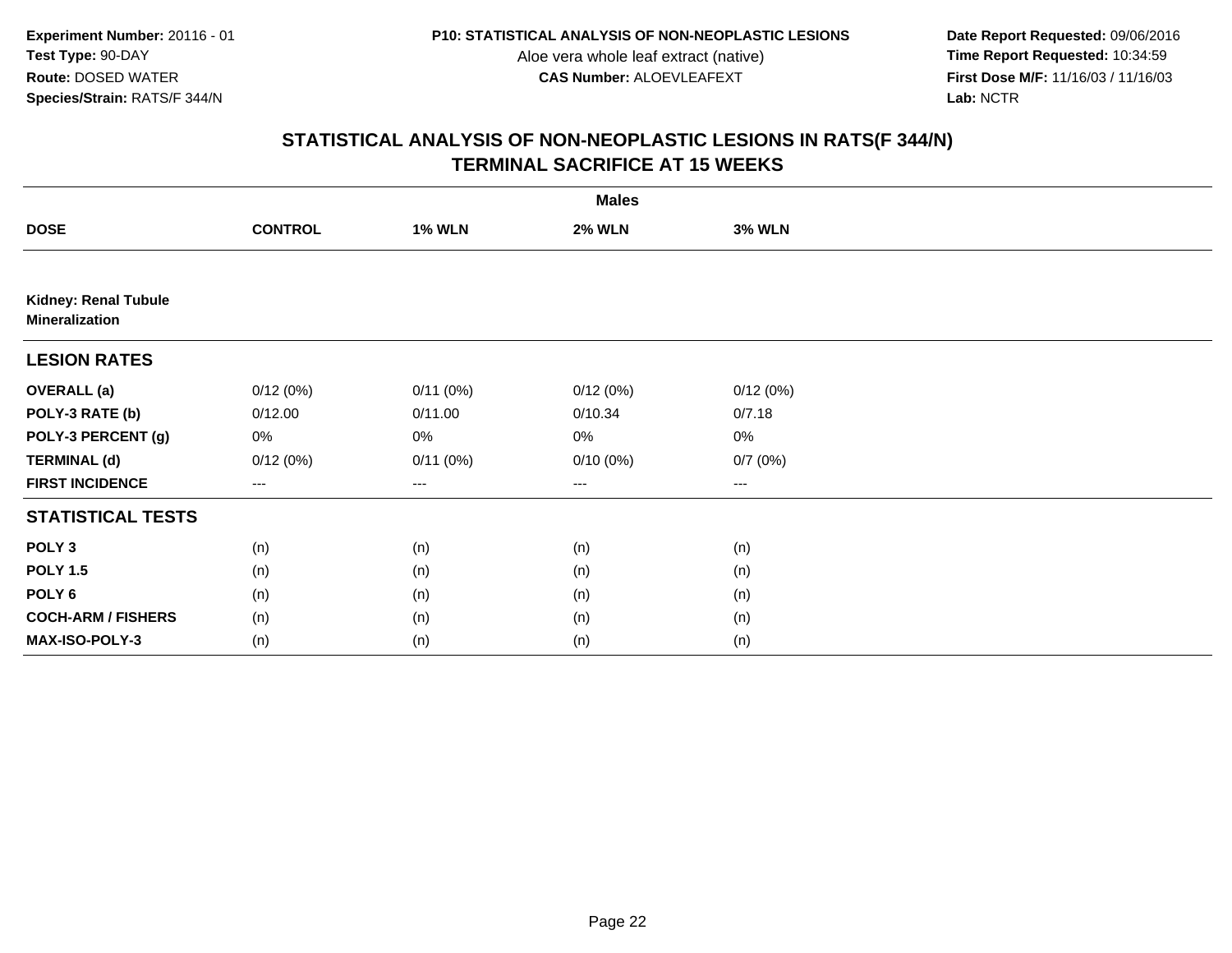**Date Report Requested:** 09/06/2016 **First Dose M/F:** 11/16/03 / 11/16/03<br>Lab: NCTR **Lab:** NCTR

|                                               | <b>Males</b>   |               |                        |                        |  |  |  |
|-----------------------------------------------|----------------|---------------|------------------------|------------------------|--|--|--|
| <b>DOSE</b>                                   | <b>CONTROL</b> | <b>1% WLN</b> | <b>2% WLN</b>          | <b>3% WLN</b>          |  |  |  |
|                                               |                |               |                        |                        |  |  |  |
| Kidney: Renal Tubule<br><b>Mineralization</b> |                |               |                        |                        |  |  |  |
| <b>LESION RATES</b>                           |                |               |                        |                        |  |  |  |
| <b>OVERALL</b> (a)                            | 0/12(0%)       | 0/11(0%)      | 0/12(0%)               | 0/12(0%)               |  |  |  |
| POLY-3 RATE (b)                               | 0/12.00        | 0/11.00       | 0/10.34                | 0/7.18                 |  |  |  |
| POLY-3 PERCENT (g)                            | 0%             | 0%            | 0%                     | $0\%$                  |  |  |  |
| <b>TERMINAL (d)</b>                           | 0/12(0%)       | 0/11(0%)      | 0/10(0%)               | 0/7(0%)                |  |  |  |
| <b>FIRST INCIDENCE</b>                        | ---            | $--$          | $\qquad \qquad \cdots$ | $\qquad \qquad \cdots$ |  |  |  |
| <b>STATISTICAL TESTS</b>                      |                |               |                        |                        |  |  |  |
| POLY <sub>3</sub>                             | (n)            | (n)           | (n)                    | (n)                    |  |  |  |
| <b>POLY 1.5</b>                               | (n)            | (n)           | (n)                    | (n)                    |  |  |  |
| POLY 6                                        | (n)            | (n)           | (n)                    | (n)                    |  |  |  |
| <b>COCH-ARM / FISHERS</b>                     | (n)            | (n)           | (n)                    | (n)                    |  |  |  |
| MAX-ISO-POLY-3                                | (n)            | (n)           | (n)                    | (n)                    |  |  |  |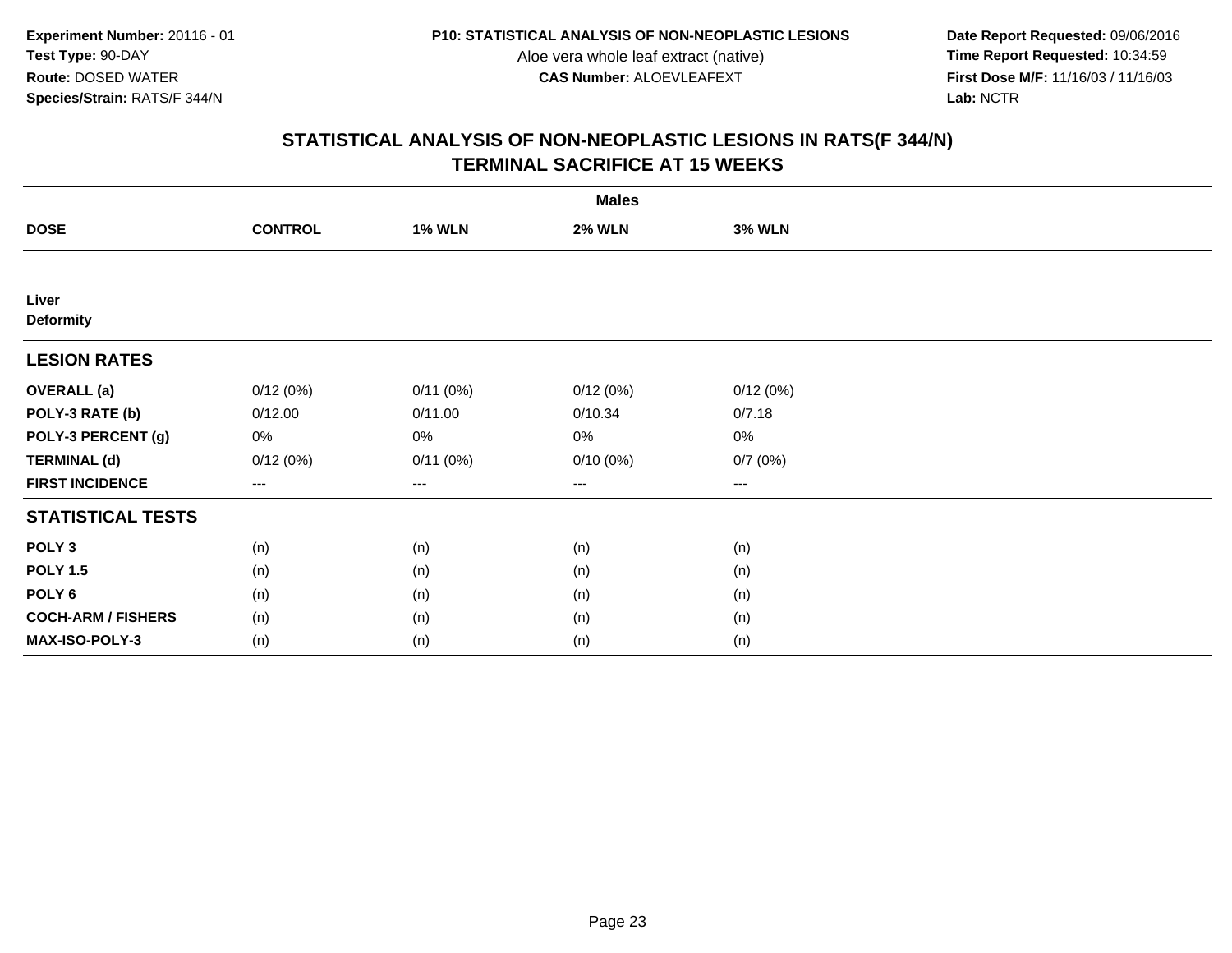**Date Report Requested:** 09/06/2016 **First Dose M/F:** 11/16/03 / 11/16/03<br>Lab: NCTR **Lab:** NCTR

|                           |                   |               | <b>Males</b>  |                   |  |
|---------------------------|-------------------|---------------|---------------|-------------------|--|
| <b>DOSE</b>               | <b>CONTROL</b>    | <b>1% WLN</b> | <b>2% WLN</b> | <b>3% WLN</b>     |  |
|                           |                   |               |               |                   |  |
| Liver<br><b>Deformity</b> |                   |               |               |                   |  |
| <b>LESION RATES</b>       |                   |               |               |                   |  |
| <b>OVERALL</b> (a)        | 0/12(0%)          | 0/11(0%)      | 0/12(0%)      | 0/12(0%)          |  |
| POLY-3 RATE (b)           | 0/12.00           | 0/11.00       | 0/10.34       | 0/7.18            |  |
| POLY-3 PERCENT (g)        | 0%                | 0%            | 0%            | $0\%$             |  |
| <b>TERMINAL (d)</b>       | 0/12(0%)          | 0/11(0%)      | $0/10(0\%)$   | 0/7(0%)           |  |
| <b>FIRST INCIDENCE</b>    | $\qquad \qquad -$ | ---           | ---           | $\qquad \qquad -$ |  |
| <b>STATISTICAL TESTS</b>  |                   |               |               |                   |  |
| POLY <sub>3</sub>         | (n)               | (n)           | (n)           | (n)               |  |
| <b>POLY 1.5</b>           | (n)               | (n)           | (n)           | (n)               |  |
| POLY <sub>6</sub>         | (n)               | (n)           | (n)           | (n)               |  |
| <b>COCH-ARM / FISHERS</b> | (n)               | (n)           | (n)           | (n)               |  |
| MAX-ISO-POLY-3            | (n)               | (n)           | (n)           | (n)               |  |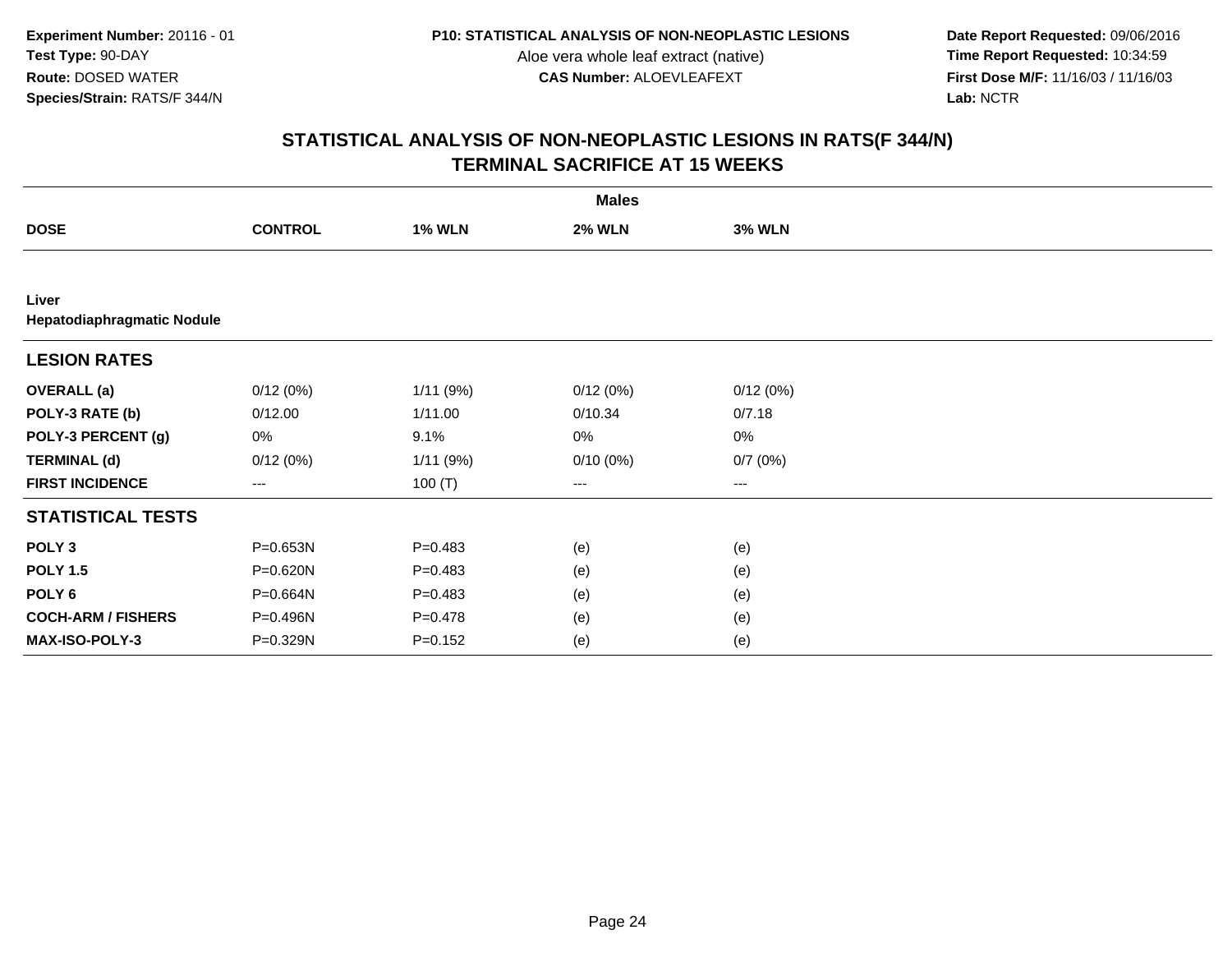**Date Report Requested:** 09/06/2016 **First Dose M/F:** 11/16/03 / 11/16/03<br>Lab: NCTR **Lab:** NCTR

|                                     |                        |               | <b>Males</b>  |                        |  |
|-------------------------------------|------------------------|---------------|---------------|------------------------|--|
| <b>DOSE</b>                         | <b>CONTROL</b>         | <b>1% WLN</b> | <b>2% WLN</b> | <b>3% WLN</b>          |  |
|                                     |                        |               |               |                        |  |
| Liver<br>Hepatodiaphragmatic Nodule |                        |               |               |                        |  |
| <b>LESION RATES</b>                 |                        |               |               |                        |  |
| <b>OVERALL</b> (a)                  | 0/12(0%)               | 1/11(9%)      | 0/12(0%)      | 0/12(0%)               |  |
| POLY-3 RATE (b)                     | 0/12.00                | 1/11.00       | 0/10.34       | 0/7.18                 |  |
| POLY-3 PERCENT (g)                  | 0%                     | 9.1%          | 0%            | 0%                     |  |
| <b>TERMINAL (d)</b>                 | 0/12(0%)               | 1/11(9%)      | $0/10(0\%)$   | 0/7(0%)                |  |
| <b>FIRST INCIDENCE</b>              | $\qquad \qquad \cdots$ | 100 $(T)$     | ---           | $\qquad \qquad \cdots$ |  |
| <b>STATISTICAL TESTS</b>            |                        |               |               |                        |  |
| POLY <sub>3</sub>                   | P=0.653N               | $P=0.483$     | (e)           | (e)                    |  |
| <b>POLY 1.5</b>                     | P=0.620N               | $P=0.483$     | (e)           | (e)                    |  |
| POLY <sub>6</sub>                   | P=0.664N               | $P=0.483$     | (e)           | (e)                    |  |
| <b>COCH-ARM / FISHERS</b>           | P=0.496N               | $P=0.478$     | (e)           | (e)                    |  |
| MAX-ISO-POLY-3                      | P=0.329N               | $P = 0.152$   | (e)           | (e)                    |  |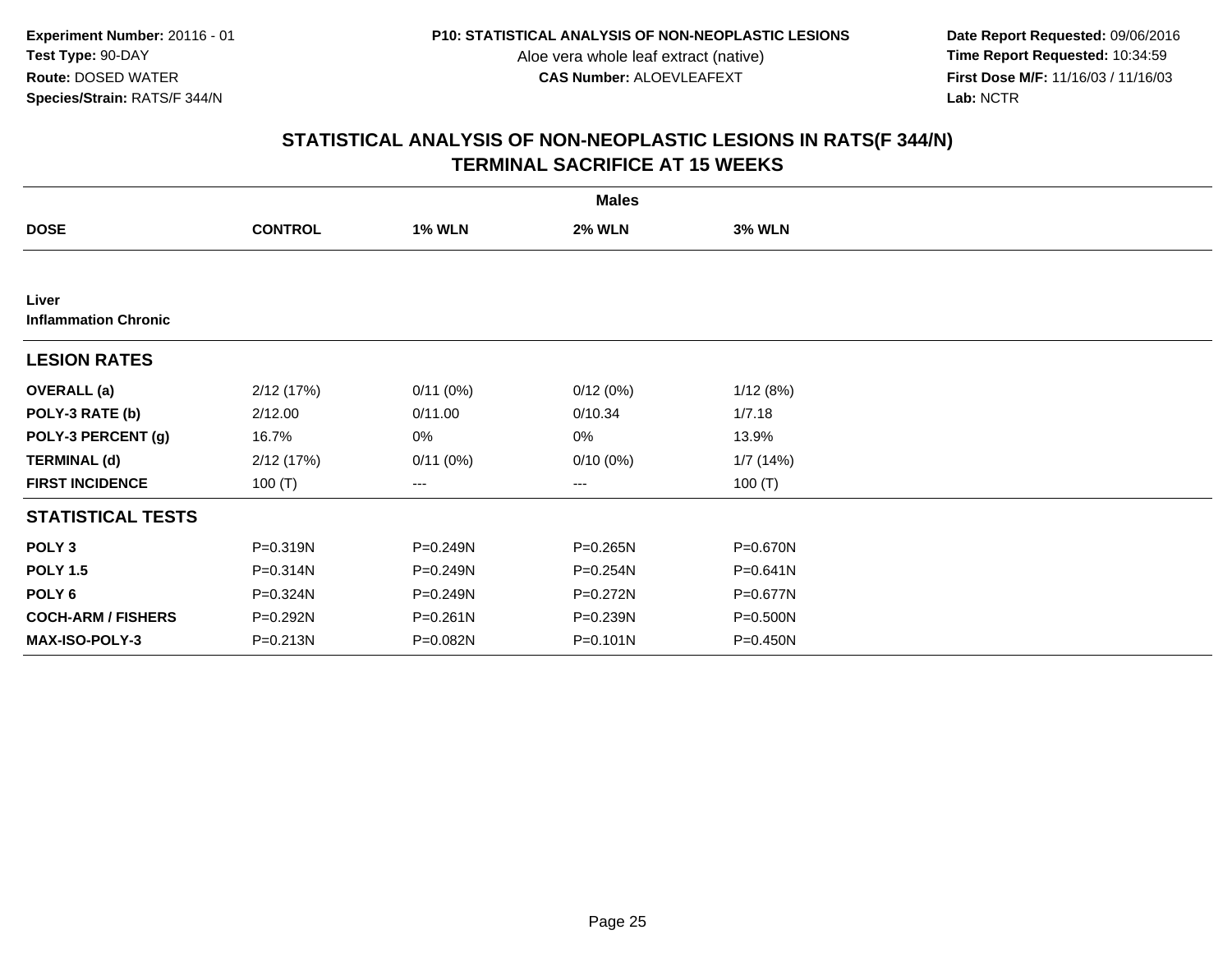**Date Report Requested:** 09/06/2016 **First Dose M/F:** 11/16/03 / 11/16/03<br>Lab: NCTR **Lab:** NCTR

|                                      |                |               | <b>Males</b>  |               |  |
|--------------------------------------|----------------|---------------|---------------|---------------|--|
| <b>DOSE</b>                          | <b>CONTROL</b> | <b>1% WLN</b> | <b>2% WLN</b> | <b>3% WLN</b> |  |
|                                      |                |               |               |               |  |
| Liver<br><b>Inflammation Chronic</b> |                |               |               |               |  |
| <b>LESION RATES</b>                  |                |               |               |               |  |
| <b>OVERALL</b> (a)                   | 2/12 (17%)     | 0/11(0%)      | 0/12(0%)      | 1/12(8%)      |  |
| POLY-3 RATE (b)                      | 2/12.00        | 0/11.00       | 0/10.34       | 1/7.18        |  |
| POLY-3 PERCENT (g)                   | 16.7%          | 0%            | 0%            | 13.9%         |  |
| <b>TERMINAL (d)</b>                  | 2/12(17%)      | 0/11(0%)      | $0/10(0\%)$   | 1/7(14%)      |  |
| <b>FIRST INCIDENCE</b>               | 100 $(T)$      | ---           | ---           | 100 $(T)$     |  |
| <b>STATISTICAL TESTS</b>             |                |               |               |               |  |
| POLY <sub>3</sub>                    | P=0.319N       | P=0.249N      | P=0.265N      | P=0.670N      |  |
| <b>POLY 1.5</b>                      | P=0.314N       | P=0.249N      | P=0.254N      | $P = 0.641N$  |  |
| POLY <sub>6</sub>                    | P=0.324N       | P=0.249N      | P=0.272N      | P=0.677N      |  |
| <b>COCH-ARM / FISHERS</b>            | P=0.292N       | P=0.261N      | P=0.239N      | P=0.500N      |  |
| MAX-ISO-POLY-3                       | $P = 0.213N$   | P=0.082N      | P=0.101N      | $P = 0.450N$  |  |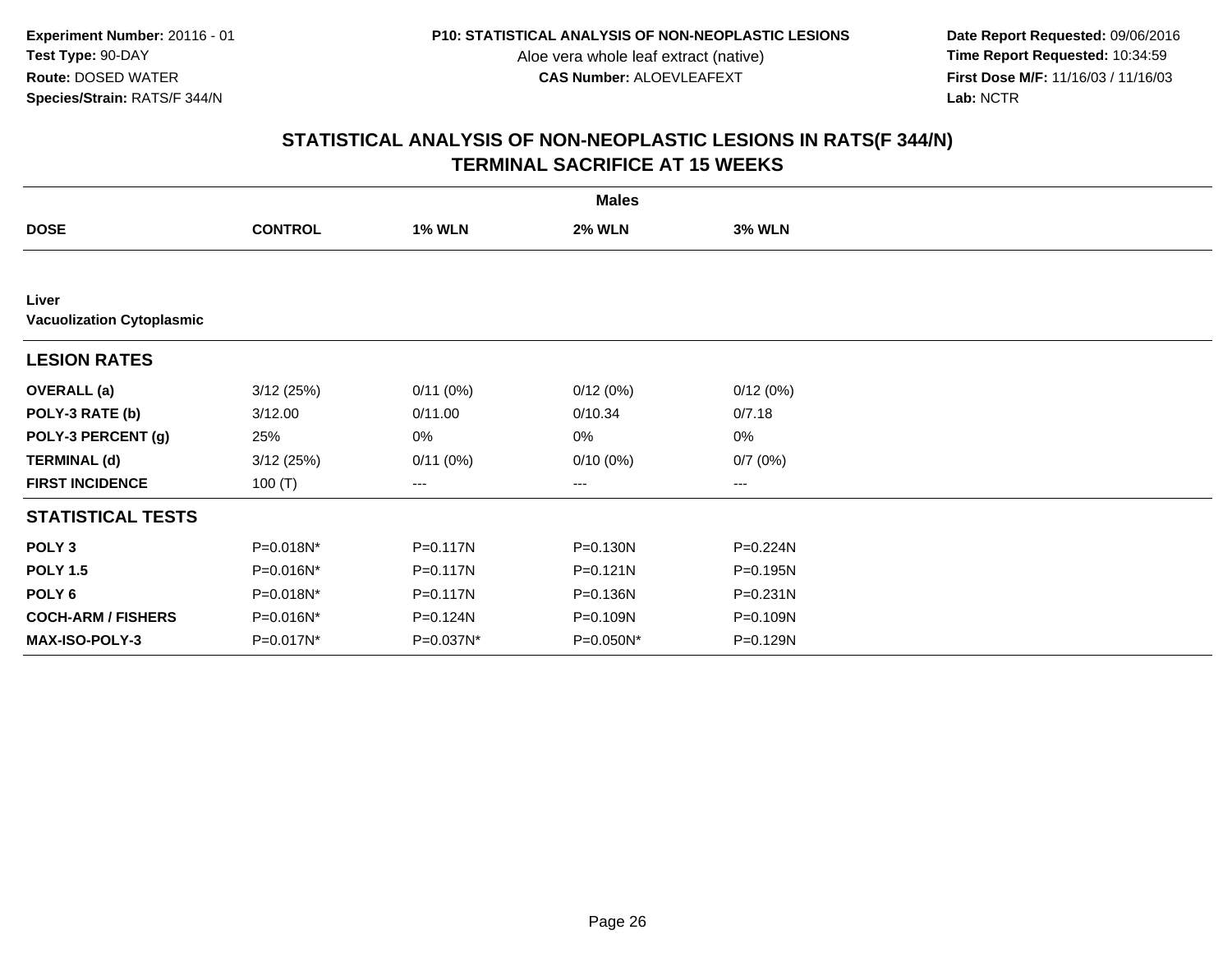**Date Report Requested:** 09/06/2016 **First Dose M/F:** 11/16/03 / 11/16/03<br>Lab: NCTR **Lab:** NCTR

|                                           |                |               | <b>Males</b>  |                   |  |
|-------------------------------------------|----------------|---------------|---------------|-------------------|--|
| <b>DOSE</b>                               | <b>CONTROL</b> | <b>1% WLN</b> | <b>2% WLN</b> | <b>3% WLN</b>     |  |
|                                           |                |               |               |                   |  |
| Liver<br><b>Vacuolization Cytoplasmic</b> |                |               |               |                   |  |
| <b>LESION RATES</b>                       |                |               |               |                   |  |
| <b>OVERALL</b> (a)                        | 3/12(25%)      | 0/11(0%)      | 0/12(0%)      | 0/12(0%)          |  |
| POLY-3 RATE (b)                           | 3/12.00        | 0/11.00       | 0/10.34       | 0/7.18            |  |
| POLY-3 PERCENT (g)                        | 25%            | 0%            | 0%            | 0%                |  |
| <b>TERMINAL (d)</b>                       | 3/12(25%)      | 0/11(0%)      | $0/10(0\%)$   | 0/7(0%)           |  |
| <b>FIRST INCIDENCE</b>                    | 100 $(T)$      | ---           | ---           | $\qquad \qquad -$ |  |
| <b>STATISTICAL TESTS</b>                  |                |               |               |                   |  |
| POLY <sub>3</sub>                         | P=0.018N*      | P=0.117N      | P=0.130N      | P=0.224N          |  |
| <b>POLY 1.5</b>                           | P=0.016N*      | P=0.117N      | P=0.121N      | P=0.195N          |  |
| POLY 6                                    | P=0.018N*      | P=0.117N      | P=0.136N      | $P = 0.231N$      |  |
| <b>COCH-ARM / FISHERS</b>                 | P=0.016N*      | P=0.124N      | P=0.109N      | P=0.109N          |  |
| MAX-ISO-POLY-3                            | P=0.017N*      | P=0.037N*     | P=0.050N*     | P=0.129N          |  |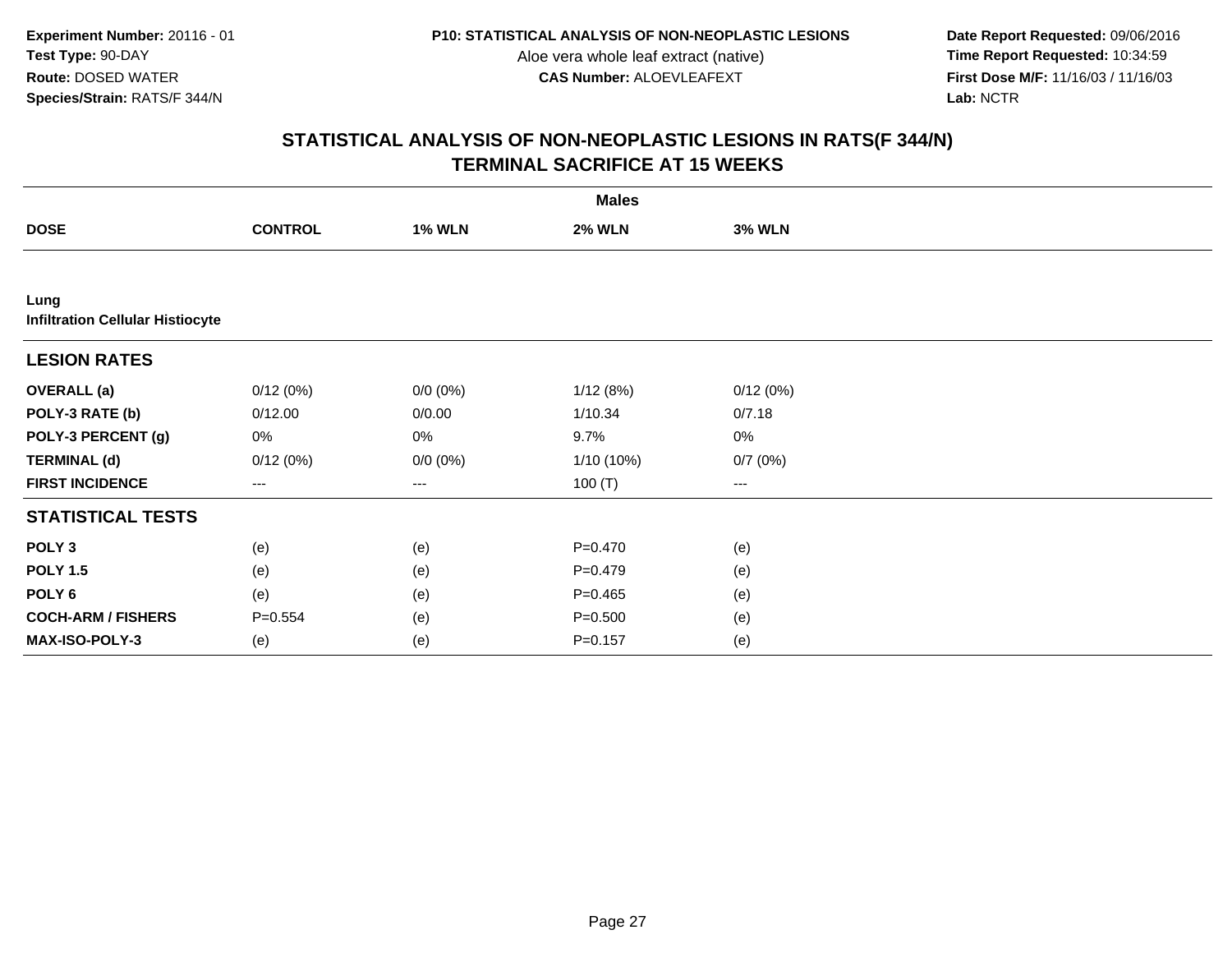**Date Report Requested:** 09/06/2016 **First Dose M/F:** 11/16/03 / 11/16/03<br>Lab: NCTR **Lab:** NCTR

|                                                 | <b>Males</b>   |               |               |                         |  |  |
|-------------------------------------------------|----------------|---------------|---------------|-------------------------|--|--|
| <b>DOSE</b>                                     | <b>CONTROL</b> | <b>1% WLN</b> | <b>2% WLN</b> | <b>3% WLN</b>           |  |  |
|                                                 |                |               |               |                         |  |  |
| Lung<br><b>Infiltration Cellular Histiocyte</b> |                |               |               |                         |  |  |
| <b>LESION RATES</b>                             |                |               |               |                         |  |  |
| <b>OVERALL</b> (a)                              | 0/12(0%)       | $0/0 (0\%)$   | 1/12(8%)      | 0/12(0%)                |  |  |
| POLY-3 RATE (b)                                 | 0/12.00        | 0/0.00        | 1/10.34       | 0/7.18                  |  |  |
| POLY-3 PERCENT (g)                              | 0%             | 0%            | 9.7%          | $0\%$                   |  |  |
| <b>TERMINAL (d)</b>                             | 0/12(0%)       | $0/0 (0\%)$   | $1/10(10\%)$  | 0/7(0%)                 |  |  |
| <b>FIRST INCIDENCE</b>                          | ---            | ---           | 100 $(T)$     | $\qquad \qquad -\qquad$ |  |  |
| <b>STATISTICAL TESTS</b>                        |                |               |               |                         |  |  |
| POLY <sub>3</sub>                               | (e)            | (e)           | $P=0.470$     | (e)                     |  |  |
| <b>POLY 1.5</b>                                 | (e)            | (e)           | $P=0.479$     | (e)                     |  |  |
| POLY <sub>6</sub>                               | (e)            | (e)           | $P = 0.465$   | (e)                     |  |  |
| <b>COCH-ARM / FISHERS</b>                       | $P = 0.554$    | (e)           | $P = 0.500$   | (e)                     |  |  |
| MAX-ISO-POLY-3                                  | (e)            | (e)           | $P = 0.157$   | (e)                     |  |  |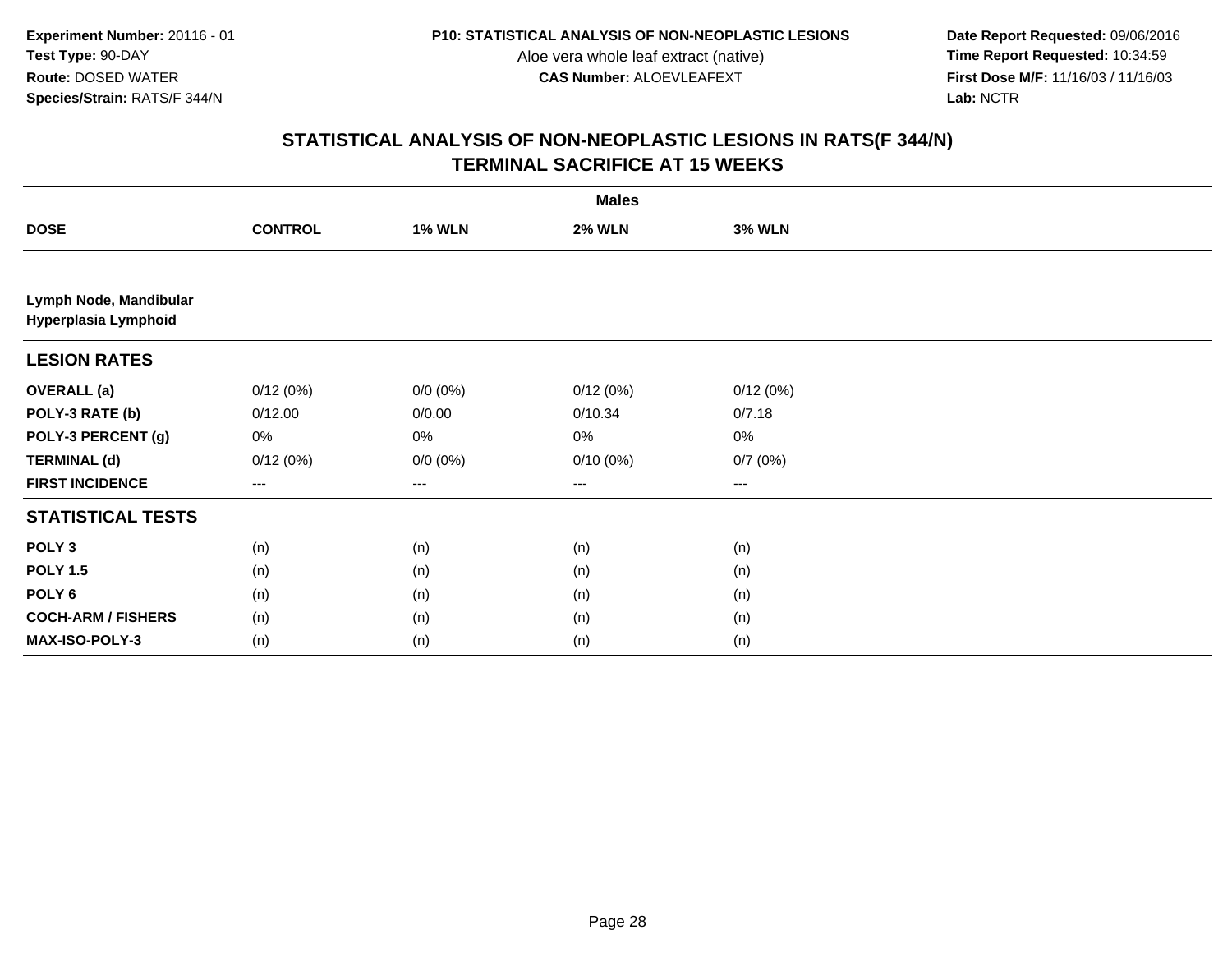**Date Report Requested:** 09/06/2016 **First Dose M/F:** 11/16/03 / 11/16/03<br>Lab: NCTR **Lab:** NCTR

| <b>Males</b>                                   |                        |               |               |               |  |
|------------------------------------------------|------------------------|---------------|---------------|---------------|--|
| <b>DOSE</b>                                    | <b>CONTROL</b>         | <b>1% WLN</b> | <b>2% WLN</b> | <b>3% WLN</b> |  |
|                                                |                        |               |               |               |  |
| Lymph Node, Mandibular<br>Hyperplasia Lymphoid |                        |               |               |               |  |
| <b>LESION RATES</b>                            |                        |               |               |               |  |
| <b>OVERALL</b> (a)                             | 0/12(0%)               | $0/0 (0\%)$   | 0/12(0%)      | 0/12(0%)      |  |
| POLY-3 RATE (b)                                | 0/12.00                | 0/0.00        | 0/10.34       | 0/7.18        |  |
| POLY-3 PERCENT (g)                             | 0%                     | 0%            | 0%            | 0%            |  |
| <b>TERMINAL (d)</b>                            | 0/12(0%)               | $0/0 (0\%)$   | 0/10(0%)      | 0/7(0%)       |  |
| <b>FIRST INCIDENCE</b>                         | $\qquad \qquad \cdots$ | $--$          | $--$          | ---           |  |
| <b>STATISTICAL TESTS</b>                       |                        |               |               |               |  |
| POLY <sub>3</sub>                              | (n)                    | (n)           | (n)           | (n)           |  |
| <b>POLY 1.5</b>                                | (n)                    | (n)           | (n)           | (n)           |  |
| POLY <sub>6</sub>                              | (n)                    | (n)           | (n)           | (n)           |  |
| <b>COCH-ARM / FISHERS</b>                      | (n)                    | (n)           | (n)           | (n)           |  |
| MAX-ISO-POLY-3                                 | (n)                    | (n)           | (n)           | (n)           |  |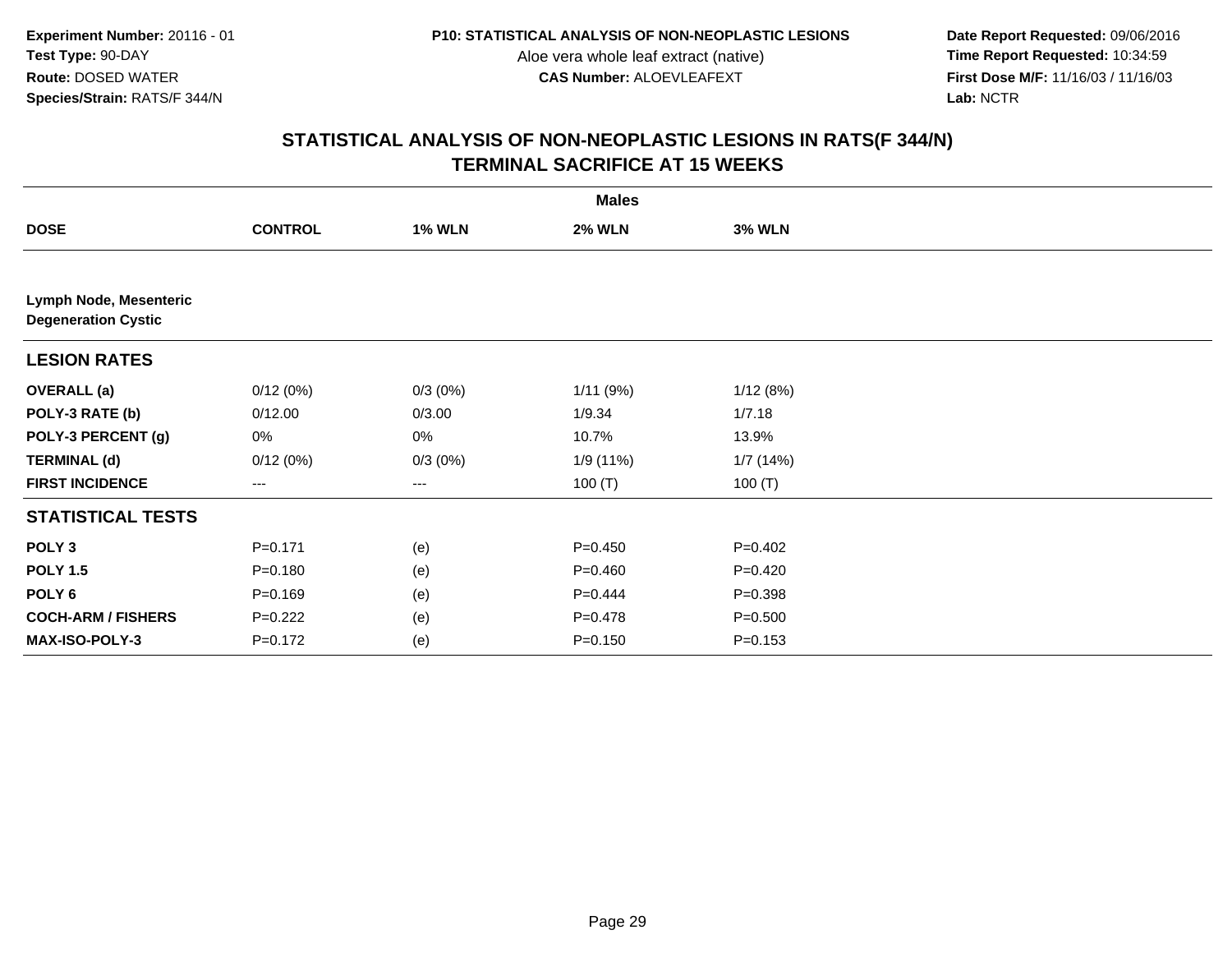**Date Report Requested:** 09/06/2016 **First Dose M/F:** 11/16/03 / 11/16/03<br>Lab: NCTR **Lab:** NCTR

| <b>Males</b>                                                |                |               |               |               |  |
|-------------------------------------------------------------|----------------|---------------|---------------|---------------|--|
| <b>DOSE</b>                                                 | <b>CONTROL</b> | <b>1% WLN</b> | <b>2% WLN</b> | <b>3% WLN</b> |  |
|                                                             |                |               |               |               |  |
| <b>Lymph Node, Mesenteric</b><br><b>Degeneration Cystic</b> |                |               |               |               |  |
| <b>LESION RATES</b>                                         |                |               |               |               |  |
| <b>OVERALL</b> (a)                                          | 0/12(0%)       | 0/3(0%)       | 1/11(9%)      | 1/12(8%)      |  |
| POLY-3 RATE (b)                                             | 0/12.00        | 0/3.00        | 1/9.34        | 1/7.18        |  |
| POLY-3 PERCENT (g)                                          | 0%             | 0%            | 10.7%         | 13.9%         |  |
| <b>TERMINAL (d)</b>                                         | 0/12(0%)       | $0/3(0\%)$    | 1/9 (11%)     | 1/7(14%)      |  |
| <b>FIRST INCIDENCE</b>                                      | ---            | $--$          | 100 $(T)$     | 100 $(T)$     |  |
| <b>STATISTICAL TESTS</b>                                    |                |               |               |               |  |
| POLY <sub>3</sub>                                           | $P = 0.171$    | (e)           | $P = 0.450$   | $P=0.402$     |  |
| <b>POLY 1.5</b>                                             | $P = 0.180$    | (e)           | $P=0.460$     | $P=0.420$     |  |
| POLY <sub>6</sub>                                           | $P = 0.169$    | (e)           | $P=0.444$     | $P = 0.398$   |  |
| <b>COCH-ARM / FISHERS</b>                                   | $P=0.222$      | (e)           | $P=0.478$     | $P = 0.500$   |  |
| MAX-ISO-POLY-3                                              | $P = 0.172$    | (e)           | $P = 0.150$   | $P = 0.153$   |  |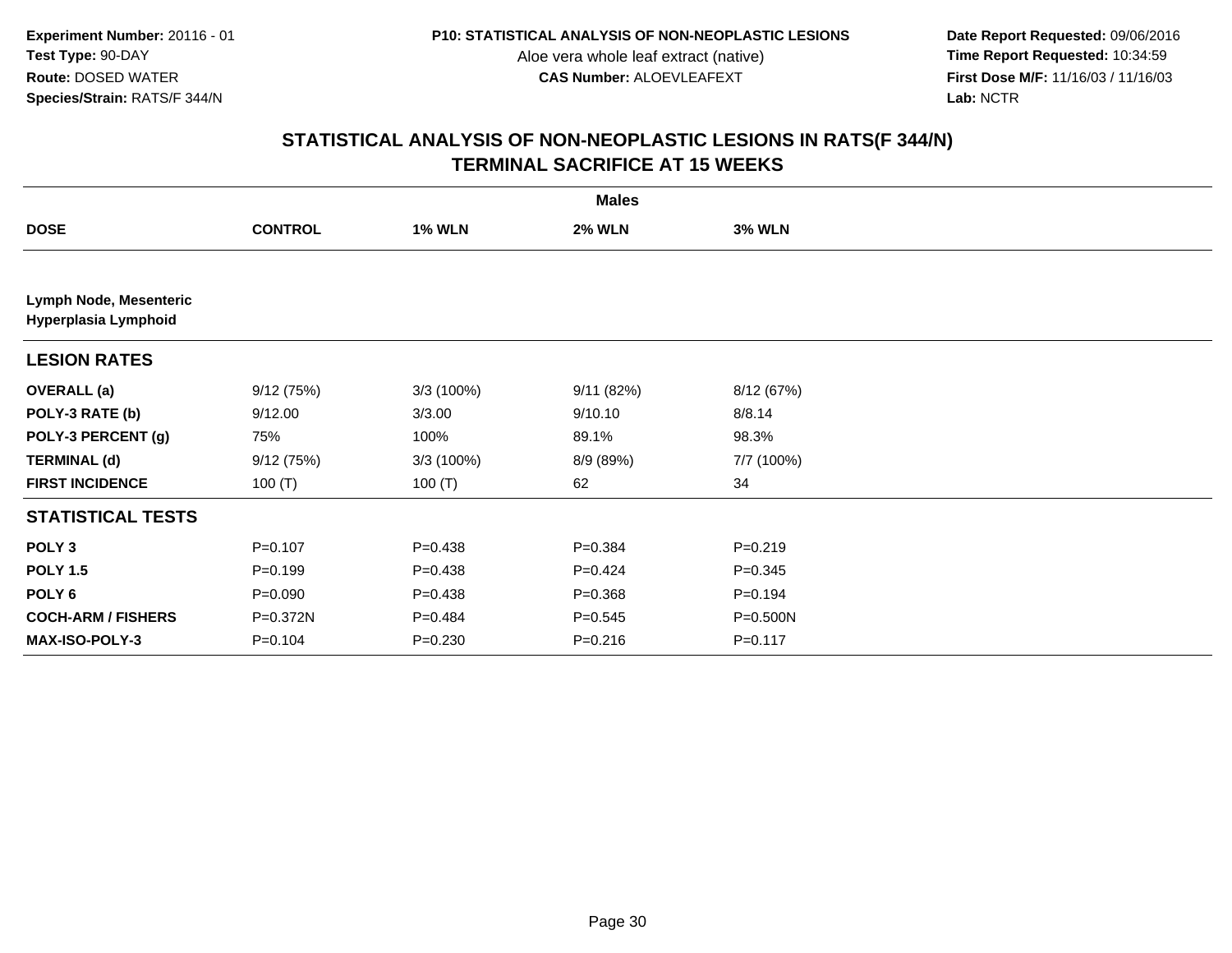**Date Report Requested:** 09/06/2016 **First Dose M/F:** 11/16/03 / 11/16/03<br>Lab: NCTR **Lab:** NCTR

| <b>Males</b>                                   |                |               |               |               |  |  |
|------------------------------------------------|----------------|---------------|---------------|---------------|--|--|
| <b>DOSE</b>                                    | <b>CONTROL</b> | <b>1% WLN</b> | <b>2% WLN</b> | <b>3% WLN</b> |  |  |
|                                                |                |               |               |               |  |  |
| Lymph Node, Mesenteric<br>Hyperplasia Lymphoid |                |               |               |               |  |  |
| <b>LESION RATES</b>                            |                |               |               |               |  |  |
| <b>OVERALL</b> (a)                             | 9/12(75%)      | 3/3 (100%)    | 9/11(82%)     | 8/12 (67%)    |  |  |
| POLY-3 RATE (b)                                | 9/12.00        | 3/3.00        | 9/10.10       | 8/8.14        |  |  |
| POLY-3 PERCENT (g)                             | 75%            | 100%          | 89.1%         | 98.3%         |  |  |
| <b>TERMINAL (d)</b>                            | 9/12(75%)      | 3/3 (100%)    | 8/9 (89%)     | 7/7 (100%)    |  |  |
| <b>FIRST INCIDENCE</b>                         | 100 $(T)$      | 100 $(T)$     | 62            | 34            |  |  |
| <b>STATISTICAL TESTS</b>                       |                |               |               |               |  |  |
| POLY <sub>3</sub>                              | $P = 0.107$    | $P = 0.438$   | $P = 0.384$   | $P = 0.219$   |  |  |
| <b>POLY 1.5</b>                                | $P = 0.199$    | $P = 0.438$   | $P=0.424$     | $P = 0.345$   |  |  |
| POLY 6                                         | $P = 0.090$    | $P=0.438$     | $P = 0.368$   | $P = 0.194$   |  |  |
| <b>COCH-ARM / FISHERS</b>                      | P=0.372N       | $P=0.484$     | $P = 0.545$   | P=0.500N      |  |  |
| MAX-ISO-POLY-3                                 | $P = 0.104$    | $P = 0.230$   | $P = 0.216$   | $P = 0.117$   |  |  |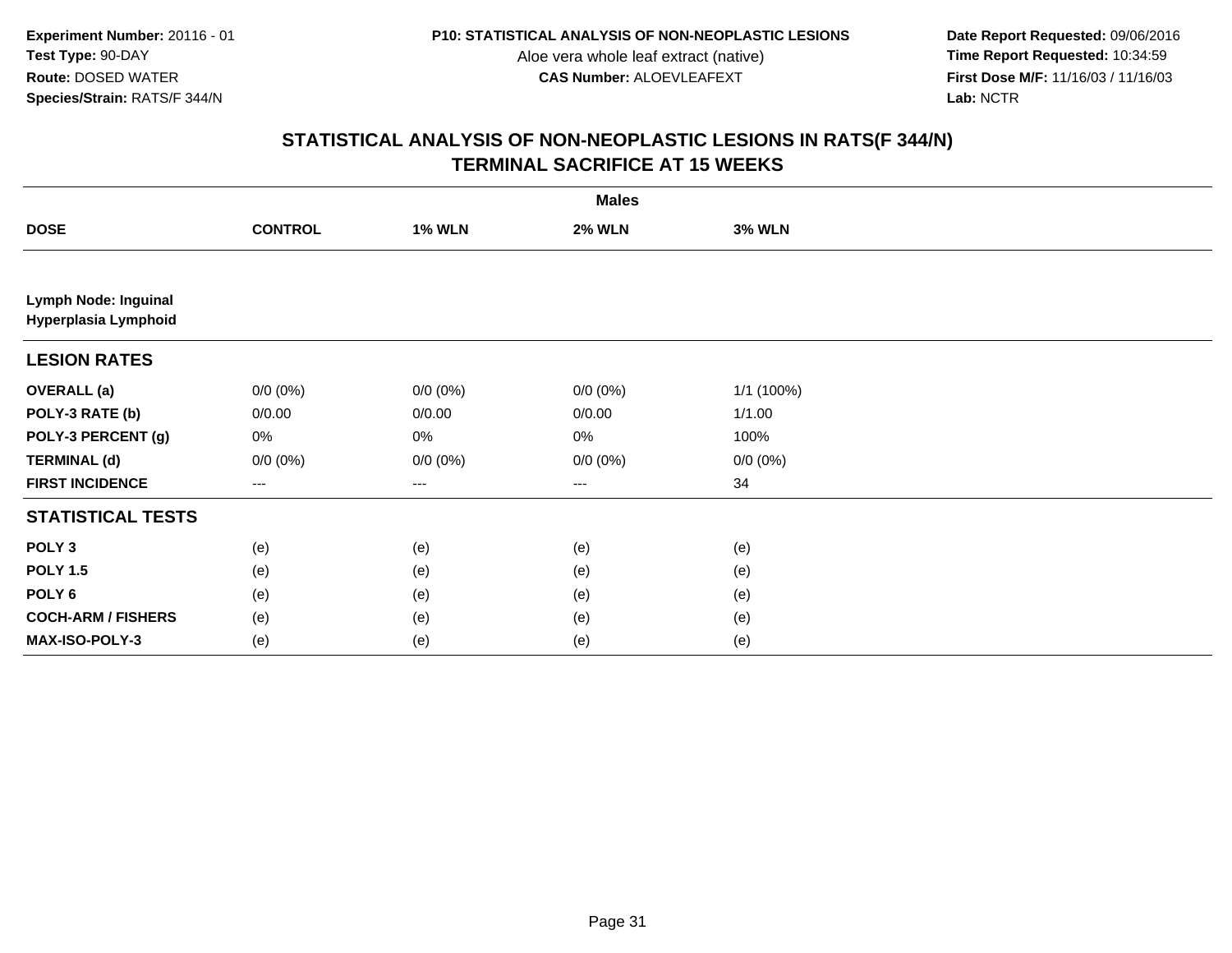**Date Report Requested:** 09/06/2016 **First Dose M/F:** 11/16/03 / 11/16/03<br>Lab: NCTR **Lab:** NCTR

| <b>Males</b>                                        |                |               |               |               |  |
|-----------------------------------------------------|----------------|---------------|---------------|---------------|--|
| <b>DOSE</b>                                         | <b>CONTROL</b> | <b>1% WLN</b> | <b>2% WLN</b> | <b>3% WLN</b> |  |
|                                                     |                |               |               |               |  |
| <b>Lymph Node: Inguinal</b><br>Hyperplasia Lymphoid |                |               |               |               |  |
| <b>LESION RATES</b>                                 |                |               |               |               |  |
| <b>OVERALL (a)</b>                                  | $0/0 (0\%)$    | $0/0 (0\%)$   | $0/0 (0\%)$   | 1/1 (100%)    |  |
| POLY-3 RATE (b)                                     | 0/0.00         | 0/0.00        | 0/0.00        | 1/1.00        |  |
| POLY-3 PERCENT (g)                                  | 0%             | 0%            | 0%            | 100%          |  |
| <b>TERMINAL (d)</b>                                 | $0/0 (0\%)$    | $0/0 (0\%)$   | $0/0 (0\%)$   | $0/0 (0\%)$   |  |
| <b>FIRST INCIDENCE</b>                              | $--$           | $--$          | $--$          | 34            |  |
| <b>STATISTICAL TESTS</b>                            |                |               |               |               |  |
| POLY <sub>3</sub>                                   | (e)            | (e)           | (e)           | (e)           |  |
| <b>POLY 1.5</b>                                     | (e)            | (e)           | (e)           | (e)           |  |
| POLY 6                                              | (e)            | (e)           | (e)           | (e)           |  |
| <b>COCH-ARM / FISHERS</b>                           | (e)            | (e)           | (e)           | (e)           |  |
| MAX-ISO-POLY-3                                      | (e)            | (e)           | (e)           | (e)           |  |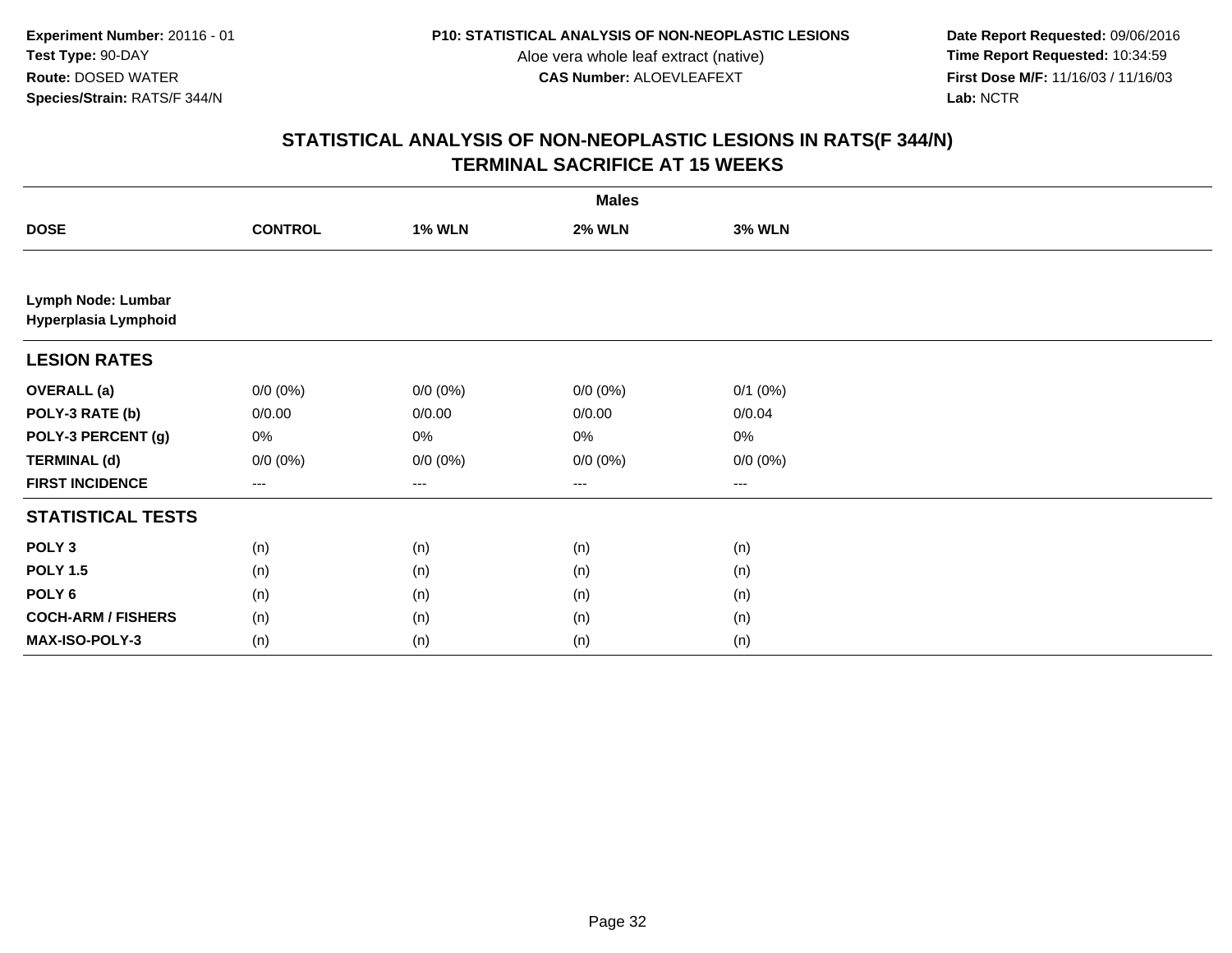**Date Report Requested:** 09/06/2016 **First Dose M/F:** 11/16/03 / 11/16/03<br>Lab: NCTR **Lab:** NCTR

|                                            | <b>Males</b>   |               |               |               |  |  |
|--------------------------------------------|----------------|---------------|---------------|---------------|--|--|
| <b>DOSE</b>                                | <b>CONTROL</b> | <b>1% WLN</b> | <b>2% WLN</b> | <b>3% WLN</b> |  |  |
|                                            |                |               |               |               |  |  |
| Lymph Node: Lumbar<br>Hyperplasia Lymphoid |                |               |               |               |  |  |
| <b>LESION RATES</b>                        |                |               |               |               |  |  |
| <b>OVERALL</b> (a)                         | $0/0 (0\%)$    | $0/0 (0\%)$   | $0/0 (0\%)$   | $0/1$ $(0%)$  |  |  |
| POLY-3 RATE (b)                            | 0/0.00         | 0/0.00        | 0/0.00        | 0/0.04        |  |  |
| POLY-3 PERCENT (g)                         | 0%             | $0\%$         | $0\%$         | $0\%$         |  |  |
| <b>TERMINAL (d)</b>                        | $0/0 (0\%)$    | $0/0 (0\%)$   | $0/0 (0\%)$   | $0/0 (0\%)$   |  |  |
| <b>FIRST INCIDENCE</b>                     | ---            | $---$         | ---           | ---           |  |  |
| <b>STATISTICAL TESTS</b>                   |                |               |               |               |  |  |
| POLY <sub>3</sub>                          | (n)            | (n)           | (n)           | (n)           |  |  |
| <b>POLY 1.5</b>                            | (n)            | (n)           | (n)           | (n)           |  |  |
| POLY <sub>6</sub>                          | (n)            | (n)           | (n)           | (n)           |  |  |
| <b>COCH-ARM / FISHERS</b>                  | (n)            | (n)           | (n)           | (n)           |  |  |
| MAX-ISO-POLY-3                             | (n)            | (n)           | (n)           | (n)           |  |  |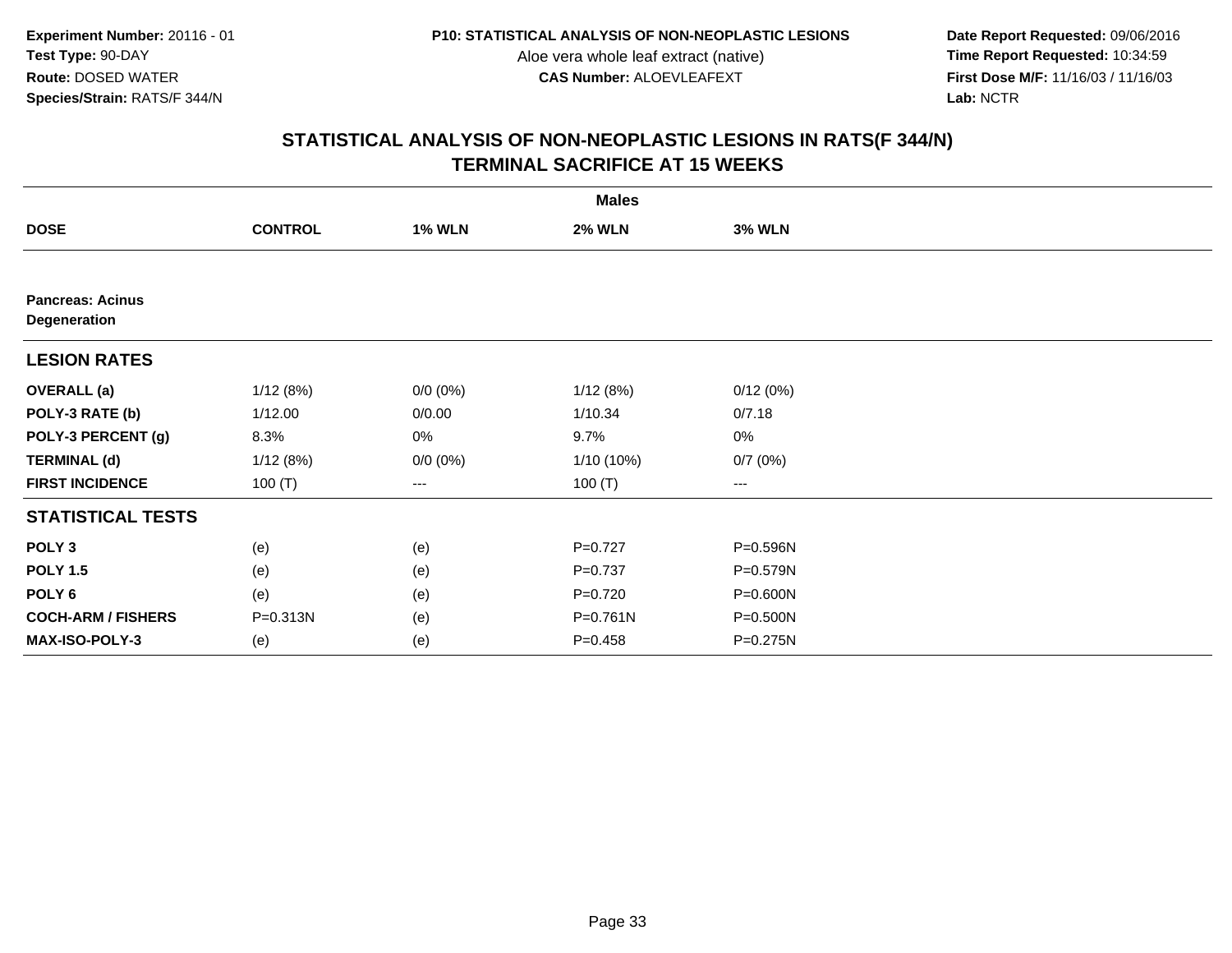**Date Report Requested:** 09/06/2016 **First Dose M/F:** 11/16/03 / 11/16/03<br>Lab: NCTR **Lab:** NCTR

| <b>Males</b>                            |                |               |               |               |  |  |
|-----------------------------------------|----------------|---------------|---------------|---------------|--|--|
| <b>DOSE</b>                             | <b>CONTROL</b> | <b>1% WLN</b> | <b>2% WLN</b> | <b>3% WLN</b> |  |  |
|                                         |                |               |               |               |  |  |
| <b>Pancreas: Acinus</b><br>Degeneration |                |               |               |               |  |  |
| <b>LESION RATES</b>                     |                |               |               |               |  |  |
| <b>OVERALL</b> (a)                      | 1/12(8%)       | $0/0 (0\%)$   | 1/12(8%)      | 0/12(0%)      |  |  |
| POLY-3 RATE (b)                         | 1/12.00        | 0/0.00        | 1/10.34       | 0/7.18        |  |  |
| POLY-3 PERCENT (g)                      | 8.3%           | 0%            | 9.7%          | 0%            |  |  |
| <b>TERMINAL (d)</b>                     | 1/12(8%)       | $0/0 (0\%)$   | 1/10 (10%)    | 0/7(0%)       |  |  |
| <b>FIRST INCIDENCE</b>                  | 100 $(T)$      | ---           | 100 $(T)$     | ---           |  |  |
| <b>STATISTICAL TESTS</b>                |                |               |               |               |  |  |
| POLY <sub>3</sub>                       | (e)            | (e)           | $P=0.727$     | P=0.596N      |  |  |
| <b>POLY 1.5</b>                         | (e)            | (e)           | $P = 0.737$   | P=0.579N      |  |  |
| POLY <sub>6</sub>                       | (e)            | (e)           | $P=0.720$     | P=0.600N      |  |  |
| <b>COCH-ARM / FISHERS</b>               | P=0.313N       | (e)           | $P = 0.761N$  | P=0.500N      |  |  |
| MAX-ISO-POLY-3                          | (e)            | (e)           | $P = 0.458$   | P=0.275N      |  |  |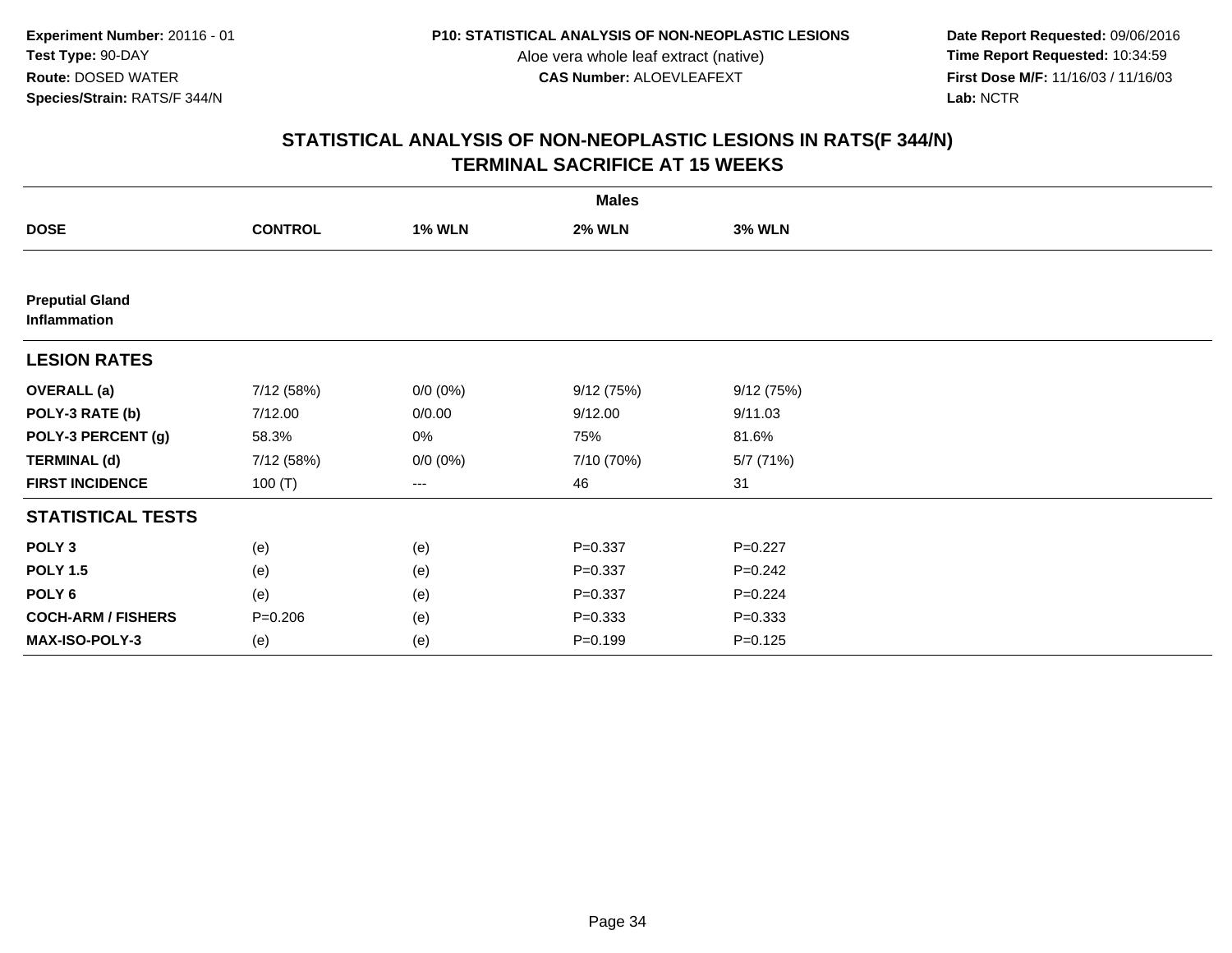**Date Report Requested:** 09/06/2016 **First Dose M/F:** 11/16/03 / 11/16/03<br>Lab: NCTR **Lab:** NCTR

| <b>Males</b>                           |                |               |               |               |  |  |
|----------------------------------------|----------------|---------------|---------------|---------------|--|--|
| <b>DOSE</b>                            | <b>CONTROL</b> | <b>1% WLN</b> | <b>2% WLN</b> | <b>3% WLN</b> |  |  |
|                                        |                |               |               |               |  |  |
| <b>Preputial Gland</b><br>Inflammation |                |               |               |               |  |  |
| <b>LESION RATES</b>                    |                |               |               |               |  |  |
| <b>OVERALL</b> (a)                     | 7/12 (58%)     | $0/0 (0\%)$   | 9/12(75%)     | 9/12(75%)     |  |  |
| POLY-3 RATE (b)                        | 7/12.00        | 0/0.00        | 9/12.00       | 9/11.03       |  |  |
| POLY-3 PERCENT (g)                     | 58.3%          | 0%            | 75%           | 81.6%         |  |  |
| <b>TERMINAL (d)</b>                    | 7/12 (58%)     | $0/0 (0\%)$   | 7/10 (70%)    | 5/7 (71%)     |  |  |
| <b>FIRST INCIDENCE</b>                 | 100 $(T)$      | ---           | 46            | 31            |  |  |
| <b>STATISTICAL TESTS</b>               |                |               |               |               |  |  |
| POLY <sub>3</sub>                      | (e)            | (e)           | $P = 0.337$   | $P=0.227$     |  |  |
| <b>POLY 1.5</b>                        | (e)            | (e)           | $P = 0.337$   | $P = 0.242$   |  |  |
| POLY <sub>6</sub>                      | (e)            | (e)           | $P = 0.337$   | $P=0.224$     |  |  |
| <b>COCH-ARM / FISHERS</b>              | $P = 0.206$    | (e)           | $P = 0.333$   | $P = 0.333$   |  |  |
| MAX-ISO-POLY-3                         | (e)            | (e)           | $P = 0.199$   | $P = 0.125$   |  |  |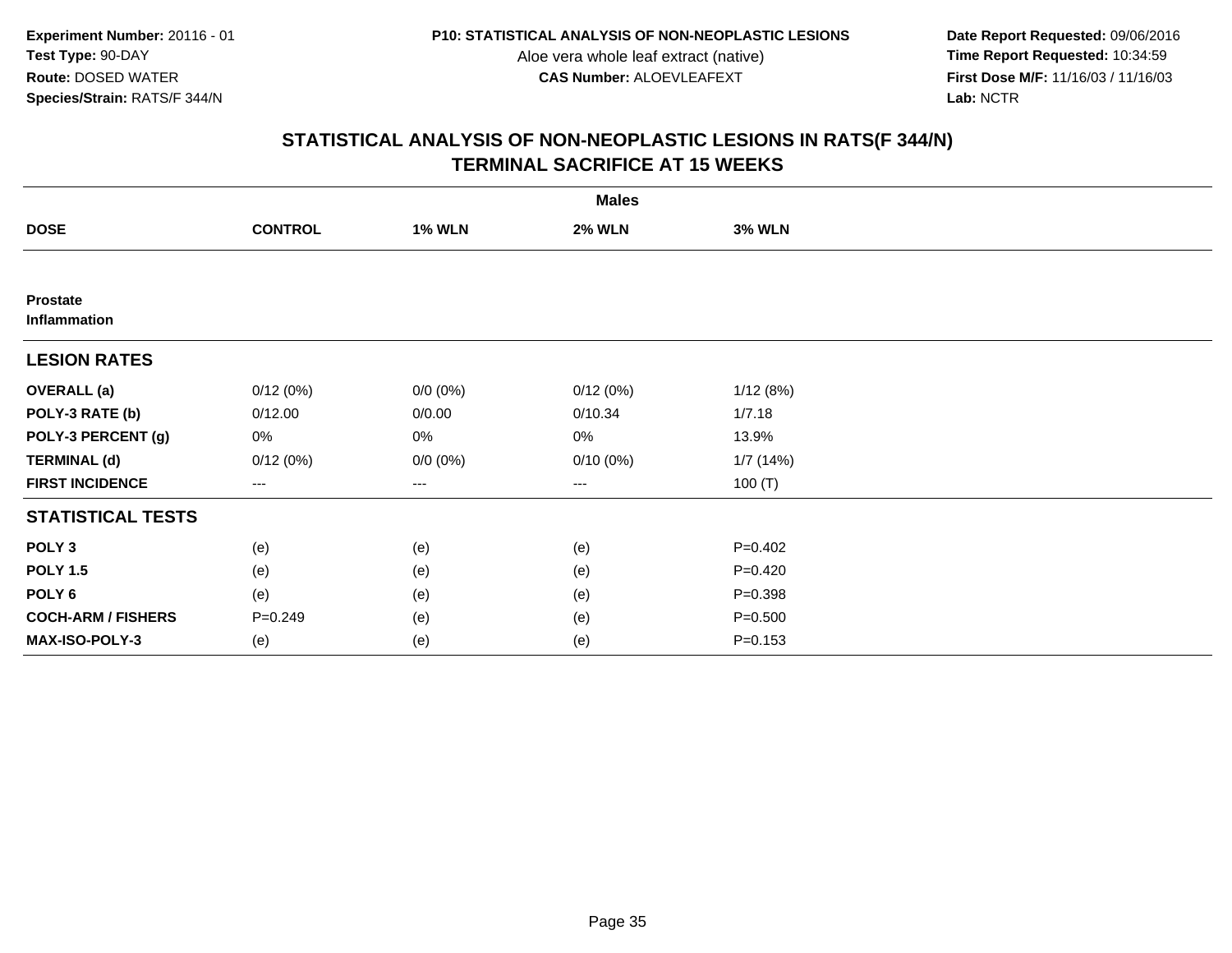**Date Report Requested:** 09/06/2016 **First Dose M/F:** 11/16/03 / 11/16/03<br>Lab: NCTR **Lab:** NCTR

| <b>Males</b>                    |                |               |               |               |  |  |
|---------------------------------|----------------|---------------|---------------|---------------|--|--|
| <b>DOSE</b>                     | <b>CONTROL</b> | <b>1% WLN</b> | <b>2% WLN</b> | <b>3% WLN</b> |  |  |
|                                 |                |               |               |               |  |  |
| <b>Prostate</b><br>Inflammation |                |               |               |               |  |  |
| <b>LESION RATES</b>             |                |               |               |               |  |  |
| <b>OVERALL</b> (a)              | 0/12(0%)       | $0/0 (0\%)$   | 0/12(0%)      | 1/12(8%)      |  |  |
| POLY-3 RATE (b)                 | 0/12.00        | 0/0.00        | 0/10.34       | 1/7.18        |  |  |
| POLY-3 PERCENT (g)              | 0%             | 0%            | 0%            | 13.9%         |  |  |
| <b>TERMINAL (d)</b>             | 0/12(0%)       | $0/0 (0\%)$   | $0/10(0\%)$   | 1/7(14%)      |  |  |
| <b>FIRST INCIDENCE</b>          | $--$           | ---           | ---           | 100 $(T)$     |  |  |
| <b>STATISTICAL TESTS</b>        |                |               |               |               |  |  |
| POLY <sub>3</sub>               | (e)            | (e)           | (e)           | $P=0.402$     |  |  |
| <b>POLY 1.5</b>                 | (e)            | (e)           | (e)           | $P=0.420$     |  |  |
| POLY <sub>6</sub>               | (e)            | (e)           | (e)           | $P = 0.398$   |  |  |
| <b>COCH-ARM / FISHERS</b>       | $P = 0.249$    | (e)           | (e)           | $P = 0.500$   |  |  |
| MAX-ISO-POLY-3                  | (e)            | (e)           | (e)           | $P = 0.153$   |  |  |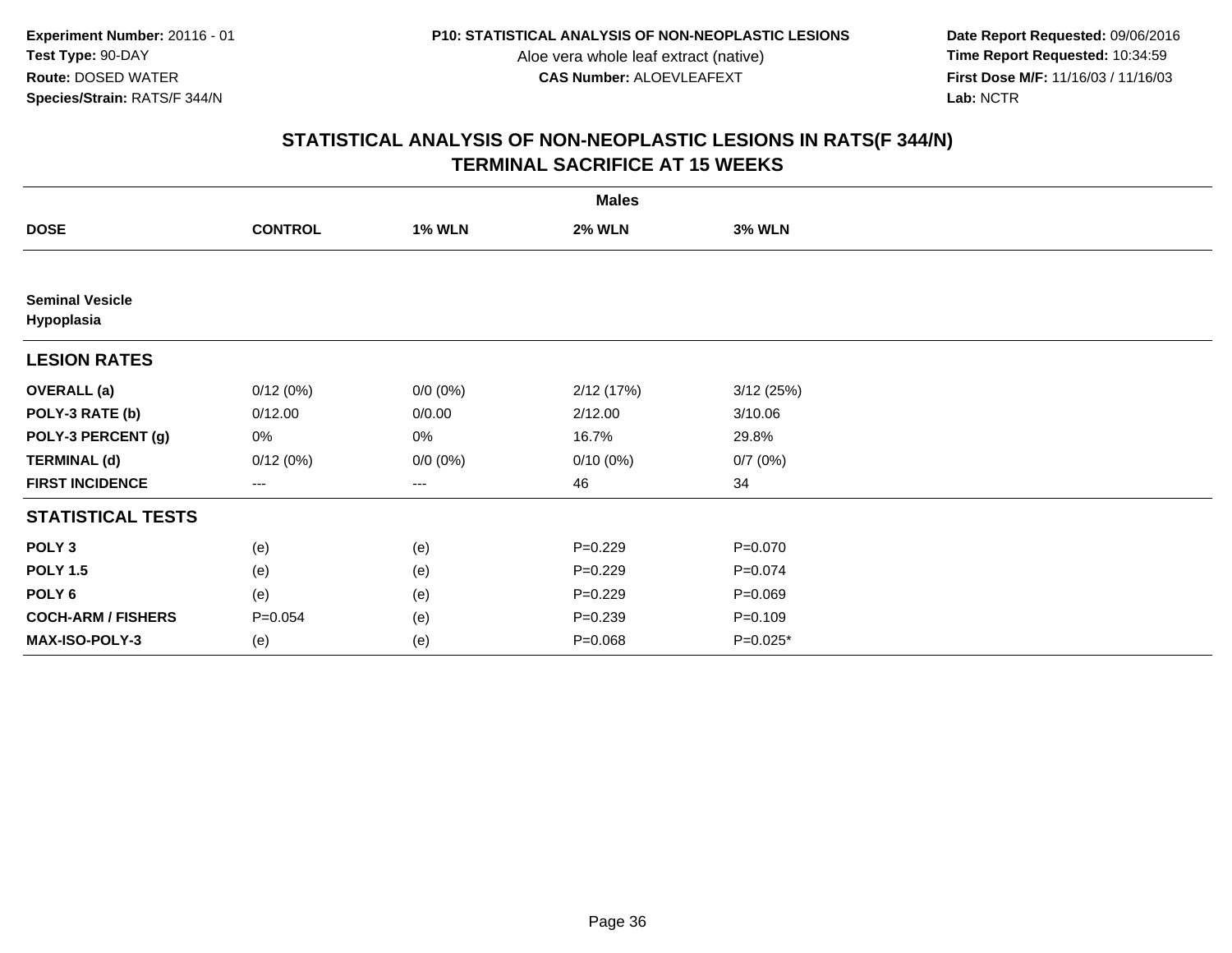**Date Report Requested:** 09/06/2016 **First Dose M/F:** 11/16/03 / 11/16/03<br>Lab: NCTR **Lab:** NCTR

| <b>Males</b>                         |                |               |               |               |  |  |
|--------------------------------------|----------------|---------------|---------------|---------------|--|--|
| <b>DOSE</b>                          | <b>CONTROL</b> | <b>1% WLN</b> | <b>2% WLN</b> | <b>3% WLN</b> |  |  |
|                                      |                |               |               |               |  |  |
| <b>Seminal Vesicle</b><br>Hypoplasia |                |               |               |               |  |  |
| <b>LESION RATES</b>                  |                |               |               |               |  |  |
| <b>OVERALL</b> (a)                   | 0/12(0%)       | $0/0 (0\%)$   | 2/12 (17%)    | 3/12(25%)     |  |  |
| POLY-3 RATE (b)                      | 0/12.00        | 0/0.00        | 2/12.00       | 3/10.06       |  |  |
| POLY-3 PERCENT (g)                   | 0%             | 0%            | 16.7%         | 29.8%         |  |  |
| <b>TERMINAL (d)</b>                  | 0/12(0%)       | $0/0 (0\%)$   | $0/10(0\%)$   | 0/7(0%)       |  |  |
| <b>FIRST INCIDENCE</b>               | ---            | ---           | 46            | 34            |  |  |
| <b>STATISTICAL TESTS</b>             |                |               |               |               |  |  |
| POLY <sub>3</sub>                    | (e)            | (e)           | $P=0.229$     | $P = 0.070$   |  |  |
| <b>POLY 1.5</b>                      | (e)            | (e)           | $P = 0.229$   | $P = 0.074$   |  |  |
| POLY <sub>6</sub>                    | (e)            | (e)           | $P=0.229$     | $P = 0.069$   |  |  |
| <b>COCH-ARM / FISHERS</b>            | $P = 0.054$    | (e)           | $P = 0.239$   | $P = 0.109$   |  |  |
| MAX-ISO-POLY-3                       | (e)            | (e)           | $P = 0.068$   | $P=0.025*$    |  |  |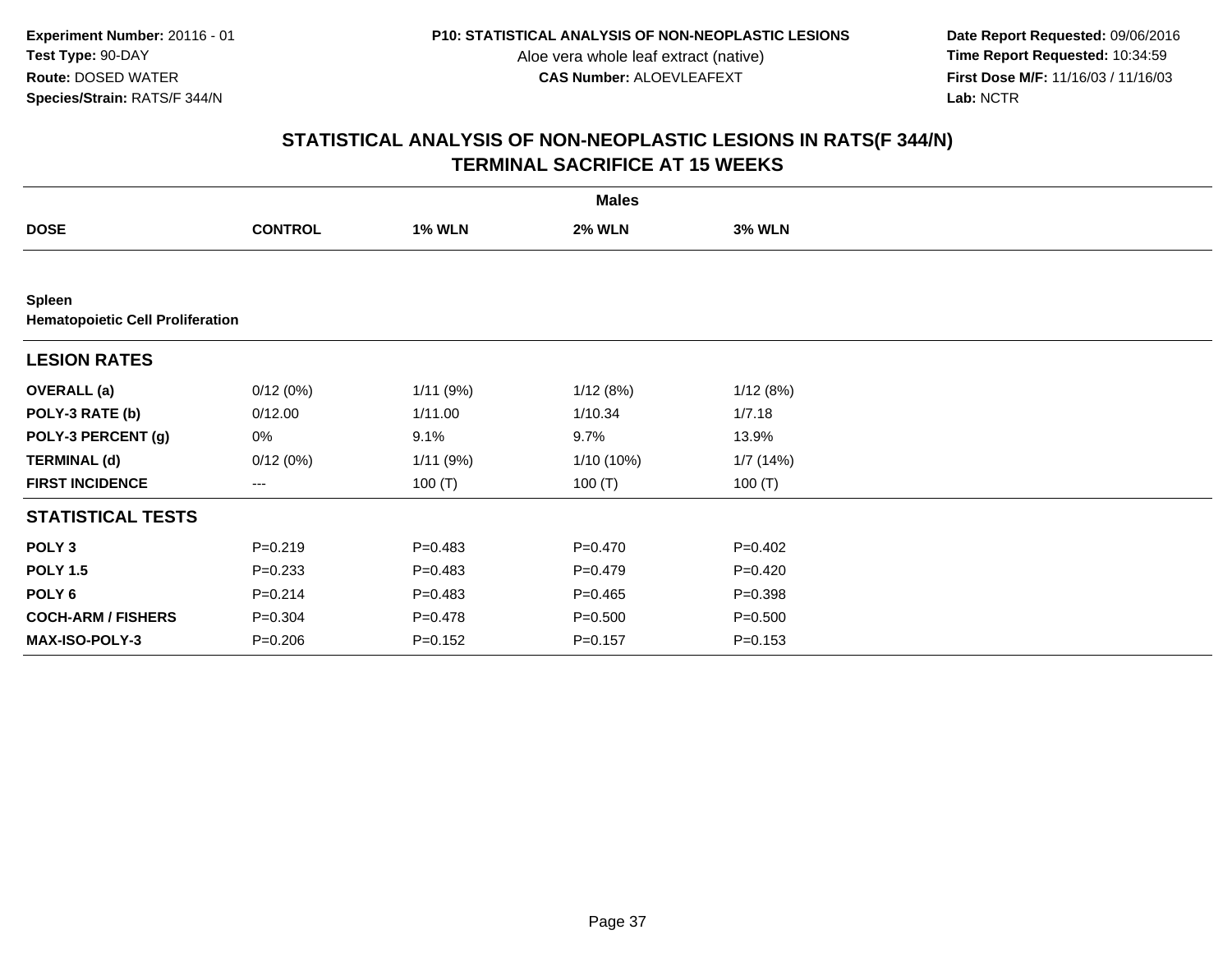**Date Report Requested:** 09/06/2016 **First Dose M/F:** 11/16/03 / 11/16/03<br>Lab: NCTR **Lab:** NCTR

|                                                          |                |               | <b>Males</b>  |               |  |
|----------------------------------------------------------|----------------|---------------|---------------|---------------|--|
| <b>DOSE</b>                                              | <b>CONTROL</b> | <b>1% WLN</b> | <b>2% WLN</b> | <b>3% WLN</b> |  |
|                                                          |                |               |               |               |  |
| <b>Spleen</b><br><b>Hematopoietic Cell Proliferation</b> |                |               |               |               |  |
| <b>LESION RATES</b>                                      |                |               |               |               |  |
| <b>OVERALL</b> (a)                                       | 0/12(0%)       | 1/11(9%)      | 1/12(8%)      | 1/12(8%)      |  |
| POLY-3 RATE (b)                                          | 0/12.00        | 1/11.00       | 1/10.34       | 1/7.18        |  |
| POLY-3 PERCENT (g)                                       | 0%             | 9.1%          | 9.7%          | 13.9%         |  |
| <b>TERMINAL (d)</b>                                      | 0/12(0%)       | 1/11(9%)      | 1/10 (10%)    | 1/7(14%)      |  |
| <b>FIRST INCIDENCE</b>                                   | ---            | 100 $(T)$     | 100 $(T)$     | 100 $(T)$     |  |
| <b>STATISTICAL TESTS</b>                                 |                |               |               |               |  |
| POLY <sub>3</sub>                                        | $P = 0.219$    | $P=0.483$     | $P = 0.470$   | $P=0.402$     |  |
| <b>POLY 1.5</b>                                          | $P = 0.233$    | $P=0.483$     | $P=0.479$     | $P=0.420$     |  |
| POLY <sub>6</sub>                                        | $P = 0.214$    | $P=0.483$     | $P=0.465$     | $P = 0.398$   |  |
| <b>COCH-ARM / FISHERS</b>                                | $P = 0.304$    | $P = 0.478$   | $P = 0.500$   | $P = 0.500$   |  |
| <b>MAX-ISO-POLY-3</b>                                    | $P = 0.206$    | $P = 0.152$   | $P = 0.157$   | $P = 0.153$   |  |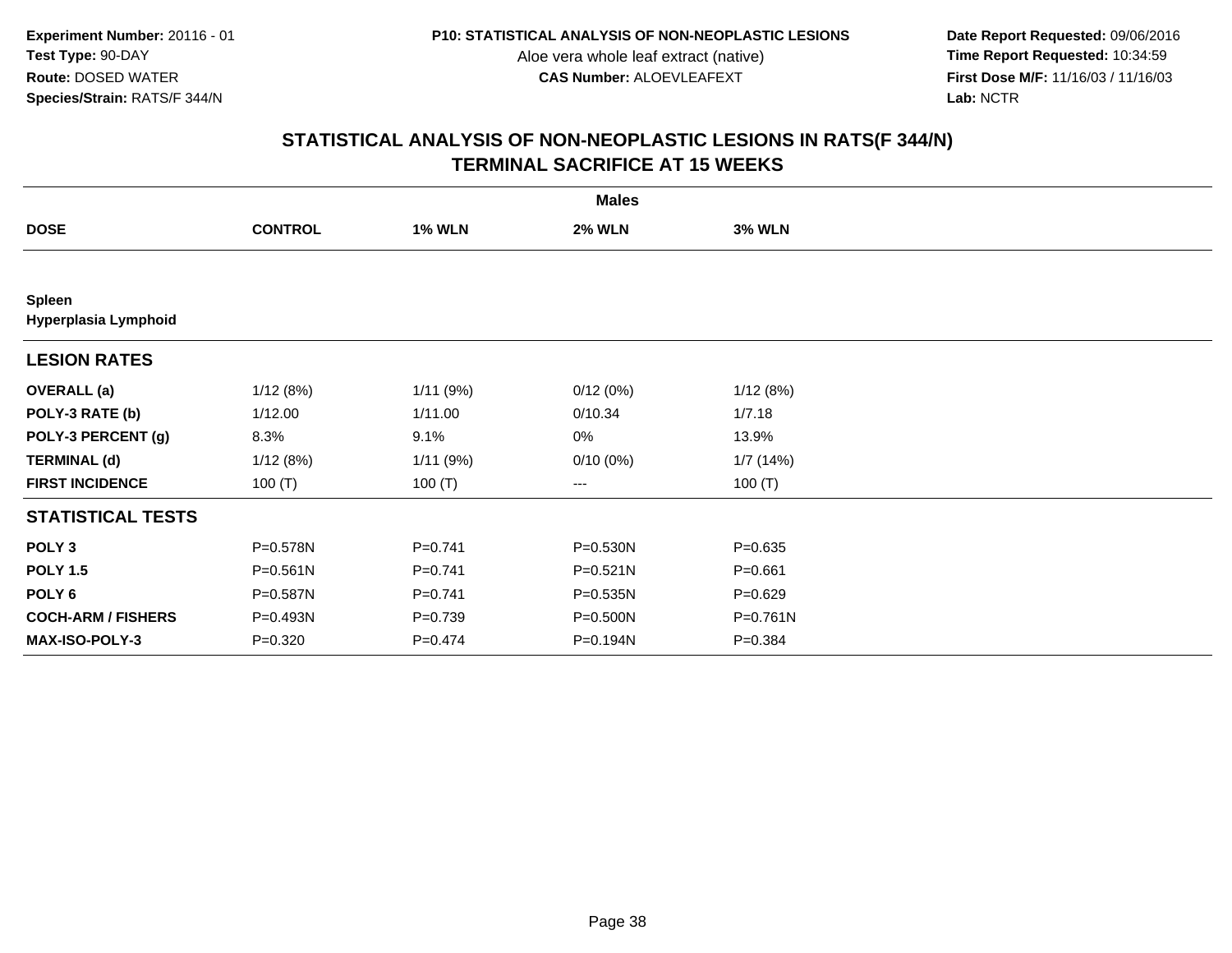**Date Report Requested:** 09/06/2016 **First Dose M/F:** 11/16/03 / 11/16/03<br>Lab: NCTR **Lab:** NCTR

|                                       |                |               | <b>Males</b>  |               |  |
|---------------------------------------|----------------|---------------|---------------|---------------|--|
| <b>DOSE</b>                           | <b>CONTROL</b> | <b>1% WLN</b> | <b>2% WLN</b> | <b>3% WLN</b> |  |
|                                       |                |               |               |               |  |
| <b>Spleen</b><br>Hyperplasia Lymphoid |                |               |               |               |  |
| <b>LESION RATES</b>                   |                |               |               |               |  |
| <b>OVERALL</b> (a)                    | 1/12(8%)       | 1/11(9%)      | 0/12(0%)      | 1/12(8%)      |  |
| POLY-3 RATE (b)                       | 1/12.00        | 1/11.00       | 0/10.34       | 1/7.18        |  |
| POLY-3 PERCENT (g)                    | 8.3%           | 9.1%          | 0%            | 13.9%         |  |
| <b>TERMINAL (d)</b>                   | 1/12(8%)       | 1/11(9%)      | $0/10(0\%)$   | 1/7(14%)      |  |
| <b>FIRST INCIDENCE</b>                | 100 $(T)$      | 100 $(T)$     | ---           | 100 $(T)$     |  |
| <b>STATISTICAL TESTS</b>              |                |               |               |               |  |
| POLY <sub>3</sub>                     | P=0.578N       | $P=0.741$     | P=0.530N      | $P = 0.635$   |  |
| <b>POLY 1.5</b>                       | P=0.561N       | $P = 0.741$   | $P = 0.521N$  | $P = 0.661$   |  |
| POLY 6                                | P=0.587N       | $P=0.741$     | $P = 0.535N$  | $P=0.629$     |  |
| <b>COCH-ARM / FISHERS</b>             | P=0.493N       | $P = 0.739$   | P=0.500N      | P=0.761N      |  |
| MAX-ISO-POLY-3                        | $P = 0.320$    | $P=0.474$     | P=0.194N      | $P = 0.384$   |  |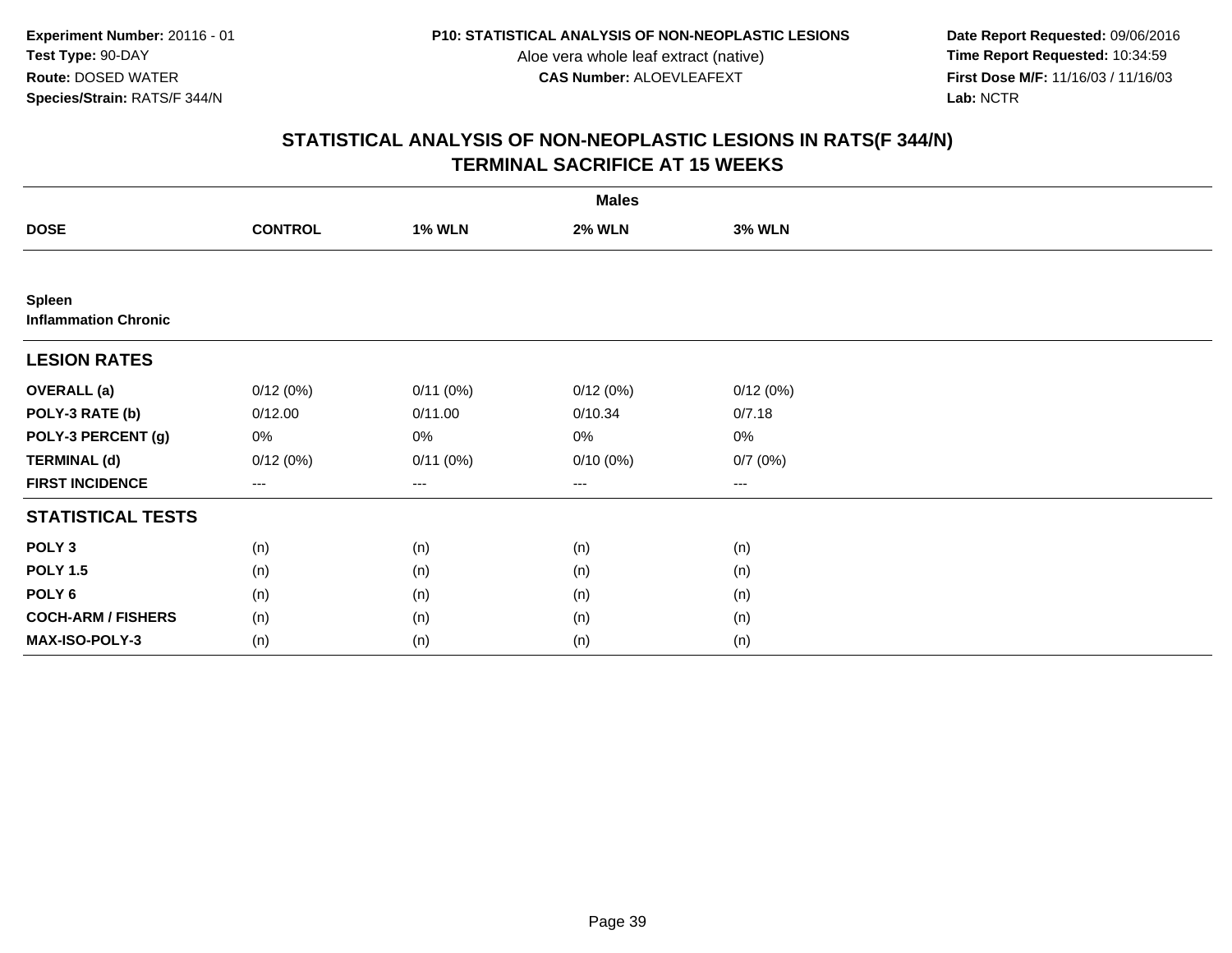**Date Report Requested:** 09/06/2016 **First Dose M/F:** 11/16/03 / 11/16/03<br>Lab: NCTR **Lab:** NCTR

|                                              |                        |               | <b>Males</b>  |               |  |
|----------------------------------------------|------------------------|---------------|---------------|---------------|--|
| <b>DOSE</b>                                  | <b>CONTROL</b>         | <b>1% WLN</b> | <b>2% WLN</b> | <b>3% WLN</b> |  |
|                                              |                        |               |               |               |  |
| <b>Spleen</b><br><b>Inflammation Chronic</b> |                        |               |               |               |  |
| <b>LESION RATES</b>                          |                        |               |               |               |  |
| <b>OVERALL</b> (a)                           | 0/12(0%)               | 0/11(0%)      | 0/12(0%)      | 0/12(0%)      |  |
| POLY-3 RATE (b)                              | 0/12.00                | 0/11.00       | 0/10.34       | 0/7.18        |  |
| POLY-3 PERCENT (g)                           | 0%                     | 0%            | 0%            | 0%            |  |
| <b>TERMINAL (d)</b>                          | 0/12(0%)               | 0/11(0%)      | $0/10(0\%)$   | 0/7(0%)       |  |
| <b>FIRST INCIDENCE</b>                       | $\qquad \qquad \cdots$ | $---$         | ---           | $\cdots$      |  |
| <b>STATISTICAL TESTS</b>                     |                        |               |               |               |  |
| POLY <sub>3</sub>                            | (n)                    | (n)           | (n)           | (n)           |  |
| <b>POLY 1.5</b>                              | (n)                    | (n)           | (n)           | (n)           |  |
| POLY 6                                       | (n)                    | (n)           | (n)           | (n)           |  |
| <b>COCH-ARM / FISHERS</b>                    | (n)                    | (n)           | (n)           | (n)           |  |
| MAX-ISO-POLY-3                               | (n)                    | (n)           | (n)           | (n)           |  |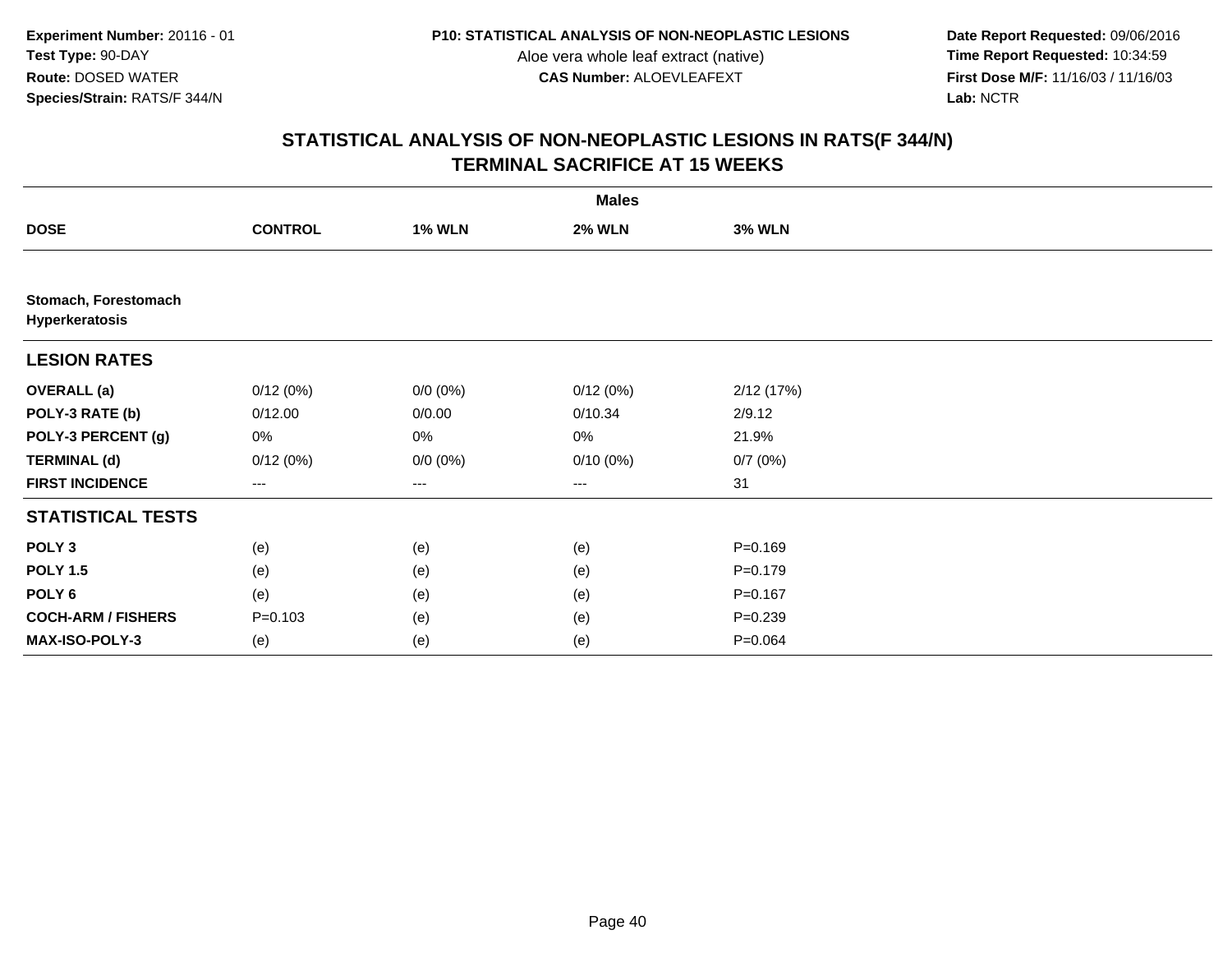**Date Report Requested:** 09/06/2016 **First Dose M/F:** 11/16/03 / 11/16/03<br>Lab: NCTR **Lab:** NCTR

|                                        |                |               | <b>Males</b>  |               |  |
|----------------------------------------|----------------|---------------|---------------|---------------|--|
| <b>DOSE</b>                            | <b>CONTROL</b> | <b>1% WLN</b> | <b>2% WLN</b> | <b>3% WLN</b> |  |
|                                        |                |               |               |               |  |
| Stomach, Forestomach<br>Hyperkeratosis |                |               |               |               |  |
| <b>LESION RATES</b>                    |                |               |               |               |  |
| <b>OVERALL</b> (a)                     | 0/12(0%)       | $0/0 (0\%)$   | 0/12(0%)      | 2/12 (17%)    |  |
| POLY-3 RATE (b)                        | 0/12.00        | 0/0.00        | 0/10.34       | 2/9.12        |  |
| POLY-3 PERCENT (g)                     | 0%             | 0%            | 0%            | 21.9%         |  |
| <b>TERMINAL (d)</b>                    | 0/12(0%)       | $0/0 (0\%)$   | $0/10(0\%)$   | 0/7(0%)       |  |
| <b>FIRST INCIDENCE</b>                 | ---            | ---           | $---$         | 31            |  |
| <b>STATISTICAL TESTS</b>               |                |               |               |               |  |
| POLY <sub>3</sub>                      | (e)            | (e)           | (e)           | $P = 0.169$   |  |
| <b>POLY 1.5</b>                        | (e)            | (e)           | (e)           | $P = 0.179$   |  |
| POLY <sub>6</sub>                      | (e)            | (e)           | (e)           | $P = 0.167$   |  |
| <b>COCH-ARM / FISHERS</b>              | $P = 0.103$    | (e)           | (e)           | $P = 0.239$   |  |
| MAX-ISO-POLY-3                         | (e)            | (e)           | (e)           | $P = 0.064$   |  |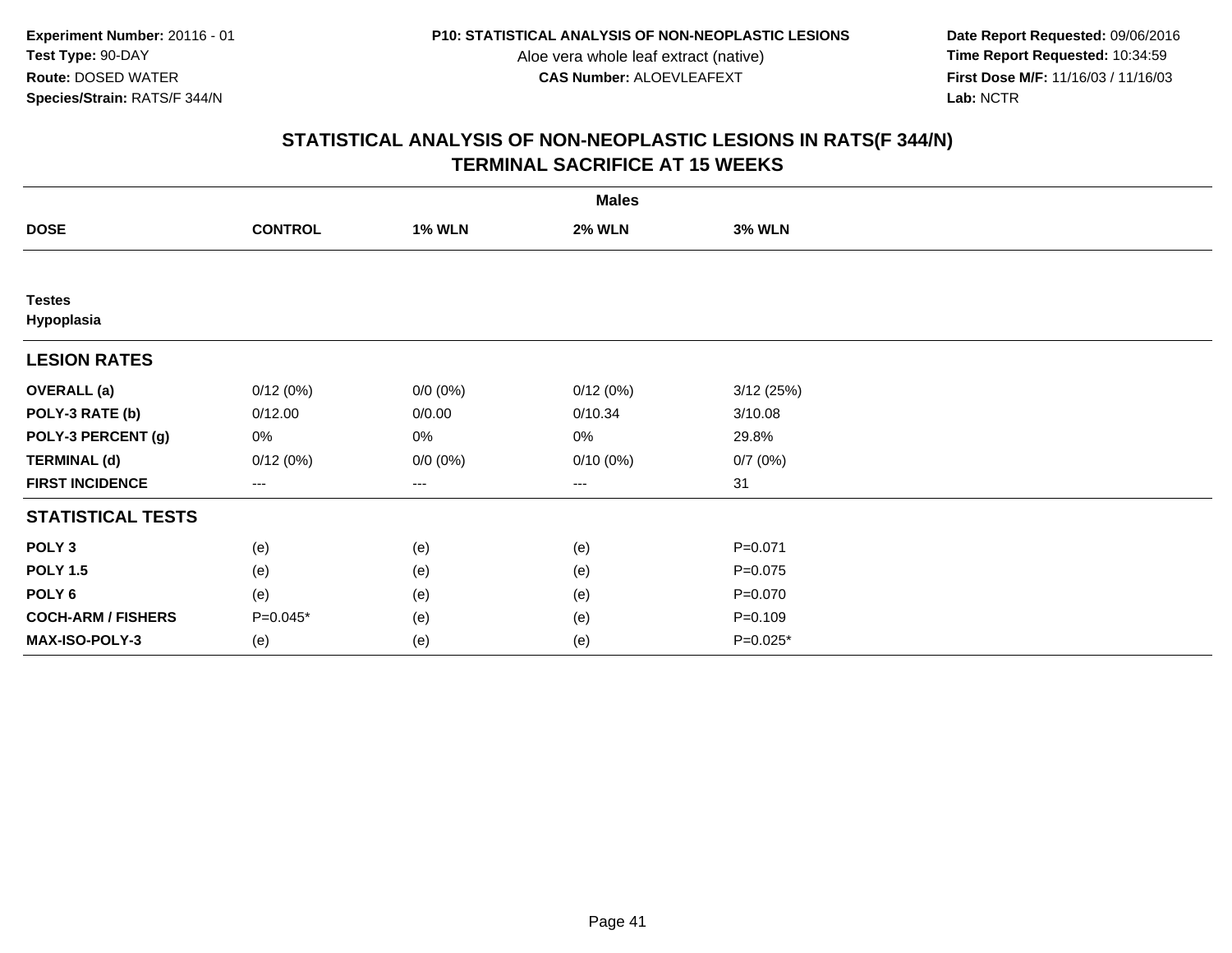**Date Report Requested:** 09/06/2016 **First Dose M/F:** 11/16/03 / 11/16/03<br>Lab: NCTR **Lab:** NCTR

|                             |                        |               | <b>Males</b>  |               |  |
|-----------------------------|------------------------|---------------|---------------|---------------|--|
| <b>DOSE</b>                 | <b>CONTROL</b>         | <b>1% WLN</b> | <b>2% WLN</b> | <b>3% WLN</b> |  |
|                             |                        |               |               |               |  |
| <b>Testes</b><br>Hypoplasia |                        |               |               |               |  |
| <b>LESION RATES</b>         |                        |               |               |               |  |
| <b>OVERALL</b> (a)          | 0/12(0%)               | $0/0 (0\%)$   | 0/12(0%)      | 3/12(25%)     |  |
| POLY-3 RATE (b)             | 0/12.00                | 0/0.00        | 0/10.34       | 3/10.08       |  |
| POLY-3 PERCENT (g)          | 0%                     | 0%            | 0%            | 29.8%         |  |
| <b>TERMINAL (d)</b>         | 0/12(0%)               | $0/0 (0\%)$   | $0/10(0\%)$   | 0/7(0%)       |  |
| <b>FIRST INCIDENCE</b>      | $\qquad \qquad \cdots$ | $---$         | ---           | 31            |  |
| <b>STATISTICAL TESTS</b>    |                        |               |               |               |  |
| POLY <sub>3</sub>           | (e)                    | (e)           | (e)           | $P = 0.071$   |  |
| <b>POLY 1.5</b>             | (e)                    | (e)           | (e)           | $P = 0.075$   |  |
| POLY 6                      | (e)                    | (e)           | (e)           | $P = 0.070$   |  |
| <b>COCH-ARM / FISHERS</b>   | P=0.045*               | (e)           | (e)           | $P = 0.109$   |  |
| MAX-ISO-POLY-3              | (e)                    | (e)           | (e)           | $P=0.025*$    |  |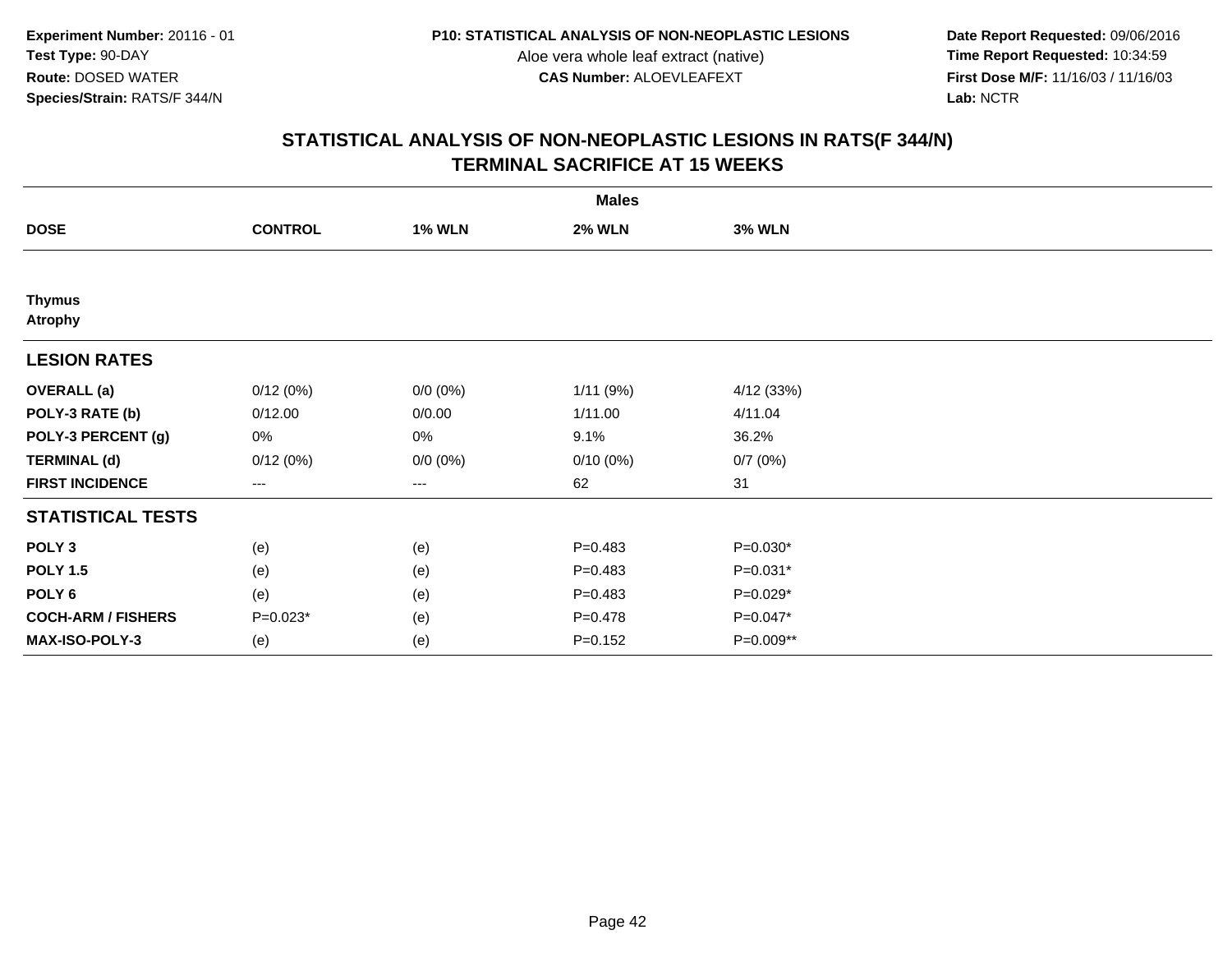**Date Report Requested:** 09/06/2016 **First Dose M/F:** 11/16/03 / 11/16/03<br>Lab: NCTR **Lab:** NCTR

|                                 |                |               | <b>Males</b>  |               |  |
|---------------------------------|----------------|---------------|---------------|---------------|--|
| <b>DOSE</b>                     | <b>CONTROL</b> | <b>1% WLN</b> | <b>2% WLN</b> | <b>3% WLN</b> |  |
|                                 |                |               |               |               |  |
| <b>Thymus</b><br><b>Atrophy</b> |                |               |               |               |  |
| <b>LESION RATES</b>             |                |               |               |               |  |
| <b>OVERALL</b> (a)              | 0/12(0%)       | $0/0 (0\%)$   | 1/11(9%)      | 4/12 (33%)    |  |
| POLY-3 RATE (b)                 | 0/12.00        | 0/0.00        | 1/11.00       | 4/11.04       |  |
| POLY-3 PERCENT (g)              | 0%             | 0%            | 9.1%          | 36.2%         |  |
| <b>TERMINAL (d)</b>             | 0/12(0%)       | $0/0 (0\%)$   | $0/10(0\%)$   | 0/7(0%)       |  |
| <b>FIRST INCIDENCE</b>          | ---            | $--$          | 62            | 31            |  |
| <b>STATISTICAL TESTS</b>        |                |               |               |               |  |
| POLY <sub>3</sub>               | (e)            | (e)           | $P=0.483$     | $P=0.030*$    |  |
| <b>POLY 1.5</b>                 | (e)            | (e)           | $P=0.483$     | $P=0.031*$    |  |
| POLY <sub>6</sub>               | (e)            | (e)           | $P=0.483$     | $P=0.029*$    |  |
| <b>COCH-ARM / FISHERS</b>       | $P=0.023*$     | (e)           | $P = 0.478$   | $P=0.047*$    |  |
| MAX-ISO-POLY-3                  | (e)            | (e)           | $P = 0.152$   | P=0.009**     |  |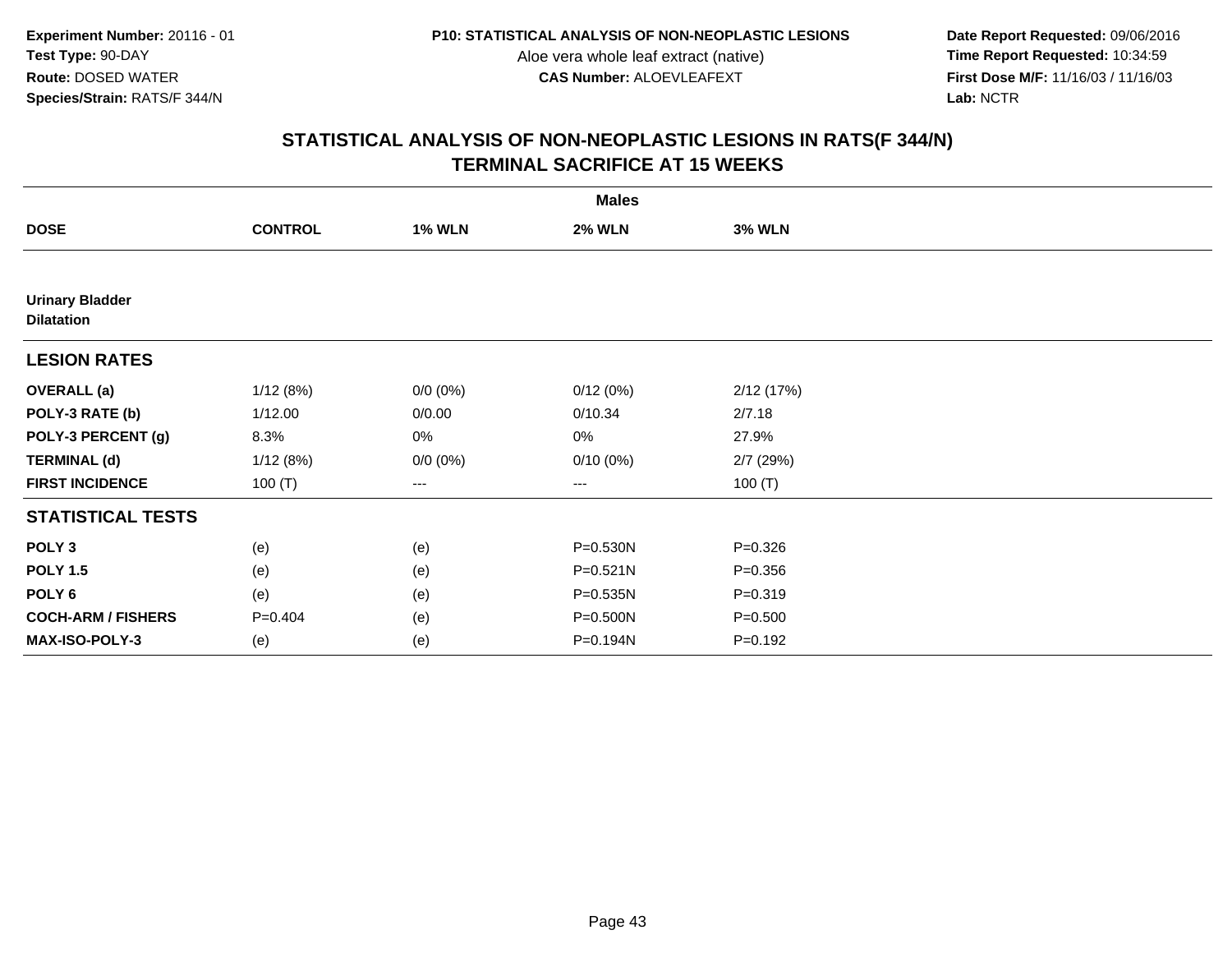**Date Report Requested:** 09/06/2016 **First Dose M/F:** 11/16/03 / 11/16/03<br>Lab: NCTR **Lab:** NCTR

|                                             |                |               | <b>Males</b>  |               |  |
|---------------------------------------------|----------------|---------------|---------------|---------------|--|
| <b>DOSE</b>                                 | <b>CONTROL</b> | <b>1% WLN</b> | <b>2% WLN</b> | <b>3% WLN</b> |  |
|                                             |                |               |               |               |  |
| <b>Urinary Bladder</b><br><b>Dilatation</b> |                |               |               |               |  |
| <b>LESION RATES</b>                         |                |               |               |               |  |
| <b>OVERALL</b> (a)                          | 1/12(8%)       | $0/0 (0\%)$   | 0/12(0%)      | 2/12(17%)     |  |
| POLY-3 RATE (b)                             | 1/12.00        | 0/0.00        | 0/10.34       | 2/7.18        |  |
| POLY-3 PERCENT (g)                          | 8.3%           | 0%            | 0%            | 27.9%         |  |
| <b>TERMINAL (d)</b>                         | 1/12(8%)       | $0/0 (0\%)$   | $0/10(0\%)$   | $2/7$ (29%)   |  |
| <b>FIRST INCIDENCE</b>                      | 100 $(T)$      | ---           | $--$          | 100 $(T)$     |  |
| <b>STATISTICAL TESTS</b>                    |                |               |               |               |  |
| POLY <sub>3</sub>                           | (e)            | (e)           | P=0.530N      | $P = 0.326$   |  |
| <b>POLY 1.5</b>                             | (e)            | (e)           | $P = 0.521N$  | $P = 0.356$   |  |
| POLY <sub>6</sub>                           | (e)            | (e)           | P=0.535N      | $P = 0.319$   |  |
| <b>COCH-ARM / FISHERS</b>                   | $P = 0.404$    | (e)           | P=0.500N      | $P = 0.500$   |  |
| MAX-ISO-POLY-3                              | (e)            | (e)           | P=0.194N      | $P = 0.192$   |  |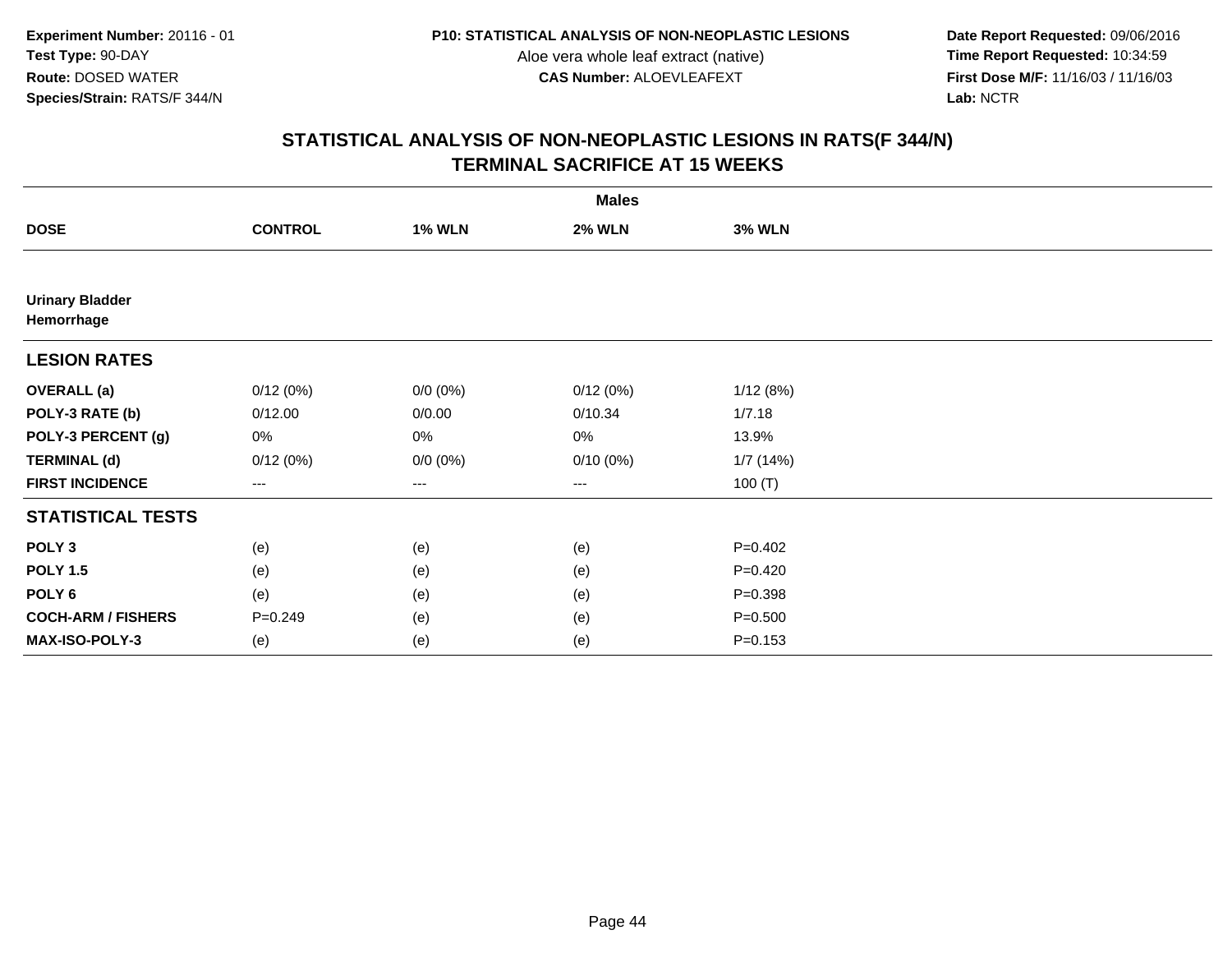**Date Report Requested:** 09/06/2016 **First Dose M/F:** 11/16/03 / 11/16/03<br>Lab: NCTR **Lab:** NCTR

|                                      |                |               | <b>Males</b>  |               |  |
|--------------------------------------|----------------|---------------|---------------|---------------|--|
| <b>DOSE</b>                          | <b>CONTROL</b> | <b>1% WLN</b> | <b>2% WLN</b> | <b>3% WLN</b> |  |
|                                      |                |               |               |               |  |
| <b>Urinary Bladder</b><br>Hemorrhage |                |               |               |               |  |
| <b>LESION RATES</b>                  |                |               |               |               |  |
| <b>OVERALL</b> (a)                   | 0/12(0%)       | $0/0 (0\%)$   | 0/12(0%)      | 1/12(8%)      |  |
| POLY-3 RATE (b)                      | 0/12.00        | 0/0.00        | 0/10.34       | 1/7.18        |  |
| POLY-3 PERCENT (g)                   | 0%             | 0%            | 0%            | 13.9%         |  |
| <b>TERMINAL (d)</b>                  | 0/12(0%)       | $0/0 (0\%)$   | $0/10(0\%)$   | 1/7(14%)      |  |
| <b>FIRST INCIDENCE</b>               | $---$          | $---$         | ---           | 100(T)        |  |
| <b>STATISTICAL TESTS</b>             |                |               |               |               |  |
| POLY <sub>3</sub>                    | (e)            | (e)           | (e)           | $P=0.402$     |  |
| <b>POLY 1.5</b>                      | (e)            | (e)           | (e)           | $P=0.420$     |  |
| POLY <sub>6</sub>                    | (e)            | (e)           | (e)           | $P = 0.398$   |  |
| <b>COCH-ARM / FISHERS</b>            | $P = 0.249$    | (e)           | (e)           | $P = 0.500$   |  |
| MAX-ISO-POLY-3                       | (e)            | (e)           | (e)           | $P = 0.153$   |  |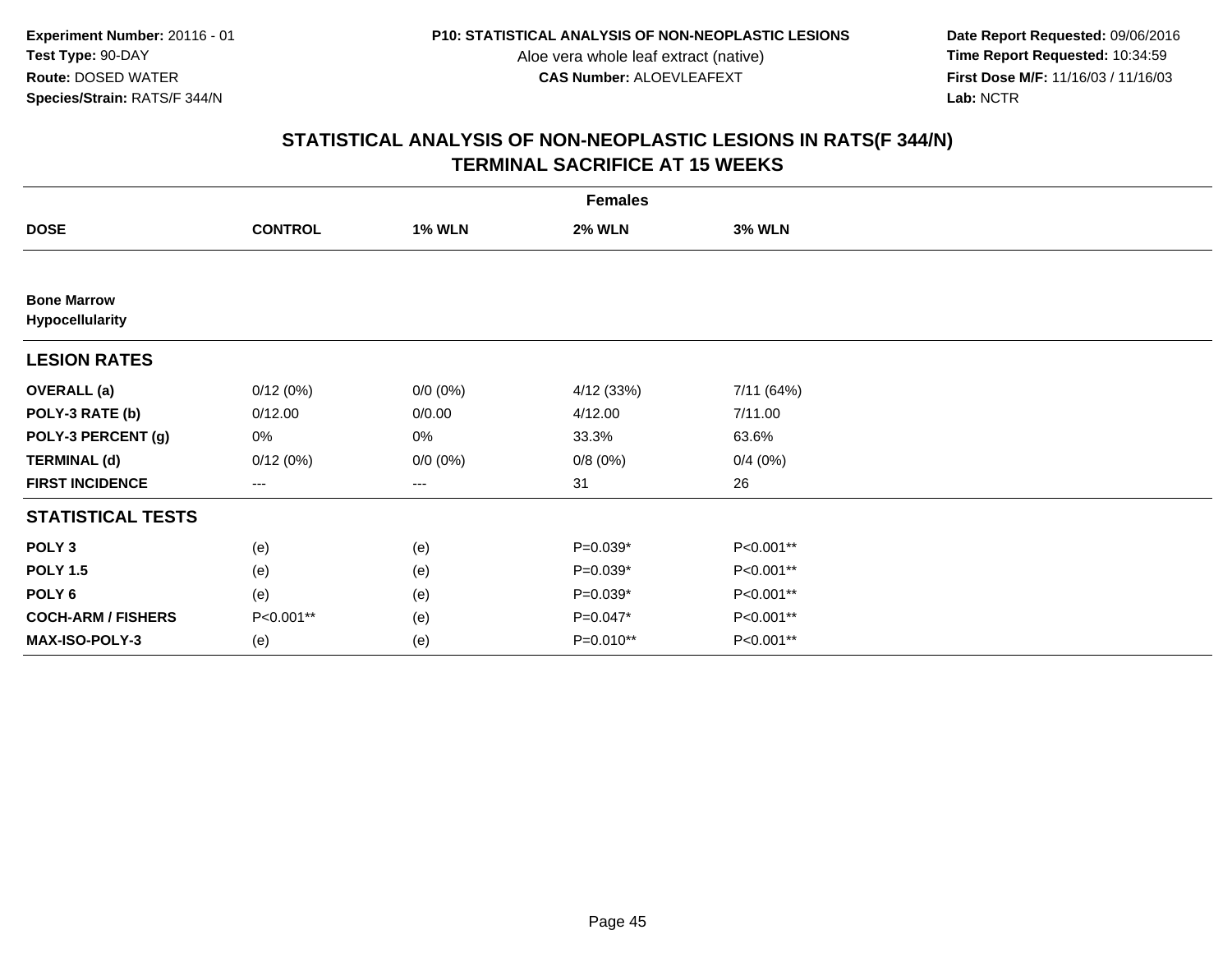**Date Report Requested:** 09/06/2016 **First Dose M/F:** 11/16/03 / 11/16/03<br>Lab: NCTR **Lab:** NCTR

|                                       |                   |               | <b>Females</b> |               |  |
|---------------------------------------|-------------------|---------------|----------------|---------------|--|
| <b>DOSE</b>                           | <b>CONTROL</b>    | <b>1% WLN</b> | <b>2% WLN</b>  | <b>3% WLN</b> |  |
|                                       |                   |               |                |               |  |
| <b>Bone Marrow</b><br>Hypocellularity |                   |               |                |               |  |
| <b>LESION RATES</b>                   |                   |               |                |               |  |
| <b>OVERALL</b> (a)                    | 0/12(0%)          | $0/0 (0\%)$   | 4/12 (33%)     | 7/11 (64%)    |  |
| POLY-3 RATE (b)                       | 0/12.00           | 0/0.00        | 4/12.00        | 7/11.00       |  |
| POLY-3 PERCENT (g)                    | 0%                | 0%            | 33.3%          | 63.6%         |  |
| <b>TERMINAL (d)</b>                   | 0/12(0%)          | $0/0 (0\%)$   | 0/8(0%)        | 0/4(0%)       |  |
| <b>FIRST INCIDENCE</b>                | $\qquad \qquad -$ | ---           | 31             | 26            |  |
| <b>STATISTICAL TESTS</b>              |                   |               |                |               |  |
| POLY <sub>3</sub>                     | (e)               | (e)           | $P=0.039*$     | P<0.001**     |  |
| <b>POLY 1.5</b>                       | (e)               | (e)           | $P=0.039*$     | P<0.001**     |  |
| POLY <sub>6</sub>                     | (e)               | (e)           | P=0.039*       | P<0.001**     |  |
| <b>COCH-ARM / FISHERS</b>             | P<0.001**         | (e)           | P=0.047*       | P<0.001**     |  |
| <b>MAX-ISO-POLY-3</b>                 | (e)               | (e)           | P=0.010**      | P<0.001**     |  |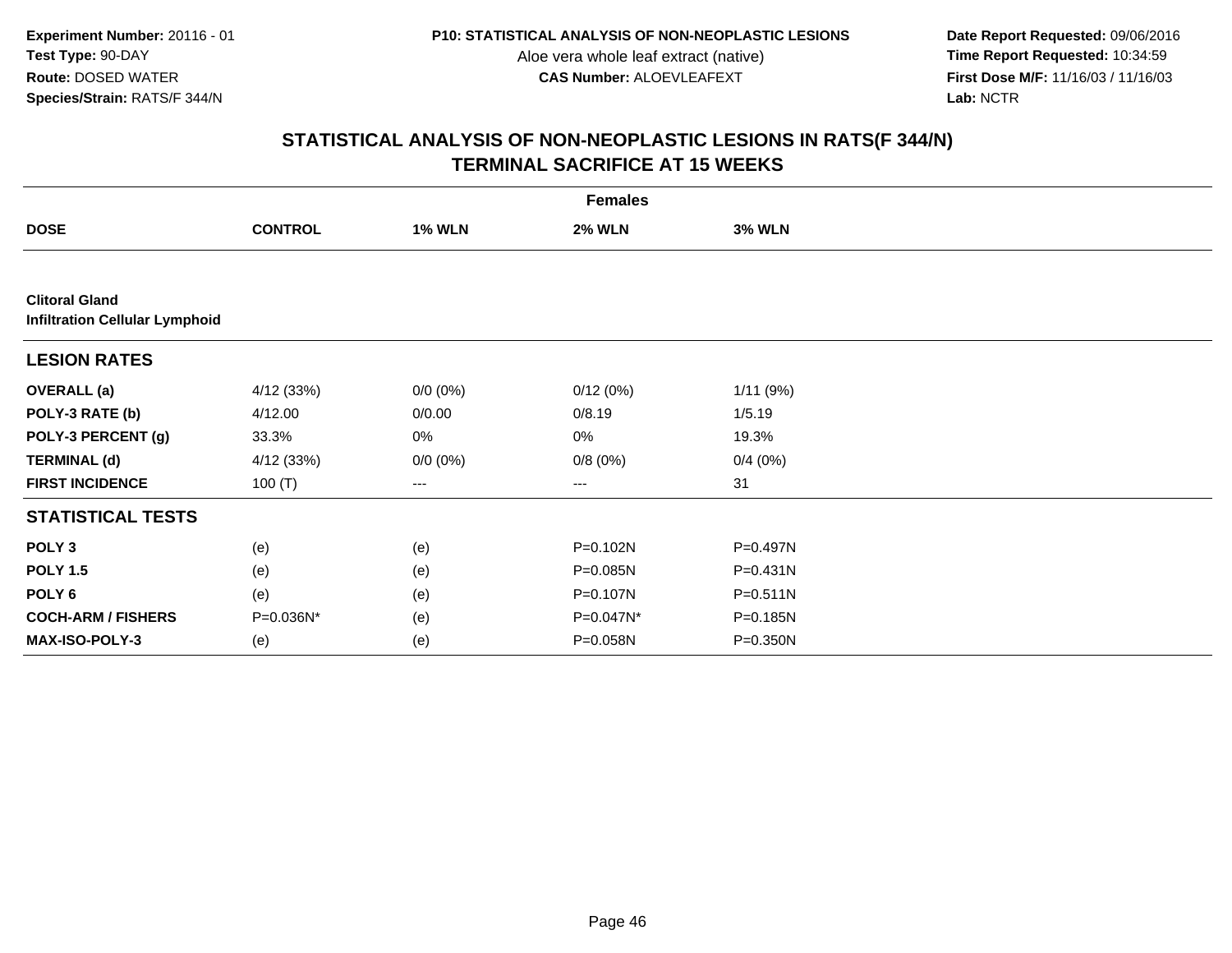**Date Report Requested:** 09/06/2016 **First Dose M/F:** 11/16/03 / 11/16/03<br>Lab: NCTR **Lab:** NCTR

|                                                                |                |               | <b>Females</b> |               |  |
|----------------------------------------------------------------|----------------|---------------|----------------|---------------|--|
| <b>DOSE</b>                                                    | <b>CONTROL</b> | <b>1% WLN</b> | <b>2% WLN</b>  | <b>3% WLN</b> |  |
|                                                                |                |               |                |               |  |
| <b>Clitoral Gland</b><br><b>Infiltration Cellular Lymphoid</b> |                |               |                |               |  |
| <b>LESION RATES</b>                                            |                |               |                |               |  |
| <b>OVERALL</b> (a)                                             | 4/12 (33%)     | $0/0 (0\%)$   | 0/12(0%)       | 1/11(9%)      |  |
| POLY-3 RATE (b)                                                | 4/12.00        | 0/0.00        | 0/8.19         | 1/5.19        |  |
| POLY-3 PERCENT (g)                                             | 33.3%          | 0%            | 0%             | 19.3%         |  |
| <b>TERMINAL (d)</b>                                            | 4/12(33%)      | $0/0 (0\%)$   | 0/8(0%)        | 0/4(0%)       |  |
| <b>FIRST INCIDENCE</b>                                         | 100 $(T)$      | ---           | $---$          | 31            |  |
| <b>STATISTICAL TESTS</b>                                       |                |               |                |               |  |
| POLY <sub>3</sub>                                              | (e)            | (e)           | P=0.102N       | P=0.497N      |  |
| <b>POLY 1.5</b>                                                | (e)            | (e)           | P=0.085N       | $P = 0.431N$  |  |
| POLY 6                                                         | (e)            | (e)           | P=0.107N       | $P = 0.511N$  |  |
| <b>COCH-ARM / FISHERS</b>                                      | P=0.036N*      | (e)           | P=0.047N*      | P=0.185N      |  |
| MAX-ISO-POLY-3                                                 | (e)            | (e)           | P=0.058N       | P=0.350N      |  |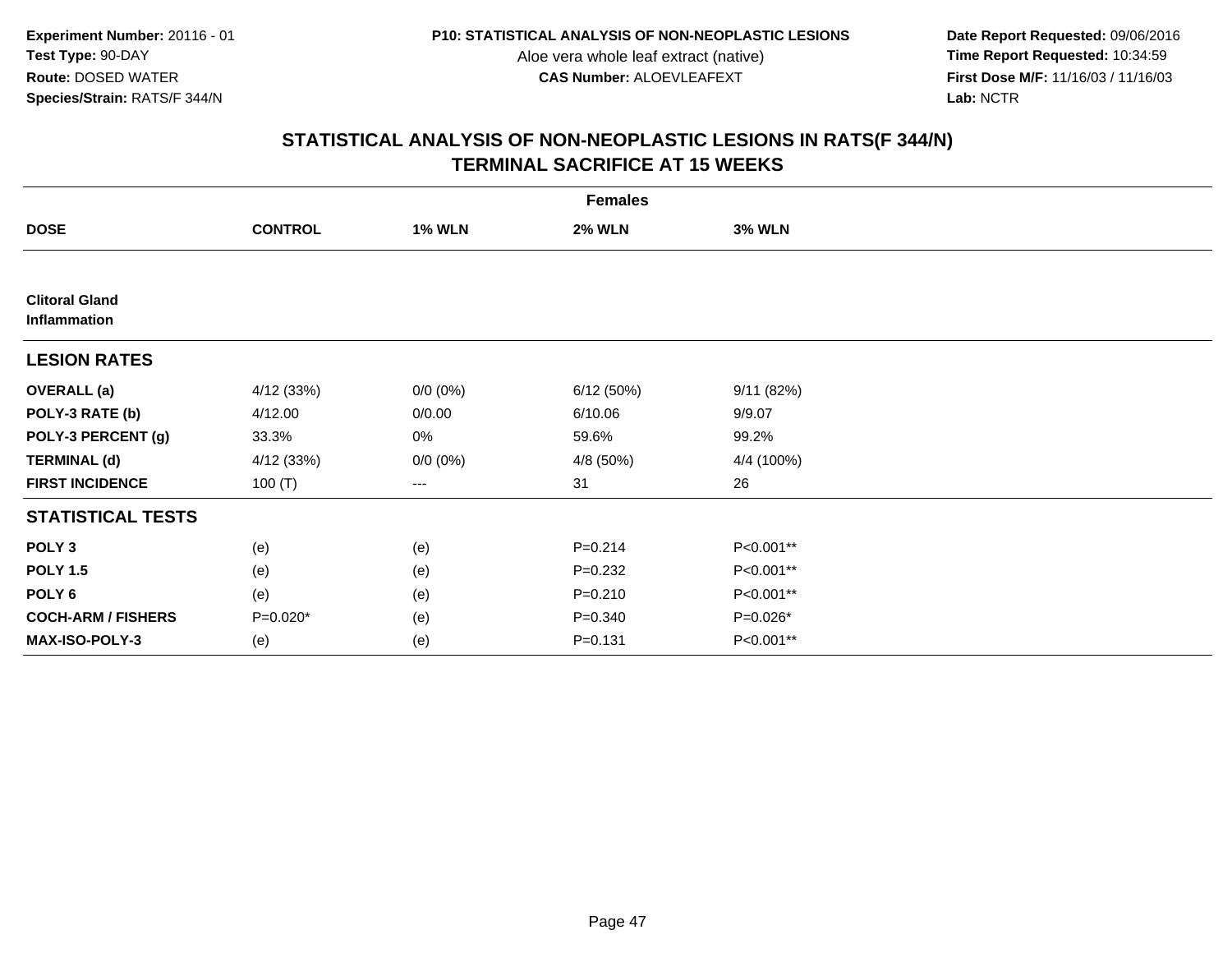**Date Report Requested:** 09/06/2016 **First Dose M/F:** 11/16/03 / 11/16/03<br>Lab: NCTR **Lab:** NCTR

|                                       |                |               | <b>Females</b> |               |  |
|---------------------------------------|----------------|---------------|----------------|---------------|--|
| <b>DOSE</b>                           | <b>CONTROL</b> | <b>1% WLN</b> | <b>2% WLN</b>  | <b>3% WLN</b> |  |
|                                       |                |               |                |               |  |
| <b>Clitoral Gland</b><br>Inflammation |                |               |                |               |  |
| <b>LESION RATES</b>                   |                |               |                |               |  |
| <b>OVERALL</b> (a)                    | 4/12(33%)      | $0/0 (0\%)$   | 6/12(50%)      | 9/11(82%)     |  |
| POLY-3 RATE (b)                       | 4/12.00        | 0/0.00        | 6/10.06        | 9/9.07        |  |
| POLY-3 PERCENT (g)                    | 33.3%          | 0%            | 59.6%          | 99.2%         |  |
| <b>TERMINAL (d)</b>                   | 4/12 (33%)     | $0/0 (0\%)$   | 4/8 (50%)      | 4/4 (100%)    |  |
| <b>FIRST INCIDENCE</b>                | 100 $(T)$      | ---           | 31             | 26            |  |
| <b>STATISTICAL TESTS</b>              |                |               |                |               |  |
| POLY <sub>3</sub>                     | (e)            | (e)           | $P = 0.214$    | P<0.001**     |  |
| <b>POLY 1.5</b>                       | (e)            | (e)           | $P = 0.232$    | P<0.001**     |  |
| POLY <sub>6</sub>                     | (e)            | (e)           | $P = 0.210$    | P<0.001**     |  |
| <b>COCH-ARM / FISHERS</b>             | $P=0.020*$     | (e)           | $P = 0.340$    | P=0.026*      |  |
| MAX-ISO-POLY-3                        | (e)            | (e)           | $P = 0.131$    | P<0.001**     |  |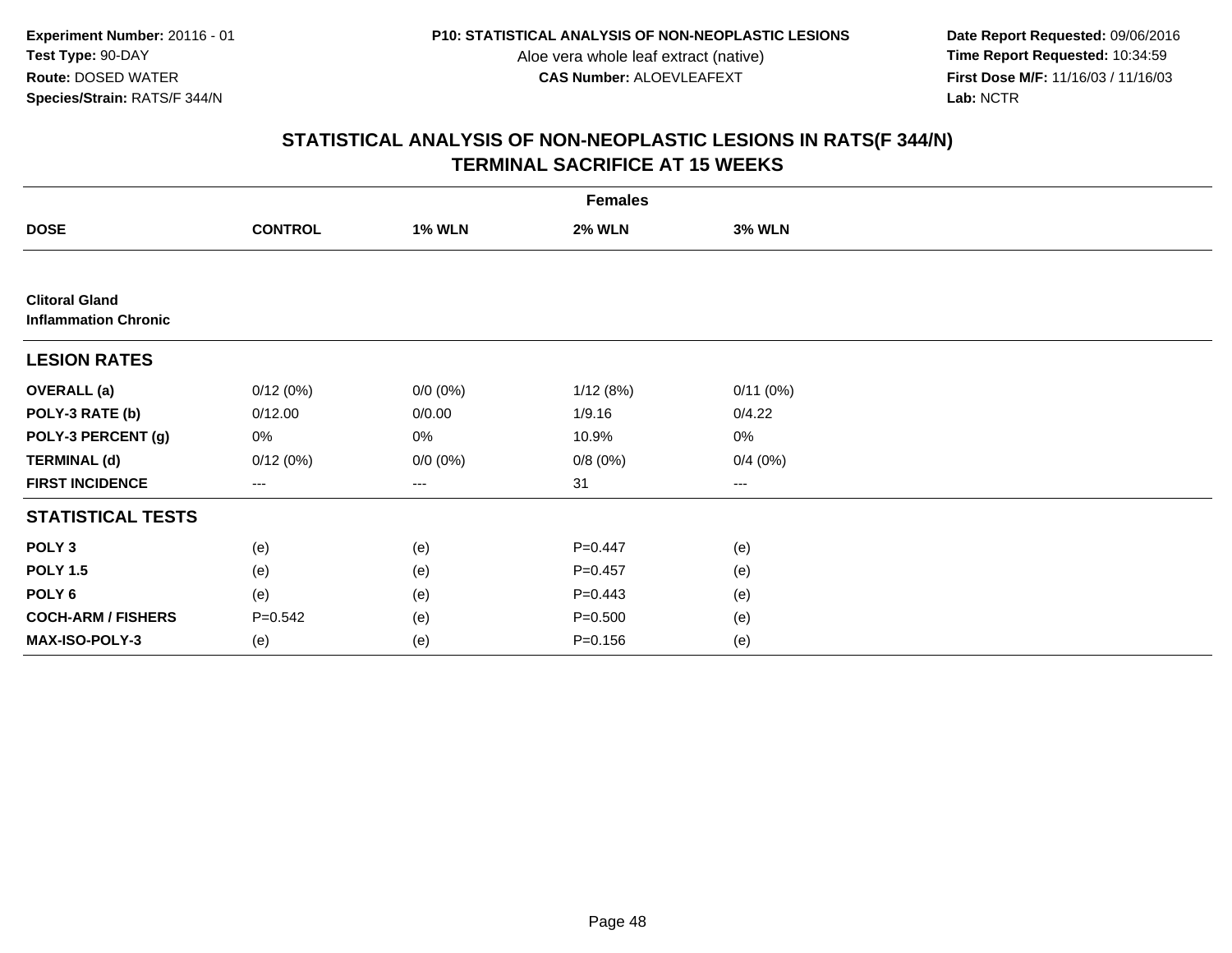**Date Report Requested:** 09/06/2016 **First Dose M/F:** 11/16/03 / 11/16/03<br>Lab: NCTR **Lab:** NCTR

|                                                      | <b>Females</b>    |               |               |               |  |  |  |
|------------------------------------------------------|-------------------|---------------|---------------|---------------|--|--|--|
| <b>DOSE</b>                                          | <b>CONTROL</b>    | <b>1% WLN</b> | <b>2% WLN</b> | <b>3% WLN</b> |  |  |  |
|                                                      |                   |               |               |               |  |  |  |
| <b>Clitoral Gland</b><br><b>Inflammation Chronic</b> |                   |               |               |               |  |  |  |
| <b>LESION RATES</b>                                  |                   |               |               |               |  |  |  |
| <b>OVERALL</b> (a)                                   | 0/12(0%)          | $0/0 (0\%)$   | 1/12(8%)      | 0/11(0%)      |  |  |  |
| POLY-3 RATE (b)                                      | 0/12.00           | 0/0.00        | 1/9.16        | 0/4.22        |  |  |  |
| POLY-3 PERCENT (g)                                   | 0%                | 0%            | 10.9%         | $0\%$         |  |  |  |
| <b>TERMINAL (d)</b>                                  | 0/12(0%)          | $0/0 (0\%)$   | 0/8(0%)       | 0/4(0%)       |  |  |  |
| <b>FIRST INCIDENCE</b>                               | $\qquad \qquad -$ | ---           | 31            | $\cdots$      |  |  |  |
| <b>STATISTICAL TESTS</b>                             |                   |               |               |               |  |  |  |
| POLY <sub>3</sub>                                    | (e)               | (e)           | $P=0.447$     | (e)           |  |  |  |
| <b>POLY 1.5</b>                                      | (e)               | (e)           | $P=0.457$     | (e)           |  |  |  |
| POLY 6                                               | (e)               | (e)           | $P=0.443$     | (e)           |  |  |  |
| <b>COCH-ARM / FISHERS</b>                            | $P = 0.542$       | (e)           | $P = 0.500$   | (e)           |  |  |  |
| <b>MAX-ISO-POLY-3</b>                                | (e)               | (e)           | $P = 0.156$   | (e)           |  |  |  |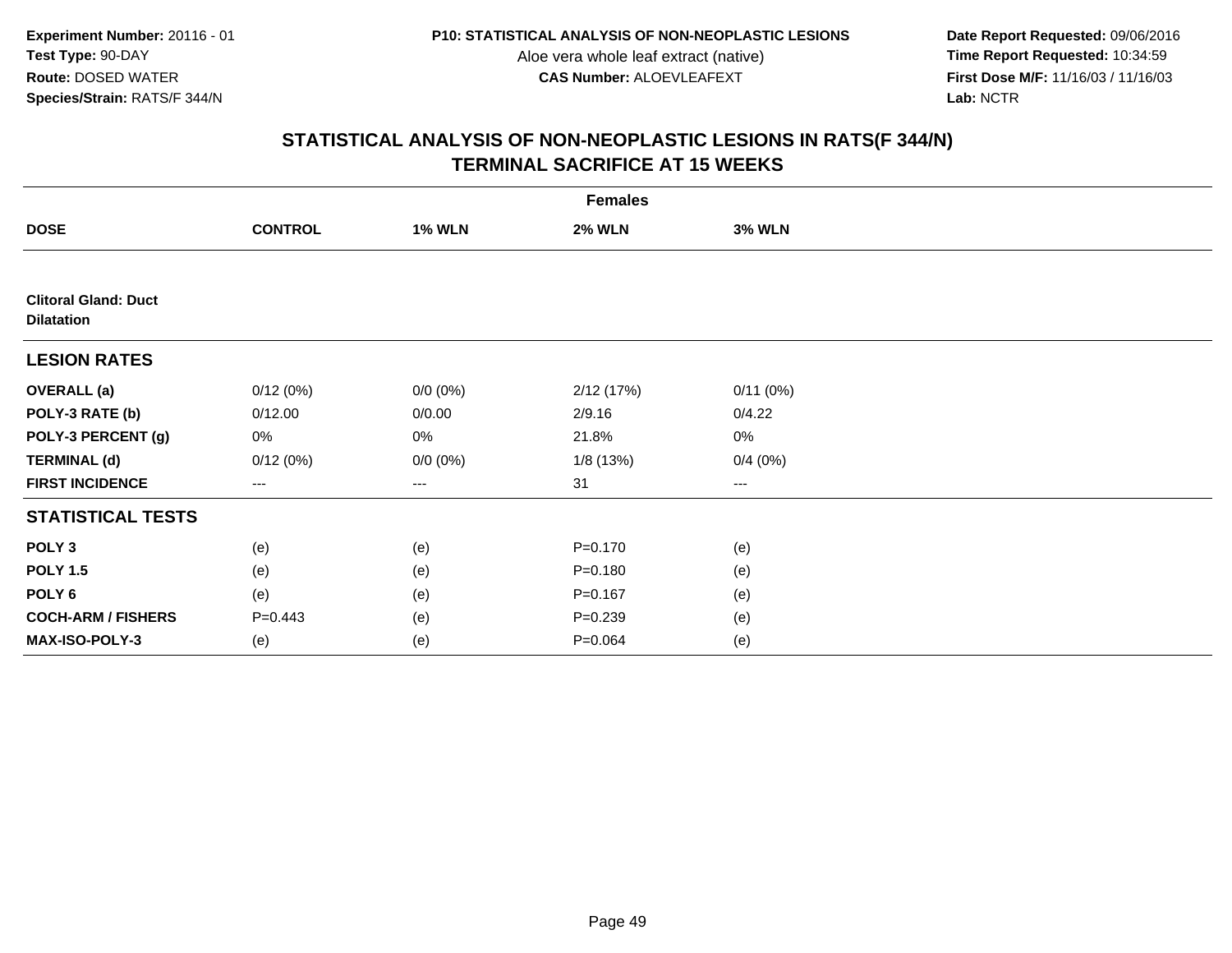**Date Report Requested:** 09/06/2016 **First Dose M/F:** 11/16/03 / 11/16/03<br>Lab: NCTR **Lab:** NCTR

|                                                  | <b>Females</b>         |               |               |               |  |  |  |  |
|--------------------------------------------------|------------------------|---------------|---------------|---------------|--|--|--|--|
| <b>DOSE</b>                                      | <b>CONTROL</b>         | <b>1% WLN</b> | <b>2% WLN</b> | <b>3% WLN</b> |  |  |  |  |
|                                                  |                        |               |               |               |  |  |  |  |
| <b>Clitoral Gland: Duct</b><br><b>Dilatation</b> |                        |               |               |               |  |  |  |  |
| <b>LESION RATES</b>                              |                        |               |               |               |  |  |  |  |
| <b>OVERALL</b> (a)                               | 0/12(0%)               | $0/0 (0\%)$   | 2/12 (17%)    | 0/11(0%)      |  |  |  |  |
| POLY-3 RATE (b)                                  | 0/12.00                | 0/0.00        | 2/9.16        | 0/4.22        |  |  |  |  |
| POLY-3 PERCENT (g)                               | 0%                     | 0%            | 21.8%         | 0%            |  |  |  |  |
| <b>TERMINAL (d)</b>                              | 0/12(0%)               | $0/0 (0\%)$   | 1/8(13%)      | 0/4(0%)       |  |  |  |  |
| <b>FIRST INCIDENCE</b>                           | $\qquad \qquad \cdots$ | $---$         | 31            | $--$          |  |  |  |  |
| <b>STATISTICAL TESTS</b>                         |                        |               |               |               |  |  |  |  |
| POLY <sub>3</sub>                                | (e)                    | (e)           | $P = 0.170$   | (e)           |  |  |  |  |
| <b>POLY 1.5</b>                                  | (e)                    | (e)           | $P = 0.180$   | (e)           |  |  |  |  |
| POLY 6                                           | (e)                    | (e)           | $P = 0.167$   | (e)           |  |  |  |  |
| <b>COCH-ARM / FISHERS</b>                        | $P = 0.443$            | (e)           | $P = 0.239$   | (e)           |  |  |  |  |
| MAX-ISO-POLY-3                                   | (e)                    | (e)           | $P = 0.064$   | (e)           |  |  |  |  |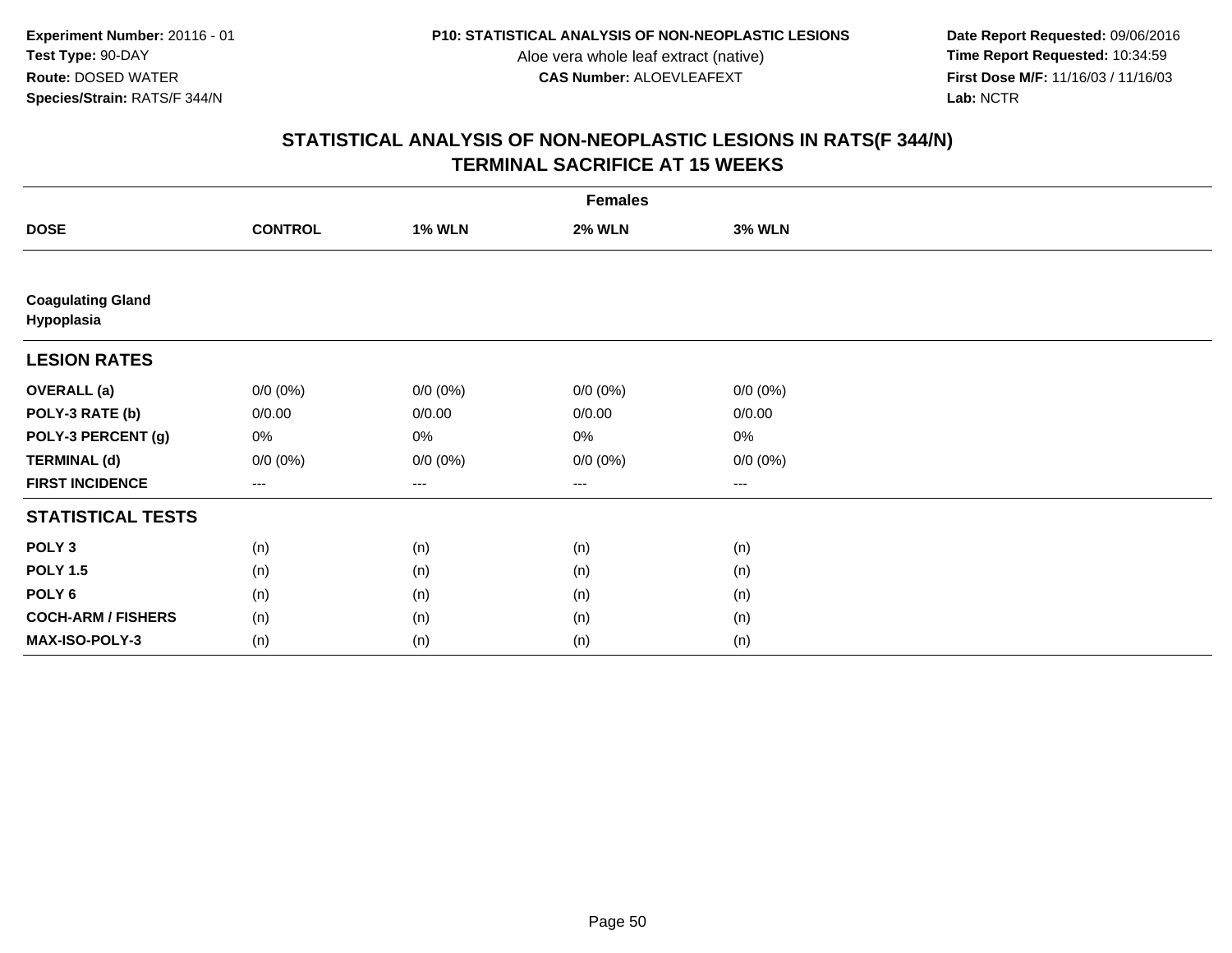**Date Report Requested:** 09/06/2016 **First Dose M/F:** 11/16/03 / 11/16/03<br>Lab: NCTR **Lab:** NCTR

|                                        | <b>Females</b>      |                   |               |               |  |  |  |  |
|----------------------------------------|---------------------|-------------------|---------------|---------------|--|--|--|--|
| <b>DOSE</b>                            | <b>CONTROL</b>      | <b>1% WLN</b>     | <b>2% WLN</b> | <b>3% WLN</b> |  |  |  |  |
|                                        |                     |                   |               |               |  |  |  |  |
| <b>Coagulating Gland</b><br>Hypoplasia |                     |                   |               |               |  |  |  |  |
| <b>LESION RATES</b>                    |                     |                   |               |               |  |  |  |  |
| <b>OVERALL</b> (a)                     | $0/0 (0\%)$         | $0/0 (0\%)$       | $0/0 (0\%)$   | $0/0 (0\%)$   |  |  |  |  |
| POLY-3 RATE (b)                        | 0/0.00              | 0/0.00            | 0/0.00        | 0/0.00        |  |  |  |  |
| POLY-3 PERCENT (g)                     | 0%                  | 0%                | $0\%$         | $0\%$         |  |  |  |  |
| <b>TERMINAL (d)</b>                    | $0/0 (0\%)$         | $0/0 (0\%)$       | $0/0 (0\%)$   | $0/0 (0\%)$   |  |  |  |  |
| <b>FIRST INCIDENCE</b>                 | $\qquad \qquad - -$ | $\qquad \qquad -$ | $---$         | $---$         |  |  |  |  |
| <b>STATISTICAL TESTS</b>               |                     |                   |               |               |  |  |  |  |
| POLY <sub>3</sub>                      | (n)                 | (n)               | (n)           | (n)           |  |  |  |  |
| <b>POLY 1.5</b>                        | (n)                 | (n)               | (n)           | (n)           |  |  |  |  |
| POLY <sub>6</sub>                      | (n)                 | (n)               | (n)           | (n)           |  |  |  |  |
| <b>COCH-ARM / FISHERS</b>              | (n)                 | (n)               | (n)           | (n)           |  |  |  |  |
| MAX-ISO-POLY-3                         | (n)                 | (n)               | (n)           | (n)           |  |  |  |  |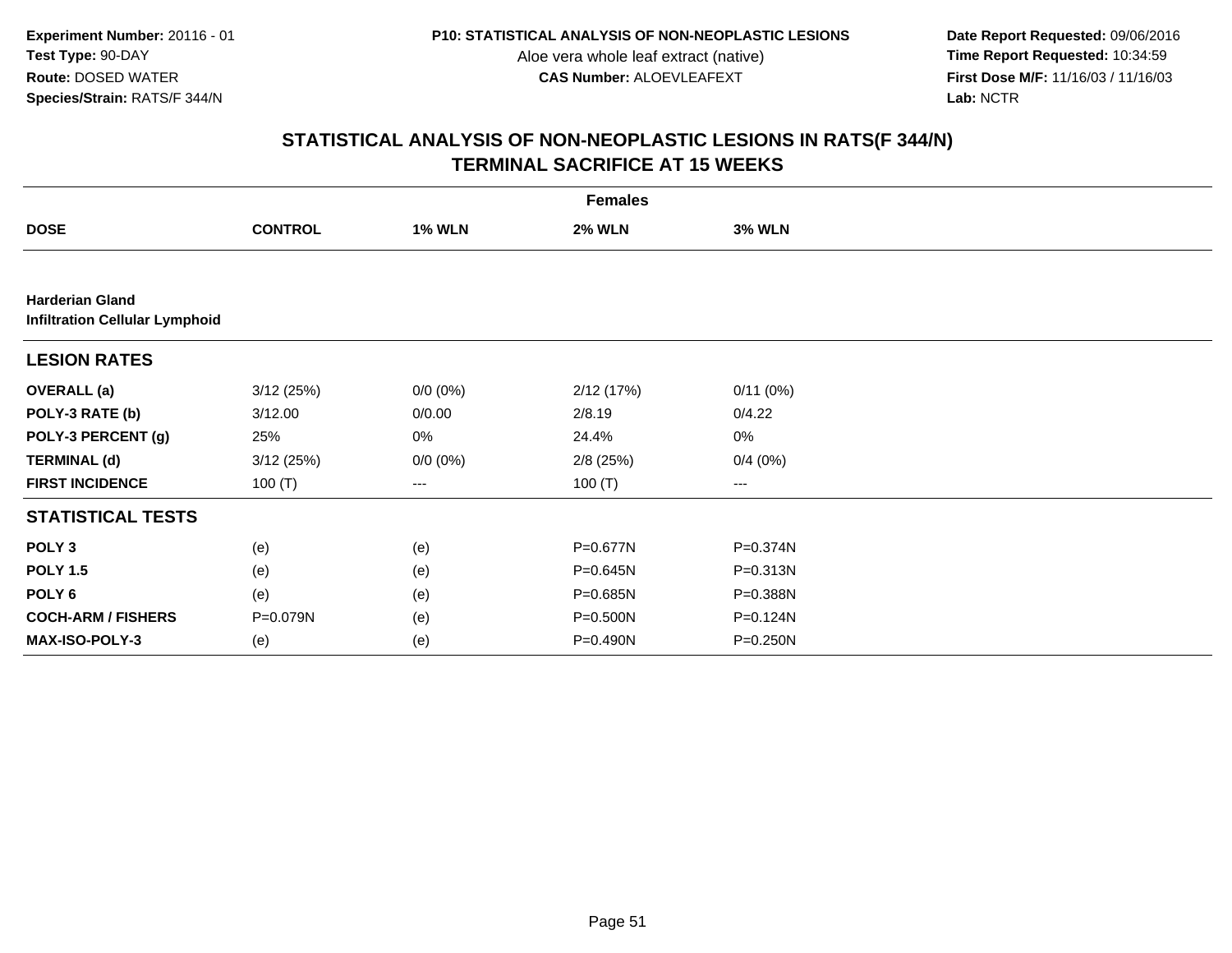**Date Report Requested:** 09/06/2016 **First Dose M/F:** 11/16/03 / 11/16/03<br>Lab: NCTR **Lab:** NCTR

|                                                                 | <b>Females</b> |               |               |               |  |  |  |  |
|-----------------------------------------------------------------|----------------|---------------|---------------|---------------|--|--|--|--|
| <b>DOSE</b>                                                     | <b>CONTROL</b> | <b>1% WLN</b> | <b>2% WLN</b> | <b>3% WLN</b> |  |  |  |  |
|                                                                 |                |               |               |               |  |  |  |  |
| <b>Harderian Gland</b><br><b>Infiltration Cellular Lymphoid</b> |                |               |               |               |  |  |  |  |
| <b>LESION RATES</b>                                             |                |               |               |               |  |  |  |  |
| <b>OVERALL</b> (a)                                              | 3/12(25%)      | $0/0 (0\%)$   | 2/12(17%)     | 0/11(0%)      |  |  |  |  |
| POLY-3 RATE (b)                                                 | 3/12.00        | 0/0.00        | 2/8.19        | 0/4.22        |  |  |  |  |
| POLY-3 PERCENT (g)                                              | 25%            | 0%            | 24.4%         | 0%            |  |  |  |  |
| <b>TERMINAL (d)</b>                                             | 3/12(25%)      | $0/0 (0\%)$   | $2/8$ (25%)   | 0/4(0%)       |  |  |  |  |
| <b>FIRST INCIDENCE</b>                                          | 100(T)         | $\cdots$      | 100 $(T)$     | ---           |  |  |  |  |
| <b>STATISTICAL TESTS</b>                                        |                |               |               |               |  |  |  |  |
| POLY <sub>3</sub>                                               | (e)            | (e)           | P=0.677N      | P=0.374N      |  |  |  |  |
| <b>POLY 1.5</b>                                                 | (e)            | (e)           | P=0.645N      | P=0.313N      |  |  |  |  |
| POLY <sub>6</sub>                                               | (e)            | (e)           | P=0.685N      | P=0.388N      |  |  |  |  |
| <b>COCH-ARM / FISHERS</b>                                       | P=0.079N       | (e)           | $P = 0.500N$  | P=0.124N      |  |  |  |  |
| <b>MAX-ISO-POLY-3</b>                                           | (e)            | (e)           | P=0.490N      | P=0.250N      |  |  |  |  |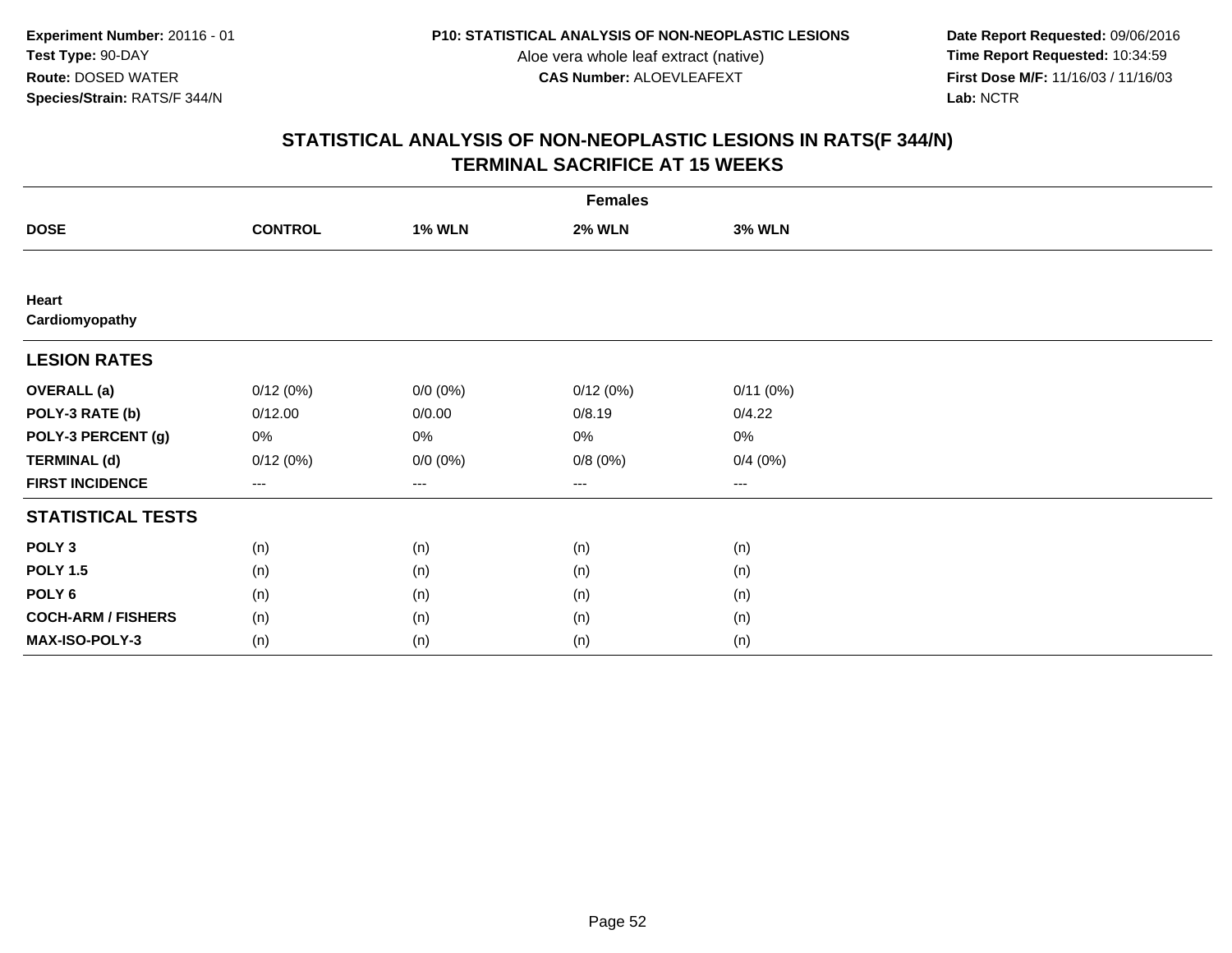**Date Report Requested:** 09/06/2016 **First Dose M/F:** 11/16/03 / 11/16/03<br>Lab: NCTR **Lab:** NCTR

|                           | <b>Females</b>      |               |               |                        |  |  |  |  |
|---------------------------|---------------------|---------------|---------------|------------------------|--|--|--|--|
| <b>DOSE</b>               | <b>CONTROL</b>      | <b>1% WLN</b> | <b>2% WLN</b> | <b>3% WLN</b>          |  |  |  |  |
|                           |                     |               |               |                        |  |  |  |  |
| Heart<br>Cardiomyopathy   |                     |               |               |                        |  |  |  |  |
| <b>LESION RATES</b>       |                     |               |               |                        |  |  |  |  |
| <b>OVERALL</b> (a)        | 0/12(0%)            | $0/0 (0\%)$   | 0/12(0%)      | 0/11(0%)               |  |  |  |  |
| POLY-3 RATE (b)           | 0/12.00             | 0/0.00        | 0/8.19        | 0/4.22                 |  |  |  |  |
| POLY-3 PERCENT (g)        | 0%                  | 0%            | 0%            | 0%                     |  |  |  |  |
| <b>TERMINAL (d)</b>       | 0/12(0%)            | $0/0 (0\%)$   | 0/8(0%)       | 0/4(0%)                |  |  |  |  |
| <b>FIRST INCIDENCE</b>    | $\qquad \qquad - -$ | ---           | ---           | $\qquad \qquad \cdots$ |  |  |  |  |
| <b>STATISTICAL TESTS</b>  |                     |               |               |                        |  |  |  |  |
| POLY <sub>3</sub>         | (n)                 | (n)           | (n)           | (n)                    |  |  |  |  |
| <b>POLY 1.5</b>           | (n)                 | (n)           | (n)           | (n)                    |  |  |  |  |
| POLY <sub>6</sub>         | (n)                 | (n)           | (n)           | (n)                    |  |  |  |  |
| <b>COCH-ARM / FISHERS</b> | (n)                 | (n)           | (n)           | (n)                    |  |  |  |  |
| MAX-ISO-POLY-3            | (n)                 | (n)           | (n)           | (n)                    |  |  |  |  |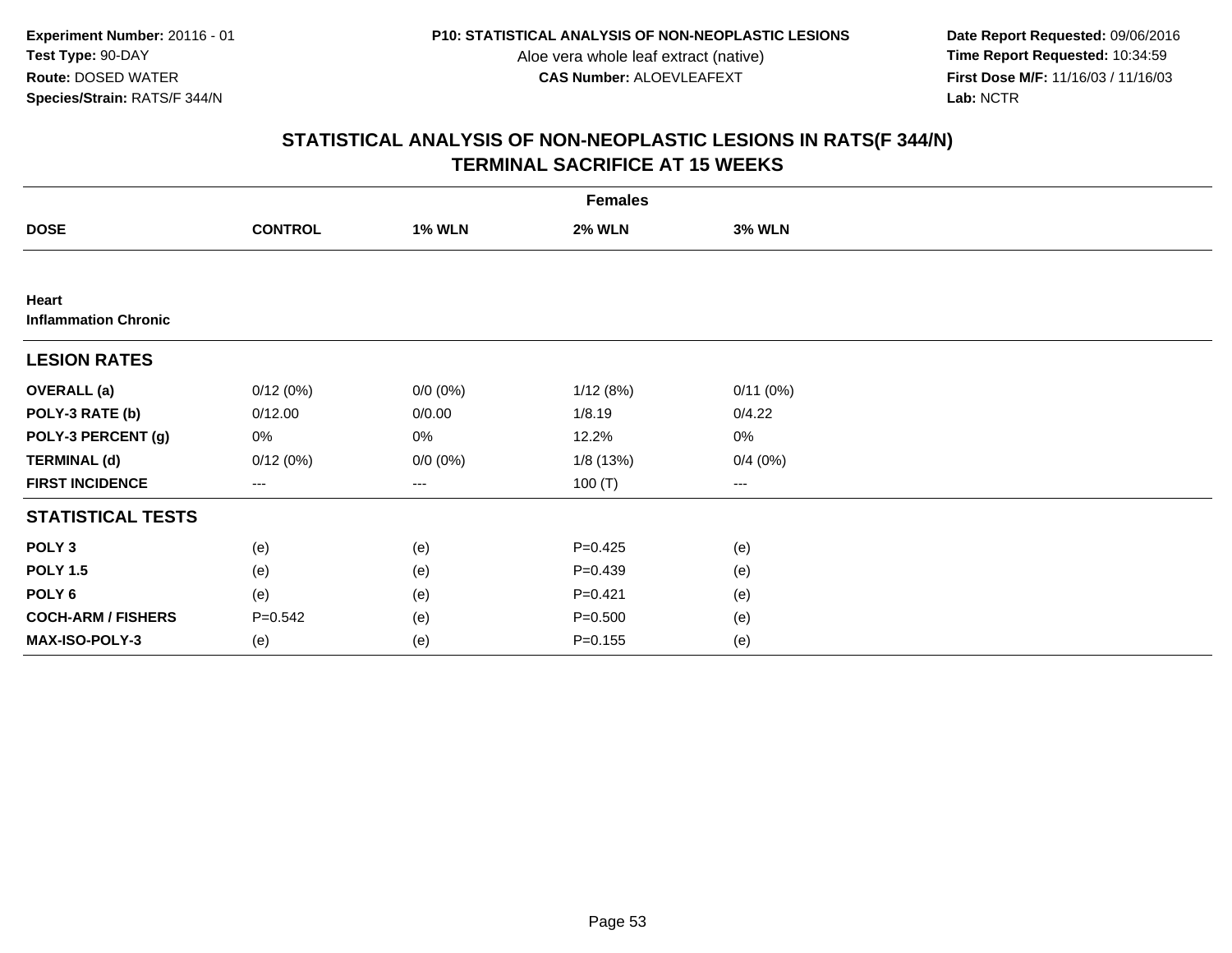**Date Report Requested:** 09/06/2016 **First Dose M/F:** 11/16/03 / 11/16/03<br>Lab: NCTR **Lab:** NCTR

|                                      | <b>Females</b>         |               |               |                        |  |  |  |  |
|--------------------------------------|------------------------|---------------|---------------|------------------------|--|--|--|--|
| <b>DOSE</b>                          | <b>CONTROL</b>         | <b>1% WLN</b> | <b>2% WLN</b> | <b>3% WLN</b>          |  |  |  |  |
|                                      |                        |               |               |                        |  |  |  |  |
| Heart<br><b>Inflammation Chronic</b> |                        |               |               |                        |  |  |  |  |
| <b>LESION RATES</b>                  |                        |               |               |                        |  |  |  |  |
| <b>OVERALL</b> (a)                   | 0/12(0%)               | $0/0 (0\%)$   | 1/12(8%)      | 0/11(0%)               |  |  |  |  |
| POLY-3 RATE (b)                      | 0/12.00                | 0/0.00        | 1/8.19        | 0/4.22                 |  |  |  |  |
| POLY-3 PERCENT (g)                   | 0%                     | 0%            | 12.2%         | 0%                     |  |  |  |  |
| <b>TERMINAL (d)</b>                  | 0/12(0%)               | $0/0 (0\%)$   | 1/8(13%)      | 0/4(0%)                |  |  |  |  |
| <b>FIRST INCIDENCE</b>               | $\qquad \qquad \cdots$ | $---$         | 100 $(T)$     | $\qquad \qquad \cdots$ |  |  |  |  |
| <b>STATISTICAL TESTS</b>             |                        |               |               |                        |  |  |  |  |
| POLY <sub>3</sub>                    | (e)                    | (e)           | $P=0.425$     | (e)                    |  |  |  |  |
| <b>POLY 1.5</b>                      | (e)                    | (e)           | $P=0.439$     | (e)                    |  |  |  |  |
| POLY 6                               | (e)                    | (e)           | $P=0.421$     | (e)                    |  |  |  |  |
| <b>COCH-ARM / FISHERS</b>            | $P = 0.542$            | (e)           | $P = 0.500$   | (e)                    |  |  |  |  |
| MAX-ISO-POLY-3                       | (e)                    | (e)           | $P = 0.155$   | (e)                    |  |  |  |  |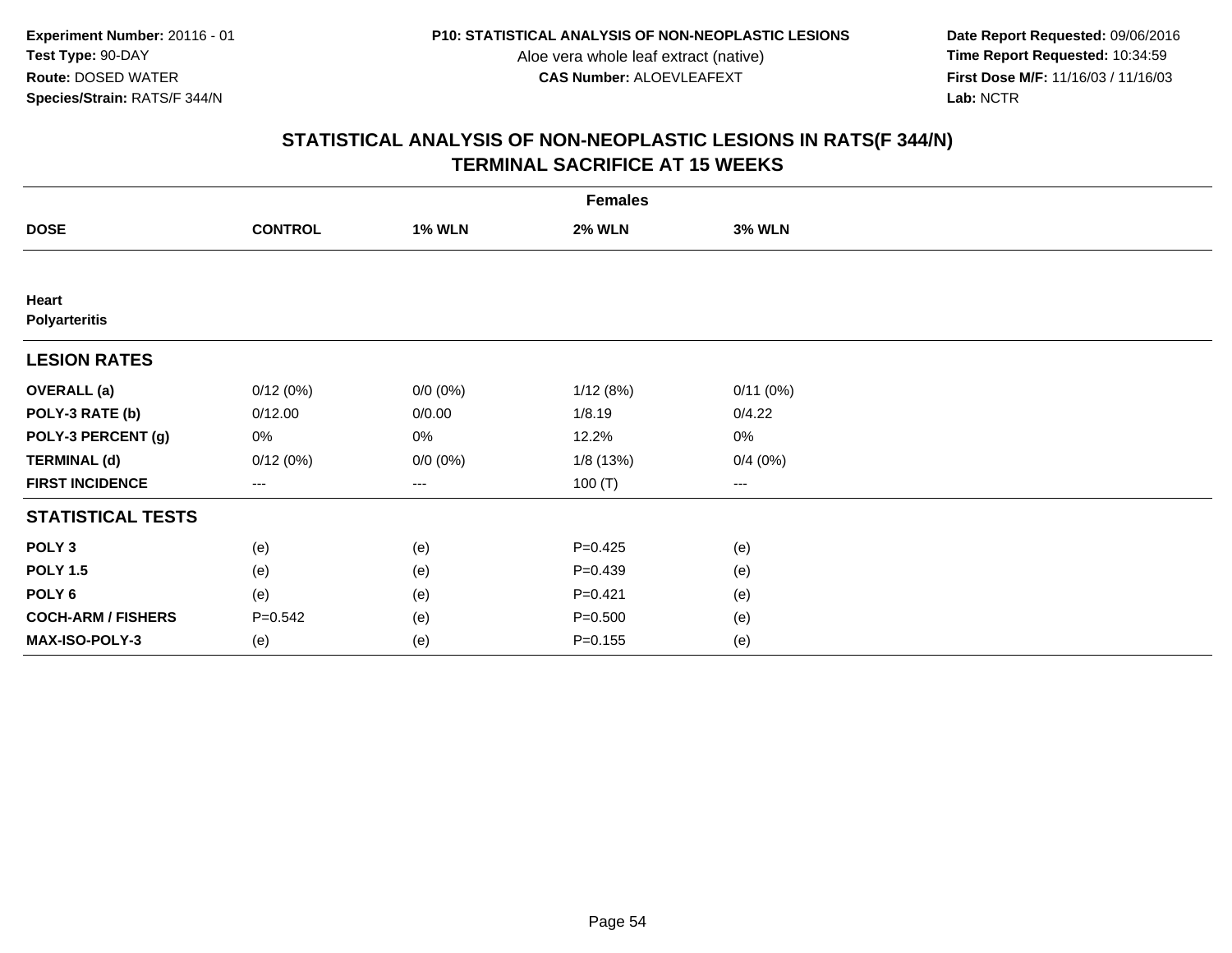**Date Report Requested:** 09/06/2016 **First Dose M/F:** 11/16/03 / 11/16/03<br>Lab: NCTR **Lab:** NCTR

|                               | <b>Females</b> |               |               |               |  |  |  |  |
|-------------------------------|----------------|---------------|---------------|---------------|--|--|--|--|
| <b>DOSE</b>                   | <b>CONTROL</b> | <b>1% WLN</b> | <b>2% WLN</b> | <b>3% WLN</b> |  |  |  |  |
|                               |                |               |               |               |  |  |  |  |
| Heart<br><b>Polyarteritis</b> |                |               |               |               |  |  |  |  |
| <b>LESION RATES</b>           |                |               |               |               |  |  |  |  |
| <b>OVERALL</b> (a)            | 0/12(0%)       | $0/0 (0\%)$   | 1/12(8%)      | 0/11(0%)      |  |  |  |  |
| POLY-3 RATE (b)               | 0/12.00        | 0/0.00        | 1/8.19        | 0/4.22        |  |  |  |  |
| POLY-3 PERCENT (g)            | 0%             | 0%            | 12.2%         | 0%            |  |  |  |  |
| <b>TERMINAL (d)</b>           | 0/12(0%)       | $0/0 (0\%)$   | 1/8 (13%)     | 0/4(0%)       |  |  |  |  |
| <b>FIRST INCIDENCE</b>        | $--$           | ---           | 100 $(T)$     | $--$          |  |  |  |  |
| <b>STATISTICAL TESTS</b>      |                |               |               |               |  |  |  |  |
| POLY <sub>3</sub>             | (e)            | (e)           | $P=0.425$     | (e)           |  |  |  |  |
| <b>POLY 1.5</b>               | (e)            | (e)           | $P = 0.439$   | (e)           |  |  |  |  |
| POLY <sub>6</sub>             | (e)            | (e)           | $P = 0.421$   | (e)           |  |  |  |  |
| <b>COCH-ARM / FISHERS</b>     | $P = 0.542$    | (e)           | $P = 0.500$   | (e)           |  |  |  |  |
| MAX-ISO-POLY-3                | (e)            | (e)           | $P = 0.155$   | (e)           |  |  |  |  |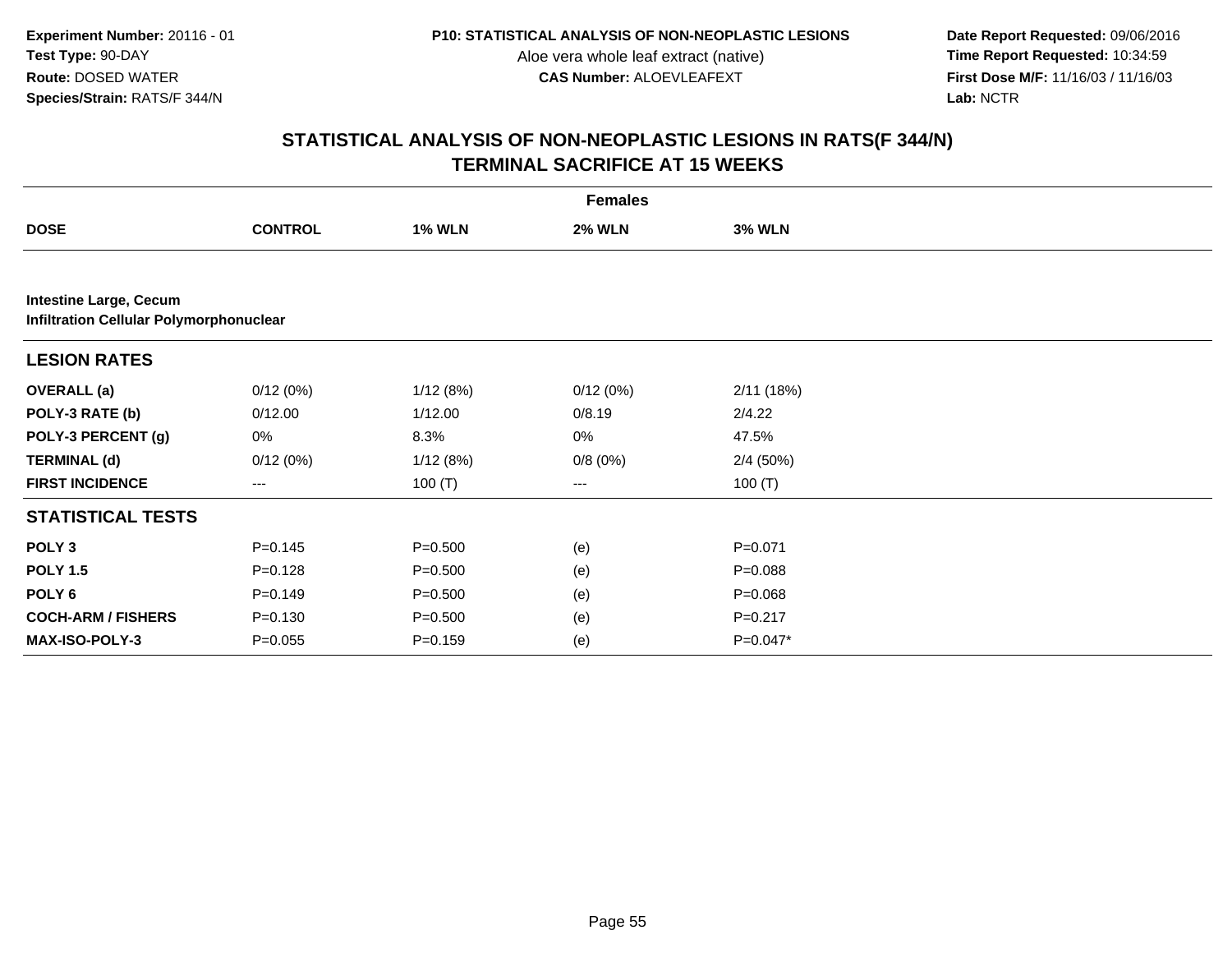**Date Report Requested:** 09/06/2016 **First Dose M/F:** 11/16/03 / 11/16/03<br>Lab: NCTR **Lab:** NCTR

|                                                                                 |                |               | <b>Females</b> |               |  |
|---------------------------------------------------------------------------------|----------------|---------------|----------------|---------------|--|
| <b>DOSE</b>                                                                     | <b>CONTROL</b> | <b>1% WLN</b> | <b>2% WLN</b>  | <b>3% WLN</b> |  |
|                                                                                 |                |               |                |               |  |
| <b>Intestine Large, Cecum</b><br><b>Infiltration Cellular Polymorphonuclear</b> |                |               |                |               |  |
| <b>LESION RATES</b>                                                             |                |               |                |               |  |
| <b>OVERALL</b> (a)                                                              | 0/12(0%)       | 1/12(8%)      | 0/12(0%)       | 2/11(18%)     |  |
| POLY-3 RATE (b)                                                                 | 0/12.00        | 1/12.00       | 0/8.19         | 2/4.22        |  |
| POLY-3 PERCENT (g)                                                              | 0%             | 8.3%          | 0%             | 47.5%         |  |
| <b>TERMINAL (d)</b>                                                             | 0/12(0%)       | 1/12(8%)      | 0/8(0%)        | 2/4(50%)      |  |
| <b>FIRST INCIDENCE</b>                                                          | ---            | 100 $(T)$     | ---            | 100 $(T)$     |  |
| <b>STATISTICAL TESTS</b>                                                        |                |               |                |               |  |
| POLY <sub>3</sub>                                                               | $P = 0.145$    | $P = 0.500$   | (e)            | $P = 0.071$   |  |
| <b>POLY 1.5</b>                                                                 | $P = 0.128$    | $P = 0.500$   | (e)            | $P = 0.088$   |  |
| POLY <sub>6</sub>                                                               | $P=0.149$      | $P = 0.500$   | (e)            | $P = 0.068$   |  |
| <b>COCH-ARM / FISHERS</b>                                                       | $P = 0.130$    | $P = 0.500$   | (e)            | $P = 0.217$   |  |
| MAX-ISO-POLY-3                                                                  | $P = 0.055$    | $P = 0.159$   | (e)            | $P=0.047*$    |  |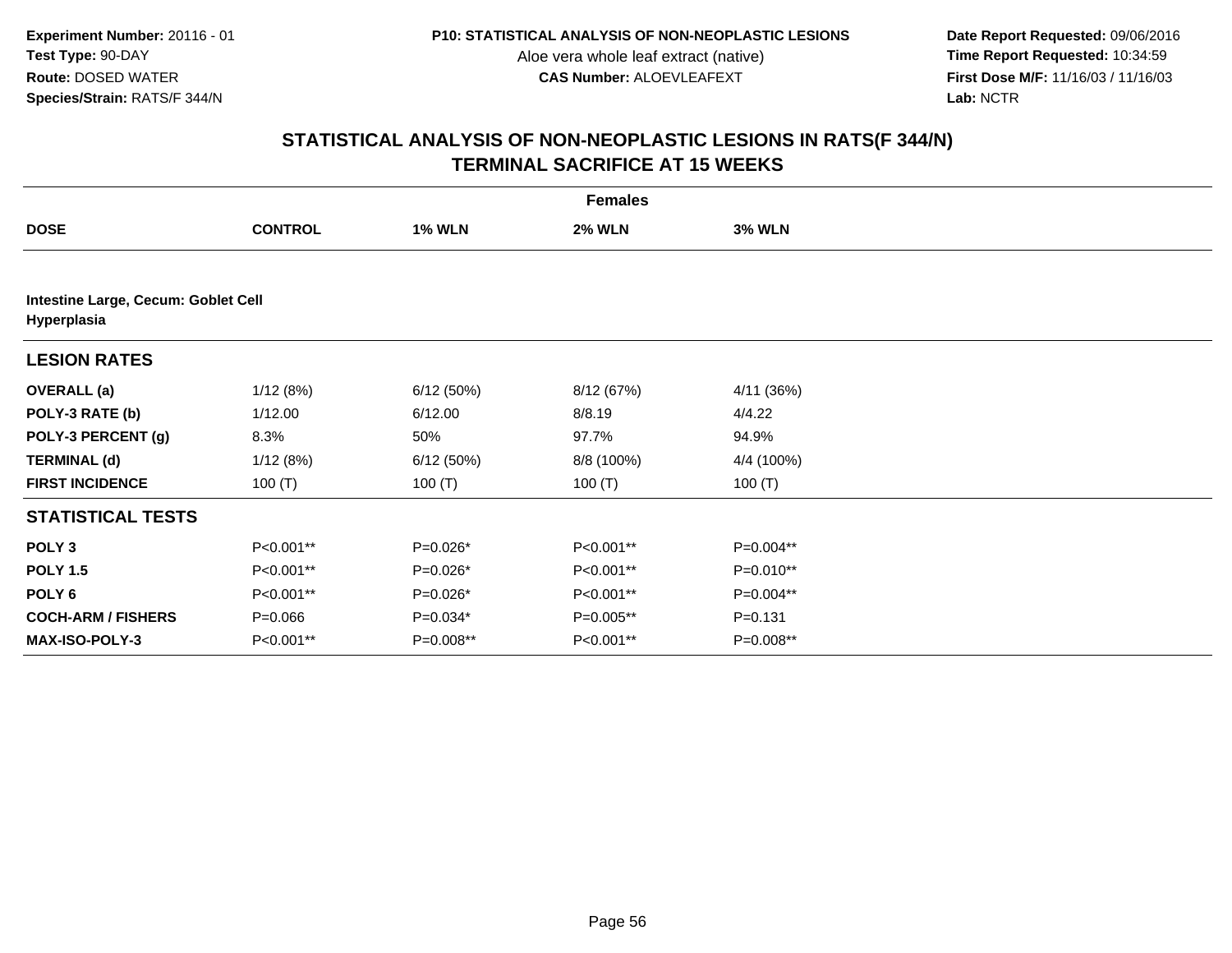**Date Report Requested:** 09/06/2016 **First Dose M/F:** 11/16/03 / 11/16/03<br>Lab: NCTR **Lab:** NCTR

|                                                    | <b>Females</b> |               |               |               |  |  |  |  |
|----------------------------------------------------|----------------|---------------|---------------|---------------|--|--|--|--|
| <b>DOSE</b>                                        | <b>CONTROL</b> | <b>1% WLN</b> | <b>2% WLN</b> | <b>3% WLN</b> |  |  |  |  |
|                                                    |                |               |               |               |  |  |  |  |
| Intestine Large, Cecum: Goblet Cell<br>Hyperplasia |                |               |               |               |  |  |  |  |
| <b>LESION RATES</b>                                |                |               |               |               |  |  |  |  |
| <b>OVERALL</b> (a)                                 | 1/12(8%)       | 6/12(50%)     | 8/12 (67%)    | 4/11 (36%)    |  |  |  |  |
| POLY-3 RATE (b)                                    | 1/12.00        | 6/12.00       | 8/8.19        | 4/4.22        |  |  |  |  |
| POLY-3 PERCENT (g)                                 | 8.3%           | 50%           | 97.7%         | 94.9%         |  |  |  |  |
| <b>TERMINAL (d)</b>                                | 1/12(8%)       | 6/12(50%)     | 8/8 (100%)    | 4/4 (100%)    |  |  |  |  |
| <b>FIRST INCIDENCE</b>                             | 100 $(T)$      | 100 $(T)$     | 100 $(T)$     | 100 $(T)$     |  |  |  |  |
| <b>STATISTICAL TESTS</b>                           |                |               |               |               |  |  |  |  |
| POLY <sub>3</sub>                                  | P<0.001**      | P=0.026*      | P<0.001**     | P=0.004**     |  |  |  |  |
| <b>POLY 1.5</b>                                    | P<0.001**      | $P=0.026*$    | P<0.001**     | P=0.010**     |  |  |  |  |
| POLY <sub>6</sub>                                  | P<0.001**      | P=0.026*      | P<0.001**     | P=0.004**     |  |  |  |  |
| <b>COCH-ARM / FISHERS</b>                          | $P = 0.066$    | $P=0.034*$    | P=0.005**     | $P = 0.131$   |  |  |  |  |
| <b>MAX-ISO-POLY-3</b>                              | P<0.001**      | P=0.008**     | P<0.001**     | P=0.008**     |  |  |  |  |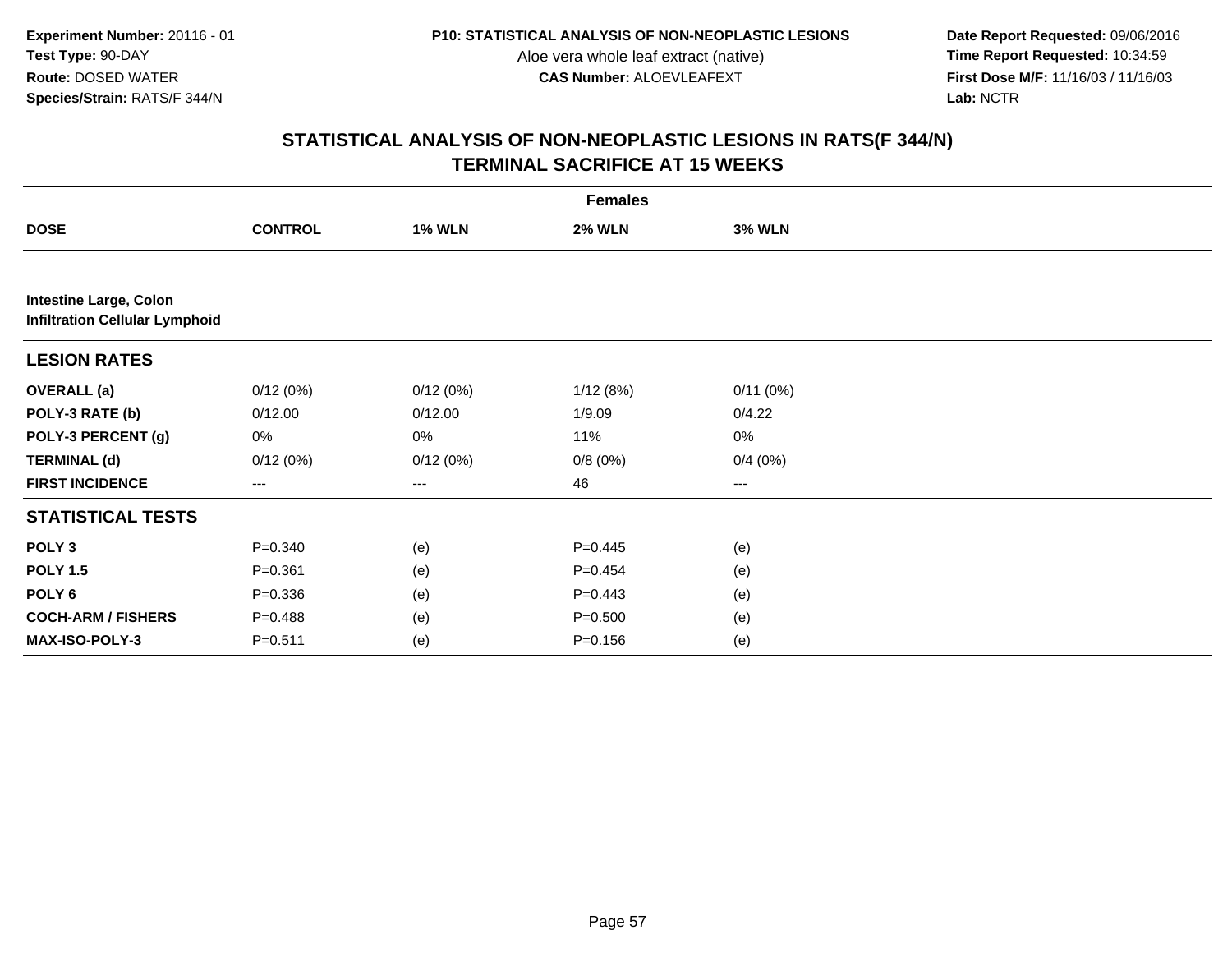**Date Report Requested:** 09/06/2016 **First Dose M/F:** 11/16/03 / 11/16/03<br>Lab: NCTR **Lab:** NCTR

|                                                                        | <b>Females</b> |               |               |               |  |  |  |  |
|------------------------------------------------------------------------|----------------|---------------|---------------|---------------|--|--|--|--|
| <b>DOSE</b>                                                            | <b>CONTROL</b> | <b>1% WLN</b> | <b>2% WLN</b> | <b>3% WLN</b> |  |  |  |  |
|                                                                        |                |               |               |               |  |  |  |  |
| <b>Intestine Large, Colon</b><br><b>Infiltration Cellular Lymphoid</b> |                |               |               |               |  |  |  |  |
| <b>LESION RATES</b>                                                    |                |               |               |               |  |  |  |  |
| <b>OVERALL</b> (a)                                                     | 0/12(0%)       | 0/12(0%)      | 1/12(8%)      | 0/11(0%)      |  |  |  |  |
| POLY-3 RATE (b)                                                        | 0/12.00        | 0/12.00       | 1/9.09        | 0/4.22        |  |  |  |  |
| POLY-3 PERCENT (g)                                                     | 0%             | 0%            | 11%           | 0%            |  |  |  |  |
| <b>TERMINAL (d)</b>                                                    | 0/12(0%)       | 0/12(0%)      | 0/8(0%)       | 0/4(0%)       |  |  |  |  |
| <b>FIRST INCIDENCE</b>                                                 | ---            | $--$          | 46            | ---           |  |  |  |  |
| <b>STATISTICAL TESTS</b>                                               |                |               |               |               |  |  |  |  |
| POLY <sub>3</sub>                                                      | $P = 0.340$    | (e)           | $P=0.445$     | (e)           |  |  |  |  |
| <b>POLY 1.5</b>                                                        | $P = 0.361$    | (e)           | $P=0.454$     | (e)           |  |  |  |  |
| POLY <sub>6</sub>                                                      | $P = 0.336$    | (e)           | $P=0.443$     | (e)           |  |  |  |  |
| <b>COCH-ARM / FISHERS</b>                                              | $P = 0.488$    | (e)           | $P = 0.500$   | (e)           |  |  |  |  |
| MAX-ISO-POLY-3                                                         | $P = 0.511$    | (e)           | $P = 0.156$   | (e)           |  |  |  |  |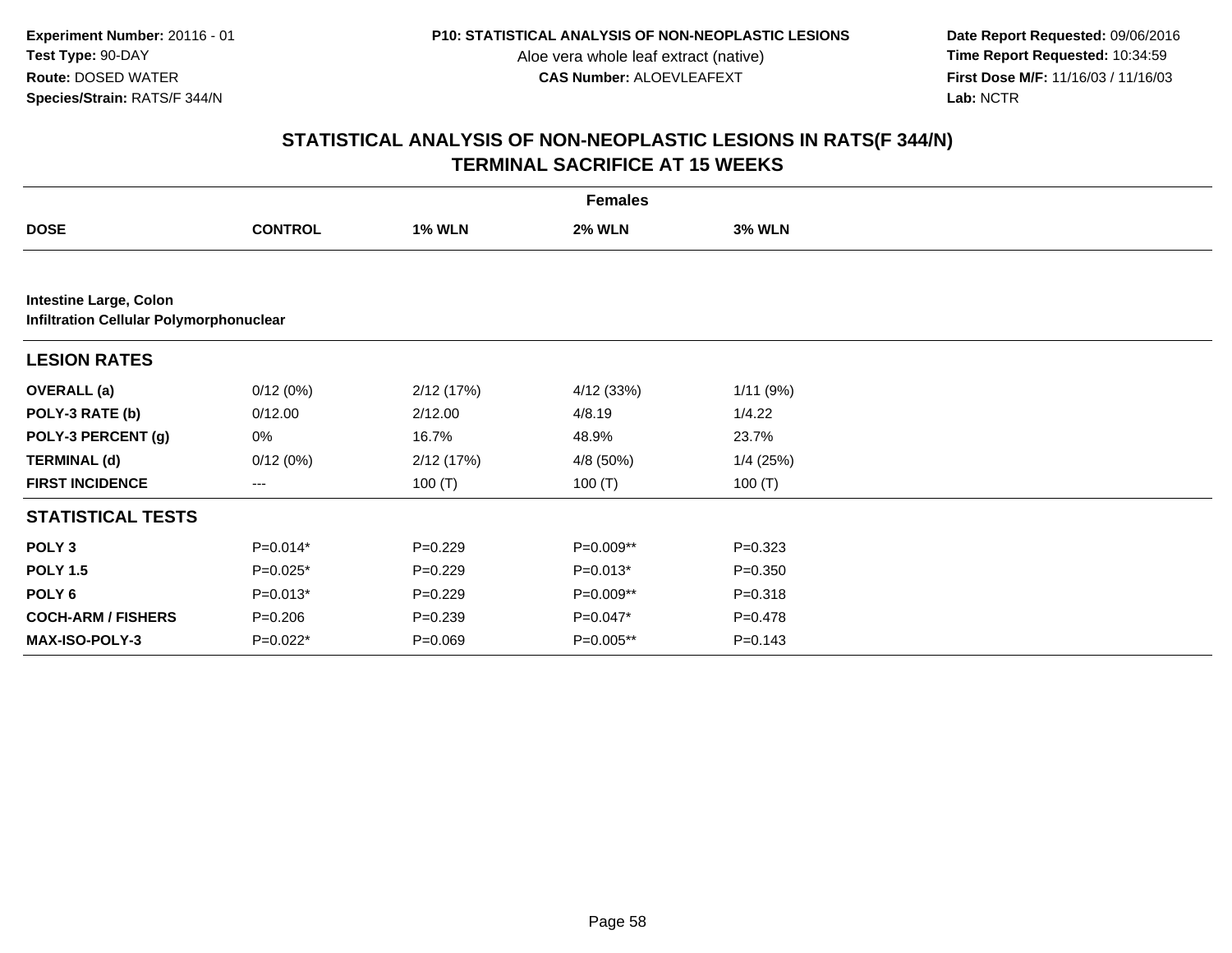**Date Report Requested:** 09/06/2016 **First Dose M/F:** 11/16/03 / 11/16/03<br>Lab: NCTR **Lab:** NCTR

|                               |                                         |               | <b>Females</b> |               |  |  |  |  |  |
|-------------------------------|-----------------------------------------|---------------|----------------|---------------|--|--|--|--|--|
| <b>DOSE</b>                   | <b>CONTROL</b>                          | <b>1% WLN</b> | <b>2% WLN</b>  | <b>3% WLN</b> |  |  |  |  |  |
|                               |                                         |               |                |               |  |  |  |  |  |
| <b>Intestine Large, Colon</b> | Infiltration Cellular Polymorphonuclear |               |                |               |  |  |  |  |  |
| <b>LESION RATES</b>           |                                         |               |                |               |  |  |  |  |  |
| <b>OVERALL</b> (a)            | 0/12(0%)                                | 2/12(17%)     | 4/12 (33%)     | 1/11(9%)      |  |  |  |  |  |
| POLY-3 RATE (b)               | 0/12.00                                 | 2/12.00       | 4/8.19         | 1/4.22        |  |  |  |  |  |
| POLY-3 PERCENT (g)            | 0%                                      | 16.7%         | 48.9%          | 23.7%         |  |  |  |  |  |
| <b>TERMINAL (d)</b>           | 0/12(0%)                                | 2/12(17%)     | 4/8 (50%)      | $1/4$ (25%)   |  |  |  |  |  |
| <b>FIRST INCIDENCE</b>        | $--$                                    | 100 $(T)$     | 100 $(T)$      | 100 $(T)$     |  |  |  |  |  |
| <b>STATISTICAL TESTS</b>      |                                         |               |                |               |  |  |  |  |  |
| POLY <sub>3</sub>             | $P=0.014*$                              | $P=0.229$     | P=0.009**      | $P = 0.323$   |  |  |  |  |  |
| <b>POLY 1.5</b>               | $P=0.025*$                              | $P=0.229$     | $P=0.013*$     | $P = 0.350$   |  |  |  |  |  |
| POLY <sub>6</sub>             | $P=0.013*$                              | $P=0.229$     | P=0.009**      | $P = 0.318$   |  |  |  |  |  |
| <b>COCH-ARM / FISHERS</b>     | $P = 0.206$                             | $P = 0.239$   | $P=0.047*$     | $P = 0.478$   |  |  |  |  |  |
| <b>MAX-ISO-POLY-3</b>         | $P=0.022*$                              | $P = 0.069$   | $P=0.005**$    | $P = 0.143$   |  |  |  |  |  |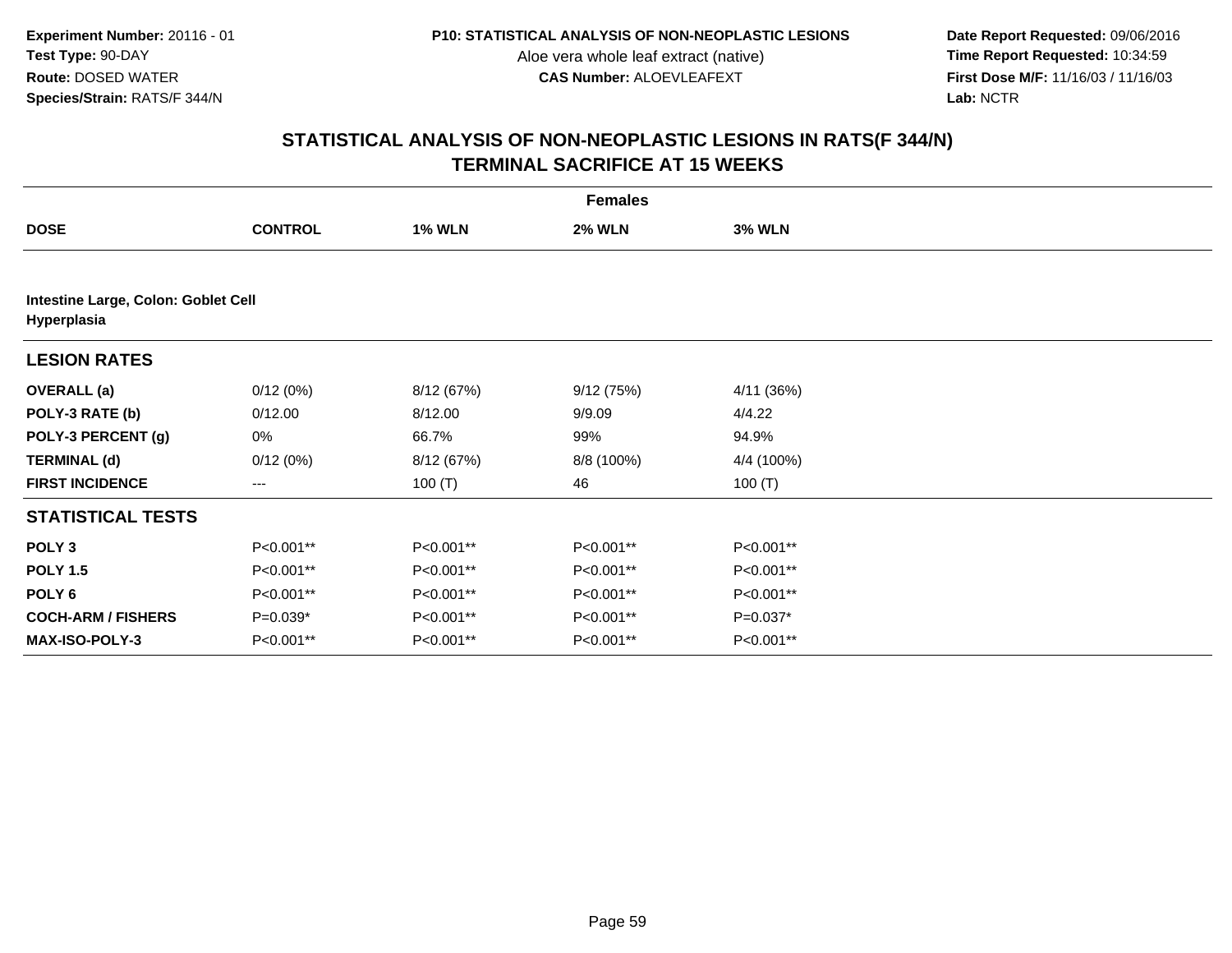**Date Report Requested:** 09/06/2016 **First Dose M/F:** 11/16/03 / 11/16/03<br>Lab: NCTR **Lab:** NCTR

|                                                    | <b>Females</b> |               |               |               |  |  |  |  |
|----------------------------------------------------|----------------|---------------|---------------|---------------|--|--|--|--|
| <b>DOSE</b>                                        | <b>CONTROL</b> | <b>1% WLN</b> | <b>2% WLN</b> | <b>3% WLN</b> |  |  |  |  |
|                                                    |                |               |               |               |  |  |  |  |
| Intestine Large, Colon: Goblet Cell<br>Hyperplasia |                |               |               |               |  |  |  |  |
| <b>LESION RATES</b>                                |                |               |               |               |  |  |  |  |
| <b>OVERALL</b> (a)                                 | 0/12(0%)       | 8/12 (67%)    | 9/12(75%)     | 4/11 (36%)    |  |  |  |  |
| POLY-3 RATE (b)                                    | 0/12.00        | 8/12.00       | 9/9.09        | 4/4.22        |  |  |  |  |
| POLY-3 PERCENT (g)                                 | 0%             | 66.7%         | 99%           | 94.9%         |  |  |  |  |
| <b>TERMINAL (d)</b>                                | 0/12(0%)       | 8/12 (67%)    | 8/8 (100%)    | 4/4 (100%)    |  |  |  |  |
| <b>FIRST INCIDENCE</b>                             | ---            | 100 $(T)$     | 46            | 100 $(T)$     |  |  |  |  |
| <b>STATISTICAL TESTS</b>                           |                |               |               |               |  |  |  |  |
| POLY <sub>3</sub>                                  | P<0.001**      | P<0.001**     | P<0.001**     | P<0.001**     |  |  |  |  |
| <b>POLY 1.5</b>                                    | P<0.001**      | P<0.001**     | P<0.001**     | P<0.001**     |  |  |  |  |
| POLY 6                                             | P<0.001**      | P<0.001**     | P<0.001**     | P<0.001**     |  |  |  |  |
| <b>COCH-ARM / FISHERS</b>                          | $P=0.039*$     | P<0.001**     | P<0.001**     | $P=0.037*$    |  |  |  |  |
| <b>MAX-ISO-POLY-3</b>                              | P<0.001**      | P<0.001**     | P<0.001**     | P<0.001**     |  |  |  |  |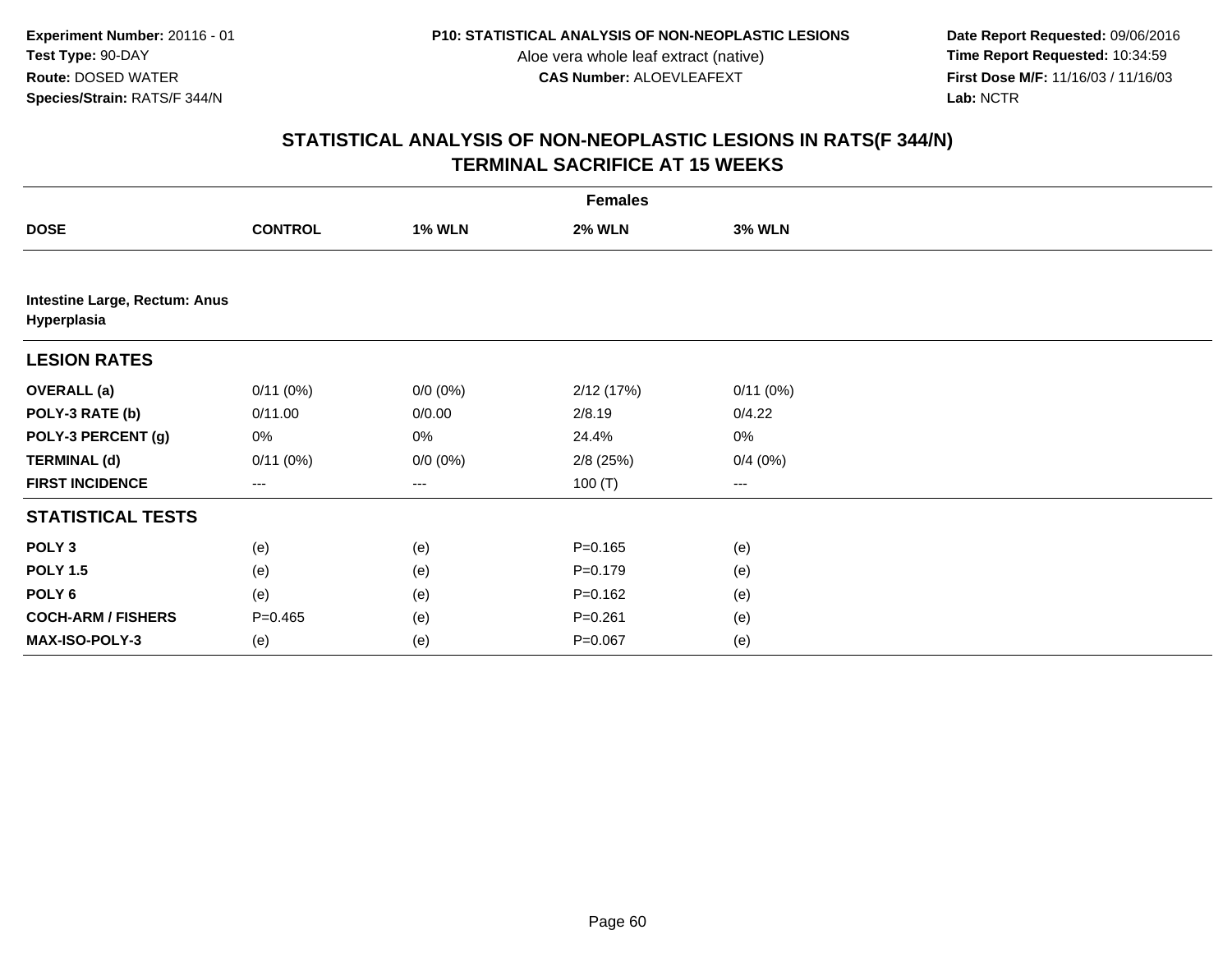**Date Report Requested:** 09/06/2016 **First Dose M/F:** 11/16/03 / 11/16/03<br>Lab: NCTR **Lab:** NCTR

|                                              | <b>Females</b>    |               |               |               |  |  |  |  |
|----------------------------------------------|-------------------|---------------|---------------|---------------|--|--|--|--|
| <b>DOSE</b>                                  | <b>CONTROL</b>    | <b>1% WLN</b> | <b>2% WLN</b> | <b>3% WLN</b> |  |  |  |  |
|                                              |                   |               |               |               |  |  |  |  |
| Intestine Large, Rectum: Anus<br>Hyperplasia |                   |               |               |               |  |  |  |  |
| <b>LESION RATES</b>                          |                   |               |               |               |  |  |  |  |
| <b>OVERALL</b> (a)                           | 0/11(0%)          | $0/0 (0\%)$   | 2/12(17%)     | 0/11(0%)      |  |  |  |  |
| POLY-3 RATE (b)                              | 0/11.00           | 0/0.00        | 2/8.19        | 0/4.22        |  |  |  |  |
| POLY-3 PERCENT (g)                           | 0%                | 0%            | 24.4%         | 0%            |  |  |  |  |
| <b>TERMINAL (d)</b>                          | 0/11(0%)          | $0/0 (0\%)$   | $2/8$ (25%)   | 0/4(0%)       |  |  |  |  |
| <b>FIRST INCIDENCE</b>                       | $\qquad \qquad -$ | ---           | 100 $(T)$     | ---           |  |  |  |  |
| <b>STATISTICAL TESTS</b>                     |                   |               |               |               |  |  |  |  |
| POLY <sub>3</sub>                            | (e)               | (e)           | $P = 0.165$   | (e)           |  |  |  |  |
| <b>POLY 1.5</b>                              | (e)               | (e)           | $P = 0.179$   | (e)           |  |  |  |  |
| POLY 6                                       | (e)               | (e)           | $P = 0.162$   | (e)           |  |  |  |  |
| <b>COCH-ARM / FISHERS</b>                    | $P=0.465$         | (e)           | $P = 0.261$   | (e)           |  |  |  |  |
| MAX-ISO-POLY-3                               | (e)               | (e)           | $P = 0.067$   | (e)           |  |  |  |  |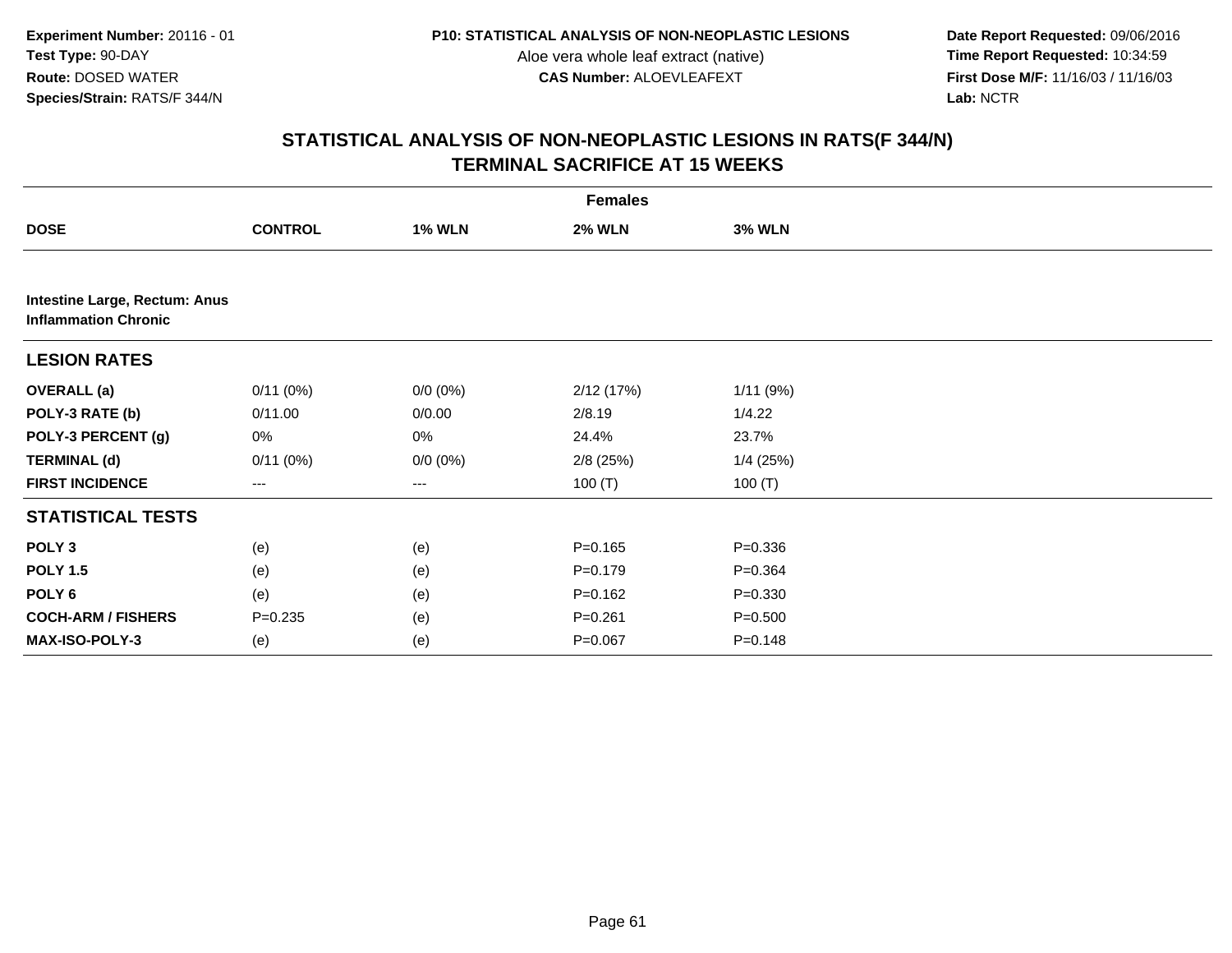**Date Report Requested:** 09/06/2016 **First Dose M/F:** 11/16/03 / 11/16/03<br>Lab: NCTR **Lab:** NCTR

|                                                              | <b>Females</b> |                        |               |               |  |  |  |
|--------------------------------------------------------------|----------------|------------------------|---------------|---------------|--|--|--|
| <b>DOSE</b>                                                  | <b>CONTROL</b> | <b>1% WLN</b>          | <b>2% WLN</b> | <b>3% WLN</b> |  |  |  |
|                                                              |                |                        |               |               |  |  |  |
| Intestine Large, Rectum: Anus<br><b>Inflammation Chronic</b> |                |                        |               |               |  |  |  |
| <b>LESION RATES</b>                                          |                |                        |               |               |  |  |  |
| <b>OVERALL</b> (a)                                           | 0/11(0%)       | $0/0 (0\%)$            | 2/12 (17%)    | 1/11(9%)      |  |  |  |
| POLY-3 RATE (b)                                              | 0/11.00        | 0/0.00                 | 2/8.19        | 1/4.22        |  |  |  |
| POLY-3 PERCENT (g)                                           | 0%             | 0%                     | 24.4%         | 23.7%         |  |  |  |
| <b>TERMINAL (d)</b>                                          | 0/11(0%)       | $0/0 (0\%)$            | $2/8$ (25%)   | $1/4$ (25%)   |  |  |  |
| <b>FIRST INCIDENCE</b>                                       | ---            | $\qquad \qquad \cdots$ | 100 $(T)$     | 100 $(T)$     |  |  |  |
| <b>STATISTICAL TESTS</b>                                     |                |                        |               |               |  |  |  |
| POLY <sub>3</sub>                                            | (e)            | (e)                    | $P = 0.165$   | $P = 0.336$   |  |  |  |
| <b>POLY 1.5</b>                                              | (e)            | (e)                    | $P = 0.179$   | $P = 0.364$   |  |  |  |
| POLY <sub>6</sub>                                            | (e)            | (e)                    | $P = 0.162$   | $P = 0.330$   |  |  |  |
| <b>COCH-ARM / FISHERS</b>                                    | $P = 0.235$    | (e)                    | $P = 0.261$   | $P = 0.500$   |  |  |  |
| MAX-ISO-POLY-3                                               | (e)            | (e)                    | $P = 0.067$   | $P = 0.148$   |  |  |  |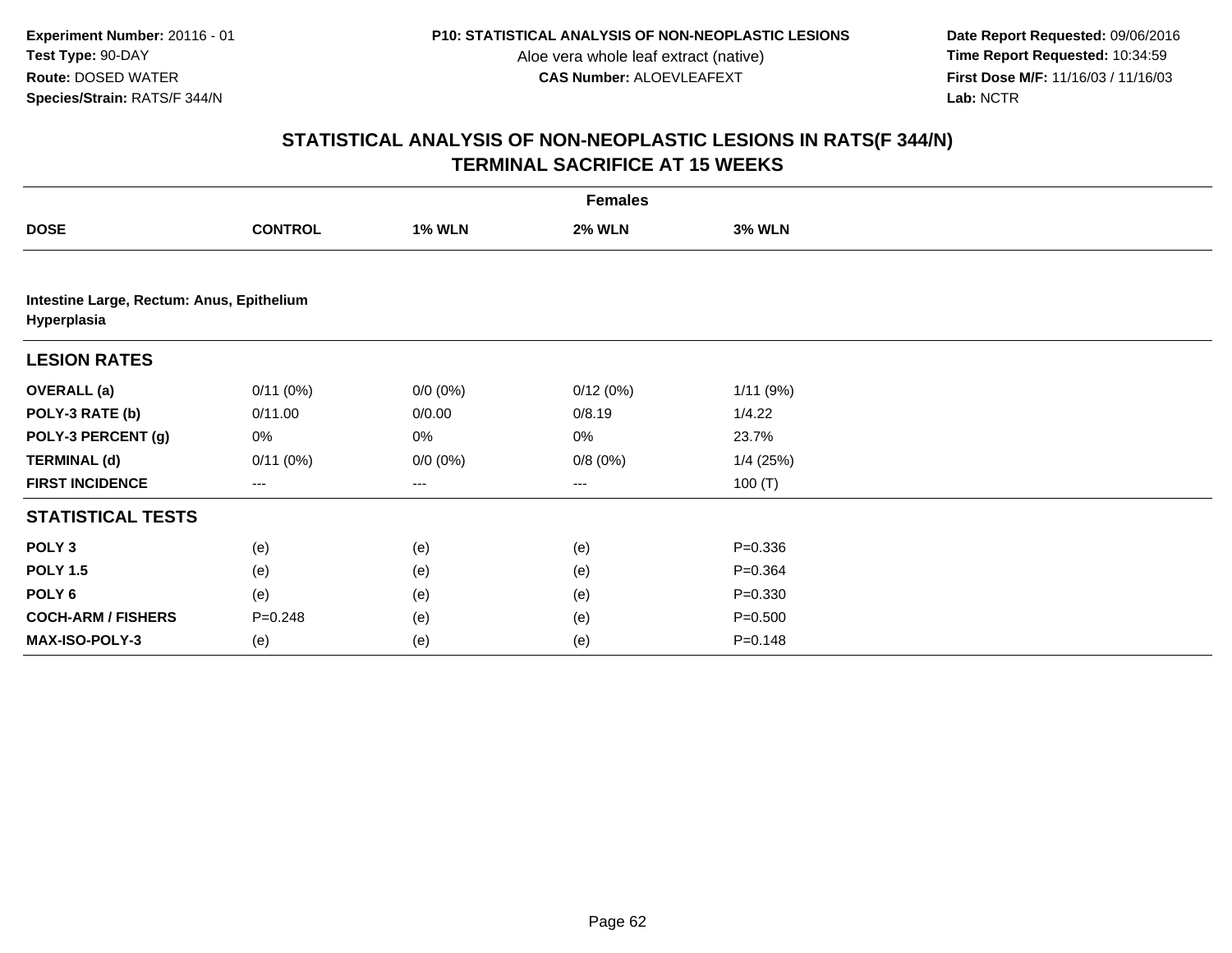**Date Report Requested:** 09/06/2016 **First Dose M/F:** 11/16/03 / 11/16/03<br>Lab: NCTR **Lab:** NCTR

|                                                          |                |               | <b>Females</b> |               |  |
|----------------------------------------------------------|----------------|---------------|----------------|---------------|--|
| <b>DOSE</b>                                              | <b>CONTROL</b> | <b>1% WLN</b> | <b>2% WLN</b>  | <b>3% WLN</b> |  |
|                                                          |                |               |                |               |  |
| Intestine Large, Rectum: Anus, Epithelium<br>Hyperplasia |                |               |                |               |  |
| <b>LESION RATES</b>                                      |                |               |                |               |  |
| <b>OVERALL</b> (a)                                       | 0/11(0%)       | $0/0 (0\%)$   | 0/12(0%)       | 1/11(9%)      |  |
| POLY-3 RATE (b)                                          | 0/11.00        | 0/0.00        | 0/8.19         | 1/4.22        |  |
| POLY-3 PERCENT (g)                                       | 0%             | 0%            | 0%             | 23.7%         |  |
| <b>TERMINAL (d)</b>                                      | 0/11(0%)       | $0/0 (0\%)$   | 0/8(0%)        | $1/4$ (25%)   |  |
| <b>FIRST INCIDENCE</b>                                   | ---            | ---           | $--$           | 100(T)        |  |
| <b>STATISTICAL TESTS</b>                                 |                |               |                |               |  |
| POLY <sub>3</sub>                                        | (e)            | (e)           | (e)            | $P = 0.336$   |  |
| <b>POLY 1.5</b>                                          | (e)            | (e)           | (e)            | $P = 0.364$   |  |
| POLY 6                                                   | (e)            | (e)           | (e)            | $P = 0.330$   |  |
| <b>COCH-ARM / FISHERS</b>                                | $P = 0.248$    | (e)           | (e)            | $P = 0.500$   |  |
| MAX-ISO-POLY-3                                           | (e)            | (e)           | (e)            | $P = 0.148$   |  |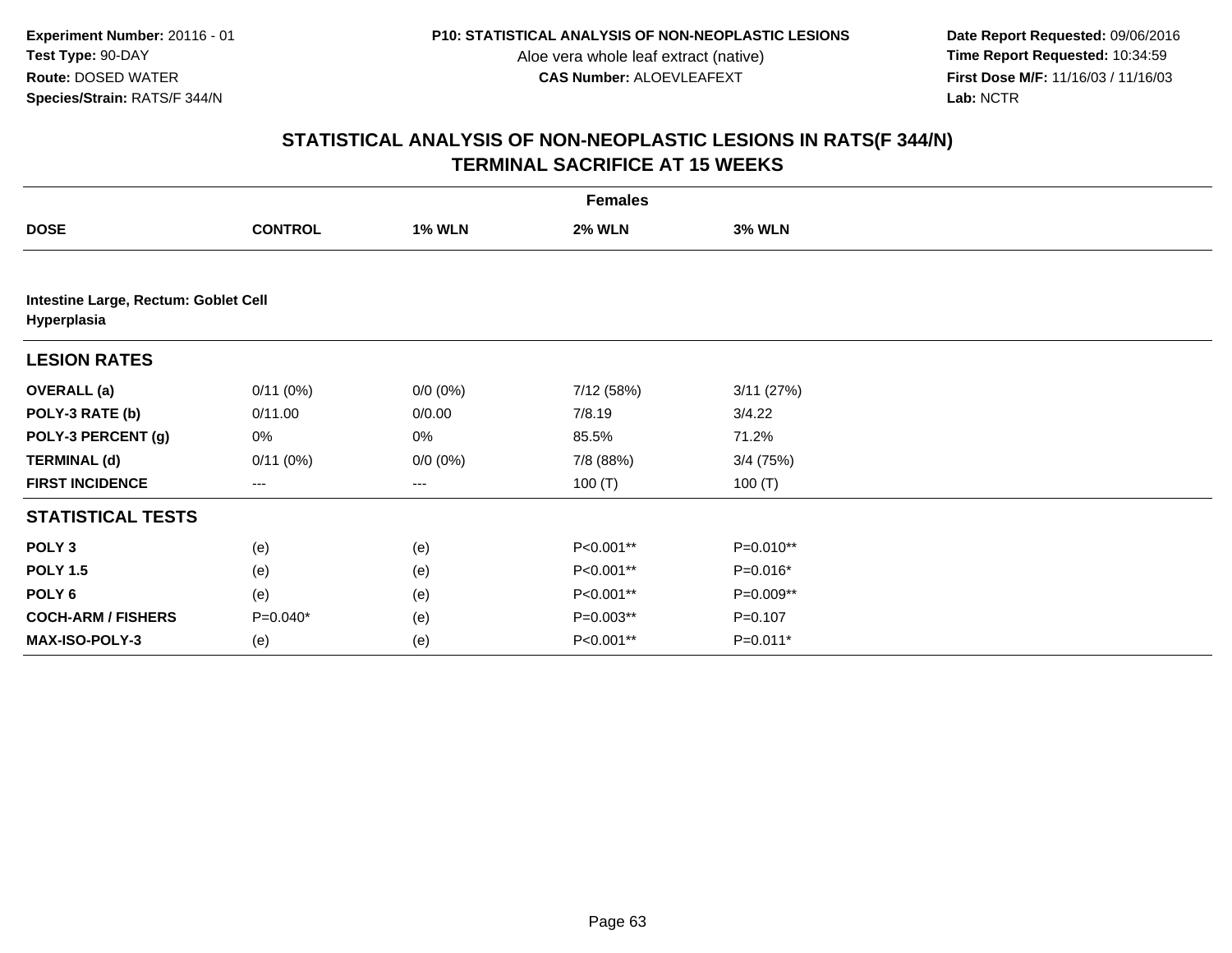**Date Report Requested:** 09/06/2016 **First Dose M/F:** 11/16/03 / 11/16/03<br>Lab: NCTR **Lab:** NCTR

|                                                     | <b>Females</b>    |               |               |               |  |  |  |
|-----------------------------------------------------|-------------------|---------------|---------------|---------------|--|--|--|
| <b>DOSE</b>                                         | <b>CONTROL</b>    | <b>1% WLN</b> | <b>2% WLN</b> | <b>3% WLN</b> |  |  |  |
|                                                     |                   |               |               |               |  |  |  |
| Intestine Large, Rectum: Goblet Cell<br>Hyperplasia |                   |               |               |               |  |  |  |
| <b>LESION RATES</b>                                 |                   |               |               |               |  |  |  |
| <b>OVERALL</b> (a)                                  | 0/11(0%)          | $0/0 (0\%)$   | 7/12 (58%)    | 3/11(27%)     |  |  |  |
| POLY-3 RATE (b)                                     | 0/11.00           | 0/0.00        | 7/8.19        | 3/4.22        |  |  |  |
| POLY-3 PERCENT (g)                                  | 0%                | 0%            | 85.5%         | 71.2%         |  |  |  |
| <b>TERMINAL (d)</b>                                 | 0/11(0%)          | $0/0 (0\%)$   | 7/8 (88%)     | $3/4$ (75%)   |  |  |  |
| <b>FIRST INCIDENCE</b>                              | $\qquad \qquad -$ | ---           | 100 $(T)$     | 100 $(T)$     |  |  |  |
| <b>STATISTICAL TESTS</b>                            |                   |               |               |               |  |  |  |
| POLY <sub>3</sub>                                   | (e)               | (e)           | P<0.001**     | P=0.010**     |  |  |  |
| <b>POLY 1.5</b>                                     | (e)               | (e)           | P<0.001**     | P=0.016*      |  |  |  |
| POLY 6                                              | (e)               | (e)           | P<0.001**     | P=0.009**     |  |  |  |
| <b>COCH-ARM / FISHERS</b>                           | $P=0.040*$        | (e)           | $P=0.003**$   | $P = 0.107$   |  |  |  |
| MAX-ISO-POLY-3                                      | (e)               | (e)           | P<0.001**     | $P=0.011*$    |  |  |  |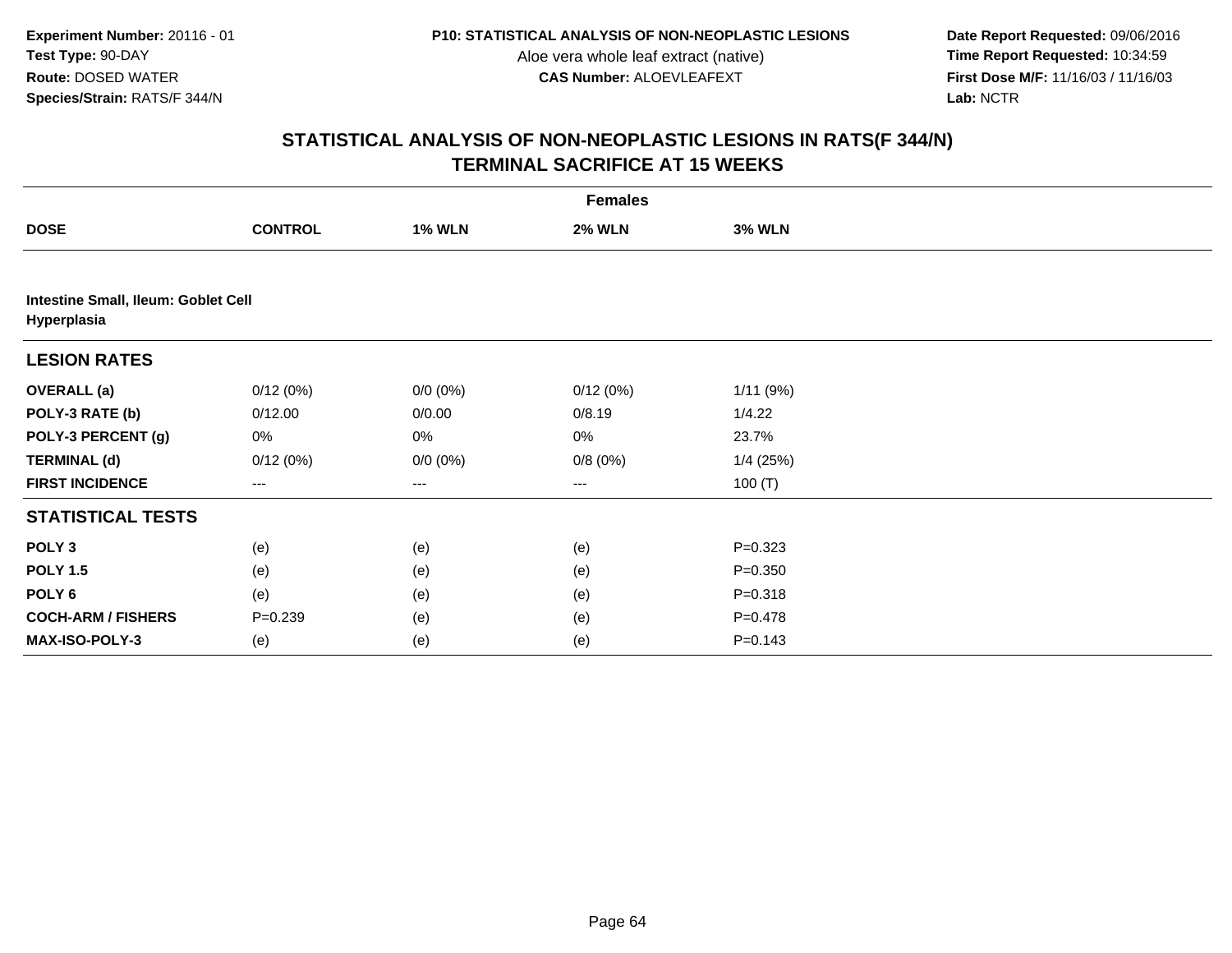**Date Report Requested:** 09/06/2016 **First Dose M/F:** 11/16/03 / 11/16/03<br>Lab: NCTR **Lab:** NCTR

|                                                    |                   |               | <b>Females</b> |               |  |
|----------------------------------------------------|-------------------|---------------|----------------|---------------|--|
| <b>DOSE</b>                                        | <b>CONTROL</b>    | <b>1% WLN</b> | <b>2% WLN</b>  | <b>3% WLN</b> |  |
|                                                    |                   |               |                |               |  |
| Intestine Small, Ileum: Goblet Cell<br>Hyperplasia |                   |               |                |               |  |
| <b>LESION RATES</b>                                |                   |               |                |               |  |
| <b>OVERALL (a)</b>                                 | 0/12(0%)          | $0/0 (0\%)$   | 0/12(0%)       | 1/11(9%)      |  |
| POLY-3 RATE (b)                                    | 0/12.00           | 0/0.00        | 0/8.19         | 1/4.22        |  |
| POLY-3 PERCENT (g)                                 | 0%                | 0%            | 0%             | 23.7%         |  |
| <b>TERMINAL (d)</b>                                | 0/12(0%)          | $0/0 (0\%)$   | 0/8(0%)        | $1/4$ (25%)   |  |
| <b>FIRST INCIDENCE</b>                             | $\qquad \qquad -$ | ---           | $---$          | 100 $(T)$     |  |
| <b>STATISTICAL TESTS</b>                           |                   |               |                |               |  |
| POLY <sub>3</sub>                                  | (e)               | (e)           | (e)            | $P = 0.323$   |  |
| <b>POLY 1.5</b>                                    | (e)               | (e)           | (e)            | $P = 0.350$   |  |
| POLY 6                                             | (e)               | (e)           | (e)            | $P = 0.318$   |  |
| <b>COCH-ARM / FISHERS</b>                          | $P = 0.239$       | (e)           | (e)            | $P = 0.478$   |  |
| MAX-ISO-POLY-3                                     | (e)               | (e)           | (e)            | $P = 0.143$   |  |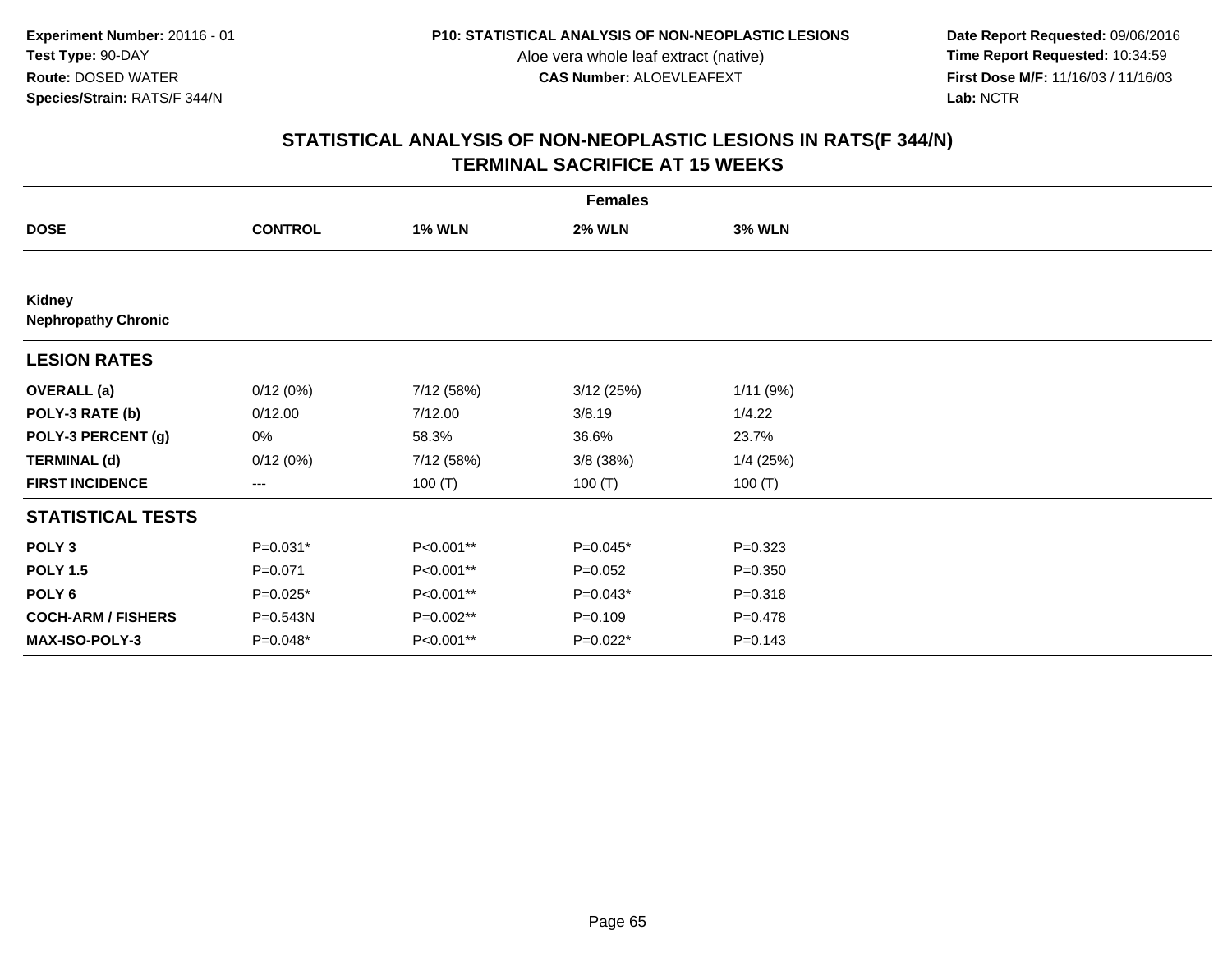**Date Report Requested:** 09/06/2016 **First Dose M/F:** 11/16/03 / 11/16/03<br>Lab: NCTR **Lab:** NCTR

|                                      | <b>Females</b> |               |               |               |  |  |  |  |
|--------------------------------------|----------------|---------------|---------------|---------------|--|--|--|--|
| <b>DOSE</b>                          | <b>CONTROL</b> | <b>1% WLN</b> | <b>2% WLN</b> | <b>3% WLN</b> |  |  |  |  |
|                                      |                |               |               |               |  |  |  |  |
| Kidney<br><b>Nephropathy Chronic</b> |                |               |               |               |  |  |  |  |
| <b>LESION RATES</b>                  |                |               |               |               |  |  |  |  |
| <b>OVERALL</b> (a)                   | 0/12(0%)       | 7/12 (58%)    | 3/12(25%)     | 1/11(9%)      |  |  |  |  |
| POLY-3 RATE (b)                      | 0/12.00        | 7/12.00       | 3/8.19        | 1/4.22        |  |  |  |  |
| POLY-3 PERCENT (g)                   | 0%             | 58.3%         | 36.6%         | 23.7%         |  |  |  |  |
| <b>TERMINAL (d)</b>                  | 0/12(0%)       | 7/12 (58%)    | $3/8$ (38%)   | 1/4(25%)      |  |  |  |  |
| <b>FIRST INCIDENCE</b>               | ---            | 100 $(T)$     | 100 $(T)$     | 100 $(T)$     |  |  |  |  |
| <b>STATISTICAL TESTS</b>             |                |               |               |               |  |  |  |  |
| POLY <sub>3</sub>                    | P=0.031*       | P<0.001**     | P=0.045*      | $P=0.323$     |  |  |  |  |
| <b>POLY 1.5</b>                      | $P = 0.071$    | P<0.001**     | $P=0.052$     | $P = 0.350$   |  |  |  |  |
| POLY 6                               | P=0.025*       | P<0.001**     | $P=0.043*$    | $P = 0.318$   |  |  |  |  |
| <b>COCH-ARM / FISHERS</b>            | P=0.543N       | P=0.002**     | $P = 0.109$   | $P=0.478$     |  |  |  |  |
| MAX-ISO-POLY-3                       | P=0.048*       | P<0.001**     | P=0.022*      | $P = 0.143$   |  |  |  |  |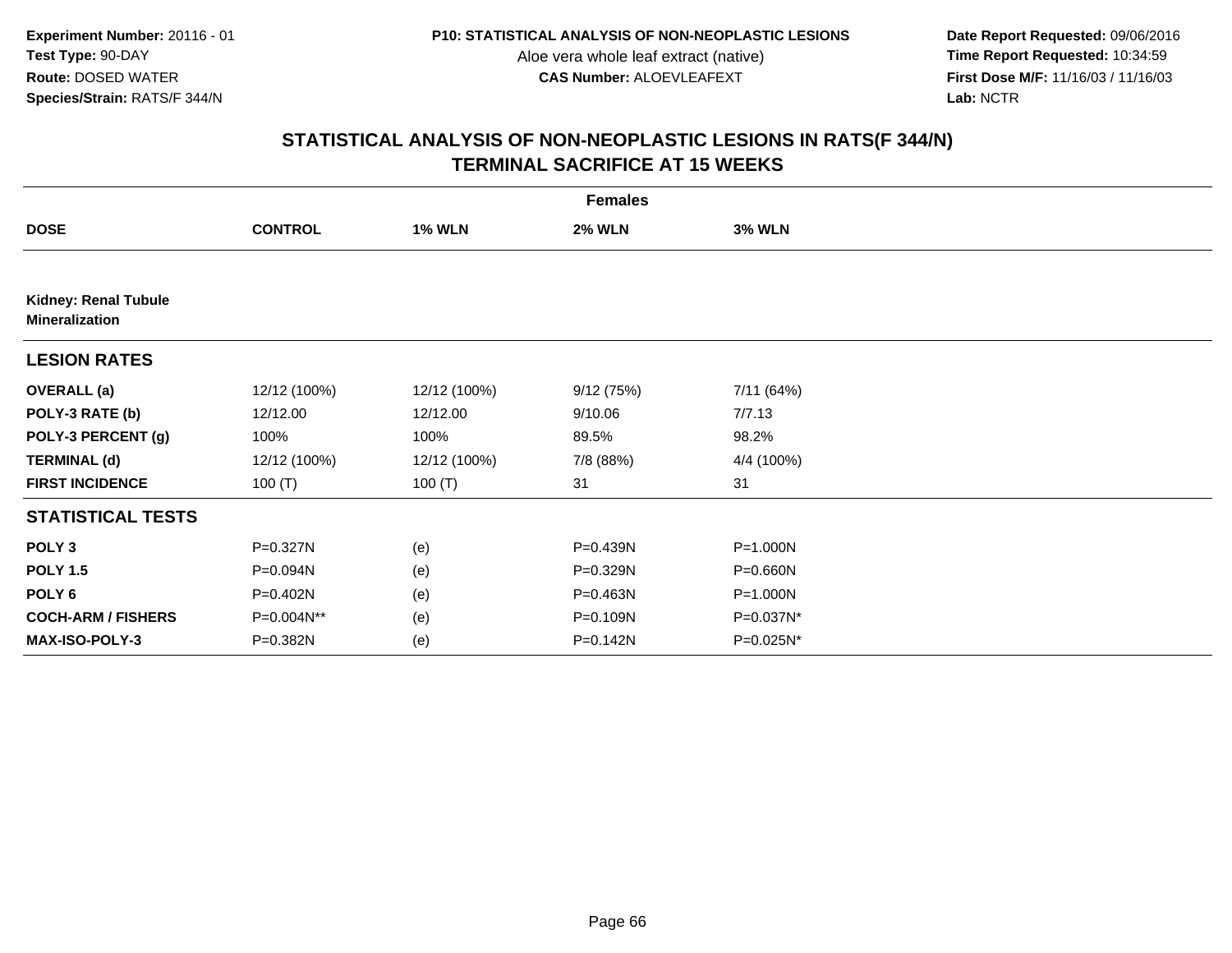**Date Report Requested:** 09/06/2016 **First Dose M/F:** 11/16/03 / 11/16/03<br>Lab: NCTR **Lab:** NCTR

| <b>Females</b>                                       |                |               |               |               |  |  |
|------------------------------------------------------|----------------|---------------|---------------|---------------|--|--|
| <b>DOSE</b>                                          | <b>CONTROL</b> | <b>1% WLN</b> | <b>2% WLN</b> | <b>3% WLN</b> |  |  |
|                                                      |                |               |               |               |  |  |
| <b>Kidney: Renal Tubule</b><br><b>Mineralization</b> |                |               |               |               |  |  |
| <b>LESION RATES</b>                                  |                |               |               |               |  |  |
| <b>OVERALL</b> (a)                                   | 12/12 (100%)   | 12/12 (100%)  | 9/12(75%)     | 7/11 (64%)    |  |  |
| POLY-3 RATE (b)                                      | 12/12.00       | 12/12.00      | 9/10.06       | 7/7.13        |  |  |
| POLY-3 PERCENT (g)                                   | 100%           | 100%          | 89.5%         | 98.2%         |  |  |
| <b>TERMINAL (d)</b>                                  | 12/12 (100%)   | 12/12 (100%)  | 7/8 (88%)     | 4/4 (100%)    |  |  |
| <b>FIRST INCIDENCE</b>                               | 100(T)         | 100 $(T)$     | 31            | 31            |  |  |
| <b>STATISTICAL TESTS</b>                             |                |               |               |               |  |  |
| POLY <sub>3</sub>                                    | P=0.327N       | (e)           | P=0.439N      | $P = 1.000N$  |  |  |
| <b>POLY 1.5</b>                                      | P=0.094N       | (e)           | P=0.329N      | P=0.660N      |  |  |
| POLY 6                                               | P=0.402N       | (e)           | P=0.463N      | P=1.000N      |  |  |
| <b>COCH-ARM / FISHERS</b>                            | P=0.004N**     | (e)           | P=0.109N      | P=0.037N*     |  |  |
| MAX-ISO-POLY-3                                       | P=0.382N       | (e)           | $P = 0.142N$  | P=0.025N*     |  |  |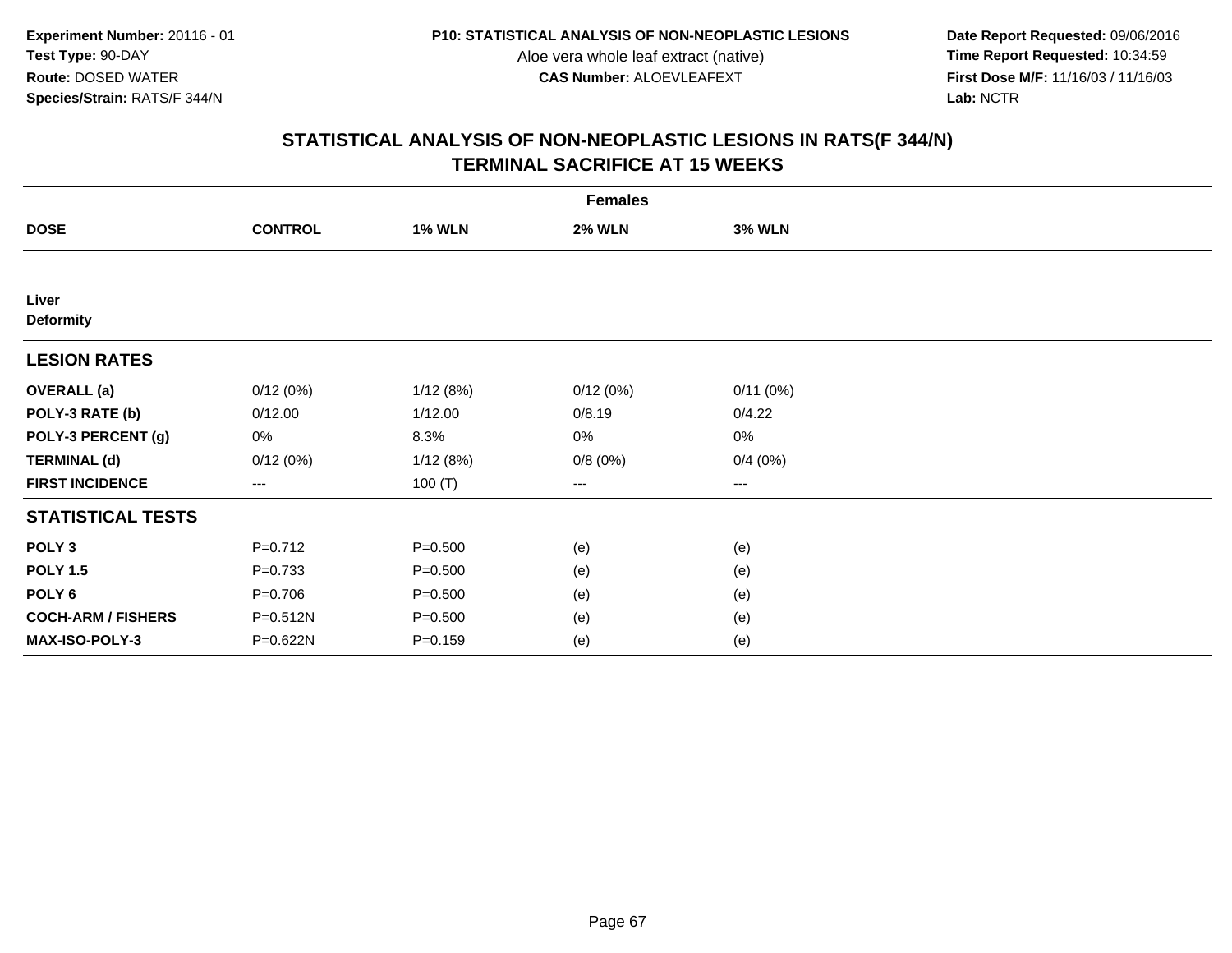**Date Report Requested:** 09/06/2016 **First Dose M/F:** 11/16/03 / 11/16/03<br>Lab: NCTR **Lab:** NCTR

|                           |                                          |               | <b>Females</b> |               |  |
|---------------------------|------------------------------------------|---------------|----------------|---------------|--|
| <b>DOSE</b>               | <b>CONTROL</b>                           | <b>1% WLN</b> | <b>2% WLN</b>  | <b>3% WLN</b> |  |
|                           |                                          |               |                |               |  |
| Liver                     |                                          |               |                |               |  |
| <b>Deformity</b>          |                                          |               |                |               |  |
| <b>LESION RATES</b>       |                                          |               |                |               |  |
| <b>OVERALL</b> (a)        | 0/12(0%)                                 | 1/12(8%)      | 0/12(0%)       | 0/11(0%)      |  |
| POLY-3 RATE (b)           | 0/12.00                                  | 1/12.00       | 0/8.19         | 0/4.22        |  |
| POLY-3 PERCENT (g)        | 0%                                       | 8.3%          | 0%             | 0%            |  |
| <b>TERMINAL (d)</b>       | 0/12(0%)                                 | 1/12(8%)      | 0/8(0%)        | 0/4(0%)       |  |
| <b>FIRST INCIDENCE</b>    | $\hspace{0.05cm} \ldots \hspace{0.05cm}$ | 100 $(T)$     | ---            | $\cdots$      |  |
| <b>STATISTICAL TESTS</b>  |                                          |               |                |               |  |
| POLY <sub>3</sub>         | $P=0.712$                                | $P = 0.500$   | (e)            | (e)           |  |
| <b>POLY 1.5</b>           | $P = 0.733$                              | $P = 0.500$   | (e)            | (e)           |  |
| POLY <sub>6</sub>         | $P = 0.706$                              | $P = 0.500$   | (e)            | (e)           |  |
| <b>COCH-ARM / FISHERS</b> | P=0.512N                                 | $P = 0.500$   | (e)            | (e)           |  |
| MAX-ISO-POLY-3            | P=0.622N                                 | $P = 0.159$   | (e)            | (e)           |  |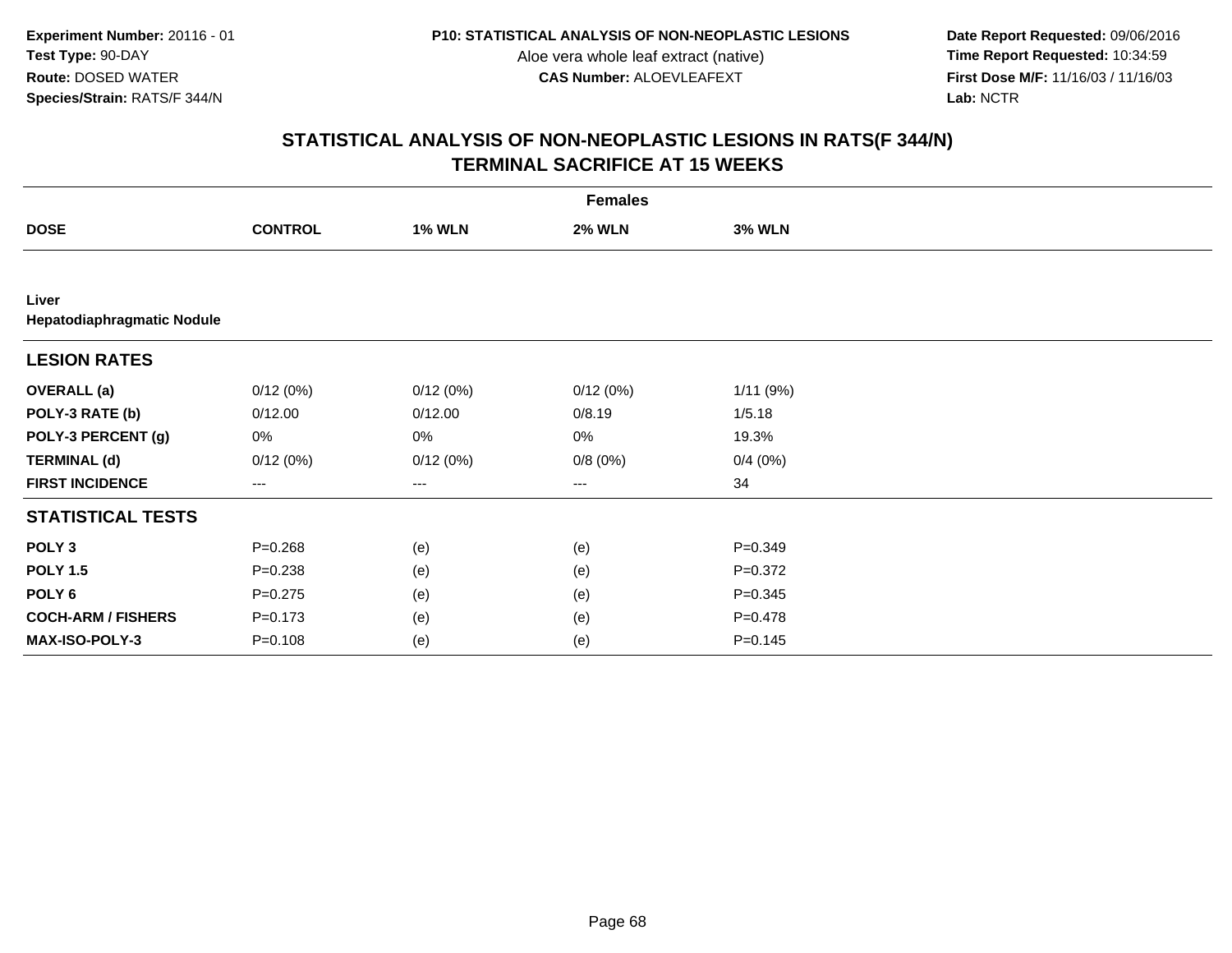**Date Report Requested:** 09/06/2016 **First Dose M/F:** 11/16/03 / 11/16/03<br>Lab: NCTR **Lab:** NCTR

|                                     |                   |                   | <b>Females</b> |               |  |
|-------------------------------------|-------------------|-------------------|----------------|---------------|--|
| <b>DOSE</b>                         | <b>CONTROL</b>    | <b>1% WLN</b>     | <b>2% WLN</b>  | <b>3% WLN</b> |  |
|                                     |                   |                   |                |               |  |
| Liver<br>Hepatodiaphragmatic Nodule |                   |                   |                |               |  |
| <b>LESION RATES</b>                 |                   |                   |                |               |  |
| <b>OVERALL</b> (a)                  | 0/12(0%)          | 0/12(0%)          | 0/12(0%)       | 1/11(9%)      |  |
| POLY-3 RATE (b)                     | 0/12.00           | 0/12.00           | 0/8.19         | 1/5.18        |  |
| POLY-3 PERCENT (g)                  | 0%                | 0%                | 0%             | 19.3%         |  |
| <b>TERMINAL (d)</b>                 | 0/12(0%)          | 0/12(0%)          | 0/8(0%)        | 0/4(0%)       |  |
| <b>FIRST INCIDENCE</b>              | $\qquad \qquad -$ | $\qquad \qquad -$ | ---            | 34            |  |
| <b>STATISTICAL TESTS</b>            |                   |                   |                |               |  |
| POLY <sub>3</sub>                   | $P = 0.268$       | (e)               | (e)            | $P = 0.349$   |  |
| <b>POLY 1.5</b>                     | $P = 0.238$       | (e)               | (e)            | $P = 0.372$   |  |
| POLY <sub>6</sub>                   | $P = 0.275$       | (e)               | (e)            | $P = 0.345$   |  |
| <b>COCH-ARM / FISHERS</b>           | $P = 0.173$       | (e)               | (e)            | $P=0.478$     |  |
| MAX-ISO-POLY-3                      | $P = 0.108$       | (e)               | (e)            | $P = 0.145$   |  |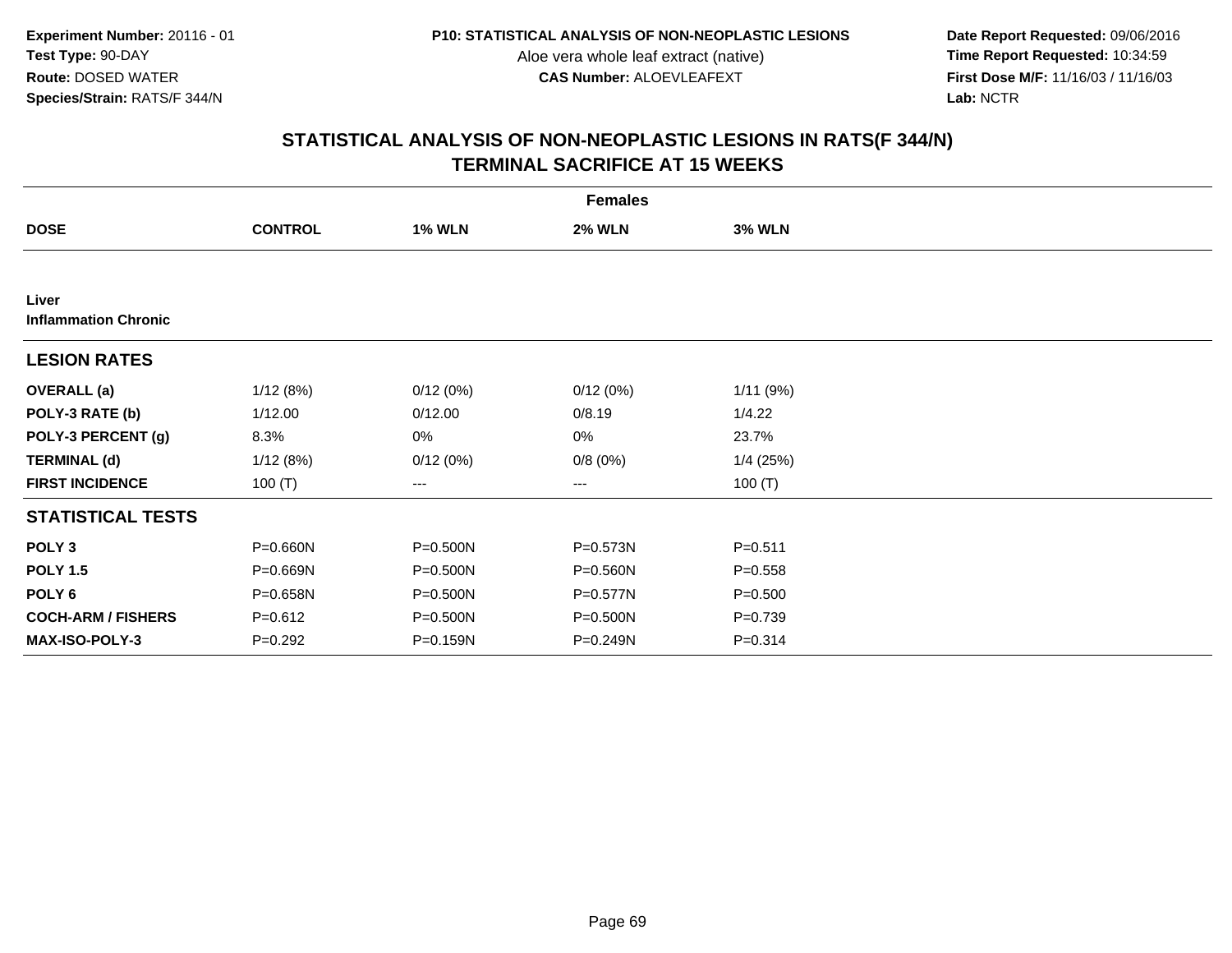**Date Report Requested:** 09/06/2016 **First Dose M/F:** 11/16/03 / 11/16/03<br>Lab: NCTR **Lab:** NCTR

|                                      |                |               | <b>Females</b> |               |  |
|--------------------------------------|----------------|---------------|----------------|---------------|--|
| <b>DOSE</b>                          | <b>CONTROL</b> | <b>1% WLN</b> | <b>2% WLN</b>  | <b>3% WLN</b> |  |
|                                      |                |               |                |               |  |
| Liver<br><b>Inflammation Chronic</b> |                |               |                |               |  |
| <b>LESION RATES</b>                  |                |               |                |               |  |
| <b>OVERALL</b> (a)                   | 1/12(8%)       | 0/12(0%)      | 0/12(0%)       | 1/11(9%)      |  |
| POLY-3 RATE (b)                      | 1/12.00        | 0/12.00       | 0/8.19         | 1/4.22        |  |
| POLY-3 PERCENT (g)                   | 8.3%           | 0%            | 0%             | 23.7%         |  |
| <b>TERMINAL (d)</b>                  | 1/12(8%)       | 0/12(0%)      | 0/8(0%)        | 1/4(25%)      |  |
| <b>FIRST INCIDENCE</b>               | 100 $(T)$      | ---           | ---            | 100 $(T)$     |  |
| <b>STATISTICAL TESTS</b>             |                |               |                |               |  |
| POLY <sub>3</sub>                    | $P = 0.660N$   | P=0.500N      | P=0.573N       | $P = 0.511$   |  |
| <b>POLY 1.5</b>                      | P=0.669N       | P=0.500N      | $P = 0.560N$   | $P = 0.558$   |  |
| POLY 6                               | P=0.658N       | P=0.500N      | P=0.577N       | $P = 0.500$   |  |
| <b>COCH-ARM / FISHERS</b>            | $P = 0.612$    | P=0.500N      | P=0.500N       | $P=0.739$     |  |
| MAX-ISO-POLY-3                       | $P=0.292$      | P=0.159N      | P=0.249N       | $P = 0.314$   |  |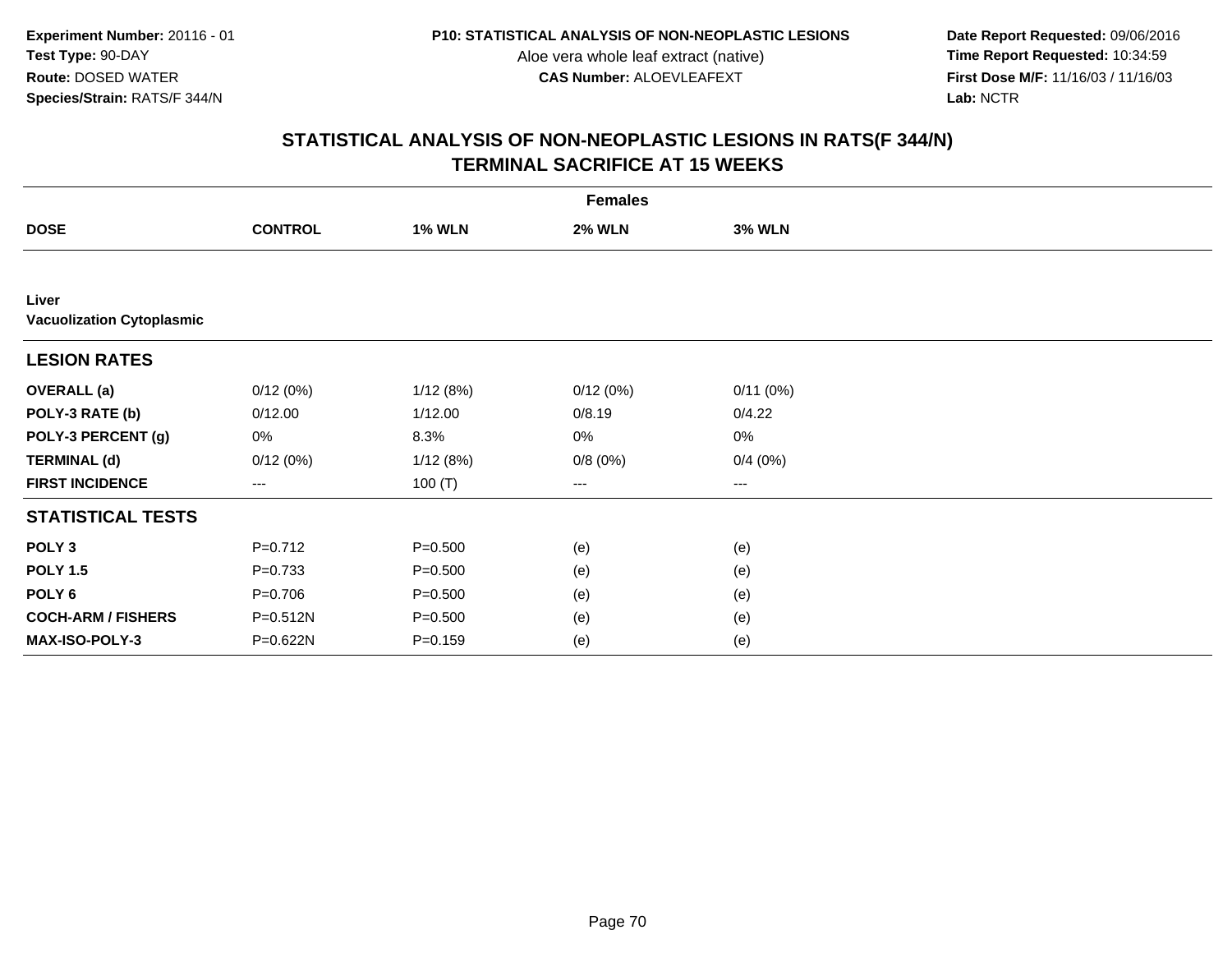**Date Report Requested:** 09/06/2016 **First Dose M/F:** 11/16/03 / 11/16/03<br>Lab: NCTR **Lab:** NCTR

|                                           | <b>Females</b> |               |               |               |  |  |  |
|-------------------------------------------|----------------|---------------|---------------|---------------|--|--|--|
| <b>DOSE</b>                               | <b>CONTROL</b> | <b>1% WLN</b> | <b>2% WLN</b> | <b>3% WLN</b> |  |  |  |
|                                           |                |               |               |               |  |  |  |
| Liver<br><b>Vacuolization Cytoplasmic</b> |                |               |               |               |  |  |  |
| <b>LESION RATES</b>                       |                |               |               |               |  |  |  |
| <b>OVERALL</b> (a)                        | 0/12(0%)       | 1/12(8%)      | 0/12(0%)      | 0/11(0%)      |  |  |  |
| POLY-3 RATE (b)                           | 0/12.00        | 1/12.00       | 0/8.19        | 0/4.22        |  |  |  |
| POLY-3 PERCENT (g)                        | 0%             | 8.3%          | 0%            | 0%            |  |  |  |
| <b>TERMINAL (d)</b>                       | 0/12(0%)       | 1/12(8%)      | 0/8(0%)       | 0/4(0%)       |  |  |  |
| <b>FIRST INCIDENCE</b>                    | $--$           | 100 $(T)$     | ---           | $---$         |  |  |  |
| <b>STATISTICAL TESTS</b>                  |                |               |               |               |  |  |  |
| POLY <sub>3</sub>                         | $P=0.712$      | $P = 0.500$   | (e)           | (e)           |  |  |  |
| <b>POLY 1.5</b>                           | $P = 0.733$    | $P = 0.500$   | (e)           | (e)           |  |  |  |
| POLY <sub>6</sub>                         | $P=0.706$      | $P = 0.500$   | (e)           | (e)           |  |  |  |
| <b>COCH-ARM / FISHERS</b>                 | P=0.512N       | $P = 0.500$   | (e)           | (e)           |  |  |  |
| MAX-ISO-POLY-3                            | P=0.622N       | $P = 0.159$   | (e)           | (e)           |  |  |  |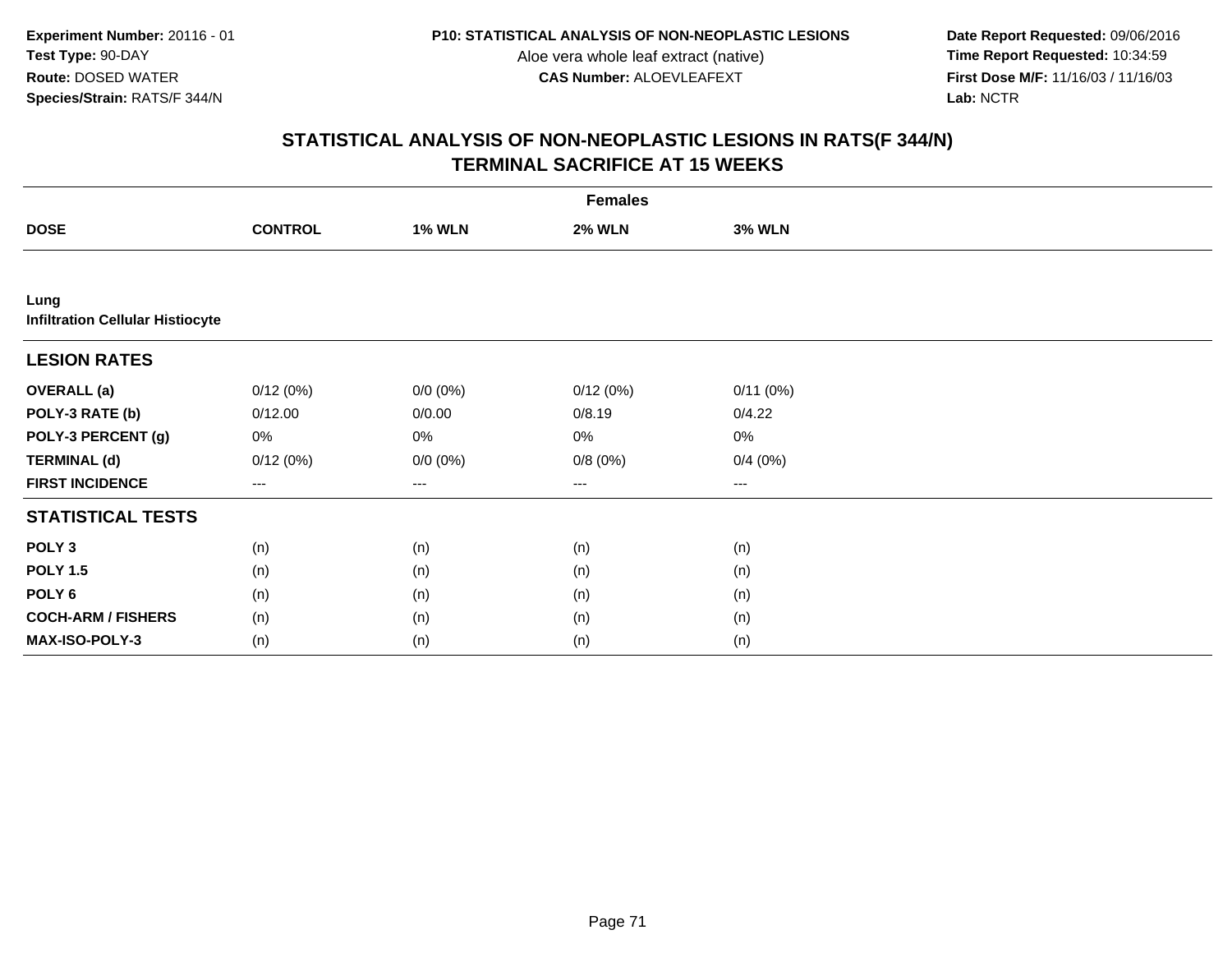**Date Report Requested:** 09/06/2016 **First Dose M/F:** 11/16/03 / 11/16/03<br>Lab: NCTR **Lab:** NCTR

|                                                 | <b>Females</b>    |                   |               |                   |  |  |  |  |
|-------------------------------------------------|-------------------|-------------------|---------------|-------------------|--|--|--|--|
| <b>DOSE</b>                                     | <b>CONTROL</b>    | <b>1% WLN</b>     | <b>2% WLN</b> | <b>3% WLN</b>     |  |  |  |  |
|                                                 |                   |                   |               |                   |  |  |  |  |
| Lung<br><b>Infiltration Cellular Histiocyte</b> |                   |                   |               |                   |  |  |  |  |
| <b>LESION RATES</b>                             |                   |                   |               |                   |  |  |  |  |
| <b>OVERALL</b> (a)                              | 0/12(0%)          | $0/0 (0\%)$       | 0/12(0%)      | 0/11(0%)          |  |  |  |  |
| POLY-3 RATE (b)                                 | 0/12.00           | 0/0.00            | 0/8.19        | 0/4.22            |  |  |  |  |
| POLY-3 PERCENT (g)                              | 0%                | 0%                | 0%            | 0%                |  |  |  |  |
| <b>TERMINAL (d)</b>                             | 0/12(0%)          | $0/0 (0\%)$       | 0/8(0%)       | 0/4(0%)           |  |  |  |  |
| <b>FIRST INCIDENCE</b>                          | $\qquad \qquad -$ | $\qquad \qquad -$ | ---           | $\qquad \qquad -$ |  |  |  |  |
| <b>STATISTICAL TESTS</b>                        |                   |                   |               |                   |  |  |  |  |
| POLY <sub>3</sub>                               | (n)               | (n)               | (n)           | (n)               |  |  |  |  |
| <b>POLY 1.5</b>                                 | (n)               | (n)               | (n)           | (n)               |  |  |  |  |
| POLY <sub>6</sub>                               | (n)               | (n)               | (n)           | (n)               |  |  |  |  |
| <b>COCH-ARM / FISHERS</b>                       | (n)               | (n)               | (n)           | (n)               |  |  |  |  |
| MAX-ISO-POLY-3                                  | (n)               | (n)               | (n)           | (n)               |  |  |  |  |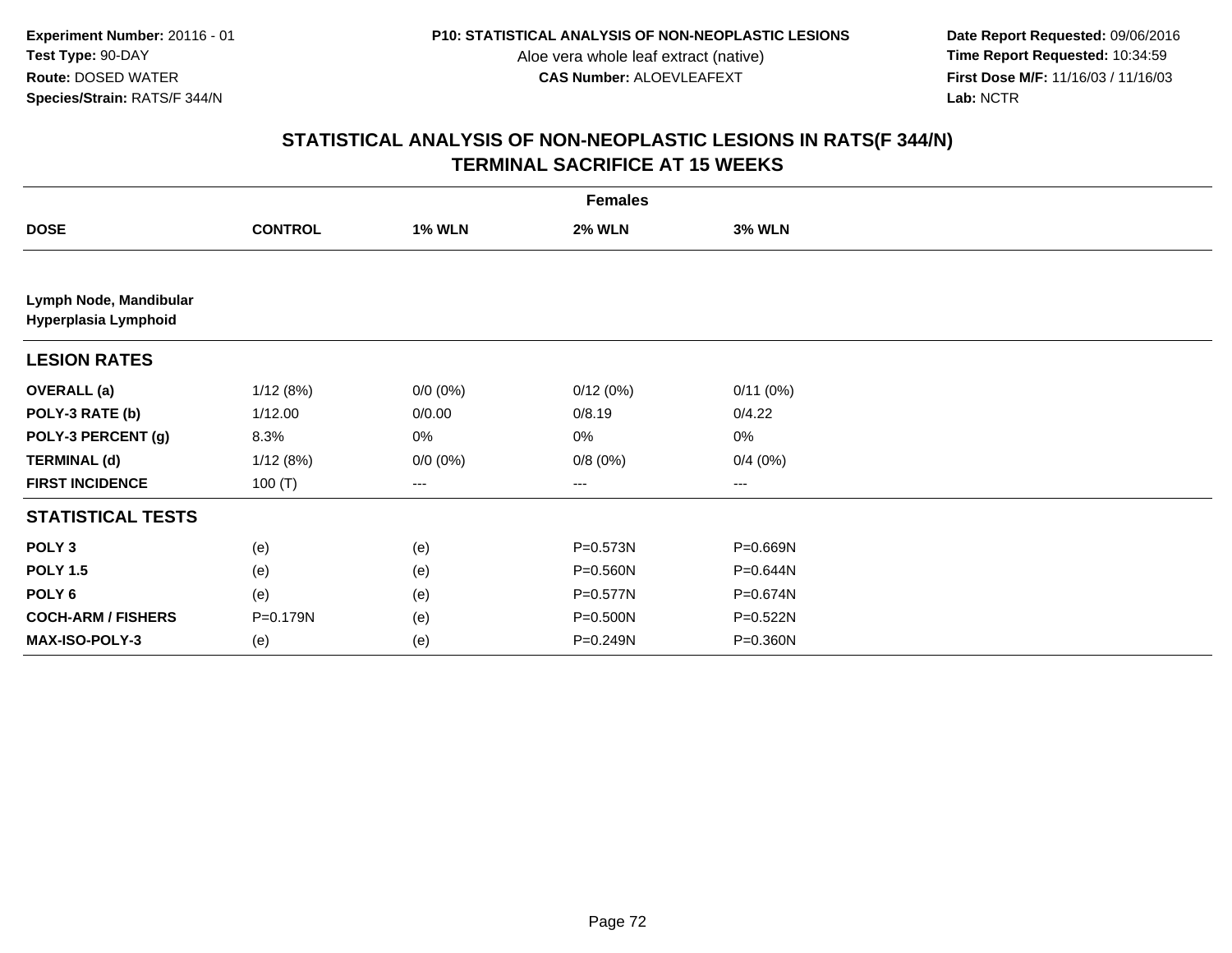**Date Report Requested:** 09/06/2016 **First Dose M/F:** 11/16/03 / 11/16/03<br>Lab: NCTR **Lab:** NCTR

|                                                | <b>Females</b> |               |               |               |  |  |  |
|------------------------------------------------|----------------|---------------|---------------|---------------|--|--|--|
| <b>DOSE</b>                                    | <b>CONTROL</b> | <b>1% WLN</b> | <b>2% WLN</b> | <b>3% WLN</b> |  |  |  |
|                                                |                |               |               |               |  |  |  |
| Lymph Node, Mandibular<br>Hyperplasia Lymphoid |                |               |               |               |  |  |  |
| <b>LESION RATES</b>                            |                |               |               |               |  |  |  |
| <b>OVERALL</b> (a)                             | 1/12(8%)       | $0/0 (0\%)$   | 0/12(0%)      | 0/11(0%)      |  |  |  |
| POLY-3 RATE (b)                                | 1/12.00        | 0/0.00        | 0/8.19        | 0/4.22        |  |  |  |
| POLY-3 PERCENT (g)                             | 8.3%           | 0%            | 0%            | 0%            |  |  |  |
| <b>TERMINAL (d)</b>                            | 1/12(8%)       | $0/0 (0\%)$   | 0/8(0%)       | 0/4(0%)       |  |  |  |
| <b>FIRST INCIDENCE</b>                         | 100 $(T)$      | ---           | ---           | ---           |  |  |  |
| <b>STATISTICAL TESTS</b>                       |                |               |               |               |  |  |  |
| POLY <sub>3</sub>                              | (e)            | (e)           | $P = 0.573N$  | P=0.669N      |  |  |  |
| <b>POLY 1.5</b>                                | (e)            | (e)           | P=0.560N      | P=0.644N      |  |  |  |
| POLY 6                                         | (e)            | (e)           | P=0.577N      | P=0.674N      |  |  |  |
| <b>COCH-ARM / FISHERS</b>                      | P=0.179N       | (e)           | P=0.500N      | P=0.522N      |  |  |  |
| MAX-ISO-POLY-3                                 | (e)            | (e)           | $P = 0.249N$  | P=0.360N      |  |  |  |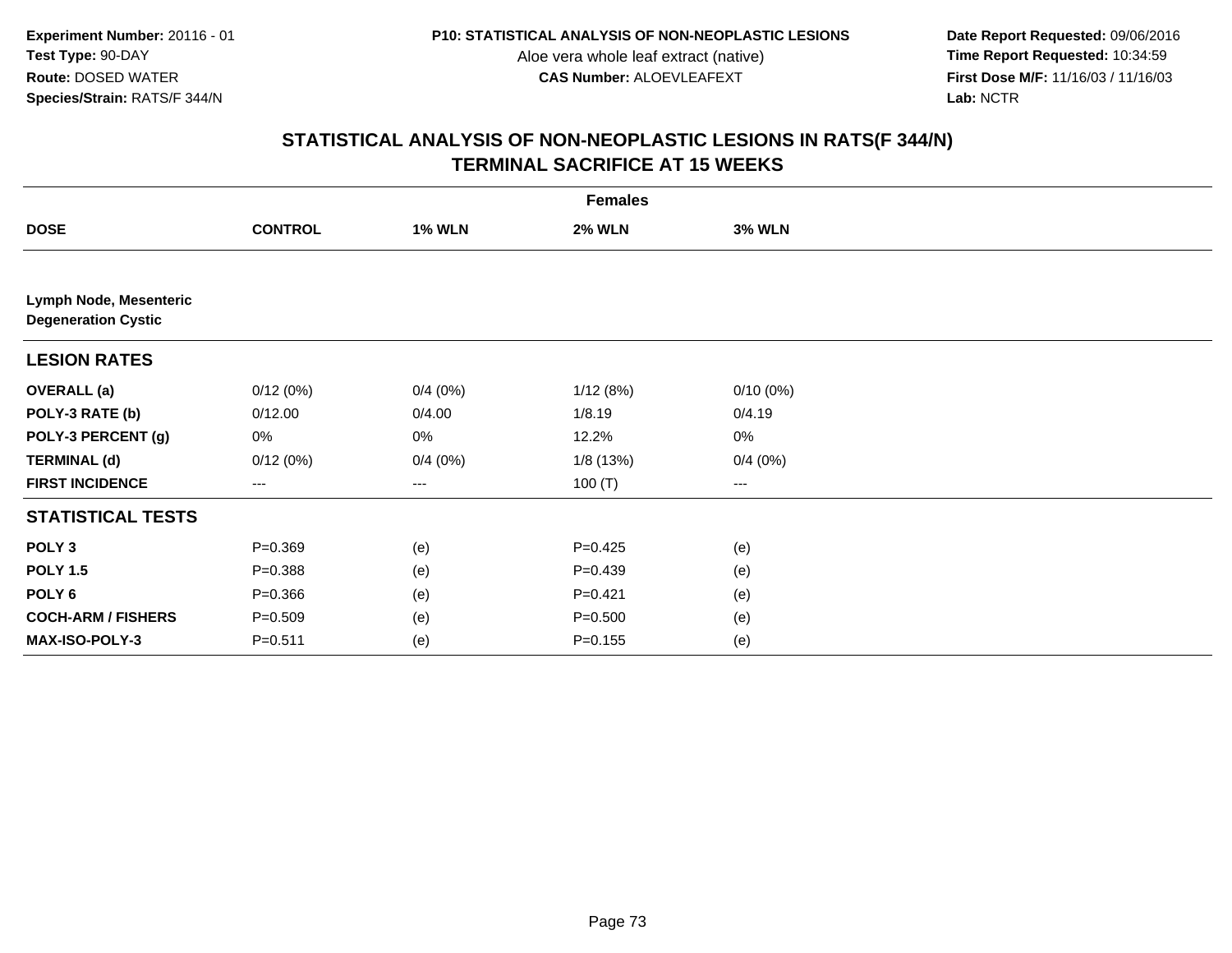**Date Report Requested:** 09/06/2016 **First Dose M/F:** 11/16/03 / 11/16/03<br>Lab: NCTR **Lab:** NCTR

|                                                      | <b>Females</b> |               |               |               |  |  |  |
|------------------------------------------------------|----------------|---------------|---------------|---------------|--|--|--|
| <b>DOSE</b>                                          | <b>CONTROL</b> | <b>1% WLN</b> | <b>2% WLN</b> | <b>3% WLN</b> |  |  |  |
|                                                      |                |               |               |               |  |  |  |
| Lymph Node, Mesenteric<br><b>Degeneration Cystic</b> |                |               |               |               |  |  |  |
| <b>LESION RATES</b>                                  |                |               |               |               |  |  |  |
| <b>OVERALL</b> (a)                                   | 0/12(0%)       | 0/4(0%)       | 1/12(8%)      | $0/10(0\%)$   |  |  |  |
| POLY-3 RATE (b)                                      | 0/12.00        | 0/4.00        | 1/8.19        | 0/4.19        |  |  |  |
| POLY-3 PERCENT (g)                                   | 0%             | 0%            | 12.2%         | 0%            |  |  |  |
| <b>TERMINAL (d)</b>                                  | 0/12(0%)       | 0/4(0%)       | 1/8 (13%)     | 0/4(0%)       |  |  |  |
| <b>FIRST INCIDENCE</b>                               | ---            | ---           | 100 $(T)$     | ---           |  |  |  |
| <b>STATISTICAL TESTS</b>                             |                |               |               |               |  |  |  |
| POLY <sub>3</sub>                                    | $P = 0.369$    | (e)           | $P=0.425$     | (e)           |  |  |  |
| <b>POLY 1.5</b>                                      | $P = 0.388$    | (e)           | $P = 0.439$   | (e)           |  |  |  |
| POLY <sub>6</sub>                                    | $P = 0.366$    | (e)           | $P=0.421$     | (e)           |  |  |  |
| <b>COCH-ARM / FISHERS</b>                            | $P = 0.509$    | (e)           | $P = 0.500$   | (e)           |  |  |  |
| MAX-ISO-POLY-3                                       | $P = 0.511$    | (e)           | $P = 0.155$   | (e)           |  |  |  |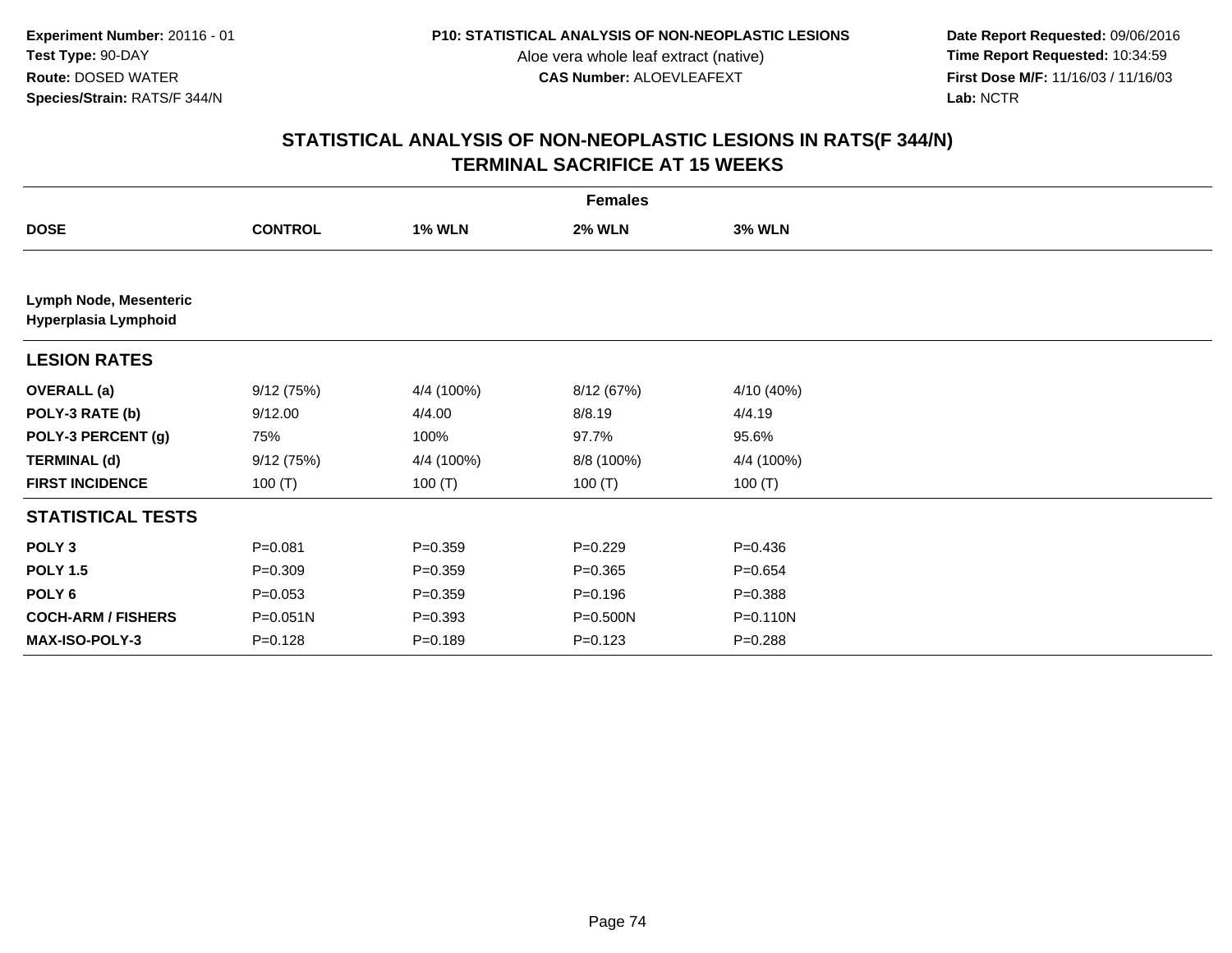**Date Report Requested:** 09/06/2016 **First Dose M/F:** 11/16/03 / 11/16/03<br>Lab: NCTR **Lab:** NCTR

|                                                | <b>Females</b> |               |               |               |  |  |  |
|------------------------------------------------|----------------|---------------|---------------|---------------|--|--|--|
| <b>DOSE</b>                                    | <b>CONTROL</b> | <b>1% WLN</b> | <b>2% WLN</b> | <b>3% WLN</b> |  |  |  |
|                                                |                |               |               |               |  |  |  |
| Lymph Node, Mesenteric<br>Hyperplasia Lymphoid |                |               |               |               |  |  |  |
| <b>LESION RATES</b>                            |                |               |               |               |  |  |  |
| <b>OVERALL</b> (a)                             | 9/12(75%)      | 4/4 (100%)    | 8/12 (67%)    | 4/10 (40%)    |  |  |  |
| POLY-3 RATE (b)                                | 9/12.00        | 4/4.00        | 8/8.19        | 4/4.19        |  |  |  |
| POLY-3 PERCENT (g)                             | 75%            | 100%          | 97.7%         | 95.6%         |  |  |  |
| <b>TERMINAL (d)</b>                            | 9/12(75%)      | 4/4 (100%)    | 8/8 (100%)    | 4/4 (100%)    |  |  |  |
| <b>FIRST INCIDENCE</b>                         | 100 $(T)$      | 100 $(T)$     | 100 $(T)$     | 100 $(T)$     |  |  |  |
| <b>STATISTICAL TESTS</b>                       |                |               |               |               |  |  |  |
| POLY <sub>3</sub>                              | $P = 0.081$    | $P = 0.359$   | $P=0.229$     | $P = 0.436$   |  |  |  |
| <b>POLY 1.5</b>                                | $P = 0.309$    | $P=0.359$     | $P = 0.365$   | $P = 0.654$   |  |  |  |
| POLY 6                                         | $P = 0.053$    | $P = 0.359$   | $P = 0.196$   | $P = 0.388$   |  |  |  |
| <b>COCH-ARM / FISHERS</b>                      | P=0.051N       | $P = 0.393$   | P=0.500N      | P=0.110N      |  |  |  |
| <b>MAX-ISO-POLY-3</b>                          | $P=0.128$      | $P=0.189$     | $P = 0.123$   | $P = 0.288$   |  |  |  |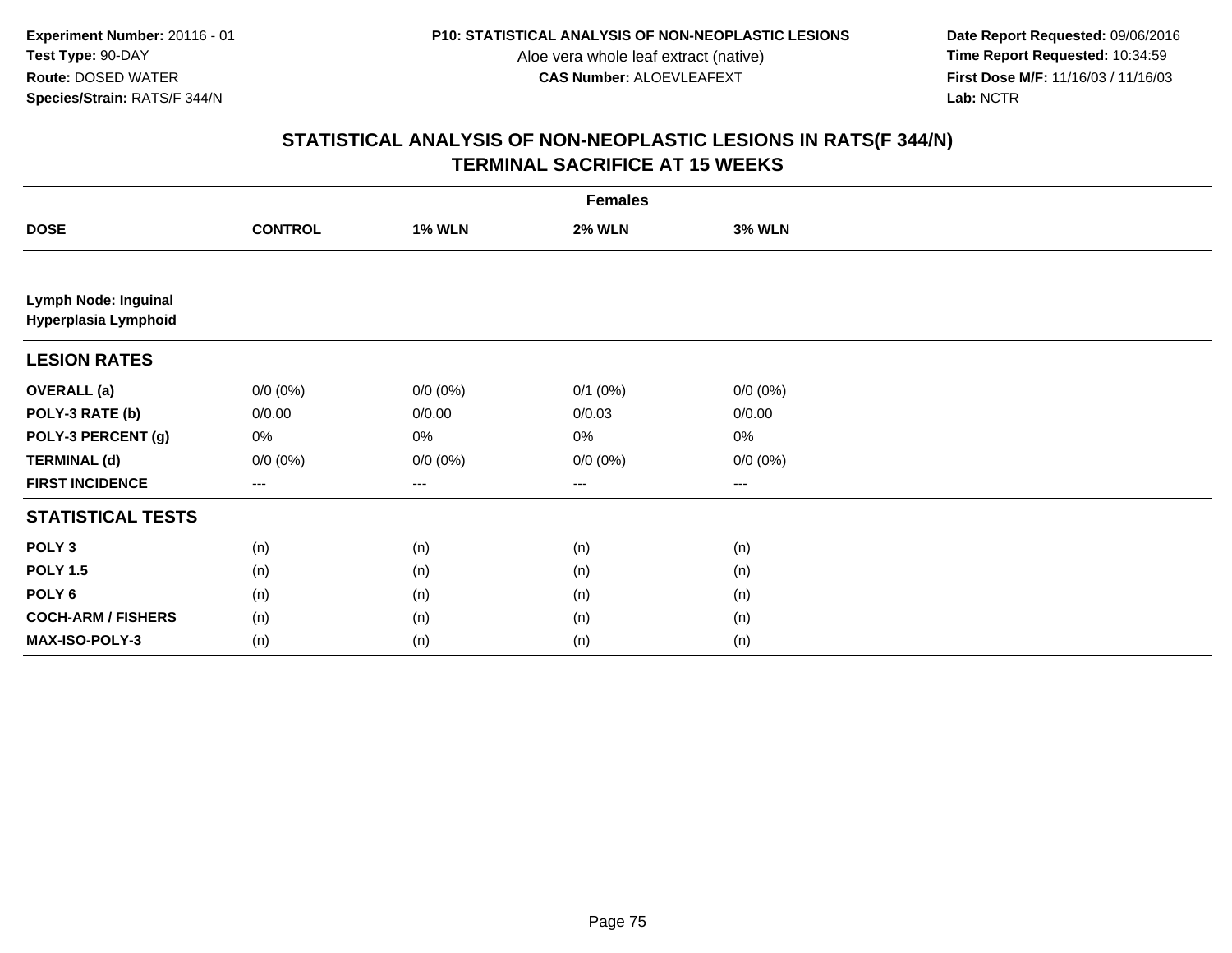**Date Report Requested:** 09/06/2016 **First Dose M/F:** 11/16/03 / 11/16/03<br>Lab: NCTR **Lab:** NCTR

|                                                     | <b>Females</b> |               |               |               |  |  |  |  |
|-----------------------------------------------------|----------------|---------------|---------------|---------------|--|--|--|--|
| <b>DOSE</b>                                         | <b>CONTROL</b> | <b>1% WLN</b> | <b>2% WLN</b> | <b>3% WLN</b> |  |  |  |  |
|                                                     |                |               |               |               |  |  |  |  |
| <b>Lymph Node: Inguinal</b><br>Hyperplasia Lymphoid |                |               |               |               |  |  |  |  |
| <b>LESION RATES</b>                                 |                |               |               |               |  |  |  |  |
| <b>OVERALL (a)</b>                                  | $0/0 (0\%)$    | $0/0 (0\%)$   | $0/1$ $(0%)$  | $0/0 (0\%)$   |  |  |  |  |
| POLY-3 RATE (b)                                     | 0/0.00         | 0/0.00        | 0/0.03        | 0/0.00        |  |  |  |  |
| POLY-3 PERCENT (g)                                  | 0%             | 0%            | $0\%$         | $0\%$         |  |  |  |  |
| <b>TERMINAL (d)</b>                                 | $0/0 (0\%)$    | $0/0 (0\%)$   | $0/0 (0\%)$   | $0/0 (0\%)$   |  |  |  |  |
| <b>FIRST INCIDENCE</b>                              | ---            | $--$          | $--$          | ---           |  |  |  |  |
| <b>STATISTICAL TESTS</b>                            |                |               |               |               |  |  |  |  |
| POLY <sub>3</sub>                                   | (n)            | (n)           | (n)           | (n)           |  |  |  |  |
| <b>POLY 1.5</b>                                     | (n)            | (n)           | (n)           | (n)           |  |  |  |  |
| POLY <sub>6</sub>                                   | (n)            | (n)           | (n)           | (n)           |  |  |  |  |
| <b>COCH-ARM / FISHERS</b>                           | (n)            | (n)           | (n)           | (n)           |  |  |  |  |
| MAX-ISO-POLY-3                                      | (n)            | (n)           | (n)           | (n)           |  |  |  |  |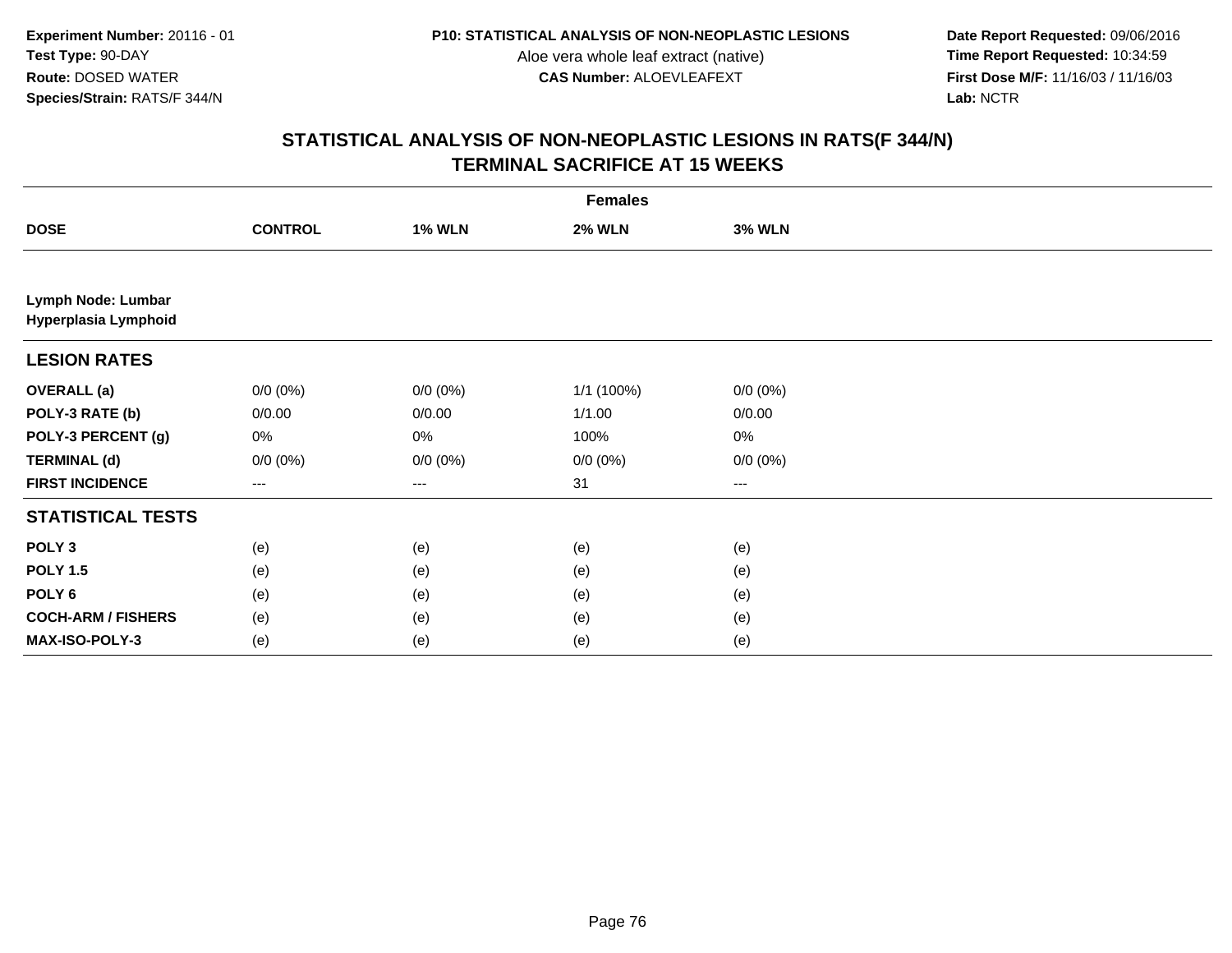**Date Report Requested:** 09/06/2016 **First Dose M/F:** 11/16/03 / 11/16/03<br>Lab: NCTR **Lab:** NCTR

|                                            | <b>Females</b> |               |               |               |  |  |  |  |
|--------------------------------------------|----------------|---------------|---------------|---------------|--|--|--|--|
| <b>DOSE</b>                                | <b>CONTROL</b> | <b>1% WLN</b> | <b>2% WLN</b> | <b>3% WLN</b> |  |  |  |  |
|                                            |                |               |               |               |  |  |  |  |
| Lymph Node: Lumbar<br>Hyperplasia Lymphoid |                |               |               |               |  |  |  |  |
| <b>LESION RATES</b>                        |                |               |               |               |  |  |  |  |
| <b>OVERALL (a)</b>                         | $0/0 (0\%)$    | $0/0 (0\%)$   | 1/1 (100%)    | $0/0 (0\%)$   |  |  |  |  |
| POLY-3 RATE (b)                            | 0/0.00         | 0/0.00        | 1/1.00        | 0/0.00        |  |  |  |  |
| POLY-3 PERCENT (g)                         | 0%             | 0%            | 100%          | 0%            |  |  |  |  |
| <b>TERMINAL (d)</b>                        | $0/0 (0\%)$    | $0/0 (0\%)$   | $0/0 (0\%)$   | $0/0 (0\%)$   |  |  |  |  |
| <b>FIRST INCIDENCE</b>                     | ---            | $--$          | 31            | ---           |  |  |  |  |
| <b>STATISTICAL TESTS</b>                   |                |               |               |               |  |  |  |  |
| POLY <sub>3</sub>                          | (e)            | (e)           | (e)           | (e)           |  |  |  |  |
| <b>POLY 1.5</b>                            | (e)            | (e)           | (e)           | (e)           |  |  |  |  |
| POLY <sub>6</sub>                          | (e)            | (e)           | (e)           | (e)           |  |  |  |  |
| <b>COCH-ARM / FISHERS</b>                  | (e)            | (e)           | (e)           | (e)           |  |  |  |  |
| MAX-ISO-POLY-3                             | (e)            | (e)           | (e)           | (e)           |  |  |  |  |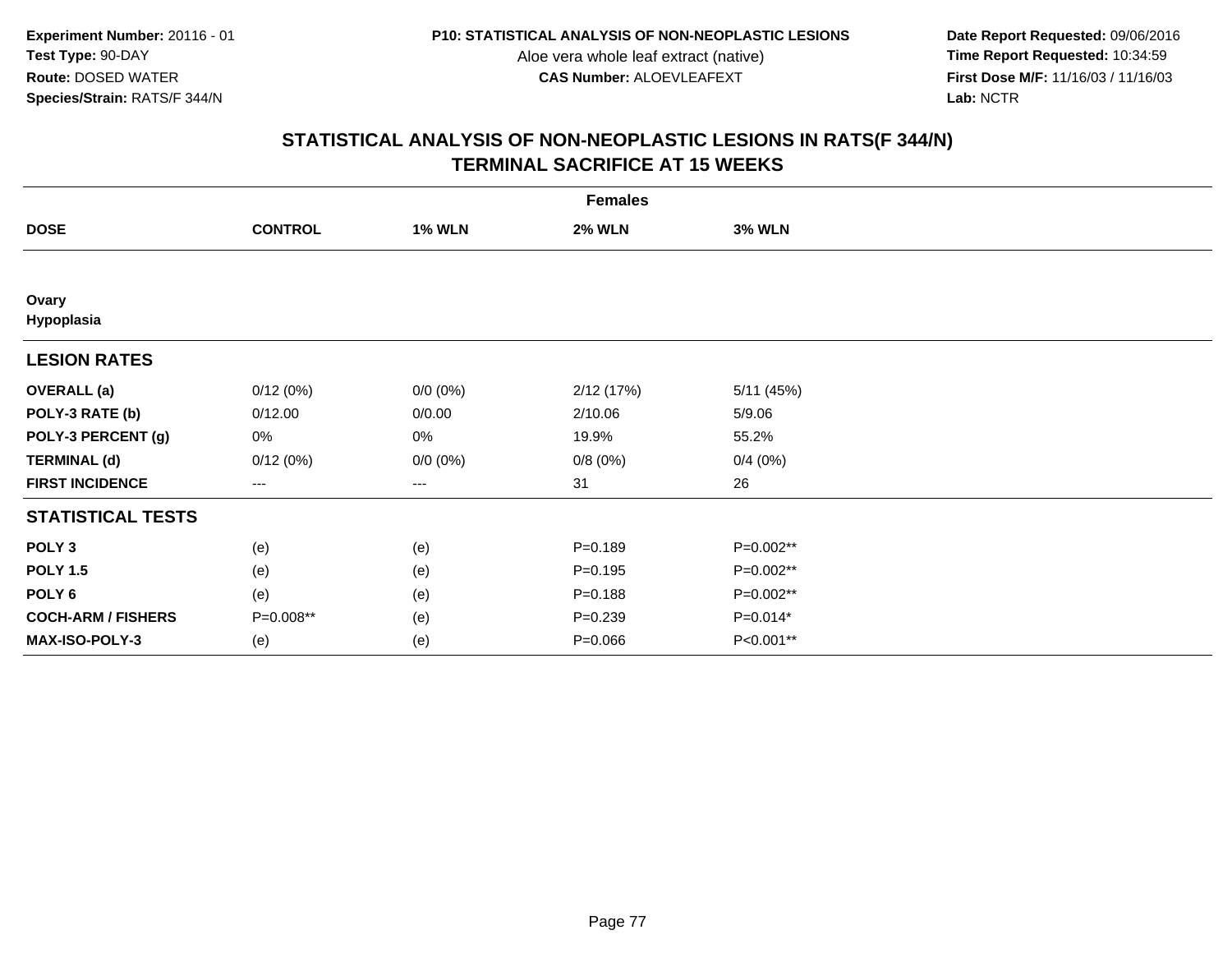**Date Report Requested:** 09/06/2016 **First Dose M/F:** 11/16/03 / 11/16/03<br>Lab: NCTR **Lab:** NCTR

|                           | <b>Females</b> |               |               |               |  |  |  |
|---------------------------|----------------|---------------|---------------|---------------|--|--|--|
| <b>DOSE</b>               | <b>CONTROL</b> | <b>1% WLN</b> | <b>2% WLN</b> | <b>3% WLN</b> |  |  |  |
|                           |                |               |               |               |  |  |  |
| Ovary<br>Hypoplasia       |                |               |               |               |  |  |  |
| <b>LESION RATES</b>       |                |               |               |               |  |  |  |
| <b>OVERALL</b> (a)        | 0/12(0%)       | $0/0 (0\%)$   | 2/12(17%)     | 5/11(45%)     |  |  |  |
| POLY-3 RATE (b)           | 0/12.00        | 0/0.00        | 2/10.06       | 5/9.06        |  |  |  |
| POLY-3 PERCENT (g)        | 0%             | 0%            | 19.9%         | 55.2%         |  |  |  |
| <b>TERMINAL (d)</b>       | 0/12(0%)       | $0/0 (0\%)$   | 0/8(0%)       | 0/4(0%)       |  |  |  |
| <b>FIRST INCIDENCE</b>    | $---$          | ---           | 31            | 26            |  |  |  |
| <b>STATISTICAL TESTS</b>  |                |               |               |               |  |  |  |
| POLY <sub>3</sub>         | (e)            | (e)           | $P = 0.189$   | P=0.002**     |  |  |  |
| <b>POLY 1.5</b>           | (e)            | (e)           | $P = 0.195$   | P=0.002**     |  |  |  |
| POLY <sub>6</sub>         | (e)            | (e)           | $P = 0.188$   | P=0.002**     |  |  |  |
| <b>COCH-ARM / FISHERS</b> | P=0.008**      | (e)           | $P = 0.239$   | $P=0.014*$    |  |  |  |
| MAX-ISO-POLY-3            | (e)            | (e)           | $P = 0.066$   | P<0.001**     |  |  |  |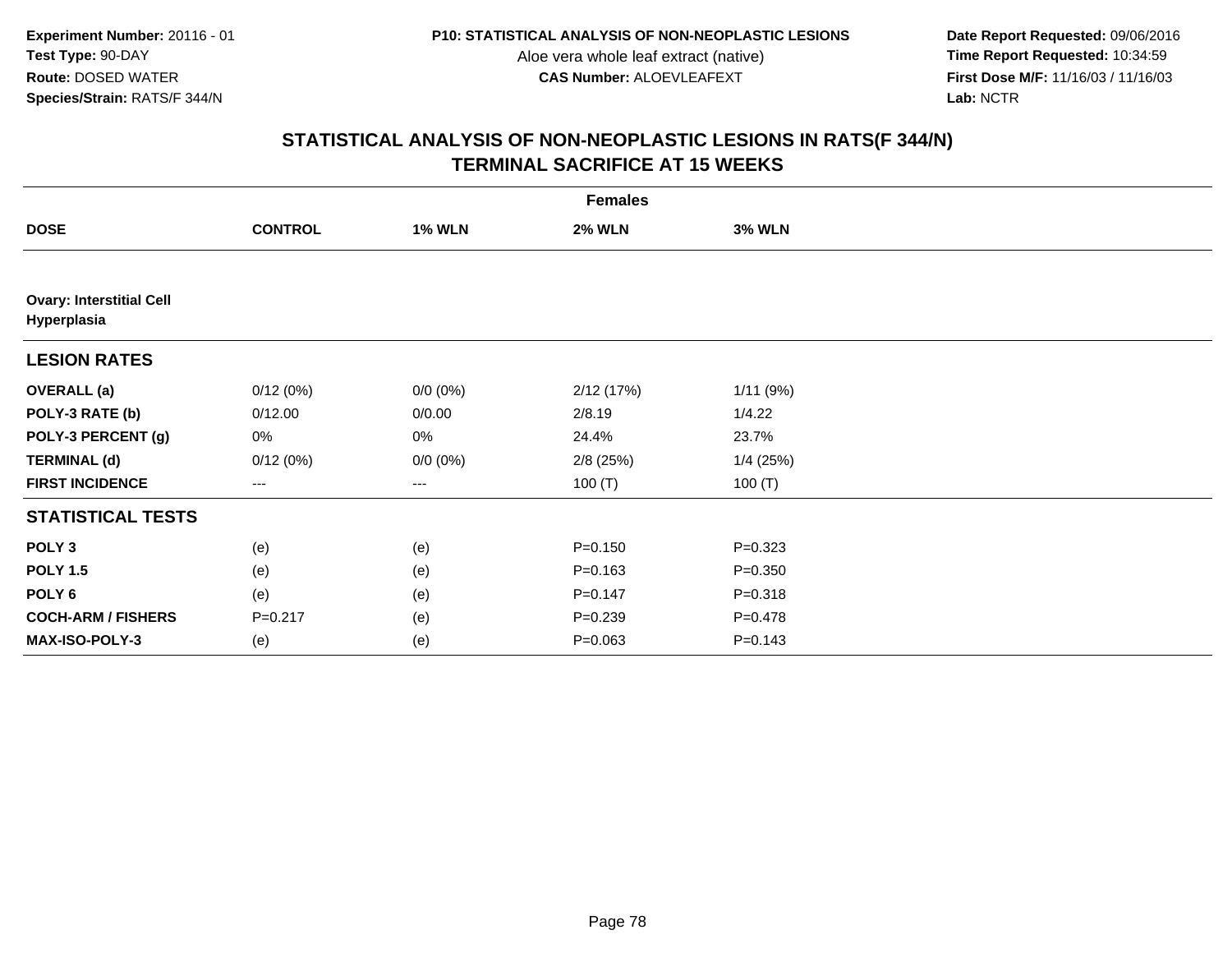**Date Report Requested:** 09/06/2016 **First Dose M/F:** 11/16/03 / 11/16/03<br>Lab: NCTR **Lab:** NCTR

|                                                | <b>Females</b> |               |               |               |  |  |  |
|------------------------------------------------|----------------|---------------|---------------|---------------|--|--|--|
| <b>DOSE</b>                                    | <b>CONTROL</b> | <b>1% WLN</b> | <b>2% WLN</b> | <b>3% WLN</b> |  |  |  |
|                                                |                |               |               |               |  |  |  |
| <b>Ovary: Interstitial Cell</b><br>Hyperplasia |                |               |               |               |  |  |  |
| <b>LESION RATES</b>                            |                |               |               |               |  |  |  |
| <b>OVERALL</b> (a)                             | 0/12(0%)       | $0/0 (0\%)$   | 2/12(17%)     | 1/11(9%)      |  |  |  |
| POLY-3 RATE (b)                                | 0/12.00        | 0/0.00        | 2/8.19        | 1/4.22        |  |  |  |
| POLY-3 PERCENT (g)                             | 0%             | 0%            | 24.4%         | 23.7%         |  |  |  |
| <b>TERMINAL (d)</b>                            | 0/12(0%)       | $0/0 (0\%)$   | $2/8$ (25%)   | $1/4$ (25%)   |  |  |  |
| <b>FIRST INCIDENCE</b>                         | ---            | ---           | 100 $(T)$     | 100 $(T)$     |  |  |  |
| <b>STATISTICAL TESTS</b>                       |                |               |               |               |  |  |  |
| POLY <sub>3</sub>                              | (e)            | (e)           | $P = 0.150$   | $P = 0.323$   |  |  |  |
| <b>POLY 1.5</b>                                | (e)            | (e)           | $P = 0.163$   | $P = 0.350$   |  |  |  |
| POLY 6                                         | (e)            | (e)           | $P = 0.147$   | $P = 0.318$   |  |  |  |
| <b>COCH-ARM / FISHERS</b>                      | $P = 0.217$    | (e)           | $P = 0.239$   | $P = 0.478$   |  |  |  |
| MAX-ISO-POLY-3                                 | (e)            | (e)           | $P = 0.063$   | $P = 0.143$   |  |  |  |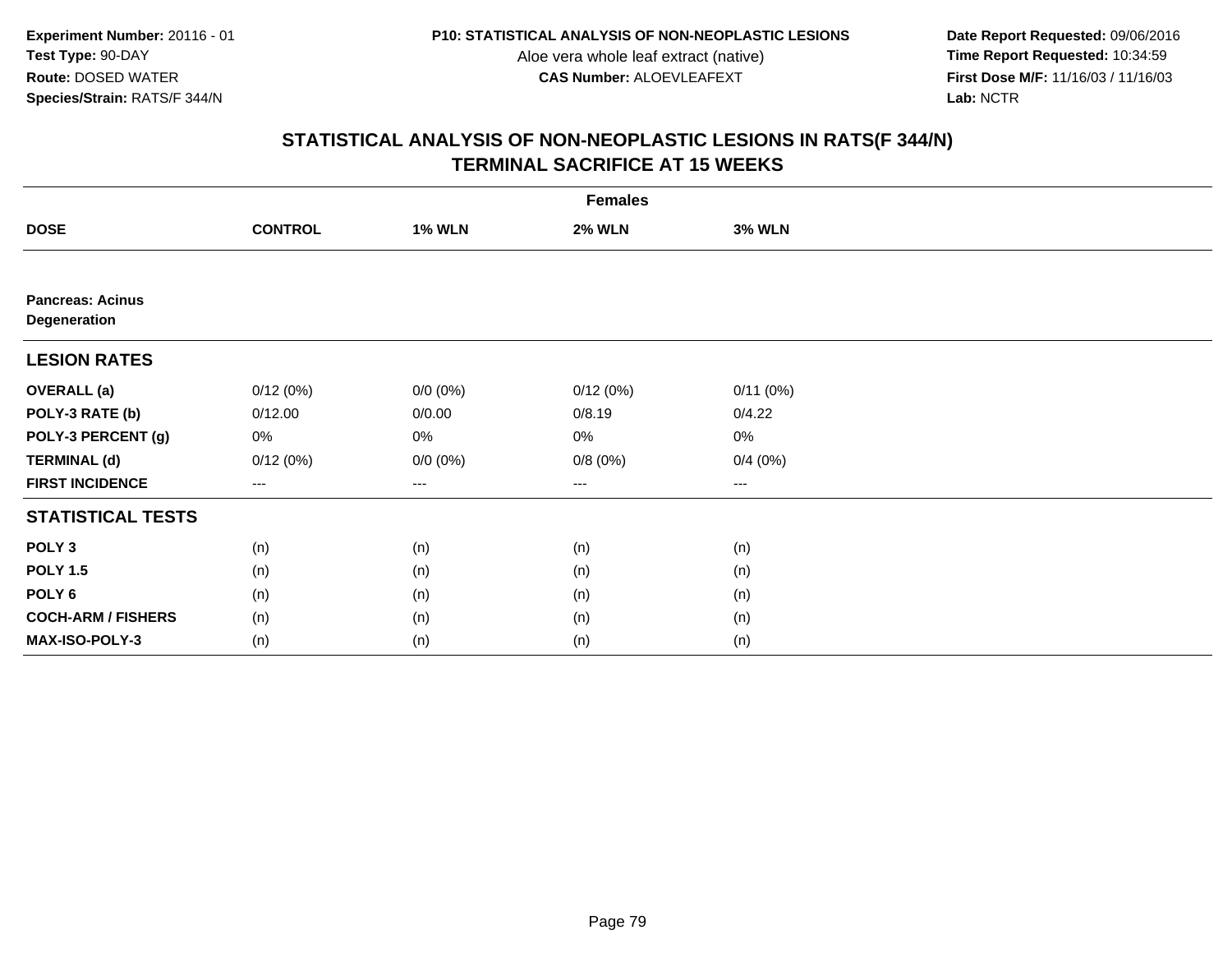**Date Report Requested:** 09/06/2016 **First Dose M/F:** 11/16/03 / 11/16/03<br>Lab: NCTR **Lab:** NCTR

|                                         | <b>Females</b> |               |               |                        |  |  |  |  |
|-----------------------------------------|----------------|---------------|---------------|------------------------|--|--|--|--|
| <b>DOSE</b>                             | <b>CONTROL</b> | <b>1% WLN</b> | <b>2% WLN</b> | <b>3% WLN</b>          |  |  |  |  |
|                                         |                |               |               |                        |  |  |  |  |
| <b>Pancreas: Acinus</b><br>Degeneration |                |               |               |                        |  |  |  |  |
| <b>LESION RATES</b>                     |                |               |               |                        |  |  |  |  |
| <b>OVERALL</b> (a)                      | 0/12(0%)       | $0/0 (0\%)$   | 0/12(0%)      | 0/11(0%)               |  |  |  |  |
| POLY-3 RATE (b)                         | 0/12.00        | 0/0.00        | 0/8.19        | 0/4.22                 |  |  |  |  |
| POLY-3 PERCENT (g)                      | 0%             | 0%            | 0%            | 0%                     |  |  |  |  |
| <b>TERMINAL (d)</b>                     | 0/12(0%)       | $0/0 (0\%)$   | 0/8(0%)       | 0/4(0%)                |  |  |  |  |
| <b>FIRST INCIDENCE</b>                  | $---$          | ---           | ---           | $\qquad \qquad \cdots$ |  |  |  |  |
| <b>STATISTICAL TESTS</b>                |                |               |               |                        |  |  |  |  |
| POLY <sub>3</sub>                       | (n)            | (n)           | (n)           | (n)                    |  |  |  |  |
| <b>POLY 1.5</b>                         | (n)            | (n)           | (n)           | (n)                    |  |  |  |  |
| POLY <sub>6</sub>                       | (n)            | (n)           | (n)           | (n)                    |  |  |  |  |
| <b>COCH-ARM / FISHERS</b>               | (n)            | (n)           | (n)           | (n)                    |  |  |  |  |
| MAX-ISO-POLY-3                          | (n)            | (n)           | (n)           | (n)                    |  |  |  |  |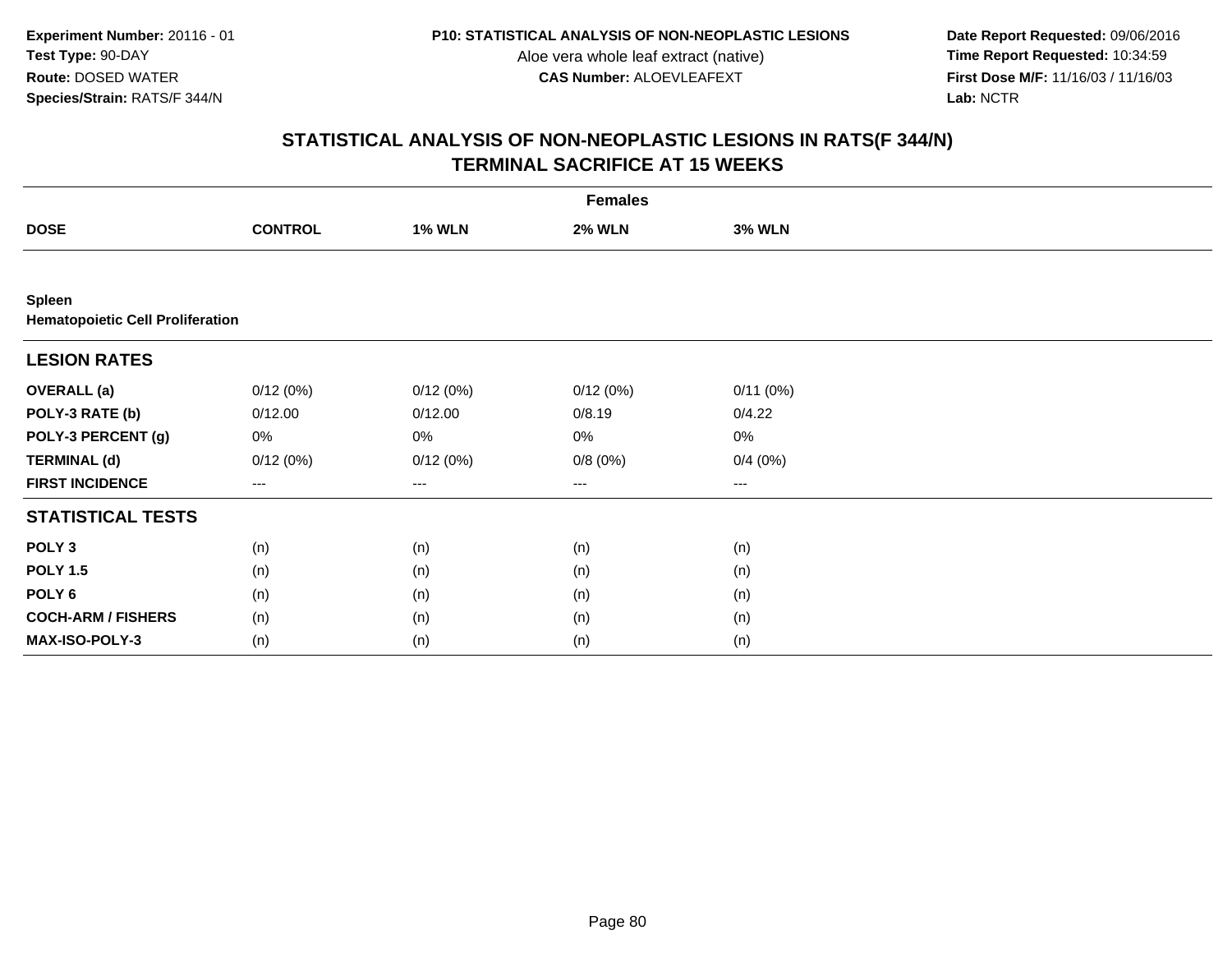**Date Report Requested:** 09/06/2016 **First Dose M/F:** 11/16/03 / 11/16/03<br>Lab: NCTR **Lab:** NCTR

| <b>Females</b>                                    |                |               |               |                        |  |  |  |
|---------------------------------------------------|----------------|---------------|---------------|------------------------|--|--|--|
| <b>DOSE</b>                                       | <b>CONTROL</b> | <b>1% WLN</b> | <b>2% WLN</b> | <b>3% WLN</b>          |  |  |  |
|                                                   |                |               |               |                        |  |  |  |
| Spleen<br><b>Hematopoietic Cell Proliferation</b> |                |               |               |                        |  |  |  |
| <b>LESION RATES</b>                               |                |               |               |                        |  |  |  |
| <b>OVERALL</b> (a)                                | 0/12(0%)       | 0/12(0%)      | 0/12(0%)      | 0/11(0%)               |  |  |  |
| POLY-3 RATE (b)                                   | 0/12.00        | 0/12.00       | 0/8.19        | 0/4.22                 |  |  |  |
| POLY-3 PERCENT (g)                                | 0%             | 0%            | $0\%$         | 0%                     |  |  |  |
| <b>TERMINAL (d)</b>                               | 0/12(0%)       | 0/12(0%)      | 0/8(0%)       | 0/4(0%)                |  |  |  |
| <b>FIRST INCIDENCE</b>                            | $---$          | ---           | ---           | $\qquad \qquad \cdots$ |  |  |  |
| <b>STATISTICAL TESTS</b>                          |                |               |               |                        |  |  |  |
| POLY <sub>3</sub>                                 | (n)            | (n)           | (n)           | (n)                    |  |  |  |
| <b>POLY 1.5</b>                                   | (n)            | (n)           | (n)           | (n)                    |  |  |  |
| POLY <sub>6</sub>                                 | (n)            | (n)           | (n)           | (n)                    |  |  |  |
| <b>COCH-ARM / FISHERS</b>                         | (n)            | (n)           | (n)           | (n)                    |  |  |  |
| MAX-ISO-POLY-3                                    | (n)            | (n)           | (n)           | (n)                    |  |  |  |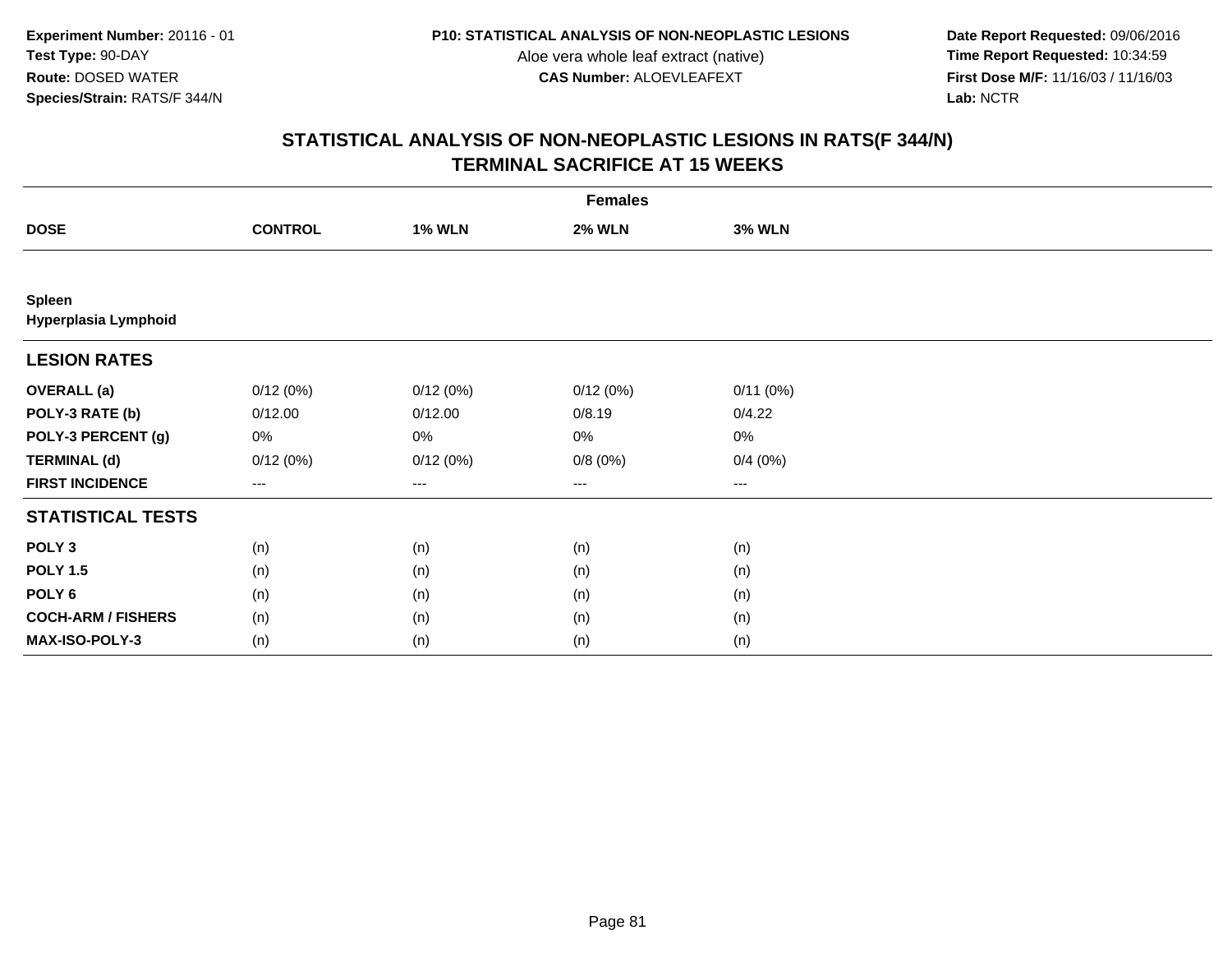**Date Report Requested:** 09/06/2016 **First Dose M/F:** 11/16/03 / 11/16/03<br>Lab: NCTR **Lab:** NCTR

|                                | <b>Females</b> |               |               |                        |  |  |  |  |
|--------------------------------|----------------|---------------|---------------|------------------------|--|--|--|--|
| <b>DOSE</b>                    | <b>CONTROL</b> | <b>1% WLN</b> | <b>2% WLN</b> | <b>3% WLN</b>          |  |  |  |  |
|                                |                |               |               |                        |  |  |  |  |
| Spleen<br>Hyperplasia Lymphoid |                |               |               |                        |  |  |  |  |
| <b>LESION RATES</b>            |                |               |               |                        |  |  |  |  |
| <b>OVERALL</b> (a)             | 0/12(0%)       | 0/12(0%)      | 0/12(0%)      | 0/11(0%)               |  |  |  |  |
| POLY-3 RATE (b)                | 0/12.00        | 0/12.00       | 0/8.19        | 0/4.22                 |  |  |  |  |
| POLY-3 PERCENT (g)             | 0%             | 0%            | 0%            | 0%                     |  |  |  |  |
| <b>TERMINAL (d)</b>            | 0/12(0%)       | 0/12(0%)      | 0/8(0%)       | 0/4(0%)                |  |  |  |  |
| <b>FIRST INCIDENCE</b>         | $---$          | ---           | ---           | $\qquad \qquad \cdots$ |  |  |  |  |
| <b>STATISTICAL TESTS</b>       |                |               |               |                        |  |  |  |  |
| POLY <sub>3</sub>              | (n)            | (n)           | (n)           | (n)                    |  |  |  |  |
| <b>POLY 1.5</b>                | (n)            | (n)           | (n)           | (n)                    |  |  |  |  |
| POLY <sub>6</sub>              | (n)            | (n)           | (n)           | (n)                    |  |  |  |  |
| <b>COCH-ARM / FISHERS</b>      | (n)            | (n)           | (n)           | (n)                    |  |  |  |  |
| MAX-ISO-POLY-3                 | (n)            | (n)           | (n)           | (n)                    |  |  |  |  |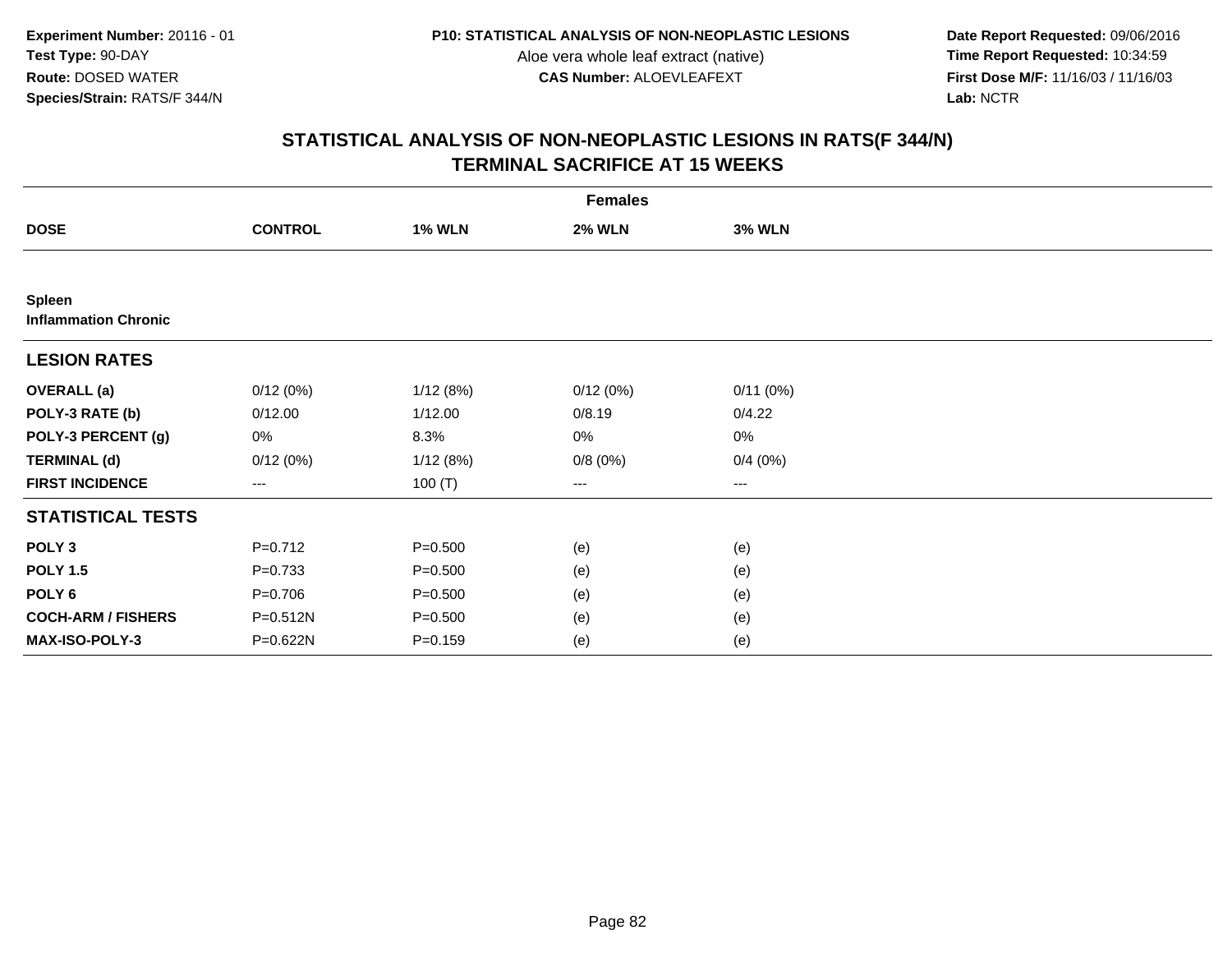**Date Report Requested:** 09/06/2016 **First Dose M/F:** 11/16/03 / 11/16/03<br>Lab: NCTR **Lab:** NCTR

|                                              | <b>Females</b> |               |               |               |  |  |  |  |
|----------------------------------------------|----------------|---------------|---------------|---------------|--|--|--|--|
| <b>DOSE</b>                                  | <b>CONTROL</b> | <b>1% WLN</b> | <b>2% WLN</b> | <b>3% WLN</b> |  |  |  |  |
|                                              |                |               |               |               |  |  |  |  |
| <b>Spleen</b><br><b>Inflammation Chronic</b> |                |               |               |               |  |  |  |  |
| <b>LESION RATES</b>                          |                |               |               |               |  |  |  |  |
| <b>OVERALL</b> (a)                           | 0/12(0%)       | 1/12(8%)      | 0/12(0%)      | 0/11(0%)      |  |  |  |  |
| POLY-3 RATE (b)                              | 0/12.00        | 1/12.00       | 0/8.19        | 0/4.22        |  |  |  |  |
| POLY-3 PERCENT (g)                           | 0%             | 8.3%          | 0%            | 0%            |  |  |  |  |
| <b>TERMINAL (d)</b>                          | 0/12(0%)       | 1/12(8%)      | 0/8(0%)       | 0/4(0%)       |  |  |  |  |
| <b>FIRST INCIDENCE</b>                       | $--$           | 100 $(T)$     | ---           | $--$          |  |  |  |  |
| <b>STATISTICAL TESTS</b>                     |                |               |               |               |  |  |  |  |
| POLY <sub>3</sub>                            | $P=0.712$      | $P = 0.500$   | (e)           | (e)           |  |  |  |  |
| <b>POLY 1.5</b>                              | $P=0.733$      | $P = 0.500$   | (e)           | (e)           |  |  |  |  |
| POLY 6                                       | $P = 0.706$    | $P = 0.500$   | (e)           | (e)           |  |  |  |  |
| <b>COCH-ARM / FISHERS</b>                    | P=0.512N       | $P = 0.500$   | (e)           | (e)           |  |  |  |  |
| MAX-ISO-POLY-3                               | P=0.622N       | $P = 0.159$   | (e)           | (e)           |  |  |  |  |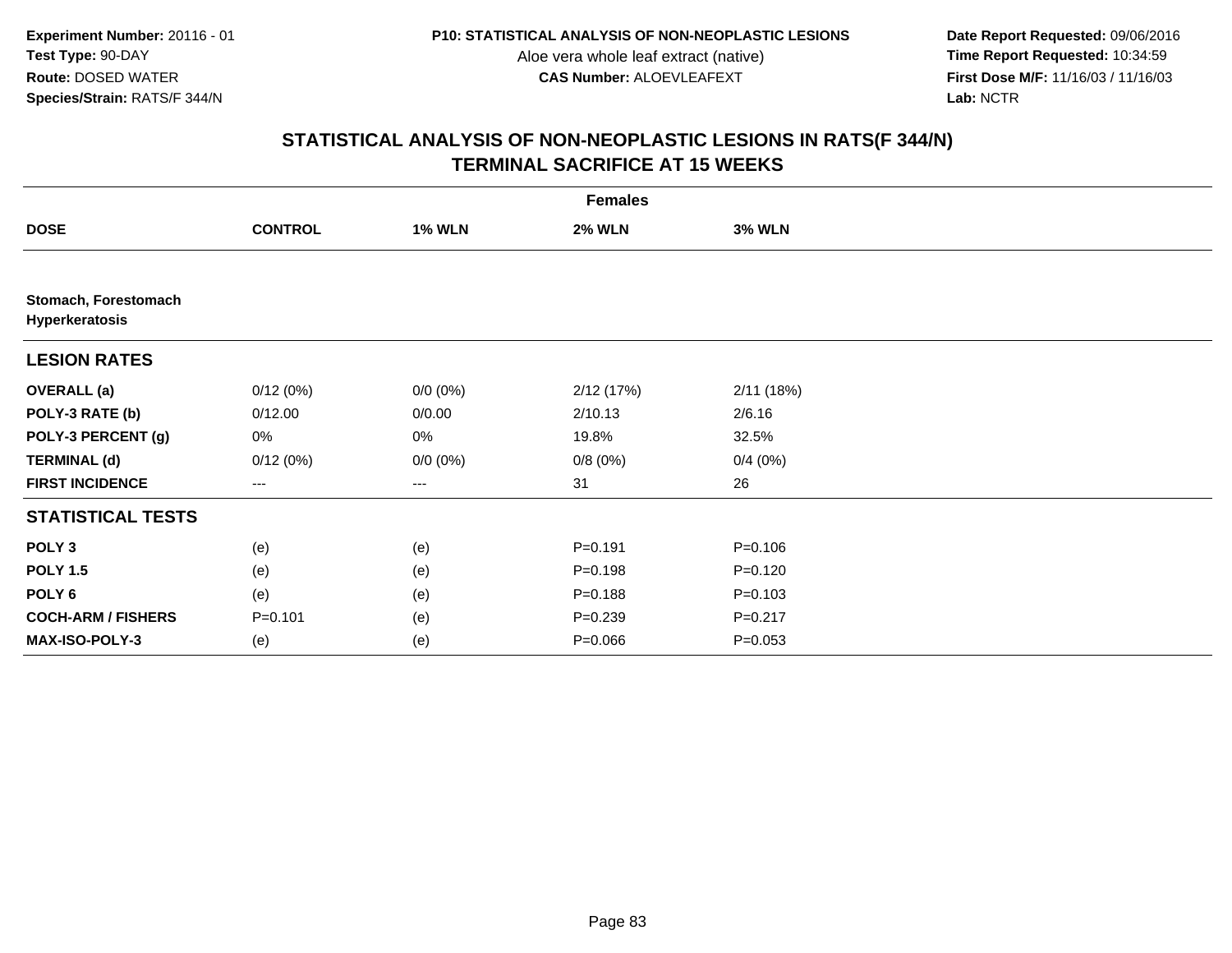**Date Report Requested:** 09/06/2016 **First Dose M/F:** 11/16/03 / 11/16/03<br>Lab: NCTR **Lab:** NCTR

|                                        | <b>Females</b>    |               |               |               |  |  |  |
|----------------------------------------|-------------------|---------------|---------------|---------------|--|--|--|
| <b>DOSE</b>                            | <b>CONTROL</b>    | <b>1% WLN</b> | <b>2% WLN</b> | <b>3% WLN</b> |  |  |  |
|                                        |                   |               |               |               |  |  |  |
| Stomach, Forestomach<br>Hyperkeratosis |                   |               |               |               |  |  |  |
| <b>LESION RATES</b>                    |                   |               |               |               |  |  |  |
| <b>OVERALL (a)</b>                     | 0/12(0%)          | $0/0 (0\%)$   | 2/12(17%)     | 2/11(18%)     |  |  |  |
| POLY-3 RATE (b)                        | 0/12.00           | 0/0.00        | 2/10.13       | 2/6.16        |  |  |  |
| POLY-3 PERCENT (g)                     | 0%                | 0%            | 19.8%         | 32.5%         |  |  |  |
| <b>TERMINAL (d)</b>                    | 0/12(0%)          | $0/0 (0\%)$   | 0/8(0%)       | 0/4(0%)       |  |  |  |
| <b>FIRST INCIDENCE</b>                 | $\qquad \qquad -$ | $\cdots$      | 31            | 26            |  |  |  |
| <b>STATISTICAL TESTS</b>               |                   |               |               |               |  |  |  |
| POLY <sub>3</sub>                      | (e)               | (e)           | $P = 0.191$   | $P = 0.106$   |  |  |  |
| <b>POLY 1.5</b>                        | (e)               | (e)           | $P = 0.198$   | $P = 0.120$   |  |  |  |
| POLY 6                                 | (e)               | (e)           | $P = 0.188$   | $P = 0.103$   |  |  |  |
| <b>COCH-ARM / FISHERS</b>              | $P = 0.101$       | (e)           | $P = 0.239$   | $P = 0.217$   |  |  |  |
| <b>MAX-ISO-POLY-3</b>                  | (e)               | (e)           | $P = 0.066$   | $P = 0.053$   |  |  |  |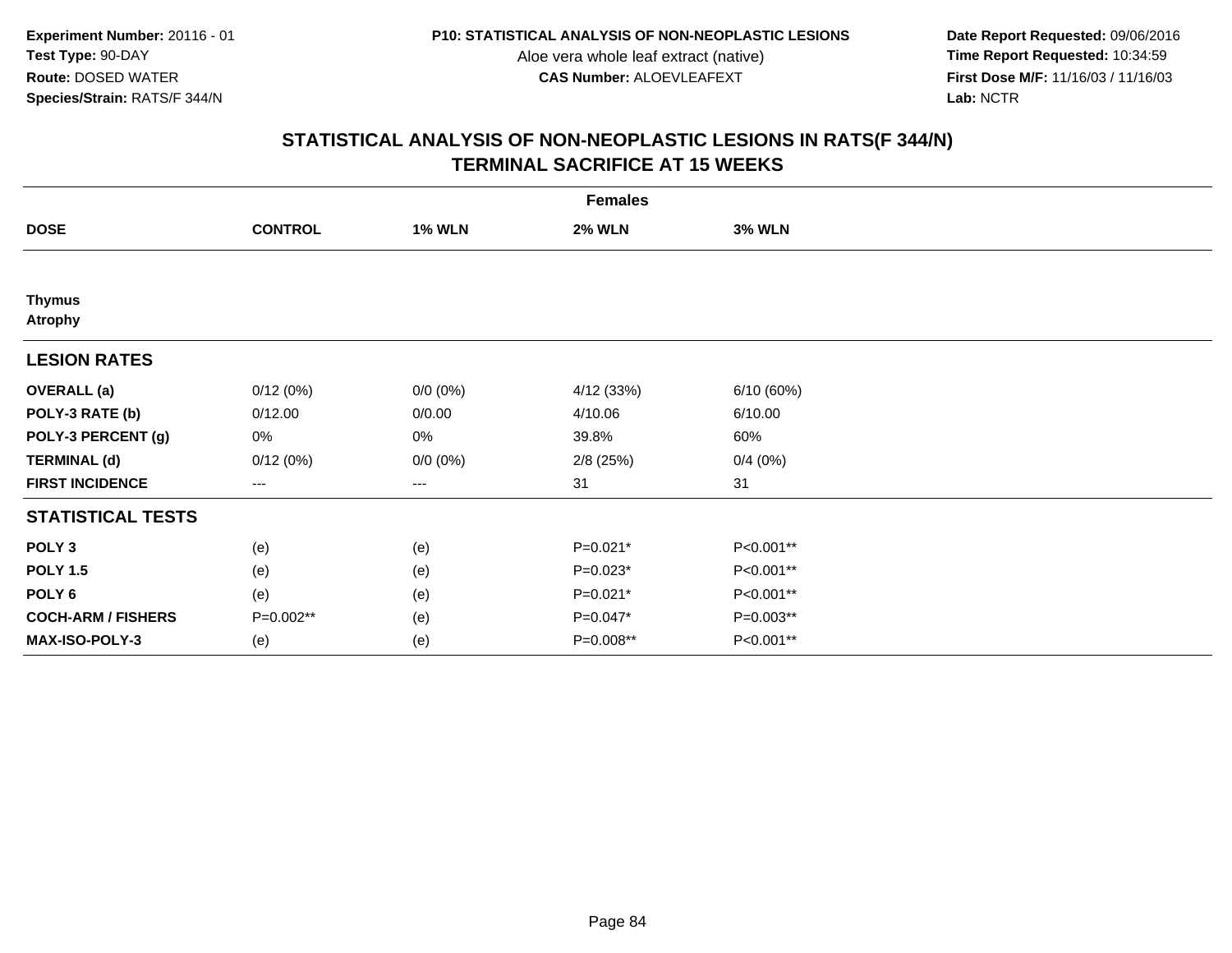**Date Report Requested:** 09/06/2016 **First Dose M/F:** 11/16/03 / 11/16/03<br>Lab: NCTR **Lab:** NCTR

|                                 | <b>Females</b> |               |               |               |  |  |  |
|---------------------------------|----------------|---------------|---------------|---------------|--|--|--|
| <b>DOSE</b>                     | <b>CONTROL</b> | <b>1% WLN</b> | <b>2% WLN</b> | <b>3% WLN</b> |  |  |  |
|                                 |                |               |               |               |  |  |  |
| <b>Thymus</b><br><b>Atrophy</b> |                |               |               |               |  |  |  |
| <b>LESION RATES</b>             |                |               |               |               |  |  |  |
| <b>OVERALL</b> (a)              | 0/12(0%)       | $0/0 (0\%)$   | 4/12 (33%)    | 6/10 (60%)    |  |  |  |
| POLY-3 RATE (b)                 | 0/12.00        | 0/0.00        | 4/10.06       | 6/10.00       |  |  |  |
| POLY-3 PERCENT (g)              | 0%             | 0%            | 39.8%         | 60%           |  |  |  |
| <b>TERMINAL (d)</b>             | 0/12(0%)       | $0/0 (0\%)$   | $2/8$ (25%)   | 0/4(0%)       |  |  |  |
| <b>FIRST INCIDENCE</b>          | $---$          | $--$          | 31            | 31            |  |  |  |
| <b>STATISTICAL TESTS</b>        |                |               |               |               |  |  |  |
| POLY <sub>3</sub>               | (e)            | (e)           | $P=0.021*$    | P<0.001**     |  |  |  |
| <b>POLY 1.5</b>                 | (e)            | (e)           | $P=0.023*$    | P<0.001**     |  |  |  |
| POLY <sub>6</sub>               | (e)            | (e)           | $P=0.021*$    | P<0.001**     |  |  |  |
| <b>COCH-ARM / FISHERS</b>       | P=0.002**      | (e)           | P=0.047*      | P=0.003**     |  |  |  |
| MAX-ISO-POLY-3                  | (e)            | (e)           | P=0.008**     | P<0.001**     |  |  |  |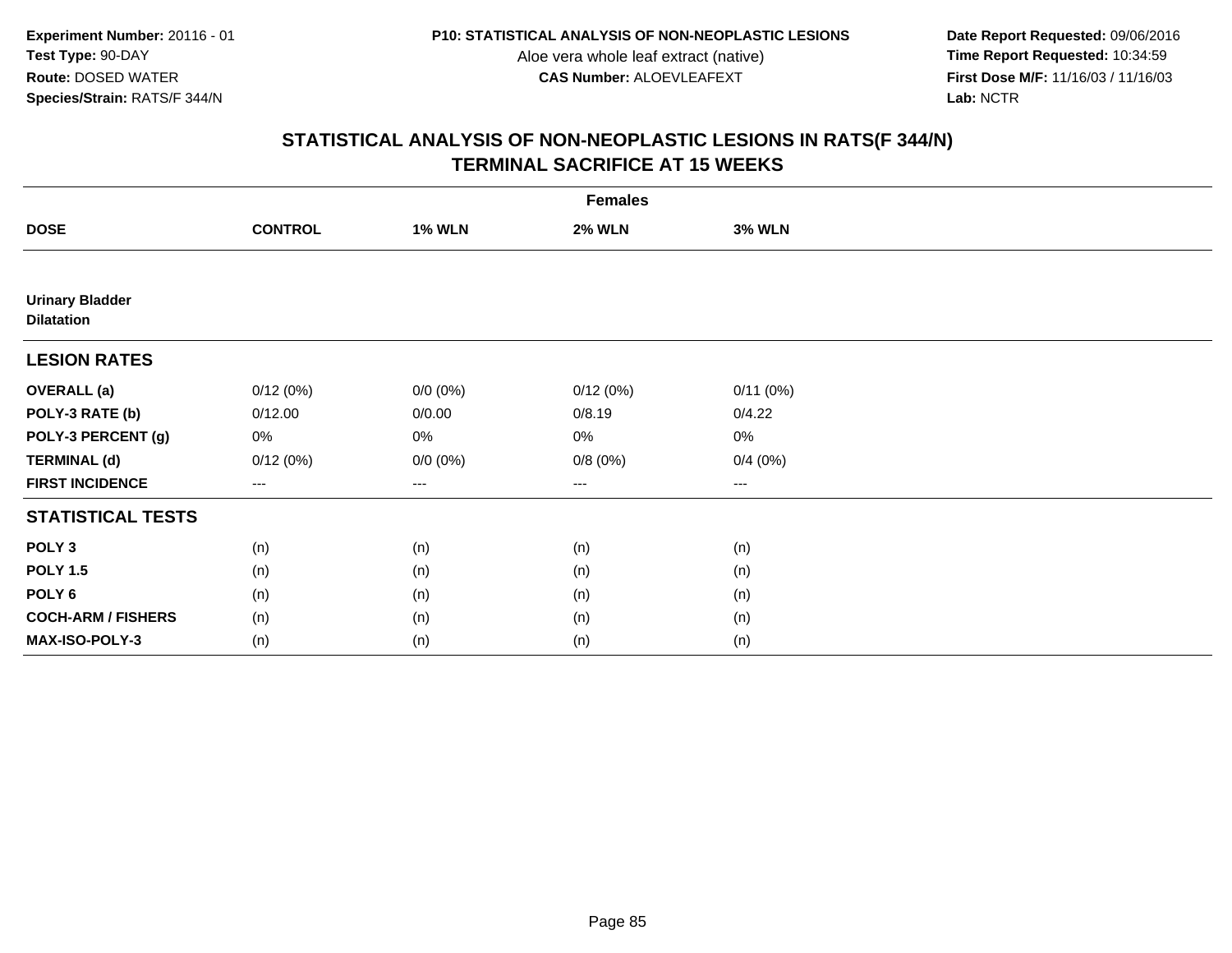**Date Report Requested:** 09/06/2016 **First Dose M/F:** 11/16/03 / 11/16/03<br>Lab: NCTR **Lab:** NCTR

|                                             |                |               | <b>Females</b> |                        |  |
|---------------------------------------------|----------------|---------------|----------------|------------------------|--|
| <b>DOSE</b>                                 | <b>CONTROL</b> | <b>1% WLN</b> | <b>2% WLN</b>  | <b>3% WLN</b>          |  |
|                                             |                |               |                |                        |  |
| <b>Urinary Bladder</b><br><b>Dilatation</b> |                |               |                |                        |  |
| <b>LESION RATES</b>                         |                |               |                |                        |  |
| <b>OVERALL</b> (a)                          | 0/12(0%)       | $0/0 (0\%)$   | 0/12(0%)       | 0/11(0%)               |  |
| POLY-3 RATE (b)                             | 0/12.00        | 0/0.00        | 0/8.19         | 0/4.22                 |  |
| POLY-3 PERCENT (g)                          | 0%             | 0%            | 0%             | 0%                     |  |
| <b>TERMINAL (d)</b>                         | 0/12(0%)       | $0/0 (0\%)$   | 0/8(0%)        | 0/4(0%)                |  |
| <b>FIRST INCIDENCE</b>                      | $---$          | ---           | ---            | $\qquad \qquad \cdots$ |  |
| <b>STATISTICAL TESTS</b>                    |                |               |                |                        |  |
| POLY <sub>3</sub>                           | (n)            | (n)           | (n)            | (n)                    |  |
| <b>POLY 1.5</b>                             | (n)            | (n)           | (n)            | (n)                    |  |
| POLY <sub>6</sub>                           | (n)            | (n)           | (n)            | (n)                    |  |
| <b>COCH-ARM / FISHERS</b>                   | (n)            | (n)           | (n)            | (n)                    |  |
| MAX-ISO-POLY-3                              | (n)            | (n)           | (n)            | (n)                    |  |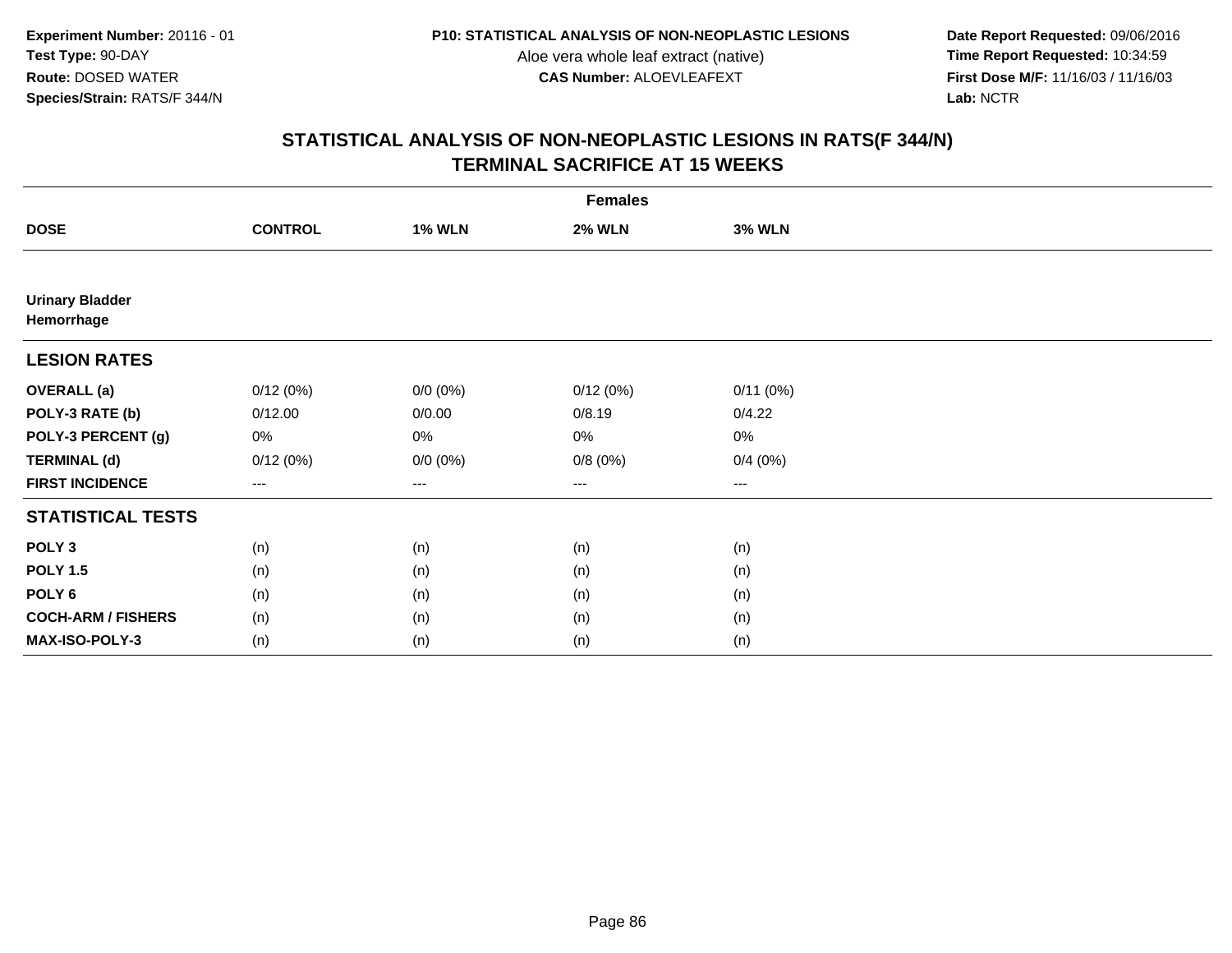**Date Report Requested:** 09/06/2016 **First Dose M/F:** 11/16/03 / 11/16/03<br>Lab: NCTR **Lab:** NCTR

|                                      |                |               | <b>Females</b> |                        |  |
|--------------------------------------|----------------|---------------|----------------|------------------------|--|
| <b>DOSE</b>                          | <b>CONTROL</b> | <b>1% WLN</b> | <b>2% WLN</b>  | <b>3% WLN</b>          |  |
|                                      |                |               |                |                        |  |
| <b>Urinary Bladder</b><br>Hemorrhage |                |               |                |                        |  |
| <b>LESION RATES</b>                  |                |               |                |                        |  |
| <b>OVERALL</b> (a)                   | 0/12(0%)       | $0/0 (0\%)$   | 0/12(0%)       | 0/11(0%)               |  |
| POLY-3 RATE (b)                      | 0/12.00        | 0/0.00        | 0/8.19         | 0/4.22                 |  |
| POLY-3 PERCENT (g)                   | 0%             | 0%            | 0%             | 0%                     |  |
| <b>TERMINAL (d)</b>                  | 0/12(0%)       | $0/0 (0\%)$   | 0/8(0%)        | 0/4(0%)                |  |
| <b>FIRST INCIDENCE</b>               | $---$          | ---           | $---$          | $\qquad \qquad \cdots$ |  |
| <b>STATISTICAL TESTS</b>             |                |               |                |                        |  |
| POLY <sub>3</sub>                    | (n)            | (n)           | (n)            | (n)                    |  |
| <b>POLY 1.5</b>                      | (n)            | (n)           | (n)            | (n)                    |  |
| POLY <sub>6</sub>                    | (n)            | (n)           | (n)            | (n)                    |  |
| <b>COCH-ARM / FISHERS</b>            | (n)            | (n)           | (n)            | (n)                    |  |
| MAX-ISO-POLY-3                       | (n)            | (n)           | (n)            | (n)                    |  |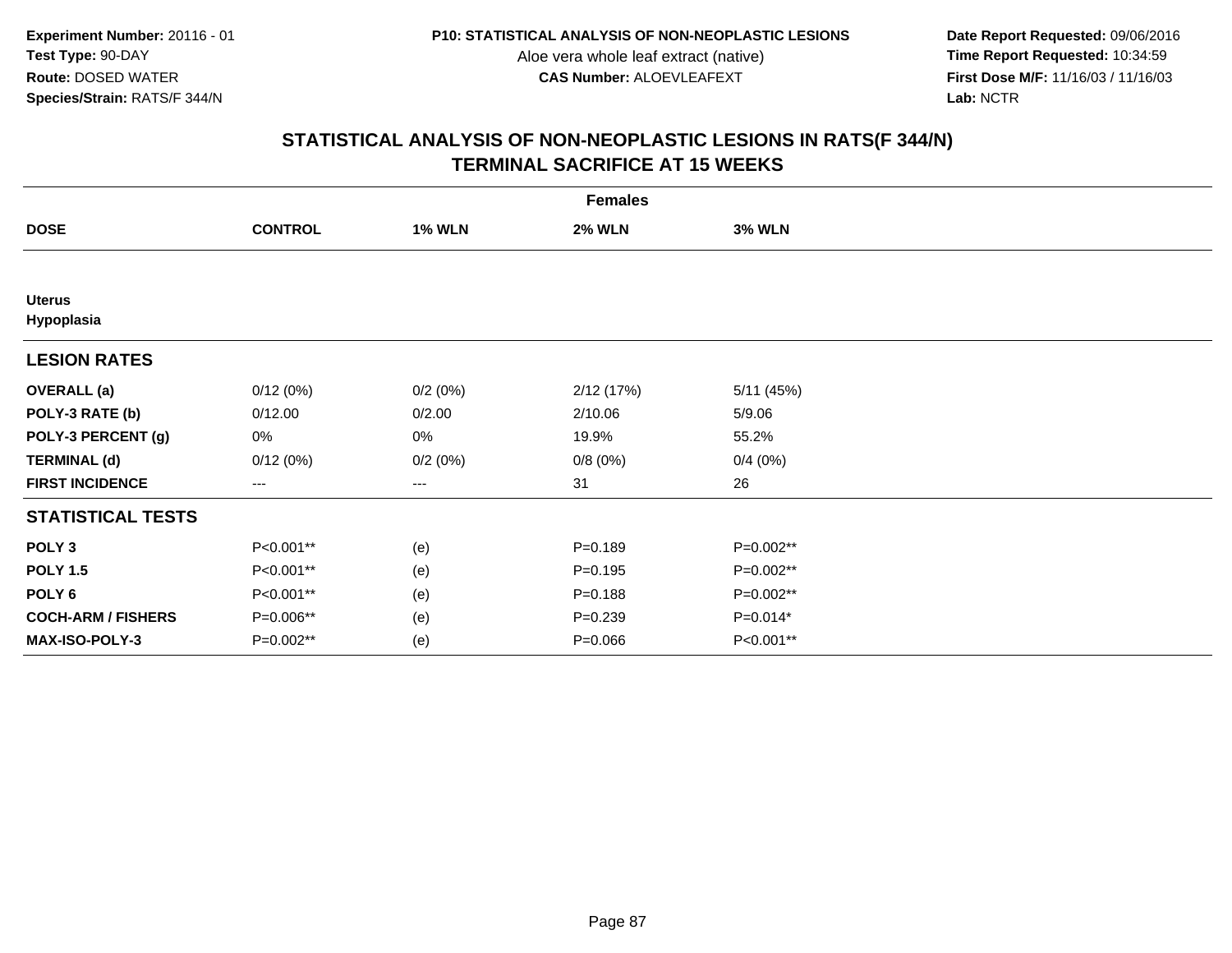**Date Report Requested:** 09/06/2016 **First Dose M/F:** 11/16/03 / 11/16/03<br>Lab: NCTR **Lab:** NCTR

|                             |                        |               | <b>Females</b> |               |  |
|-----------------------------|------------------------|---------------|----------------|---------------|--|
| <b>DOSE</b>                 | <b>CONTROL</b>         | <b>1% WLN</b> | <b>2% WLN</b>  | <b>3% WLN</b> |  |
|                             |                        |               |                |               |  |
| <b>Uterus</b><br>Hypoplasia |                        |               |                |               |  |
| <b>LESION RATES</b>         |                        |               |                |               |  |
| <b>OVERALL</b> (a)          | 0/12(0%)               | 0/2(0%)       | 2/12(17%)      | 5/11(45%)     |  |
| POLY-3 RATE (b)             | 0/12.00                | 0/2.00        | 2/10.06        | 5/9.06        |  |
| POLY-3 PERCENT (g)          | 0%                     | 0%            | 19.9%          | 55.2%         |  |
| <b>TERMINAL (d)</b>         | 0/12(0%)               | 0/2(0%)       | 0/8(0%)        | 0/4(0%)       |  |
| <b>FIRST INCIDENCE</b>      | $\qquad \qquad \cdots$ | $---$         | 31             | 26            |  |
| <b>STATISTICAL TESTS</b>    |                        |               |                |               |  |
| POLY <sub>3</sub>           | P<0.001**              | (e)           | $P = 0.189$    | P=0.002**     |  |
| <b>POLY 1.5</b>             | P<0.001**              | (e)           | $P = 0.195$    | P=0.002**     |  |
| POLY <sub>6</sub>           | P<0.001**              | (e)           | $P = 0.188$    | P=0.002**     |  |
| <b>COCH-ARM / FISHERS</b>   | P=0.006**              | (e)           | $P = 0.239$    | $P=0.014*$    |  |
| MAX-ISO-POLY-3              | P=0.002**              | (e)           | $P = 0.066$    | P<0.001**     |  |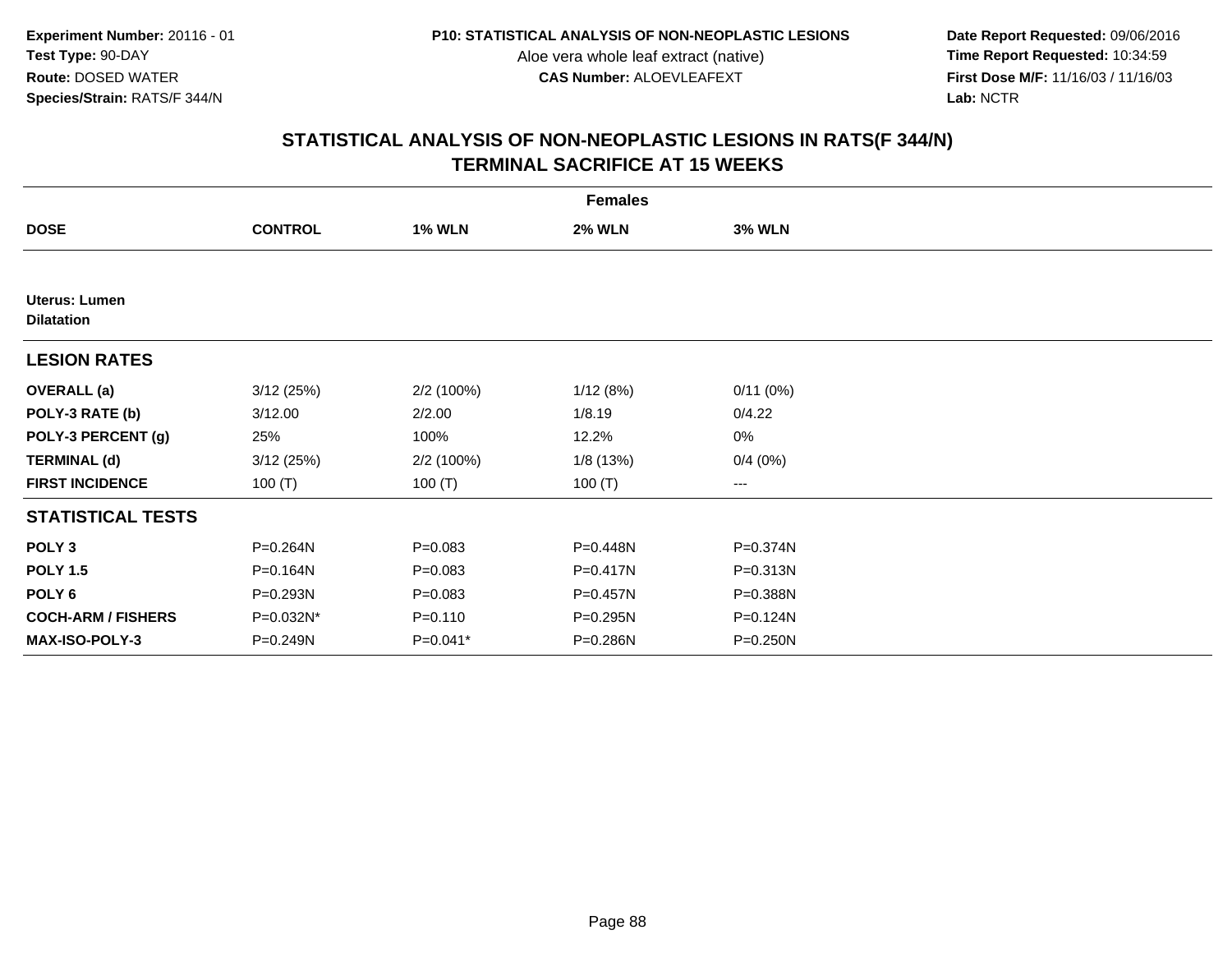**Date Report Requested:** 09/06/2016 **First Dose M/F:** 11/16/03 / 11/16/03<br>Lab: NCTR **Lab:** NCTR

|                                    |                |               | <b>Females</b> |               |  |
|------------------------------------|----------------|---------------|----------------|---------------|--|
| <b>DOSE</b>                        | <b>CONTROL</b> | <b>1% WLN</b> | <b>2% WLN</b>  | <b>3% WLN</b> |  |
|                                    |                |               |                |               |  |
| Uterus: Lumen<br><b>Dilatation</b> |                |               |                |               |  |
| <b>LESION RATES</b>                |                |               |                |               |  |
| <b>OVERALL</b> (a)                 | 3/12(25%)      | 2/2 (100%)    | 1/12(8%)       | 0/11(0%)      |  |
| POLY-3 RATE (b)                    | 3/12.00        | 2/2.00        | 1/8.19         | 0/4.22        |  |
| POLY-3 PERCENT (g)                 | 25%            | 100%          | 12.2%          | 0%            |  |
| <b>TERMINAL (d)</b>                | 3/12(25%)      | 2/2 (100%)    | 1/8(13%)       | 0/4(0%)       |  |
| <b>FIRST INCIDENCE</b>             | 100 $(T)$      | 100 $(T)$     | 100 $(T)$      | $--$          |  |
| <b>STATISTICAL TESTS</b>           |                |               |                |               |  |
| POLY <sub>3</sub>                  | P=0.264N       | $P = 0.083$   | P=0.448N       | P=0.374N      |  |
| <b>POLY 1.5</b>                    | P=0.164N       | $P = 0.083$   | P=0.417N       | P=0.313N      |  |
| POLY <sub>6</sub>                  | P=0.293N       | $P = 0.083$   | P=0.457N       | P=0.388N      |  |
| <b>COCH-ARM / FISHERS</b>          | P=0.032N*      | $P = 0.110$   | P=0.295N       | P=0.124N      |  |
| <b>MAX-ISO-POLY-3</b>              | P=0.249N       | P=0.041*      | P=0.286N       | P=0.250N      |  |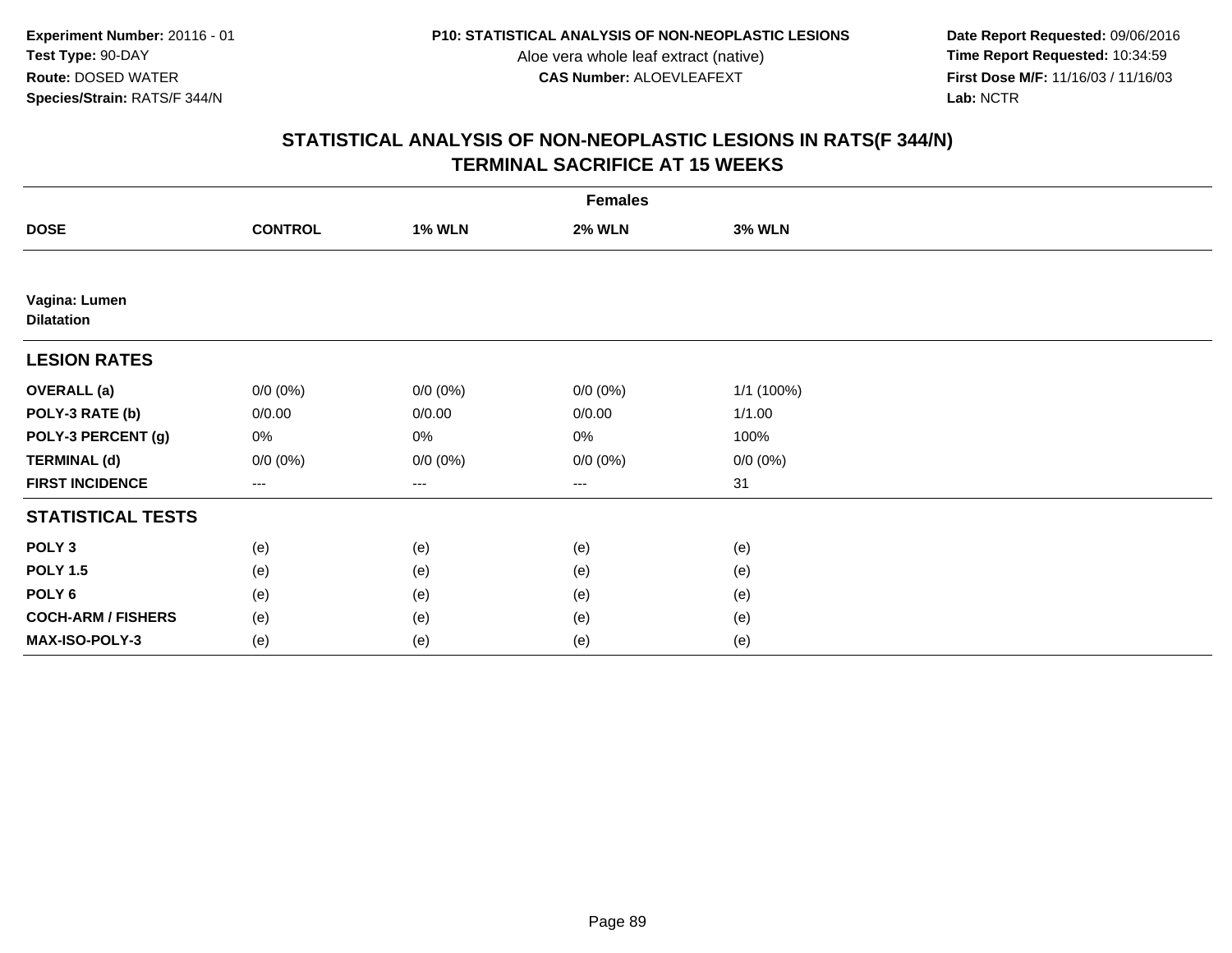**Date Report Requested:** 09/06/2016 **First Dose M/F:** 11/16/03 / 11/16/03<br>Lab: NCTR **Lab:** NCTR

| <b>Females</b>                     |                |               |               |               |  |
|------------------------------------|----------------|---------------|---------------|---------------|--|
| <b>DOSE</b>                        | <b>CONTROL</b> | <b>1% WLN</b> | <b>2% WLN</b> | <b>3% WLN</b> |  |
|                                    |                |               |               |               |  |
| Vagina: Lumen<br><b>Dilatation</b> |                |               |               |               |  |
| <b>LESION RATES</b>                |                |               |               |               |  |
| <b>OVERALL</b> (a)                 | $0/0 (0\%)$    | $0/0 (0\%)$   | $0/0 (0\%)$   | 1/1 (100%)    |  |
| POLY-3 RATE (b)                    | 0/0.00         | 0/0.00        | 0/0.00        | 1/1.00        |  |
| POLY-3 PERCENT (g)                 | 0%             | $0\%$         | 0%            | 100%          |  |
| <b>TERMINAL (d)</b>                | $0/0 (0\%)$    | $0/0 (0\%)$   | $0/0 (0\%)$   | $0/0 (0\%)$   |  |
| <b>FIRST INCIDENCE</b>             | $\cdots$       | ---           | $\cdots$      | 31            |  |
| <b>STATISTICAL TESTS</b>           |                |               |               |               |  |
| POLY <sub>3</sub>                  | (e)            | (e)           | (e)           | (e)           |  |
| <b>POLY 1.5</b>                    | (e)            | (e)           | (e)           | (e)           |  |
| POLY <sub>6</sub>                  | (e)            | (e)           | (e)           | (e)           |  |
| <b>COCH-ARM / FISHERS</b>          | (e)            | (e)           | (e)           | (e)           |  |
| MAX-ISO-POLY-3                     | (e)            | (e)           | (e)           | (e)           |  |